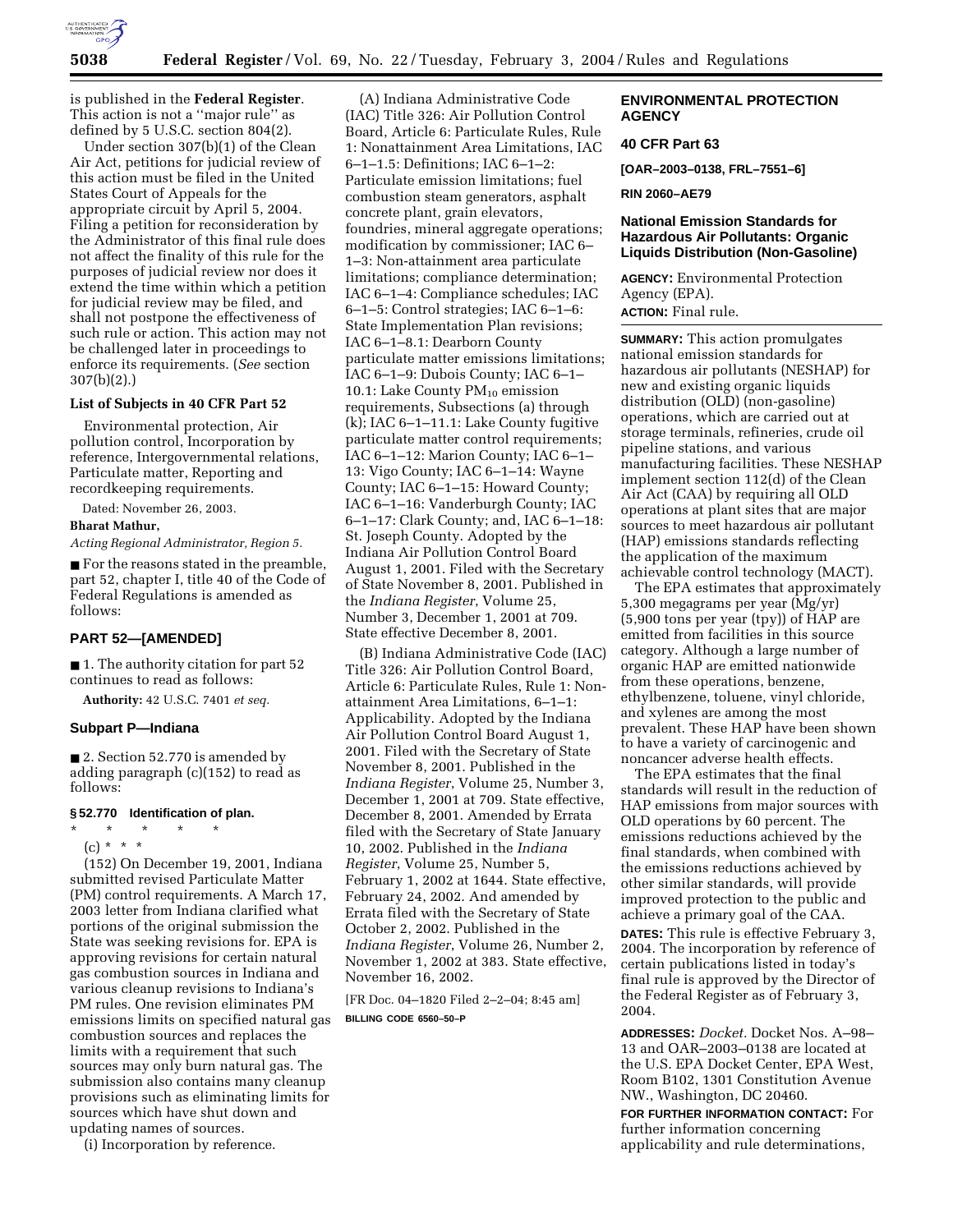

is published in the **Federal Register**. This action is not a ''major rule'' as defined by 5 U.S.C. section 804(2).

Under section 307(b)(1) of the Clean Air Act, petitions for judicial review of this action must be filed in the United States Court of Appeals for the appropriate circuit by April 5, 2004. Filing a petition for reconsideration by the Administrator of this final rule does not affect the finality of this rule for the purposes of judicial review nor does it extend the time within which a petition for judicial review may be filed, and shall not postpone the effectiveness of such rule or action. This action may not be challenged later in proceedings to enforce its requirements. (*See* section 307(b)(2).)

#### **List of Subjects in 40 CFR Part 52**

Environmental protection, Air pollution control, Incorporation by reference, Intergovernmental relations, Particulate matter, Reporting and recordkeeping requirements.

Dated: November 26, 2003.

#### **Bharat Mathur,**

*Acting Regional Administrator, Region 5.*

■ For the reasons stated in the preamble, part 52, chapter I, title 40 of the Code of Federal Regulations is amended as follows:

## **PART 52—[AMENDED]**

■ 1. The authority citation for part 52 continues to read as follows:

**Authority:** 42 U.S.C. 7401 *et seq.*

### **Subpart P—Indiana**

■ 2. Section 52.770 is amended by adding paragraph (c)(152) to read as follows:

## **§ 52.770 Identification of plan.**

\* \* \* \* \* (c) \* \* \*

(152) On December 19, 2001, Indiana submitted revised Particulate Matter (PM) control requirements. A March 17, 2003 letter from Indiana clarified what portions of the original submission the State was seeking revisions for. EPA is approving revisions for certain natural gas combustion sources in Indiana and various cleanup revisions to Indiana's PM rules. One revision eliminates PM emissions limits on specified natural gas combustion sources and replaces the limits with a requirement that such sources may only burn natural gas. The submission also contains many cleanup provisions such as eliminating limits for sources which have shut down and updating names of sources.

(i) Incorporation by reference.

(A) Indiana Administrative Code (IAC) Title 326: Air Pollution Control Board, Article 6: Particulate Rules, Rule 1: Nonattainment Area Limitations, IAC 6–1–1.5: Definitions; IAC 6–1–2: Particulate emission limitations; fuel combustion steam generators, asphalt concrete plant, grain elevators, foundries, mineral aggregate operations; modification by commissioner; IAC 6– 1–3: Non-attainment area particulate limitations; compliance determination; IAC 6–1–4: Compliance schedules; IAC 6–1–5: Control strategies; IAC 6–1–6: State Implementation Plan revisions; IAC 6–1–8.1: Dearborn County particulate matter emissions limitations; IAC 6–1–9: Dubois County; IAC 6–1– 10.1: Lake County  $PM_{10}$  emission requirements, Subsections (a) through (k); IAC 6–1–11.1: Lake County fugitive particulate matter control requirements; IAC 6–1–12: Marion County; IAC 6–1– 13: Vigo County; IAC 6–1–14: Wayne County; IAC 6–1–15: Howard County; IAC 6–1–16: Vanderburgh County; IAC 6–1–17: Clark County; and, IAC 6–1–18: St. Joseph County. Adopted by the Indiana Air Pollution Control Board August 1, 2001. Filed with the Secretary of State November 8, 2001. Published in the *Indiana Register*, Volume 25, Number 3, December 1, 2001 at 709. State effective December 8, 2001.

(B) Indiana Administrative Code (IAC) Title 326: Air Pollution Control Board, Article 6: Particulate Rules, Rule 1: Nonattainment Area Limitations, 6–1–1: Applicability. Adopted by the Indiana Air Pollution Control Board August 1, 2001. Filed with the Secretary of State November 8, 2001. Published in the *Indiana Register*, Volume 25, Number 3, December 1, 2001 at 709. State effective, December 8, 2001. Amended by Errata filed with the Secretary of State January 10, 2002. Published in the *Indiana Register*, Volume 25, Number 5, February 1, 2002 at 1644. State effective, February 24, 2002. And amended by Errata filed with the Secretary of State October 2, 2002. Published in the *Indiana Register*, Volume 26, Number 2, November 1, 2002 at 383. State effective, November 16, 2002.

[FR Doc. 04–1820 Filed 2–2–04; 8:45 am] **BILLING CODE 6560–50–P**

## **ENVIRONMENTAL PROTECTION AGENCY**

## **40 CFR Part 63**

**[OAR–2003–0138, FRL–7551–6]** 

### **RIN 2060–AE79**

## **National Emission Standards for Hazardous Air Pollutants: Organic Liquids Distribution (Non-Gasoline)**

**AGENCY:** Environmental Protection Agency (EPA).

**ACTION:** Final rule.

**SUMMARY:** This action promulgates national emission standards for hazardous air pollutants (NESHAP) for new and existing organic liquids distribution (OLD) (non-gasoline) operations, which are carried out at storage terminals, refineries, crude oil pipeline stations, and various manufacturing facilities. These NESHAP implement section 112(d) of the Clean Air Act (CAA) by requiring all OLD operations at plant sites that are major sources to meet hazardous air pollutant (HAP) emissions standards reflecting the application of the maximum achievable control technology (MACT).

The EPA estimates that approximately 5,300 megagrams per year (Mg/yr) (5,900 tons per year (tpy)) of HAP are emitted from facilities in this source category. Although a large number of organic HAP are emitted nationwide from these operations, benzene, ethylbenzene, toluene, vinyl chloride, and xylenes are among the most prevalent. These HAP have been shown to have a variety of carcinogenic and noncancer adverse health effects.

The EPA estimates that the final standards will result in the reduction of HAP emissions from major sources with OLD operations by 60 percent. The emissions reductions achieved by the final standards, when combined with the emissions reductions achieved by other similar standards, will provide improved protection to the public and achieve a primary goal of the CAA.

**DATES:** This rule is effective February 3, 2004. The incorporation by reference of certain publications listed in today's final rule is approved by the Director of the Federal Register as of February 3, 2004.

**ADDRESSES:** *Docket.* Docket Nos. A–98– 13 and OAR–2003–0138 are located at the U.S. EPA Docket Center, EPA West, Room B102, 1301 Constitution Avenue NW., Washington, DC 20460.

**FOR FURTHER INFORMATION CONTACT:** For further information concerning applicability and rule determinations,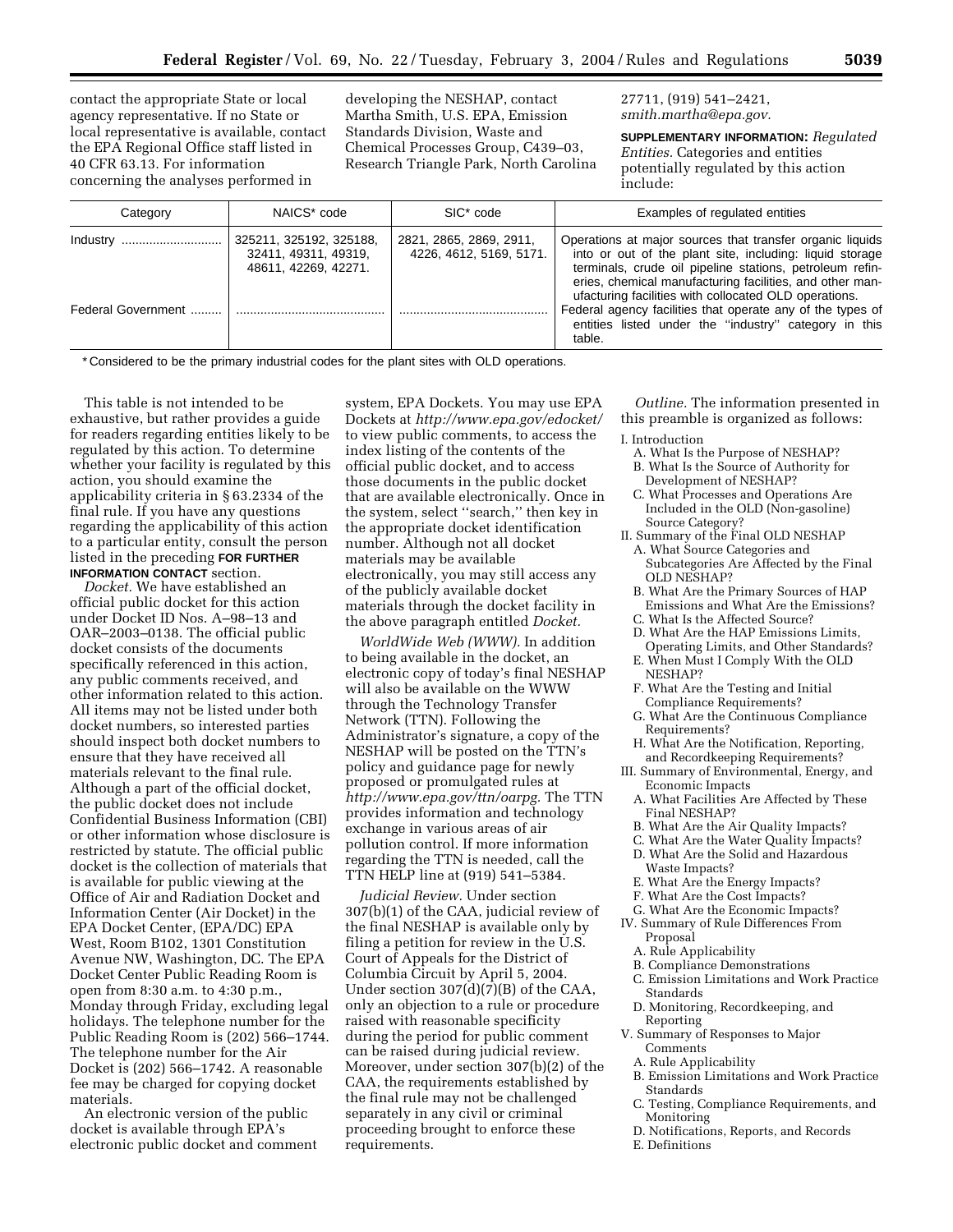contact the appropriate State or local agency representative. If no State or local representative is available, contact the EPA Regional Office staff listed in 40 CFR 63.13. For information concerning the analyses performed in

developing the NESHAP, contact Martha Smith, U.S. EPA, Emission Standards Division, Waste and Chemical Processes Group, C439–03, Research Triangle Park, North Carolina 27711, (919) 541–2421, *smith.martha@epa.gov.*

**SUPPLEMENTARY INFORMATION:** *Regulated Entities.* Categories and entities potentially regulated by this action include:

| Category           | NAICS* code                                                             | SIC <sup>*</sup> code                              | Examples of regulated entities                                                                                                                                                                                                                     |
|--------------------|-------------------------------------------------------------------------|----------------------------------------------------|----------------------------------------------------------------------------------------------------------------------------------------------------------------------------------------------------------------------------------------------------|
| Industry           | 325211, 325192, 325188,<br>32411, 49311, 49319,<br>48611, 42269, 42271. | 2821, 2865, 2869, 2911,<br>4226, 4612, 5169, 5171. | Operations at major sources that transfer organic liquids<br>into or out of the plant site, including: liquid storage<br>terminals, crude oil pipeline stations, petroleum refin-                                                                  |
| Federal Government |                                                                         |                                                    | eries, chemical manufacturing facilities, and other man-<br>ufacturing facilities with collocated OLD operations.<br>Federal agency facilities that operate any of the types of<br>entities listed under the "industry" category in this<br>table. |

\* Considered to be the primary industrial codes for the plant sites with OLD operations.

This table is not intended to be exhaustive, but rather provides a guide for readers regarding entities likely to be regulated by this action. To determine whether your facility is regulated by this action, you should examine the applicability criteria in § 63.2334 of the final rule. If you have any questions regarding the applicability of this action to a particular entity, consult the person listed in the preceding **FOR FURTHER INFORMATION CONTACT** section.

*Docket.* We have established an official public docket for this action under Docket ID Nos. A–98–13 and OAR–2003–0138. The official public docket consists of the documents specifically referenced in this action, any public comments received, and other information related to this action. All items may not be listed under both docket numbers, so interested parties should inspect both docket numbers to ensure that they have received all materials relevant to the final rule. Although a part of the official docket, the public docket does not include Confidential Business Information (CBI) or other information whose disclosure is restricted by statute. The official public docket is the collection of materials that is available for public viewing at the Office of Air and Radiation Docket and Information Center (Air Docket) in the EPA Docket Center, (EPA/DC) EPA West, Room B102, 1301 Constitution Avenue NW, Washington, DC. The EPA Docket Center Public Reading Room is open from 8:30 a.m. to 4:30 p.m., Monday through Friday, excluding legal holidays. The telephone number for the Public Reading Room is (202) 566–1744. The telephone number for the Air Docket is (202) 566–1742. A reasonable fee may be charged for copying docket materials.

An electronic version of the public docket is available through EPA's electronic public docket and comment

system, EPA Dockets. You may use EPA Dockets at *http://www.epa.gov/edocket/* to view public comments, to access the index listing of the contents of the official public docket, and to access those documents in the public docket that are available electronically. Once in the system, select ''search,'' then key in the appropriate docket identification number. Although not all docket materials may be available electronically, you may still access any of the publicly available docket materials through the docket facility in the above paragraph entitled *Docket.*

*WorldWide Web (WWW).* In addition to being available in the docket, an electronic copy of today's final NESHAP will also be available on the WWW through the Technology Transfer Network (TTN). Following the Administrator's signature, a copy of the NESHAP will be posted on the TTN's policy and guidance page for newly proposed or promulgated rules at *http://www.epa.gov/ttn/oarpg.* The TTN provides information and technology exchange in various areas of air pollution control. If more information regarding the TTN is needed, call the TTN HELP line at (919) 541–5384.

*Judicial Review.* Under section 307(b)(1) of the CAA, judicial review of the final NESHAP is available only by filing a petition for review in the U.S. Court of Appeals for the District of Columbia Circuit by April 5, 2004. Under section 307(d)(7)(B) of the CAA, only an objection to a rule or procedure raised with reasonable specificity during the period for public comment can be raised during judicial review. Moreover, under section 307(b)(2) of the CAA, the requirements established by the final rule may not be challenged separately in any civil or criminal proceeding brought to enforce these requirements.

*Outline.* The information presented in this preamble is organized as follows:

- I. Introduction
	- A. What Is the Purpose of NESHAP?
	- B. What Is the Source of Authority for Development of NESHAP?
	- C. What Processes and Operations Are Included in the OLD (Non-gasoline) Source Category?
- II. Summary of the Final OLD NESHAP
	- A. What Source Categories and Subcategories Are Affected by the Final OLD NESHAP?
	- B. What Are the Primary Sources of HAP Emissions and What Are the Emissions?
	- C. What Is the Affected Source?
	- D. What Are the HAP Emissions Limits, Operating Limits, and Other Standards?
	- E. When Must I Comply With the OLD NESHAP?
	- F. What Are the Testing and Initial
	- Compliance Requirements? G. What Are the Continuous Compliance Requirements?
- H. What Are the Notification, Reporting, and Recordkeeping Requirements?
- III. Summary of Environmental, Energy, and Economic Impacts
	- A. What Facilities Are Affected by These Final NESHAP?
	- B. What Are the Air Quality Impacts?
	- C. What Are the Water Quality Impacts?
	- D. What Are the Solid and Hazardous Waste Impacts?
	- E. What Are the Energy Impacts?
- F. What Are the Cost Impacts?
- G. What Are the Economic Impacts?
- IV. Summary of Rule Differences From Proposal
	- A. Rule Applicability
	- B. Compliance Demonstrations
	- C. Emission Limitations and Work Practice Standards
	- D. Monitoring, Recordkeeping, and Reporting
- V. Summary of Responses to Major Comments
	- A. Rule Applicability
	- B. Emission Limitations and Work Practice Standards
	- C. Testing, Compliance Requirements, and Monitoring
	- D. Notifications, Reports, and Records
	- E. Definitions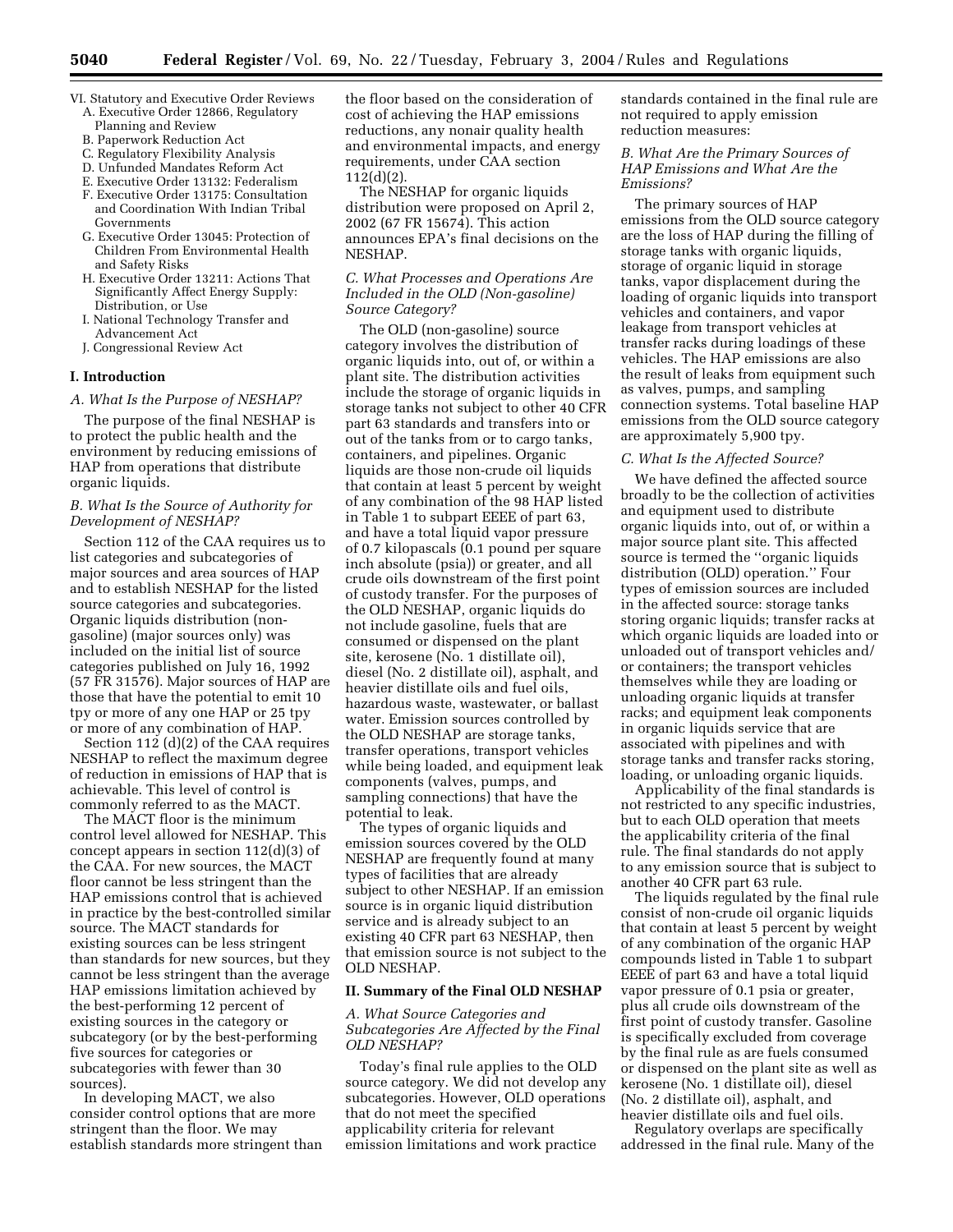- VI. Statutory and Executive Order Reviews A. Executive Order 12866, Regulatory
	- Planning and Review
	- B. Paperwork Reduction Act
	- C. Regulatory Flexibility Analysis D. Unfunded Mandates Reform Act
	- E. Executive Order 13132: Federalism
	- F. Executive Order 13175: Consultation and Coordination With Indian Tribal Governments
	- G. Executive Order 13045: Protection of Children From Environmental Health and Safety Risks
	- H. Executive Order 13211: Actions That Significantly Affect Energy Supply: Distribution, or Use
	- I. National Technology Transfer and Advancement Act
	- J. Congressional Review Act

### **I. Introduction**

*A. What Is the Purpose of NESHAP?* 

The purpose of the final NESHAP is to protect the public health and the environment by reducing emissions of HAP from operations that distribute organic liquids.

## *B. What Is the Source of Authority for Development of NESHAP?*

Section 112 of the CAA requires us to list categories and subcategories of major sources and area sources of HAP and to establish NESHAP for the listed source categories and subcategories. Organic liquids distribution (nongasoline) (major sources only) was included on the initial list of source categories published on July 16, 1992 (57 FR 31576). Major sources of HAP are those that have the potential to emit 10 tpy or more of any one HAP or 25 tpy or more of any combination of HAP.

Section 112 (d)(2) of the CAA requires NESHAP to reflect the maximum degree of reduction in emissions of HAP that is achievable. This level of control is commonly referred to as the MACT.

The MACT floor is the minimum control level allowed for NESHAP. This concept appears in section 112(d)(3) of the CAA. For new sources, the MACT floor cannot be less stringent than the HAP emissions control that is achieved in practice by the best-controlled similar source. The MACT standards for existing sources can be less stringent than standards for new sources, but they cannot be less stringent than the average HAP emissions limitation achieved by the best-performing 12 percent of existing sources in the category or subcategory (or by the best-performing five sources for categories or subcategories with fewer than 30 sources).

In developing MACT, we also consider control options that are more stringent than the floor. We may establish standards more stringent than the floor based on the consideration of cost of achieving the HAP emissions reductions, any nonair quality health and environmental impacts, and energy requirements, under CAA section 112(d)(2).

The NESHAP for organic liquids distribution were proposed on April 2, 2002 (67 FR 15674). This action announces EPA's final decisions on the NESHAP.

## *C. What Processes and Operations Are Included in the OLD (Non-gasoline) Source Category?*

The OLD (non-gasoline) source category involves the distribution of organic liquids into, out of, or within a plant site. The distribution activities include the storage of organic liquids in storage tanks not subject to other 40 CFR part 63 standards and transfers into or out of the tanks from or to cargo tanks, containers, and pipelines. Organic liquids are those non-crude oil liquids that contain at least 5 percent by weight of any combination of the 98 HAP listed in Table 1 to subpart EEEE of part 63, and have a total liquid vapor pressure of 0.7 kilopascals (0.1 pound per square inch absolute (psia)) or greater, and all crude oils downstream of the first point of custody transfer. For the purposes of the OLD NESHAP, organic liquids do not include gasoline, fuels that are consumed or dispensed on the plant site, kerosene (No. 1 distillate oil), diesel (No. 2 distillate oil), asphalt, and heavier distillate oils and fuel oils, hazardous waste, wastewater, or ballast water. Emission sources controlled by the OLD NESHAP are storage tanks, transfer operations, transport vehicles while being loaded, and equipment leak components (valves, pumps, and sampling connections) that have the potential to leak.

The types of organic liquids and emission sources covered by the OLD NESHAP are frequently found at many types of facilities that are already subject to other NESHAP. If an emission source is in organic liquid distribution service and is already subject to an existing 40 CFR part 63 NESHAP, then that emission source is not subject to the OLD NESHAP.

### **II. Summary of the Final OLD NESHAP**

### *A. What Source Categories and Subcategories Are Affected by the Final OLD NESHAP?*

Today's final rule applies to the OLD source category. We did not develop any subcategories. However, OLD operations that do not meet the specified applicability criteria for relevant emission limitations and work practice

standards contained in the final rule are not required to apply emission reduction measures:

## *B. What Are the Primary Sources of HAP Emissions and What Are the Emissions?*

The primary sources of HAP emissions from the OLD source category are the loss of HAP during the filling of storage tanks with organic liquids, storage of organic liquid in storage tanks, vapor displacement during the loading of organic liquids into transport vehicles and containers, and vapor leakage from transport vehicles at transfer racks during loadings of these vehicles. The HAP emissions are also the result of leaks from equipment such as valves, pumps, and sampling connection systems. Total baseline HAP emissions from the OLD source category are approximately 5,900 tpy.

#### *C. What Is the Affected Source?*

We have defined the affected source broadly to be the collection of activities and equipment used to distribute organic liquids into, out of, or within a major source plant site. This affected source is termed the ''organic liquids distribution (OLD) operation.'' Four types of emission sources are included in the affected source: storage tanks storing organic liquids; transfer racks at which organic liquids are loaded into or unloaded out of transport vehicles and/ or containers; the transport vehicles themselves while they are loading or unloading organic liquids at transfer racks; and equipment leak components in organic liquids service that are associated with pipelines and with storage tanks and transfer racks storing, loading, or unloading organic liquids.

Applicability of the final standards is not restricted to any specific industries, but to each OLD operation that meets the applicability criteria of the final rule. The final standards do not apply to any emission source that is subject to another 40 CFR part 63 rule.

The liquids regulated by the final rule consist of non-crude oil organic liquids that contain at least 5 percent by weight of any combination of the organic HAP compounds listed in Table 1 to subpart EEEE of part 63 and have a total liquid vapor pressure of 0.1 psia or greater, plus all crude oils downstream of the first point of custody transfer. Gasoline is specifically excluded from coverage by the final rule as are fuels consumed or dispensed on the plant site as well as kerosene (No. 1 distillate oil), diesel (No. 2 distillate oil), asphalt, and heavier distillate oils and fuel oils.

Regulatory overlaps are specifically addressed in the final rule. Many of the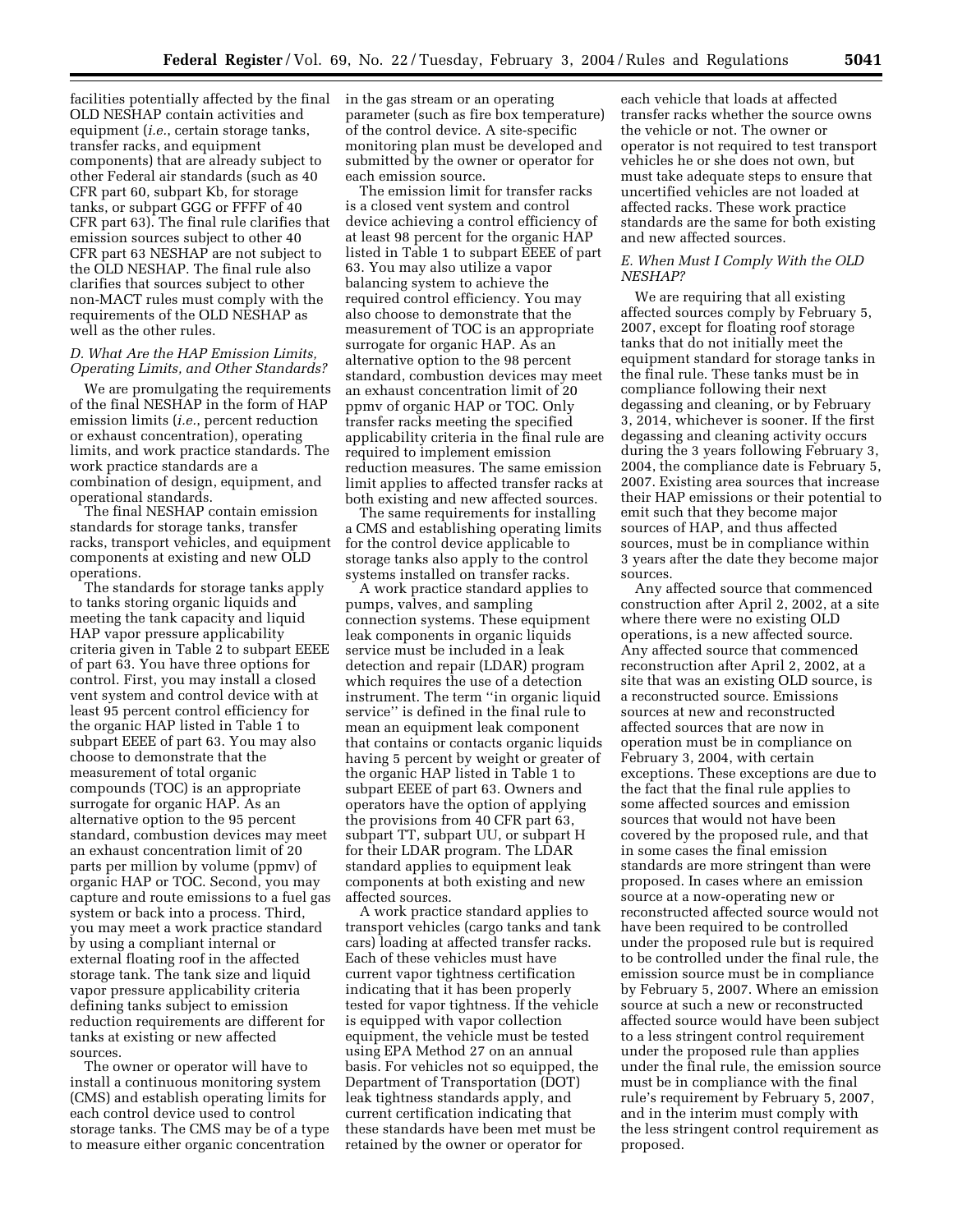facilities potentially affected by the final in the gas stream or an operating OLD NESHAP contain activities and equipment (*i.e.*, certain storage tanks, transfer racks, and equipment components) that are already subject to other Federal air standards (such as 40 CFR part 60, subpart Kb, for storage tanks, or subpart GGG or FFFF of 40 CFR part 63). The final rule clarifies that emission sources subject to other 40 CFR part 63 NESHAP are not subject to the OLD NESHAP. The final rule also clarifies that sources subject to other non-MACT rules must comply with the requirements of the OLD NESHAP as well as the other rules.

## *D. What Are the HAP Emission Limits, Operating Limits, and Other Standards?*

We are promulgating the requirements of the final NESHAP in the form of HAP emission limits (*i.e.*, percent reduction or exhaust concentration), operating limits, and work practice standards. The work practice standards are a combination of design, equipment, and operational standards.

The final NESHAP contain emission standards for storage tanks, transfer racks, transport vehicles, and equipment components at existing and new OLD operations.

The standards for storage tanks apply to tanks storing organic liquids and meeting the tank capacity and liquid HAP vapor pressure applicability criteria given in Table 2 to subpart EEEE of part 63. You have three options for control. First, you may install a closed vent system and control device with at least 95 percent control efficiency for the organic HAP listed in Table 1 to subpart EEEE of part 63. You may also choose to demonstrate that the measurement of total organic compounds (TOC) is an appropriate surrogate for organic HAP. As an alternative option to the 95 percent standard, combustion devices may meet an exhaust concentration limit of 20 parts per million by volume (ppmv) of organic HAP or TOC. Second, you may capture and route emissions to a fuel gas system or back into a process. Third, you may meet a work practice standard by using a compliant internal or external floating roof in the affected storage tank. The tank size and liquid vapor pressure applicability criteria defining tanks subject to emission reduction requirements are different for tanks at existing or new affected sources.

The owner or operator will have to install a continuous monitoring system (CMS) and establish operating limits for each control device used to control storage tanks. The CMS may be of a type to measure either organic concentration

parameter (such as fire box temperature) of the control device. A site-specific monitoring plan must be developed and submitted by the owner or operator for each emission source.

The emission limit for transfer racks is a closed vent system and control device achieving a control efficiency of at least 98 percent for the organic HAP listed in Table 1 to subpart EEEE of part 63. You may also utilize a vapor balancing system to achieve the required control efficiency. You may also choose to demonstrate that the measurement of TOC is an appropriate surrogate for organic HAP. As an alternative option to the 98 percent standard, combustion devices may meet an exhaust concentration limit of 20 ppmv of organic HAP or TOC. Only transfer racks meeting the specified applicability criteria in the final rule are required to implement emission reduction measures. The same emission limit applies to affected transfer racks at both existing and new affected sources.

The same requirements for installing a CMS and establishing operating limits for the control device applicable to storage tanks also apply to the control systems installed on transfer racks.

A work practice standard applies to pumps, valves, and sampling connection systems. These equipment leak components in organic liquids service must be included in a leak detection and repair (LDAR) program which requires the use of a detection instrument. The term ''in organic liquid service'' is defined in the final rule to mean an equipment leak component that contains or contacts organic liquids having 5 percent by weight or greater of the organic HAP listed in Table 1 to subpart EEEE of part 63. Owners and operators have the option of applying the provisions from 40 CFR part 63, subpart TT, subpart UU, or subpart H for their LDAR program. The LDAR standard applies to equipment leak components at both existing and new affected sources.

A work practice standard applies to transport vehicles (cargo tanks and tank cars) loading at affected transfer racks. Each of these vehicles must have current vapor tightness certification indicating that it has been properly tested for vapor tightness. If the vehicle is equipped with vapor collection equipment, the vehicle must be tested using EPA Method 27 on an annual basis. For vehicles not so equipped, the Department of Transportation (DOT) leak tightness standards apply, and current certification indicating that these standards have been met must be retained by the owner or operator for

each vehicle that loads at affected transfer racks whether the source owns the vehicle or not. The owner or operator is not required to test transport vehicles he or she does not own, but must take adequate steps to ensure that uncertified vehicles are not loaded at affected racks. These work practice standards are the same for both existing and new affected sources.

### *E. When Must I Comply With the OLD NESHAP?*

We are requiring that all existing affected sources comply by February 5, 2007, except for floating roof storage tanks that do not initially meet the equipment standard for storage tanks in the final rule. These tanks must be in compliance following their next degassing and cleaning, or by February 3, 2014, whichever is sooner. If the first degassing and cleaning activity occurs during the 3 years following February 3, 2004, the compliance date is February 5, 2007. Existing area sources that increase their HAP emissions or their potential to emit such that they become major sources of HAP, and thus affected sources, must be in compliance within 3 years after the date they become major sources.

Any affected source that commenced construction after April 2, 2002, at a site where there were no existing OLD operations, is a new affected source. Any affected source that commenced reconstruction after April 2, 2002, at a site that was an existing OLD source, is a reconstructed source. Emissions sources at new and reconstructed affected sources that are now in operation must be in compliance on February 3, 2004, with certain exceptions. These exceptions are due to the fact that the final rule applies to some affected sources and emission sources that would not have been covered by the proposed rule, and that in some cases the final emission standards are more stringent than were proposed. In cases where an emission source at a now-operating new or reconstructed affected source would not have been required to be controlled under the proposed rule but is required to be controlled under the final rule, the emission source must be in compliance by February 5, 2007. Where an emission source at such a new or reconstructed affected source would have been subject to a less stringent control requirement under the proposed rule than applies under the final rule, the emission source must be in compliance with the final rule's requirement by February 5, 2007, and in the interim must comply with the less stringent control requirement as proposed.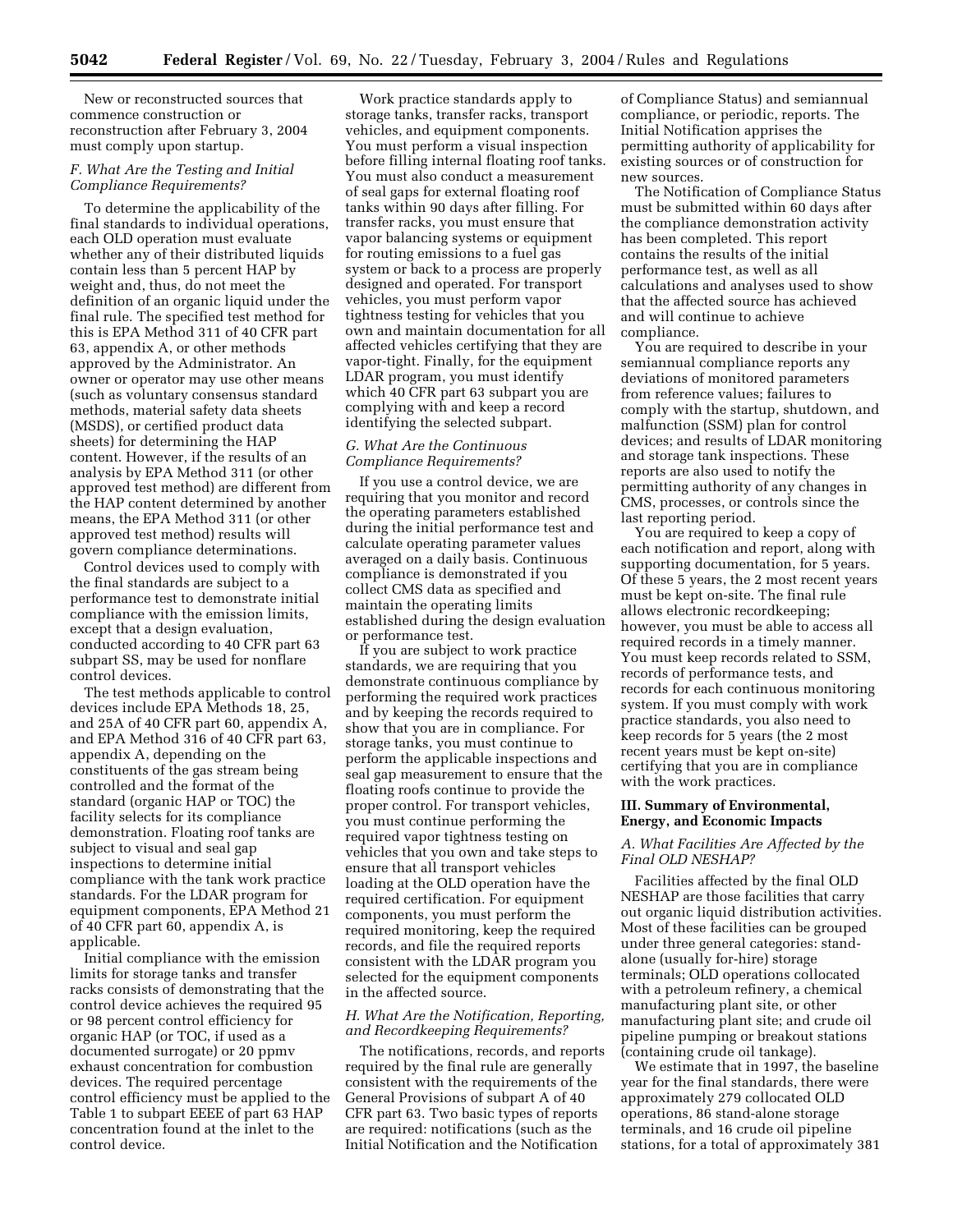New or reconstructed sources that commence construction or reconstruction after February 3, 2004 must comply upon startup.

# *F. What Are the Testing and Initial Compliance Requirements?*

To determine the applicability of the final standards to individual operations, each OLD operation must evaluate whether any of their distributed liquids contain less than 5 percent HAP by weight and, thus, do not meet the definition of an organic liquid under the final rule. The specified test method for this is EPA Method 311 of 40 CFR part 63, appendix A, or other methods approved by the Administrator. An owner or operator may use other means (such as voluntary consensus standard methods, material safety data sheets (MSDS), or certified product data sheets) for determining the HAP content. However, if the results of an analysis by EPA Method 311 (or other approved test method) are different from the HAP content determined by another means, the EPA Method 311 (or other approved test method) results will govern compliance determinations.

Control devices used to comply with the final standards are subject to a performance test to demonstrate initial compliance with the emission limits, except that a design evaluation, conducted according to 40 CFR part 63 subpart SS, may be used for nonflare control devices.

The test methods applicable to control devices include EPA Methods 18, 25, and 25A of 40 CFR part 60, appendix A, and EPA Method 316 of 40 CFR part 63, appendix A, depending on the constituents of the gas stream being controlled and the format of the standard (organic HAP or TOC) the facility selects for its compliance demonstration. Floating roof tanks are subject to visual and seal gap inspections to determine initial compliance with the tank work practice standards. For the LDAR program for equipment components, EPA Method 21 of 40 CFR part 60, appendix A, is applicable.

Initial compliance with the emission limits for storage tanks and transfer racks consists of demonstrating that the control device achieves the required 95 or 98 percent control efficiency for organic HAP (or TOC, if used as a documented surrogate) or 20 ppmv exhaust concentration for combustion devices. The required percentage control efficiency must be applied to the Table 1 to subpart EEEE of part 63 HAP concentration found at the inlet to the control device.

Work practice standards apply to storage tanks, transfer racks, transport vehicles, and equipment components. You must perform a visual inspection before filling internal floating roof tanks. You must also conduct a measurement of seal gaps for external floating roof tanks within 90 days after filling. For transfer racks, you must ensure that vapor balancing systems or equipment for routing emissions to a fuel gas system or back to a process are properly designed and operated. For transport vehicles, you must perform vapor tightness testing for vehicles that you own and maintain documentation for all affected vehicles certifying that they are vapor-tight. Finally, for the equipment LDAR program, you must identify which 40 CFR part 63 subpart you are complying with and keep a record identifying the selected subpart.

## *G. What Are the Continuous Compliance Requirements?*

If you use a control device, we are requiring that you monitor and record the operating parameters established during the initial performance test and calculate operating parameter values averaged on a daily basis. Continuous compliance is demonstrated if you collect CMS data as specified and maintain the operating limits established during the design evaluation or performance test.

If you are subject to work practice standards, we are requiring that you demonstrate continuous compliance by performing the required work practices and by keeping the records required to show that you are in compliance. For storage tanks, you must continue to perform the applicable inspections and seal gap measurement to ensure that the floating roofs continue to provide the proper control. For transport vehicles, you must continue performing the required vapor tightness testing on vehicles that you own and take steps to ensure that all transport vehicles loading at the OLD operation have the required certification. For equipment components, you must perform the required monitoring, keep the required records, and file the required reports consistent with the LDAR program you selected for the equipment components in the affected source.

## *H. What Are the Notification, Reporting, and Recordkeeping Requirements?*

The notifications, records, and reports required by the final rule are generally consistent with the requirements of the General Provisions of subpart A of 40 CFR part 63. Two basic types of reports are required: notifications (such as the Initial Notification and the Notification

of Compliance Status) and semiannual compliance, or periodic, reports. The Initial Notification apprises the permitting authority of applicability for existing sources or of construction for new sources.

The Notification of Compliance Status must be submitted within 60 days after the compliance demonstration activity has been completed. This report contains the results of the initial performance test, as well as all calculations and analyses used to show that the affected source has achieved and will continue to achieve compliance.

You are required to describe in your semiannual compliance reports any deviations of monitored parameters from reference values; failures to comply with the startup, shutdown, and malfunction (SSM) plan for control devices; and results of LDAR monitoring and storage tank inspections. These reports are also used to notify the permitting authority of any changes in CMS, processes, or controls since the last reporting period.

You are required to keep a copy of each notification and report, along with supporting documentation, for 5 years. Of these 5 years, the 2 most recent years must be kept on-site. The final rule allows electronic recordkeeping; however, you must be able to access all required records in a timely manner. You must keep records related to SSM, records of performance tests, and records for each continuous monitoring system. If you must comply with work practice standards, you also need to keep records for 5 years (the 2 most recent years must be kept on-site) certifying that you are in compliance with the work practices.

## **III. Summary of Environmental, Energy, and Economic Impacts**

## *A. What Facilities Are Affected by the Final OLD NESHAP?*

Facilities affected by the final OLD NESHAP are those facilities that carry out organic liquid distribution activities. Most of these facilities can be grouped under three general categories: standalone (usually for-hire) storage terminals; OLD operations collocated with a petroleum refinery, a chemical manufacturing plant site, or other manufacturing plant site; and crude oil pipeline pumping or breakout stations (containing crude oil tankage).

We estimate that in 1997, the baseline year for the final standards, there were approximately 279 collocated OLD operations, 86 stand-alone storage terminals, and 16 crude oil pipeline stations, for a total of approximately 381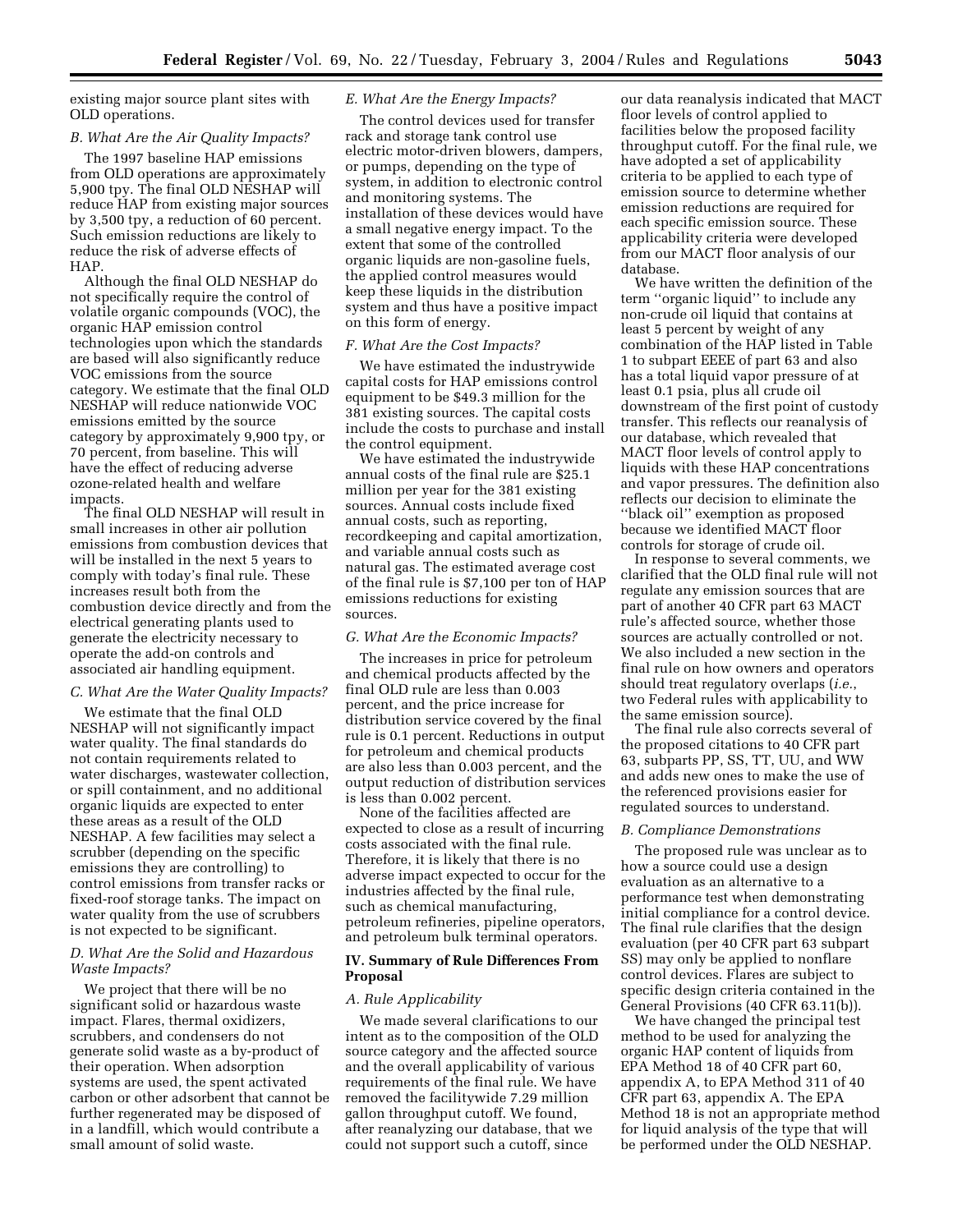existing major source plant sites with OLD operations.

#### *B. What Are the Air Quality Impacts?*

The 1997 baseline HAP emissions from OLD operations are approximately 5,900 tpy. The final OLD NESHAP will reduce HAP from existing major sources by 3,500 tpy, a reduction of 60 percent. Such emission reductions are likely to reduce the risk of adverse effects of HAP.

Although the final OLD NESHAP do not specifically require the control of volatile organic compounds (VOC), the organic HAP emission control technologies upon which the standards are based will also significantly reduce VOC emissions from the source category. We estimate that the final OLD NESHAP will reduce nationwide VOC emissions emitted by the source category by approximately 9,900 tpy, or 70 percent, from baseline. This will have the effect of reducing adverse ozone-related health and welfare impacts.

The final OLD NESHAP will result in small increases in other air pollution emissions from combustion devices that will be installed in the next 5 years to comply with today's final rule. These increases result both from the combustion device directly and from the electrical generating plants used to generate the electricity necessary to operate the add-on controls and associated air handling equipment.

#### *C. What Are the Water Quality Impacts?*

We estimate that the final OLD NESHAP will not significantly impact water quality. The final standards do not contain requirements related to water discharges, wastewater collection, or spill containment, and no additional organic liquids are expected to enter these areas as a result of the OLD NESHAP. A few facilities may select a scrubber (depending on the specific emissions they are controlling) to control emissions from transfer racks or fixed-roof storage tanks. The impact on water quality from the use of scrubbers is not expected to be significant.

### *D. What Are the Solid and Hazardous Waste Impacts?*

We project that there will be no significant solid or hazardous waste impact. Flares, thermal oxidizers, scrubbers, and condensers do not generate solid waste as a by-product of their operation. When adsorption systems are used, the spent activated carbon or other adsorbent that cannot be further regenerated may be disposed of in a landfill, which would contribute a small amount of solid waste.

# *E. What Are the Energy Impacts?*

The control devices used for transfer rack and storage tank control use electric motor-driven blowers, dampers, or pumps, depending on the type of system, in addition to electronic control and monitoring systems. The installation of these devices would have a small negative energy impact. To the extent that some of the controlled organic liquids are non-gasoline fuels, the applied control measures would keep these liquids in the distribution system and thus have a positive impact on this form of energy.

#### *F. What Are the Cost Impacts?*

We have estimated the industrywide capital costs for HAP emissions control equipment to be \$49.3 million for the 381 existing sources. The capital costs include the costs to purchase and install the control equipment.

We have estimated the industrywide annual costs of the final rule are \$25.1 million per year for the 381 existing sources. Annual costs include fixed annual costs, such as reporting, recordkeeping and capital amortization, and variable annual costs such as natural gas. The estimated average cost of the final rule is \$7,100 per ton of HAP emissions reductions for existing sources.

#### *G. What Are the Economic Impacts?*

The increases in price for petroleum and chemical products affected by the final OLD rule are less than 0.003 percent, and the price increase for distribution service covered by the final rule is 0.1 percent. Reductions in output for petroleum and chemical products are also less than 0.003 percent, and the output reduction of distribution services is less than 0.002 percent.

None of the facilities affected are expected to close as a result of incurring costs associated with the final rule. Therefore, it is likely that there is no adverse impact expected to occur for the industries affected by the final rule, such as chemical manufacturing, petroleum refineries, pipeline operators, and petroleum bulk terminal operators.

## **IV. Summary of Rule Differences From Proposal**

#### *A. Rule Applicability*

We made several clarifications to our intent as to the composition of the OLD source category and the affected source and the overall applicability of various requirements of the final rule. We have removed the facilitywide 7.29 million gallon throughput cutoff. We found, after reanalyzing our database, that we could not support such a cutoff, since

our data reanalysis indicated that MACT floor levels of control applied to facilities below the proposed facility throughput cutoff. For the final rule, we have adopted a set of applicability criteria to be applied to each type of emission source to determine whether emission reductions are required for each specific emission source. These applicability criteria were developed from our MACT floor analysis of our database.

We have written the definition of the term ''organic liquid'' to include any non-crude oil liquid that contains at least 5 percent by weight of any combination of the HAP listed in Table 1 to subpart EEEE of part 63 and also has a total liquid vapor pressure of at least 0.1 psia, plus all crude oil downstream of the first point of custody transfer. This reflects our reanalysis of our database, which revealed that MACT floor levels of control apply to liquids with these HAP concentrations and vapor pressures. The definition also reflects our decision to eliminate the ''black oil'' exemption as proposed because we identified MACT floor controls for storage of crude oil.

In response to several comments, we clarified that the OLD final rule will not regulate any emission sources that are part of another 40 CFR part 63 MACT rule's affected source, whether those sources are actually controlled or not. We also included a new section in the final rule on how owners and operators should treat regulatory overlaps (*i.e.*, two Federal rules with applicability to the same emission source).

The final rule also corrects several of the proposed citations to 40 CFR part 63, subparts PP, SS, TT, UU, and WW and adds new ones to make the use of the referenced provisions easier for regulated sources to understand.

#### *B. Compliance Demonstrations*

The proposed rule was unclear as to how a source could use a design evaluation as an alternative to a performance test when demonstrating initial compliance for a control device. The final rule clarifies that the design evaluation (per 40 CFR part 63 subpart SS) may only be applied to nonflare control devices. Flares are subject to specific design criteria contained in the General Provisions (40 CFR 63.11(b)).

We have changed the principal test method to be used for analyzing the organic HAP content of liquids from EPA Method 18 of 40 CFR part 60, appendix A, to EPA Method 311 of 40 CFR part 63, appendix A. The EPA Method 18 is not an appropriate method for liquid analysis of the type that will be performed under the OLD NESHAP.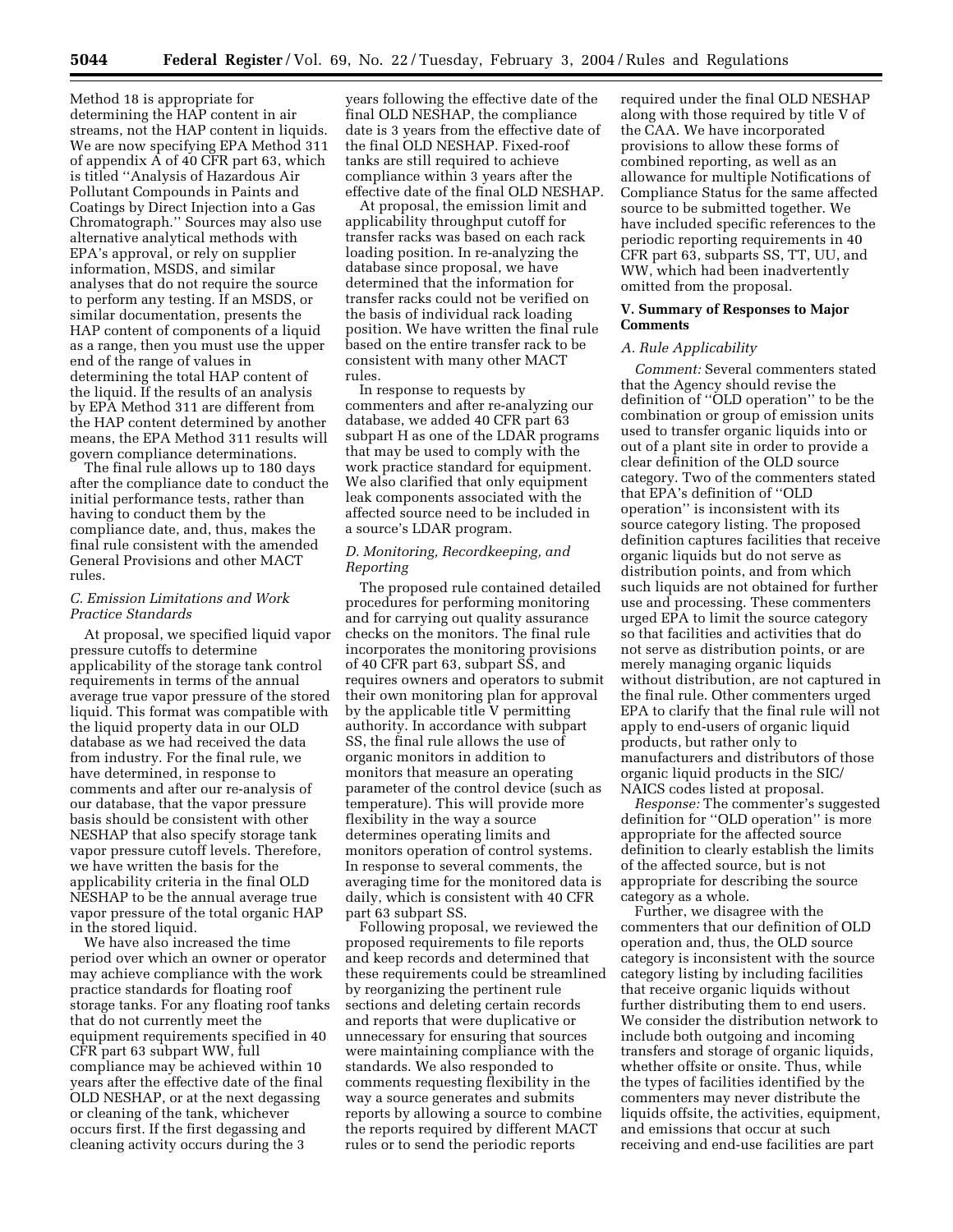Method 18 is appropriate for determining the HAP content in air streams, not the HAP content in liquids. We are now specifying EPA Method 311 of appendix  $\overrightarrow{A}$  of 40 CFR part 63, which is titled ''Analysis of Hazardous Air Pollutant Compounds in Paints and Coatings by Direct Injection into a Gas Chromatograph.'' Sources may also use alternative analytical methods with EPA's approval, or rely on supplier information, MSDS, and similar analyses that do not require the source to perform any testing. If an MSDS, or similar documentation, presents the HAP content of components of a liquid as a range, then you must use the upper end of the range of values in determining the total HAP content of the liquid. If the results of an analysis by EPA Method 311 are different from the HAP content determined by another means, the EPA Method 311 results will govern compliance determinations.

The final rule allows up to 180 days after the compliance date to conduct the initial performance tests, rather than having to conduct them by the compliance date, and, thus, makes the final rule consistent with the amended General Provisions and other MACT rules.

### *C. Emission Limitations and Work Practice Standards*

At proposal, we specified liquid vapor pressure cutoffs to determine applicability of the storage tank control requirements in terms of the annual average true vapor pressure of the stored liquid. This format was compatible with the liquid property data in our OLD database as we had received the data from industry. For the final rule, we have determined, in response to comments and after our re-analysis of our database, that the vapor pressure basis should be consistent with other NESHAP that also specify storage tank vapor pressure cutoff levels. Therefore, we have written the basis for the applicability criteria in the final OLD NESHAP to be the annual average true vapor pressure of the total organic HAP in the stored liquid.

We have also increased the time period over which an owner or operator may achieve compliance with the work practice standards for floating roof storage tanks. For any floating roof tanks that do not currently meet the equipment requirements specified in 40 CFR part 63 subpart WW, full compliance may be achieved within 10 years after the effective date of the final OLD NESHAP, or at the next degassing or cleaning of the tank, whichever occurs first. If the first degassing and cleaning activity occurs during the 3

years following the effective date of the final OLD NESHAP, the compliance date is 3 years from the effective date of the final OLD NESHAP. Fixed-roof tanks are still required to achieve compliance within 3 years after the effective date of the final OLD NESHAP.

At proposal, the emission limit and applicability throughput cutoff for transfer racks was based on each rack loading position. In re-analyzing the database since proposal, we have determined that the information for transfer racks could not be verified on the basis of individual rack loading position. We have written the final rule based on the entire transfer rack to be consistent with many other MACT rules.

In response to requests by commenters and after re-analyzing our database, we added 40 CFR part 63 subpart H as one of the LDAR programs that may be used to comply with the work practice standard for equipment. We also clarified that only equipment leak components associated with the affected source need to be included in a source's LDAR program.

#### *D. Monitoring, Recordkeeping, and Reporting*

The proposed rule contained detailed procedures for performing monitoring and for carrying out quality assurance checks on the monitors. The final rule incorporates the monitoring provisions of 40 CFR part 63, subpart SS, and requires owners and operators to submit their own monitoring plan for approval by the applicable title V permitting authority. In accordance with subpart SS, the final rule allows the use of organic monitors in addition to monitors that measure an operating parameter of the control device (such as temperature). This will provide more flexibility in the way a source determines operating limits and monitors operation of control systems. In response to several comments, the averaging time for the monitored data is daily, which is consistent with 40 CFR part 63 subpart SS.

Following proposal, we reviewed the proposed requirements to file reports and keep records and determined that these requirements could be streamlined by reorganizing the pertinent rule sections and deleting certain records and reports that were duplicative or unnecessary for ensuring that sources were maintaining compliance with the standards. We also responded to comments requesting flexibility in the way a source generates and submits reports by allowing a source to combine the reports required by different MACT rules or to send the periodic reports

required under the final OLD NESHAP along with those required by title V of the CAA. We have incorporated provisions to allow these forms of combined reporting, as well as an allowance for multiple Notifications of Compliance Status for the same affected source to be submitted together. We have included specific references to the periodic reporting requirements in 40 CFR part 63, subparts SS, TT, UU, and WW, which had been inadvertently omitted from the proposal.

### **V. Summary of Responses to Major Comments**

#### *A. Rule Applicability*

*Comment:* Several commenters stated that the Agency should revise the definition of ''OLD operation'' to be the combination or group of emission units used to transfer organic liquids into or out of a plant site in order to provide a clear definition of the OLD source category. Two of the commenters stated that EPA's definition of ''OLD operation'' is inconsistent with its source category listing. The proposed definition captures facilities that receive organic liquids but do not serve as distribution points, and from which such liquids are not obtained for further use and processing. These commenters urged EPA to limit the source category so that facilities and activities that do not serve as distribution points, or are merely managing organic liquids without distribution, are not captured in the final rule. Other commenters urged EPA to clarify that the final rule will not apply to end-users of organic liquid products, but rather only to manufacturers and distributors of those organic liquid products in the SIC/ NAICS codes listed at proposal.

*Response:* The commenter's suggested definition for ''OLD operation'' is more appropriate for the affected source definition to clearly establish the limits of the affected source, but is not appropriate for describing the source category as a whole.

Further, we disagree with the commenters that our definition of OLD operation and, thus, the OLD source category is inconsistent with the source category listing by including facilities that receive organic liquids without further distributing them to end users. We consider the distribution network to include both outgoing and incoming transfers and storage of organic liquids, whether offsite or onsite. Thus, while the types of facilities identified by the commenters may never distribute the liquids offsite, the activities, equipment, and emissions that occur at such receiving and end-use facilities are part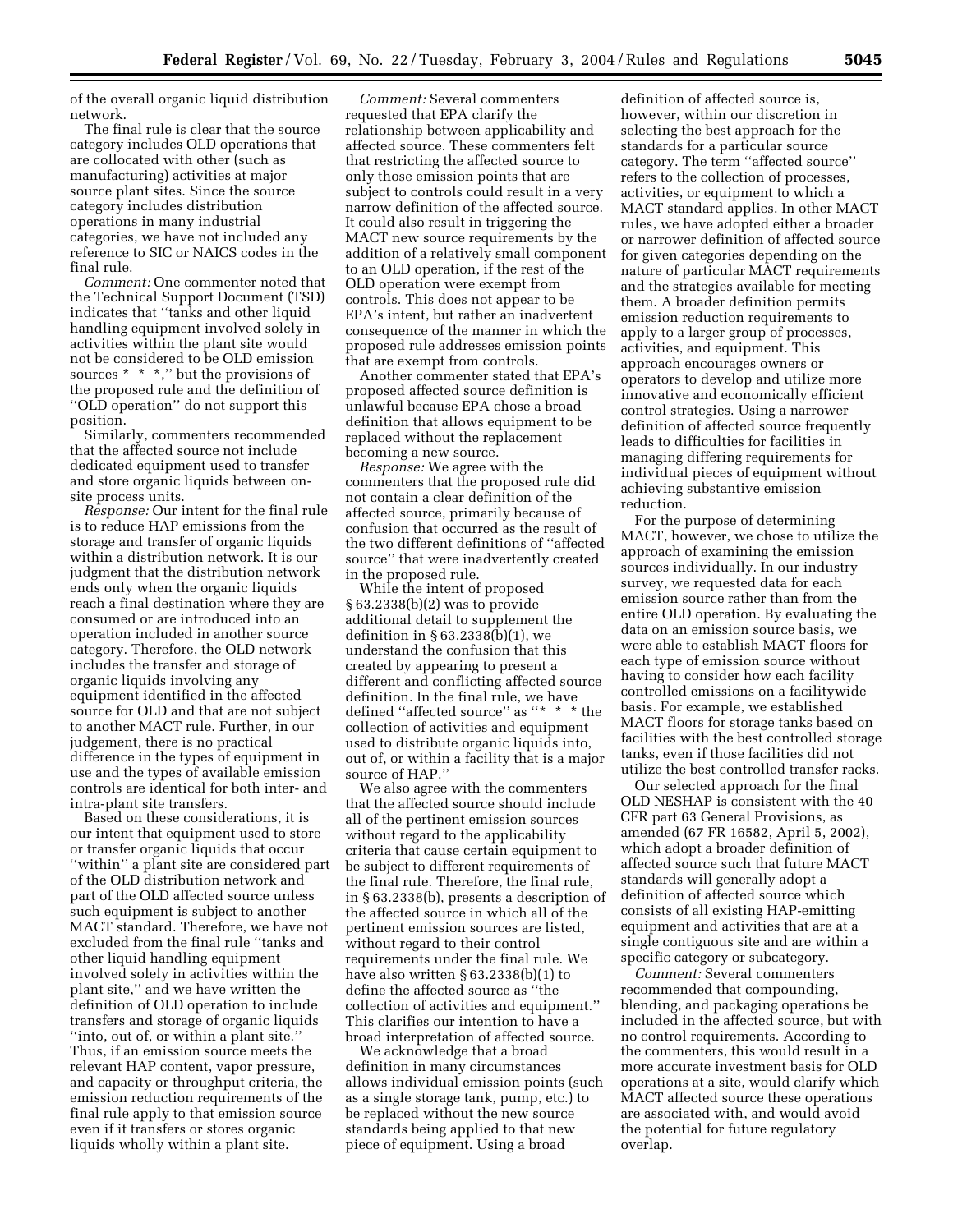of the overall organic liquid distribution network.

The final rule is clear that the source category includes OLD operations that are collocated with other (such as manufacturing) activities at major source plant sites. Since the source category includes distribution operations in many industrial categories, we have not included any reference to SIC or NAICS codes in the final rule.

*Comment:* One commenter noted that the Technical Support Document (TSD) indicates that ''tanks and other liquid handling equipment involved solely in activities within the plant site would not be considered to be OLD emission sources \* \* \*," but the provisions of the proposed rule and the definition of ''OLD operation'' do not support this position.

Similarly, commenters recommended that the affected source not include dedicated equipment used to transfer and store organic liquids between onsite process units.

*Response:* Our intent for the final rule is to reduce HAP emissions from the storage and transfer of organic liquids within a distribution network. It is our judgment that the distribution network ends only when the organic liquids reach a final destination where they are consumed or are introduced into an operation included in another source category. Therefore, the OLD network includes the transfer and storage of organic liquids involving any equipment identified in the affected source for OLD and that are not subject to another MACT rule. Further, in our judgement, there is no practical difference in the types of equipment in use and the types of available emission controls are identical for both inter- and intra-plant site transfers.

Based on these considerations, it is our intent that equipment used to store or transfer organic liquids that occur ''within'' a plant site are considered part of the OLD distribution network and part of the OLD affected source unless such equipment is subject to another MACT standard. Therefore, we have not excluded from the final rule ''tanks and other liquid handling equipment involved solely in activities within the plant site,'' and we have written the definition of OLD operation to include transfers and storage of organic liquids ''into, out of, or within a plant site.'' Thus, if an emission source meets the relevant HAP content, vapor pressure, and capacity or throughput criteria, the emission reduction requirements of the final rule apply to that emission source even if it transfers or stores organic liquids wholly within a plant site.

*Comment:* Several commenters requested that EPA clarify the relationship between applicability and affected source. These commenters felt that restricting the affected source to only those emission points that are subject to controls could result in a very narrow definition of the affected source. It could also result in triggering the MACT new source requirements by the addition of a relatively small component to an OLD operation, if the rest of the OLD operation were exempt from controls. This does not appear to be EPA's intent, but rather an inadvertent consequence of the manner in which the proposed rule addresses emission points that are exempt from controls.

Another commenter stated that EPA's proposed affected source definition is unlawful because EPA chose a broad definition that allows equipment to be replaced without the replacement becoming a new source.

*Response:* We agree with the commenters that the proposed rule did not contain a clear definition of the affected source, primarily because of confusion that occurred as the result of the two different definitions of ''affected source'' that were inadvertently created in the proposed rule.

While the intent of proposed § 63.2338(b)(2) was to provide additional detail to supplement the definition in § 63.2338(b)(1), we understand the confusion that this created by appearing to present a different and conflicting affected source definition. In the final rule, we have defined ''affected source'' as ''\*  $\hspace{0.1mm}^{\ast}$  \* the collection of activities and equipment used to distribute organic liquids into, out of, or within a facility that is a major source of HAP.''

We also agree with the commenters that the affected source should include all of the pertinent emission sources without regard to the applicability criteria that cause certain equipment to be subject to different requirements of the final rule. Therefore, the final rule, in § 63.2338(b), presents a description of the affected source in which all of the pertinent emission sources are listed, without regard to their control requirements under the final rule. We have also written § 63.2338(b)(1) to define the affected source as ''the collection of activities and equipment.'' This clarifies our intention to have a broad interpretation of affected source.

We acknowledge that a broad definition in many circumstances allows individual emission points (such as a single storage tank, pump, etc.) to be replaced without the new source standards being applied to that new piece of equipment. Using a broad

definition of affected source is, however, within our discretion in selecting the best approach for the standards for a particular source category. The term ''affected source'' refers to the collection of processes, activities, or equipment to which a MACT standard applies. In other MACT rules, we have adopted either a broader or narrower definition of affected source for given categories depending on the nature of particular MACT requirements and the strategies available for meeting them. A broader definition permits emission reduction requirements to apply to a larger group of processes, activities, and equipment. This approach encourages owners or operators to develop and utilize more innovative and economically efficient control strategies. Using a narrower definition of affected source frequently leads to difficulties for facilities in managing differing requirements for individual pieces of equipment without achieving substantive emission reduction.

For the purpose of determining MACT, however, we chose to utilize the approach of examining the emission sources individually. In our industry survey, we requested data for each emission source rather than from the entire OLD operation. By evaluating the data on an emission source basis, we were able to establish MACT floors for each type of emission source without having to consider how each facility controlled emissions on a facilitywide basis. For example, we established MACT floors for storage tanks based on facilities with the best controlled storage tanks, even if those facilities did not utilize the best controlled transfer racks.

Our selected approach for the final OLD NESHAP is consistent with the 40 CFR part 63 General Provisions, as amended (67 FR 16582, April 5, 2002), which adopt a broader definition of affected source such that future MACT standards will generally adopt a definition of affected source which consists of all existing HAP-emitting equipment and activities that are at a single contiguous site and are within a specific category or subcategory.

*Comment:* Several commenters recommended that compounding, blending, and packaging operations be included in the affected source, but with no control requirements. According to the commenters, this would result in a more accurate investment basis for OLD operations at a site, would clarify which MACT affected source these operations are associated with, and would avoid the potential for future regulatory overlap.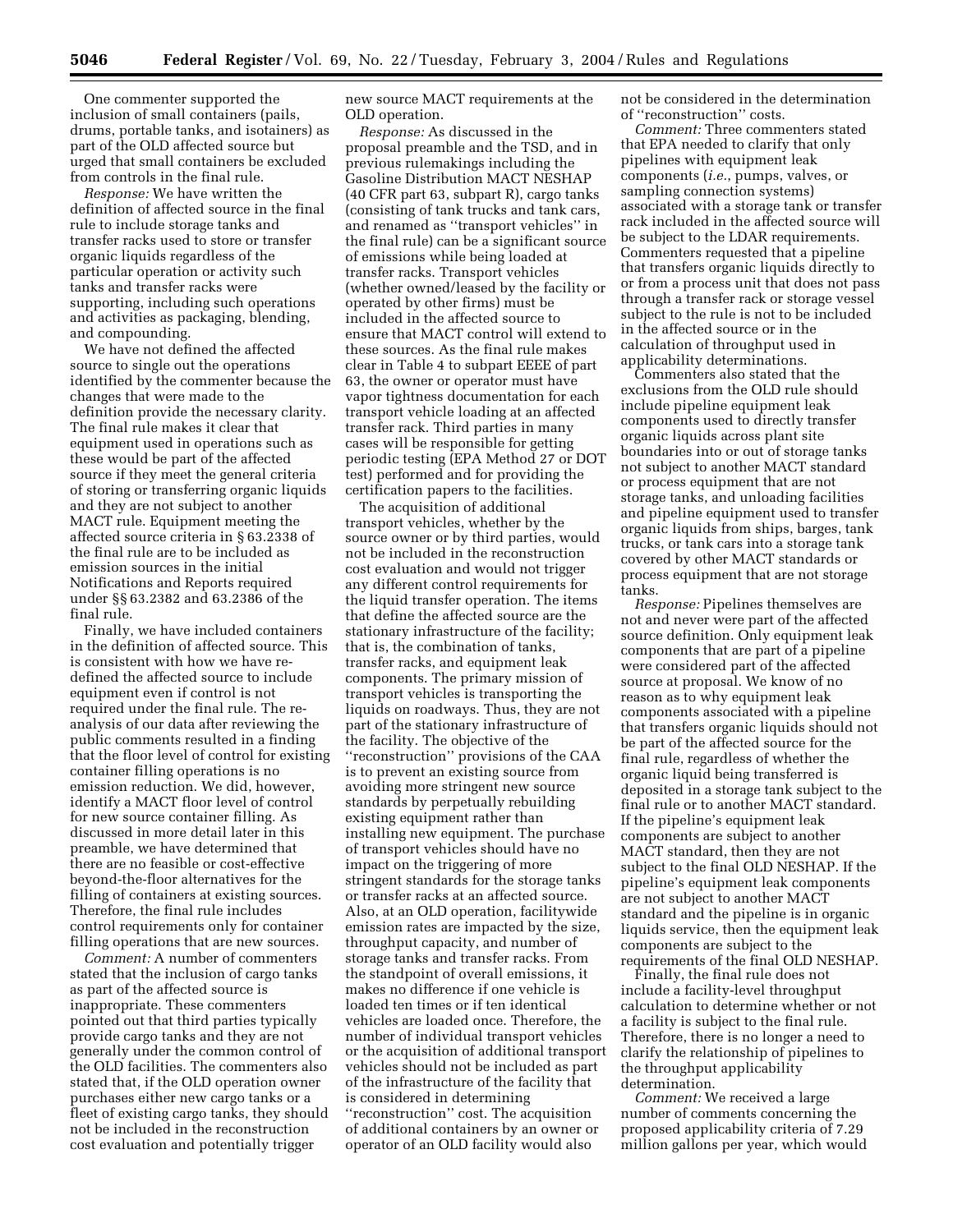One commenter supported the inclusion of small containers (pails, drums, portable tanks, and isotainers) as part of the OLD affected source but urged that small containers be excluded from controls in the final rule.

*Response:* We have written the definition of affected source in the final rule to include storage tanks and transfer racks used to store or transfer organic liquids regardless of the particular operation or activity such tanks and transfer racks were supporting, including such operations and activities as packaging, blending, and compounding.

We have not defined the affected source to single out the operations identified by the commenter because the changes that were made to the definition provide the necessary clarity. The final rule makes it clear that equipment used in operations such as these would be part of the affected source if they meet the general criteria of storing or transferring organic liquids and they are not subject to another MACT rule. Equipment meeting the affected source criteria in § 63.2338 of the final rule are to be included as emission sources in the initial Notifications and Reports required under §§ 63.2382 and 63.2386 of the final rule.

Finally, we have included containers in the definition of affected source. This is consistent with how we have redefined the affected source to include equipment even if control is not required under the final rule. The reanalysis of our data after reviewing the public comments resulted in a finding that the floor level of control for existing container filling operations is no emission reduction. We did, however, identify a MACT floor level of control for new source container filling. As discussed in more detail later in this preamble, we have determined that there are no feasible or cost-effective beyond-the-floor alternatives for the filling of containers at existing sources. Therefore, the final rule includes control requirements only for container filling operations that are new sources.

*Comment:* A number of commenters stated that the inclusion of cargo tanks as part of the affected source is inappropriate. These commenters pointed out that third parties typically provide cargo tanks and they are not generally under the common control of the OLD facilities. The commenters also stated that, if the OLD operation owner purchases either new cargo tanks or a fleet of existing cargo tanks, they should not be included in the reconstruction cost evaluation and potentially trigger

new source MACT requirements at the OLD operation.

*Response:* As discussed in the proposal preamble and the TSD, and in previous rulemakings including the Gasoline Distribution MACT NESHAP (40 CFR part 63, subpart R), cargo tanks (consisting of tank trucks and tank cars, and renamed as ''transport vehicles'' in the final rule) can be a significant source of emissions while being loaded at transfer racks. Transport vehicles (whether owned/leased by the facility or operated by other firms) must be included in the affected source to ensure that MACT control will extend to these sources. As the final rule makes clear in Table 4 to subpart EEEE of part 63, the owner or operator must have vapor tightness documentation for each transport vehicle loading at an affected transfer rack. Third parties in many cases will be responsible for getting periodic testing (EPA Method 27 or DOT test) performed and for providing the certification papers to the facilities.

The acquisition of additional transport vehicles, whether by the source owner or by third parties, would not be included in the reconstruction cost evaluation and would not trigger any different control requirements for the liquid transfer operation. The items that define the affected source are the stationary infrastructure of the facility; that is, the combination of tanks, transfer racks, and equipment leak components. The primary mission of transport vehicles is transporting the liquids on roadways. Thus, they are not part of the stationary infrastructure of the facility. The objective of the ''reconstruction'' provisions of the CAA is to prevent an existing source from avoiding more stringent new source standards by perpetually rebuilding existing equipment rather than installing new equipment. The purchase of transport vehicles should have no impact on the triggering of more stringent standards for the storage tanks or transfer racks at an affected source. Also, at an OLD operation, facilitywide emission rates are impacted by the size, throughput capacity, and number of storage tanks and transfer racks. From the standpoint of overall emissions, it makes no difference if one vehicle is loaded ten times or if ten identical vehicles are loaded once. Therefore, the number of individual transport vehicles or the acquisition of additional transport vehicles should not be included as part of the infrastructure of the facility that is considered in determining ''reconstruction'' cost. The acquisition of additional containers by an owner or operator of an OLD facility would also

not be considered in the determination of ''reconstruction'' costs.

*Comment:* Three commenters stated that EPA needed to clarify that only pipelines with equipment leak components (*i.e.*, pumps, valves, or sampling connection systems) associated with a storage tank or transfer rack included in the affected source will be subject to the LDAR requirements. Commenters requested that a pipeline that transfers organic liquids directly to or from a process unit that does not pass through a transfer rack or storage vessel subject to the rule is not to be included in the affected source or in the calculation of throughput used in applicability determinations.

Commenters also stated that the exclusions from the OLD rule should include pipeline equipment leak components used to directly transfer organic liquids across plant site boundaries into or out of storage tanks not subject to another MACT standard or process equipment that are not storage tanks, and unloading facilities and pipeline equipment used to transfer organic liquids from ships, barges, tank trucks, or tank cars into a storage tank covered by other MACT standards or process equipment that are not storage tanks.

*Response:* Pipelines themselves are not and never were part of the affected source definition. Only equipment leak components that are part of a pipeline were considered part of the affected source at proposal. We know of no reason as to why equipment leak components associated with a pipeline that transfers organic liquids should not be part of the affected source for the final rule, regardless of whether the organic liquid being transferred is deposited in a storage tank subject to the final rule or to another MACT standard. If the pipeline's equipment leak components are subject to another MACT standard, then they are not subject to the final OLD NESHAP. If the pipeline's equipment leak components are not subject to another MACT standard and the pipeline is in organic liquids service, then the equipment leak components are subject to the requirements of the final OLD NESHAP.

Finally, the final rule does not include a facility-level throughput calculation to determine whether or not a facility is subject to the final rule. Therefore, there is no longer a need to clarify the relationship of pipelines to the throughput applicability determination.

*Comment:* We received a large number of comments concerning the proposed applicability criteria of 7.29 million gallons per year, which would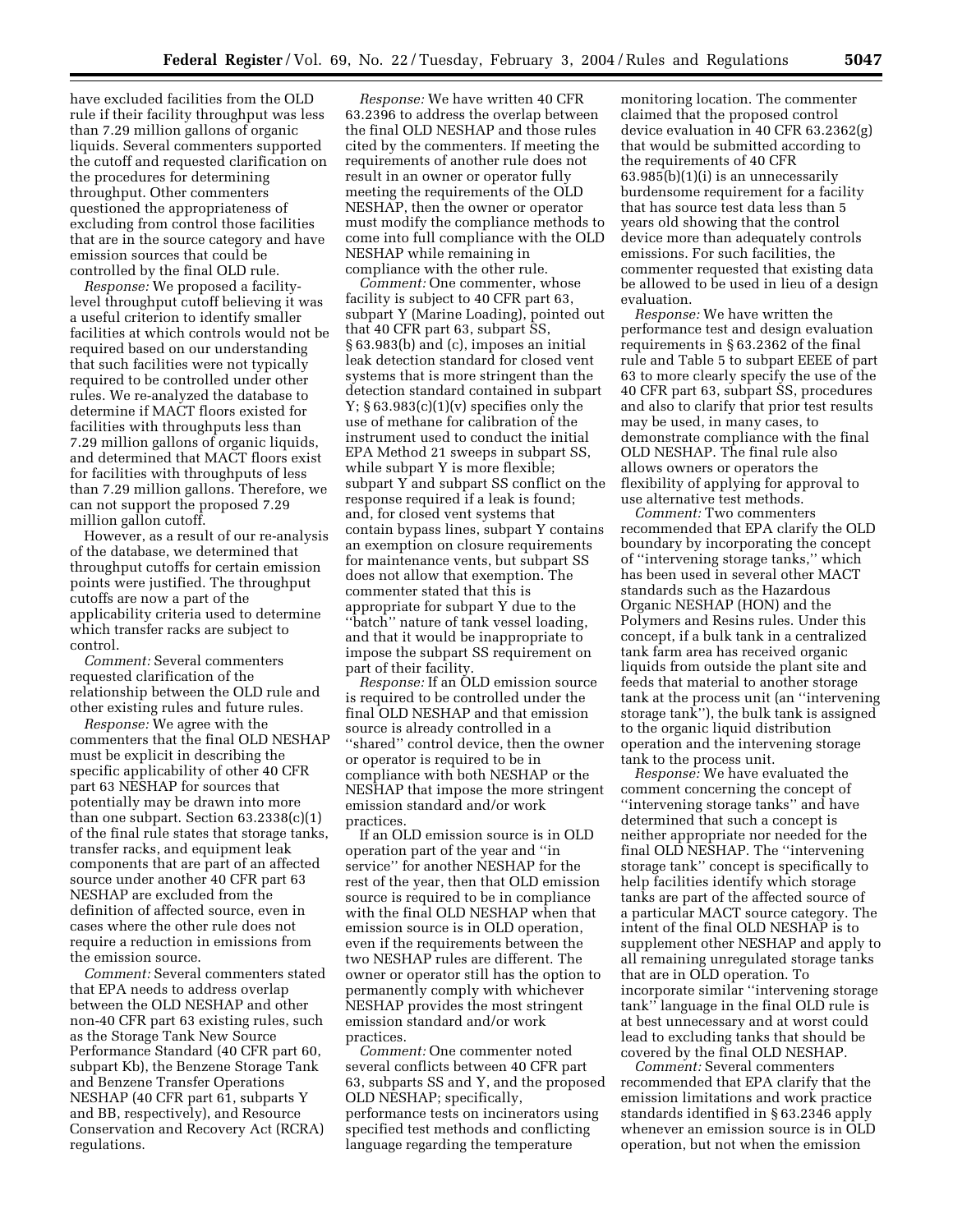have excluded facilities from the OLD rule if their facility throughput was less than 7.29 million gallons of organic liquids. Several commenters supported the cutoff and requested clarification on the procedures for determining throughput. Other commenters questioned the appropriateness of excluding from control those facilities that are in the source category and have emission sources that could be controlled by the final OLD rule.

*Response:* We proposed a facilitylevel throughput cutoff believing it was a useful criterion to identify smaller facilities at which controls would not be required based on our understanding that such facilities were not typically required to be controlled under other rules. We re-analyzed the database to determine if MACT floors existed for facilities with throughputs less than 7.29 million gallons of organic liquids, and determined that MACT floors exist for facilities with throughputs of less than 7.29 million gallons. Therefore, we can not support the proposed 7.29 million gallon cutoff.

However, as a result of our re-analysis of the database, we determined that throughput cutoffs for certain emission points were justified. The throughput cutoffs are now a part of the applicability criteria used to determine which transfer racks are subject to control.

*Comment:* Several commenters requested clarification of the relationship between the OLD rule and other existing rules and future rules.

*Response:* We agree with the commenters that the final OLD NESHAP must be explicit in describing the specific applicability of other 40 CFR part 63 NESHAP for sources that potentially may be drawn into more than one subpart. Section  $63.2338(c)(1)$ of the final rule states that storage tanks, transfer racks, and equipment leak components that are part of an affected source under another 40 CFR part 63 NESHAP are excluded from the definition of affected source, even in cases where the other rule does not require a reduction in emissions from the emission source.

*Comment:* Several commenters stated that EPA needs to address overlap between the OLD NESHAP and other non-40 CFR part 63 existing rules, such as the Storage Tank New Source Performance Standard (40 CFR part 60, subpart Kb), the Benzene Storage Tank and Benzene Transfer Operations NESHAP (40 CFR part 61, subparts Y and BB, respectively), and Resource Conservation and Recovery Act (RCRA) regulations.

*Response:* We have written 40 CFR 63.2396 to address the overlap between the final OLD NESHAP and those rules cited by the commenters. If meeting the requirements of another rule does not result in an owner or operator fully meeting the requirements of the OLD NESHAP, then the owner or operator must modify the compliance methods to come into full compliance with the OLD NESHAP while remaining in compliance with the other rule.

*Comment:* One commenter, whose facility is subject to 40 CFR part 63, subpart Y (Marine Loading), pointed out that 40 CFR part 63, subpart SS, § 63.983(b) and (c), imposes an initial leak detection standard for closed vent systems that is more stringent than the detection standard contained in subpart  $Y: § 63.983(c)(1)(v)$  specifies only the use of methane for calibration of the instrument used to conduct the initial EPA Method 21 sweeps in subpart SS, while subpart Y is more flexible; subpart Y and subpart SS conflict on the response required if a leak is found; and, for closed vent systems that contain bypass lines, subpart Y contains an exemption on closure requirements for maintenance vents, but subpart SS does not allow that exemption. The commenter stated that this is appropriate for subpart Y due to the "batch" nature of tank vessel loading, and that it would be inappropriate to impose the subpart SS requirement on part of their facility.

*Response:* If an OLD emission source is required to be controlled under the final OLD NESHAP and that emission source is already controlled in a ''shared'' control device, then the owner or operator is required to be in compliance with both NESHAP or the NESHAP that impose the more stringent emission standard and/or work practices.

If an OLD emission source is in OLD operation part of the year and ''in service'' for another NESHAP for the rest of the year, then that OLD emission source is required to be in compliance with the final OLD NESHAP when that emission source is in OLD operation, even if the requirements between the two NESHAP rules are different. The owner or operator still has the option to permanently comply with whichever NESHAP provides the most stringent emission standard and/or work practices.

*Comment:* One commenter noted several conflicts between 40 CFR part 63, subparts SS and Y, and the proposed OLD NESHAP; specifically, performance tests on incinerators using specified test methods and conflicting language regarding the temperature

monitoring location. The commenter claimed that the proposed control device evaluation in 40 CFR 63.2362(g) that would be submitted according to the requirements of 40 CFR 63.985(b)(1)(i) is an unnecessarily burdensome requirement for a facility that has source test data less than 5 years old showing that the control device more than adequately controls emissions. For such facilities, the commenter requested that existing data be allowed to be used in lieu of a design evaluation.

*Response:* We have written the performance test and design evaluation requirements in § 63.2362 of the final rule and Table 5 to subpart EEEE of part 63 to more clearly specify the use of the 40 CFR part 63, subpart SS, procedures and also to clarify that prior test results may be used, in many cases, to demonstrate compliance with the final OLD NESHAP. The final rule also allows owners or operators the flexibility of applying for approval to use alternative test methods.

*Comment:* Two commenters recommended that EPA clarify the OLD boundary by incorporating the concept of ''intervening storage tanks,'' which has been used in several other MACT standards such as the Hazardous Organic NESHAP (HON) and the Polymers and Resins rules. Under this concept, if a bulk tank in a centralized tank farm area has received organic liquids from outside the plant site and feeds that material to another storage tank at the process unit (an ''intervening storage tank''), the bulk tank is assigned to the organic liquid distribution operation and the intervening storage tank to the process unit.

*Response:* We have evaluated the comment concerning the concept of ''intervening storage tanks'' and have determined that such a concept is neither appropriate nor needed for the final OLD NESHAP. The ''intervening storage tank'' concept is specifically to help facilities identify which storage tanks are part of the affected source of a particular MACT source category. The intent of the final OLD NESHAP is to supplement other NESHAP and apply to all remaining unregulated storage tanks that are in OLD operation. To incorporate similar ''intervening storage tank'' language in the final OLD rule is at best unnecessary and at worst could lead to excluding tanks that should be covered by the final OLD NESHAP.

*Comment:* Several commenters recommended that EPA clarify that the emission limitations and work practice standards identified in § 63.2346 apply whenever an emission source is in OLD operation, but not when the emission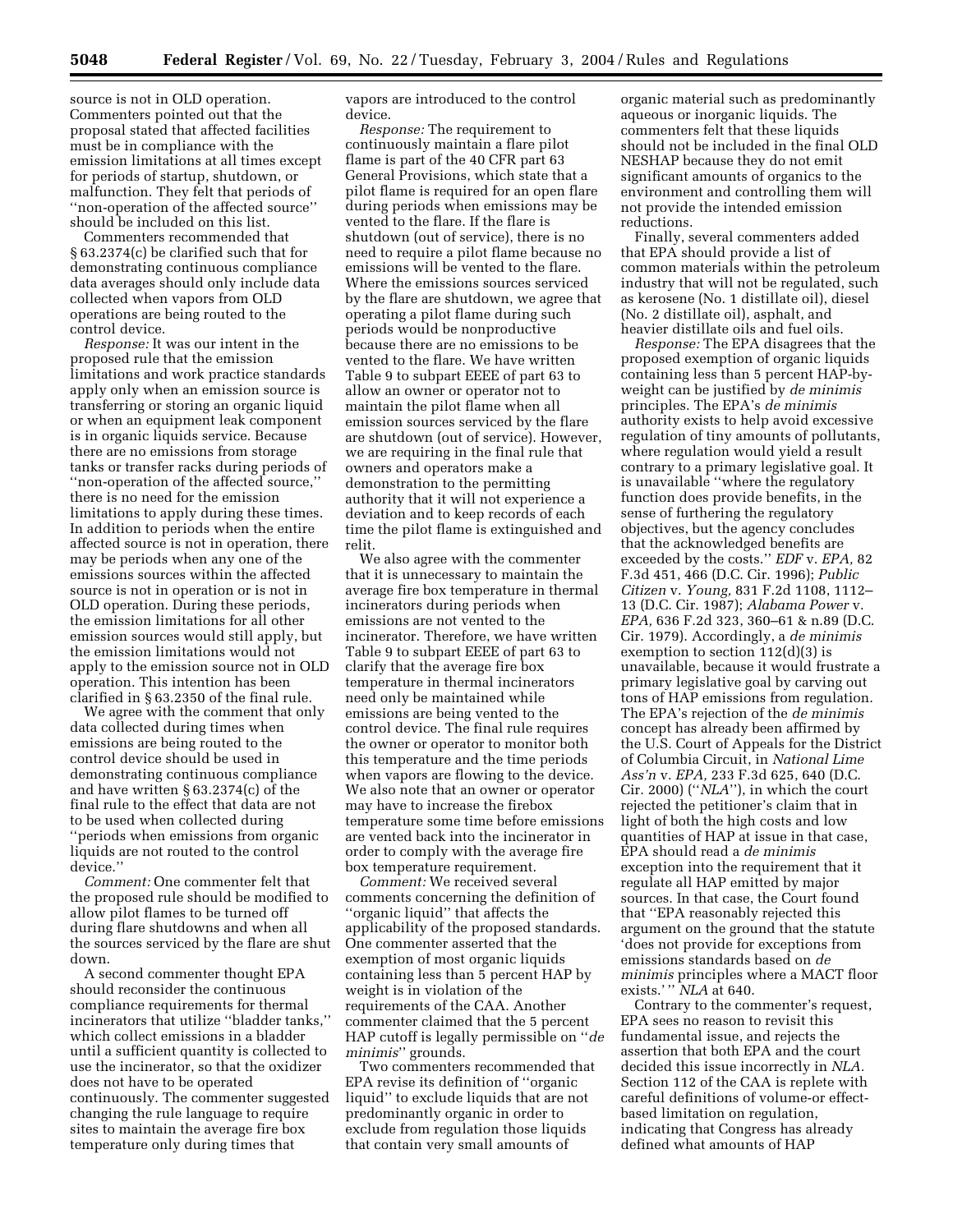source is not in OLD operation. Commenters pointed out that the proposal stated that affected facilities must be in compliance with the emission limitations at all times except for periods of startup, shutdown, or malfunction. They felt that periods of ''non-operation of the affected source'' should be included on this list.

Commenters recommended that § 63.2374(c) be clarified such that for demonstrating continuous compliance data averages should only include data collected when vapors from OLD operations are being routed to the control device.

*Response:* It was our intent in the proposed rule that the emission limitations and work practice standards apply only when an emission source is transferring or storing an organic liquid or when an equipment leak component is in organic liquids service. Because there are no emissions from storage tanks or transfer racks during periods of ''non-operation of the affected source,'' there is no need for the emission limitations to apply during these times. In addition to periods when the entire affected source is not in operation, there may be periods when any one of the emissions sources within the affected source is not in operation or is not in OLD operation. During these periods, the emission limitations for all other emission sources would still apply, but the emission limitations would not apply to the emission source not in OLD operation. This intention has been clarified in § 63.2350 of the final rule.

We agree with the comment that only data collected during times when emissions are being routed to the control device should be used in demonstrating continuous compliance and have written § 63.2374(c) of the final rule to the effect that data are not to be used when collected during ''periods when emissions from organic liquids are not routed to the control device.''

*Comment:* One commenter felt that the proposed rule should be modified to allow pilot flames to be turned off during flare shutdowns and when all the sources serviced by the flare are shut down.

A second commenter thought EPA should reconsider the continuous compliance requirements for thermal incinerators that utilize ''bladder tanks,'' which collect emissions in a bladder until a sufficient quantity is collected to use the incinerator, so that the oxidizer does not have to be operated continuously. The commenter suggested changing the rule language to require sites to maintain the average fire box temperature only during times that

vapors are introduced to the control device.

*Response:* The requirement to continuously maintain a flare pilot flame is part of the 40 CFR part 63 General Provisions, which state that a pilot flame is required for an open flare during periods when emissions may be vented to the flare. If the flare is shutdown (out of service), there is no need to require a pilot flame because no emissions will be vented to the flare. Where the emissions sources serviced by the flare are shutdown, we agree that operating a pilot flame during such periods would be nonproductive because there are no emissions to be vented to the flare. We have written Table 9 to subpart EEEE of part 63 to allow an owner or operator not to maintain the pilot flame when all emission sources serviced by the flare are shutdown (out of service). However, we are requiring in the final rule that owners and operators make a demonstration to the permitting authority that it will not experience a deviation and to keep records of each time the pilot flame is extinguished and relit.

We also agree with the commenter that it is unnecessary to maintain the average fire box temperature in thermal incinerators during periods when emissions are not vented to the incinerator. Therefore, we have written Table 9 to subpart EEEE of part 63 to clarify that the average fire box temperature in thermal incinerators need only be maintained while emissions are being vented to the control device. The final rule requires the owner or operator to monitor both this temperature and the time periods when vapors are flowing to the device. We also note that an owner or operator may have to increase the firebox temperature some time before emissions are vented back into the incinerator in order to comply with the average fire box temperature requirement.

*Comment:* We received several comments concerning the definition of ''organic liquid'' that affects the applicability of the proposed standards. One commenter asserted that the exemption of most organic liquids containing less than 5 percent HAP by weight is in violation of the requirements of the CAA. Another commenter claimed that the 5 percent HAP cutoff is legally permissible on ''*de minimis*'' grounds.

Two commenters recommended that EPA revise its definition of ''organic liquid'' to exclude liquids that are not predominantly organic in order to exclude from regulation those liquids that contain very small amounts of

organic material such as predominantly aqueous or inorganic liquids. The commenters felt that these liquids should not be included in the final OLD NESHAP because they do not emit significant amounts of organics to the environment and controlling them will not provide the intended emission reductions.

Finally, several commenters added that EPA should provide a list of common materials within the petroleum industry that will not be regulated, such as kerosene (No. 1 distillate oil), diesel (No. 2 distillate oil), asphalt, and heavier distillate oils and fuel oils.

*Response:* The EPA disagrees that the proposed exemption of organic liquids containing less than 5 percent HAP-byweight can be justified by *de minimis* principles. The EPA's *de minimis* authority exists to help avoid excessive regulation of tiny amounts of pollutants, where regulation would yield a result contrary to a primary legislative goal. It is unavailable ''where the regulatory function does provide benefits, in the sense of furthering the regulatory objectives, but the agency concludes that the acknowledged benefits are exceeded by the costs.'' *EDF* v. *EPA,* 82 F.3d 451, 466 (D.C. Cir. 1996); *Public Citizen* v. *Young,* 831 F.2d 1108, 1112– 13 (D.C. Cir. 1987); *Alabama Power* v. *EPA,* 636 F.2d 323, 360–61 & n.89 (D.C. Cir. 1979). Accordingly, a *de minimis* exemption to section 112(d)(3) is unavailable, because it would frustrate a primary legislative goal by carving out tons of HAP emissions from regulation. The EPA's rejection of the *de minimis* concept has already been affirmed by the U.S. Court of Appeals for the District of Columbia Circuit, in *National Lime Ass'n* v. *EPA,* 233 F.3d 625, 640 (D.C. Cir. 2000) (''*NLA*''), in which the court rejected the petitioner's claim that in light of both the high costs and low quantities of HAP at issue in that case, EPA should read a *de minimis* exception into the requirement that it regulate all HAP emitted by major sources. In that case, the Court found that ''EPA reasonably rejected this argument on the ground that the statute 'does not provide for exceptions from emissions standards based on *de minimis* principles where a MACT floor exists.' '' *NLA* at 640.

Contrary to the commenter's request, EPA sees no reason to revisit this fundamental issue, and rejects the assertion that both EPA and the court decided this issue incorrectly in *NLA.* Section 112 of the CAA is replete with careful definitions of volume-or effectbased limitation on regulation, indicating that Congress has already defined what amounts of HAP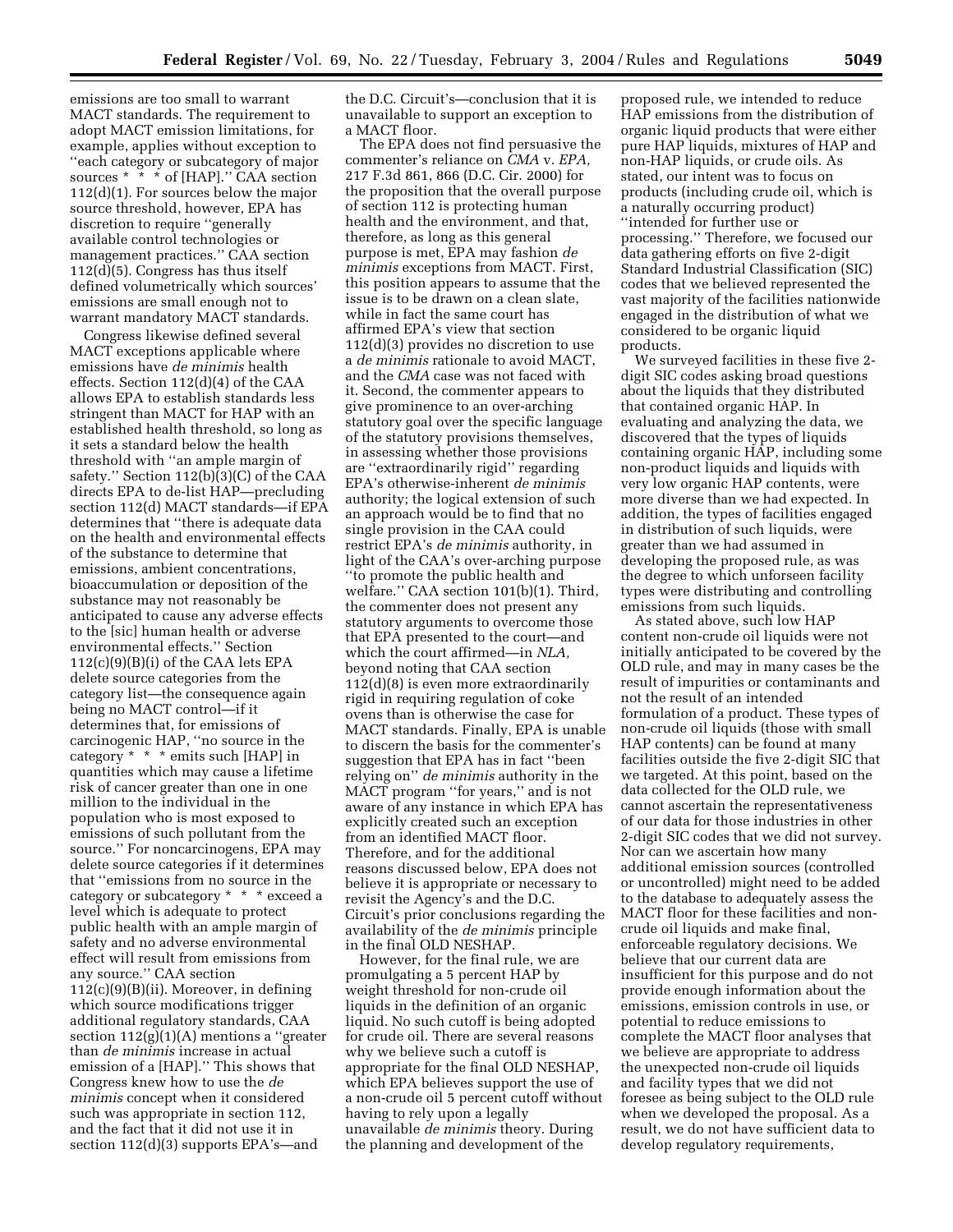emissions are too small to warrant MACT standards. The requirement to adopt MACT emission limitations, for example, applies without exception to ''each category or subcategory of major sources \* \* \* of [HAP]." CAA section 112(d)(1). For sources below the major source threshold, however, EPA has discretion to require ''generally available control technologies or management practices.'' CAA section 112(d)(5). Congress has thus itself defined volumetrically which sources' emissions are small enough not to warrant mandatory MACT standards.

Congress likewise defined several MACT exceptions applicable where emissions have *de minimis* health effects. Section 112(d)(4) of the CAA allows EPA to establish standards less stringent than MACT for HAP with an established health threshold, so long as it sets a standard below the health threshold with ''an ample margin of safety.'' Section 112(b)(3)(C) of the CAA directs EPA to de-list HAP—precluding section 112(d) MACT standards—if EPA determines that ''there is adequate data on the health and environmental effects of the substance to determine that emissions, ambient concentrations, bioaccumulation or deposition of the substance may not reasonably be anticipated to cause any adverse effects to the [sic] human health or adverse environmental effects.'' Section 112(c)(9)(B)(i) of the CAA lets EPA delete source categories from the category list—the consequence again being no MACT control—if it determines that, for emissions of carcinogenic HAP, ''no source in the category \* \* \* emits such [HAP] in quantities which may cause a lifetime risk of cancer greater than one in one million to the individual in the population who is most exposed to emissions of such pollutant from the source.'' For noncarcinogens, EPA may delete source categories if it determines that ''emissions from no source in the category or subcategory \* \* \* exceed a level which is adequate to protect public health with an ample margin of safety and no adverse environmental effect will result from emissions from any source.'' CAA section  $112(c)(9)(B)(ii)$ . Moreover, in defining which source modifications trigger additional regulatory standards, CAA section  $112(g)(1)(A)$  mentions a "greater" than *de minimis* increase in actual emission of a [HAP].'' This shows that Congress knew how to use the *de minimis* concept when it considered such was appropriate in section 112, and the fact that it did not use it in section 112(d)(3) supports EPA's—and

the D.C. Circuit's—conclusion that it is unavailable to support an exception to a MACT floor.

The EPA does not find persuasive the commenter's reliance on *CMA* v. *EPA,* 217 F.3d 861, 866 (D.C. Cir. 2000) for the proposition that the overall purpose of section 112 is protecting human health and the environment, and that, therefore, as long as this general purpose is met, EPA may fashion *de minimis* exceptions from MACT. First, this position appears to assume that the issue is to be drawn on a clean slate, while in fact the same court has affirmed EPA's view that section 112(d)(3) provides no discretion to use a *de minimis* rationale to avoid MACT, and the *CMA* case was not faced with it. Second, the commenter appears to give prominence to an over-arching statutory goal over the specific language of the statutory provisions themselves, in assessing whether those provisions are ''extraordinarily rigid'' regarding EPA's otherwise-inherent *de minimis* authority; the logical extension of such an approach would be to find that no single provision in the CAA could restrict EPA's *de minimis* authority, in light of the CAA's over-arching purpose ''to promote the public health and welfare.'' CAA section 101(b)(1). Third, the commenter does not present any statutory arguments to overcome those that EPA presented to the court—and which the court affirmed—in *NLA,* beyond noting that CAA section 112(d)(8) is even more extraordinarily rigid in requiring regulation of coke ovens than is otherwise the case for MACT standards. Finally, EPA is unable to discern the basis for the commenter's suggestion that EPA has in fact ''been relying on'' *de minimis* authority in the MACT program ''for years,'' and is not aware of any instance in which EPA has explicitly created such an exception from an identified MACT floor. Therefore, and for the additional reasons discussed below, EPA does not believe it is appropriate or necessary to revisit the Agency's and the D.C. Circuit's prior conclusions regarding the availability of the *de minimis* principle in the final OLD NESHAP.

However, for the final rule, we are promulgating a 5 percent HAP by weight threshold for non-crude oil liquids in the definition of an organic liquid. No such cutoff is being adopted for crude oil. There are several reasons why we believe such a cutoff is appropriate for the final OLD NESHAP, which EPA believes support the use of a non-crude oil 5 percent cutoff without having to rely upon a legally unavailable *de minimis* theory. During the planning and development of the

proposed rule, we intended to reduce HAP emissions from the distribution of organic liquid products that were either pure HAP liquids, mixtures of HAP and non-HAP liquids, or crude oils. As stated, our intent was to focus on products (including crude oil, which is a naturally occurring product) ''intended for further use or processing.'' Therefore, we focused our data gathering efforts on five 2-digit Standard Industrial Classification (SIC) codes that we believed represented the vast majority of the facilities nationwide engaged in the distribution of what we considered to be organic liquid products.

We surveyed facilities in these five 2 digit SIC codes asking broad questions about the liquids that they distributed that contained organic HAP. In evaluating and analyzing the data, we discovered that the types of liquids containing organic HAP, including some non-product liquids and liquids with very low organic HAP contents, were more diverse than we had expected. In addition, the types of facilities engaged in distribution of such liquids, were greater than we had assumed in developing the proposed rule, as was the degree to which unforseen facility types were distributing and controlling emissions from such liquids.

As stated above, such low HAP content non-crude oil liquids were not initially anticipated to be covered by the OLD rule, and may in many cases be the result of impurities or contaminants and not the result of an intended formulation of a product. These types of non-crude oil liquids (those with small HAP contents) can be found at many facilities outside the five 2-digit SIC that we targeted. At this point, based on the data collected for the OLD rule, we cannot ascertain the representativeness of our data for those industries in other 2-digit SIC codes that we did not survey. Nor can we ascertain how many additional emission sources (controlled or uncontrolled) might need to be added to the database to adequately assess the MACT floor for these facilities and noncrude oil liquids and make final, enforceable regulatory decisions. We believe that our current data are insufficient for this purpose and do not provide enough information about the emissions, emission controls in use, or potential to reduce emissions to complete the MACT floor analyses that we believe are appropriate to address the unexpected non-crude oil liquids and facility types that we did not foresee as being subject to the OLD rule when we developed the proposal. As a result, we do not have sufficient data to develop regulatory requirements,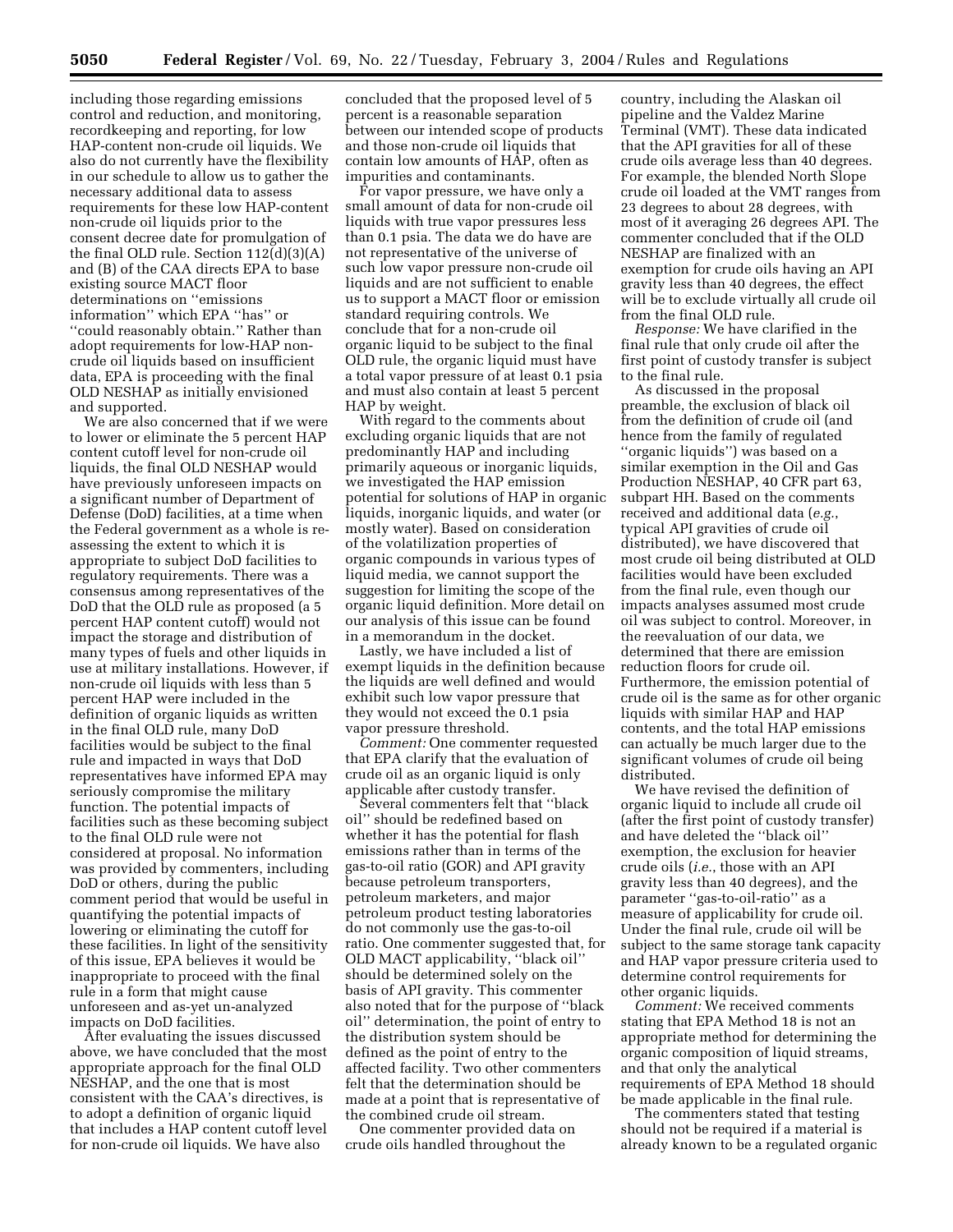including those regarding emissions control and reduction, and monitoring, recordkeeping and reporting, for low HAP-content non-crude oil liquids. We also do not currently have the flexibility in our schedule to allow us to gather the necessary additional data to assess requirements for these low HAP-content non-crude oil liquids prior to the consent decree date for promulgation of the final OLD rule. Section 112(d)(3)(A) and (B) of the CAA directs EPA to base existing source MACT floor determinations on ''emissions information'' which EPA ''has'' or ''could reasonably obtain.'' Rather than adopt requirements for low-HAP noncrude oil liquids based on insufficient data, EPA is proceeding with the final OLD NESHAP as initially envisioned and supported.

We are also concerned that if we were to lower or eliminate the 5 percent HAP content cutoff level for non-crude oil liquids, the final OLD NESHAP would have previously unforeseen impacts on a significant number of Department of Defense (DoD) facilities, at a time when the Federal government as a whole is reassessing the extent to which it is appropriate to subject DoD facilities to regulatory requirements. There was a consensus among representatives of the DoD that the OLD rule as proposed (a 5 percent HAP content cutoff) would not impact the storage and distribution of many types of fuels and other liquids in use at military installations. However, if non-crude oil liquids with less than 5 percent HAP were included in the definition of organic liquids as written in the final OLD rule, many DoD facilities would be subject to the final rule and impacted in ways that DoD representatives have informed EPA may seriously compromise the military function. The potential impacts of facilities such as these becoming subject to the final OLD rule were not considered at proposal. No information was provided by commenters, including DoD or others, during the public comment period that would be useful in quantifying the potential impacts of lowering or eliminating the cutoff for these facilities. In light of the sensitivity of this issue, EPA believes it would be inappropriate to proceed with the final rule in a form that might cause unforeseen and as-yet un-analyzed impacts on DoD facilities.

After evaluating the issues discussed above, we have concluded that the most appropriate approach for the final OLD NESHAP, and the one that is most consistent with the CAA's directives, is to adopt a definition of organic liquid that includes a HAP content cutoff level for non-crude oil liquids. We have also

concluded that the proposed level of 5 percent is a reasonable separation between our intended scope of products and those non-crude oil liquids that contain low amounts of HAP, often as impurities and contaminants.

For vapor pressure, we have only a small amount of data for non-crude oil liquids with true vapor pressures less than 0.1 psia. The data we do have are not representative of the universe of such low vapor pressure non-crude oil liquids and are not sufficient to enable us to support a MACT floor or emission standard requiring controls. We conclude that for a non-crude oil organic liquid to be subject to the final OLD rule, the organic liquid must have a total vapor pressure of at least 0.1 psia and must also contain at least 5 percent HAP by weight.

With regard to the comments about excluding organic liquids that are not predominantly HAP and including primarily aqueous or inorganic liquids, we investigated the HAP emission potential for solutions of HAP in organic liquids, inorganic liquids, and water (or mostly water). Based on consideration of the volatilization properties of organic compounds in various types of liquid media, we cannot support the suggestion for limiting the scope of the organic liquid definition. More detail on our analysis of this issue can be found in a memorandum in the docket.

Lastly, we have included a list of exempt liquids in the definition because the liquids are well defined and would exhibit such low vapor pressure that they would not exceed the 0.1 psia vapor pressure threshold.

*Comment:* One commenter requested that EPA clarify that the evaluation of crude oil as an organic liquid is only applicable after custody transfer.

Several commenters felt that ''black oil'' should be redefined based on whether it has the potential for flash emissions rather than in terms of the gas-to-oil ratio (GOR) and API gravity because petroleum transporters, petroleum marketers, and major petroleum product testing laboratories do not commonly use the gas-to-oil ratio. One commenter suggested that, for OLD MACT applicability, ''black oil'' should be determined solely on the basis of API gravity. This commenter also noted that for the purpose of ''black oil'' determination, the point of entry to the distribution system should be defined as the point of entry to the affected facility. Two other commenters felt that the determination should be made at a point that is representative of the combined crude oil stream.

One commenter provided data on crude oils handled throughout the

country, including the Alaskan oil pipeline and the Valdez Marine Terminal (VMT). These data indicated that the API gravities for all of these crude oils average less than 40 degrees. For example, the blended North Slope crude oil loaded at the VMT ranges from 23 degrees to about 28 degrees, with most of it averaging 26 degrees API. The commenter concluded that if the OLD NESHAP are finalized with an exemption for crude oils having an API gravity less than 40 degrees, the effect will be to exclude virtually all crude oil from the final OLD rule.

*Response:* We have clarified in the final rule that only crude oil after the first point of custody transfer is subject to the final rule.

As discussed in the proposal preamble, the exclusion of black oil from the definition of crude oil (and hence from the family of regulated ''organic liquids'') was based on a similar exemption in the Oil and Gas Production NESHAP, 40 CFR part 63, subpart HH. Based on the comments received and additional data (*e.g.*, typical API gravities of crude oil distributed), we have discovered that most crude oil being distributed at OLD facilities would have been excluded from the final rule, even though our impacts analyses assumed most crude oil was subject to control. Moreover, in the reevaluation of our data, we determined that there are emission reduction floors for crude oil. Furthermore, the emission potential of crude oil is the same as for other organic liquids with similar HAP and HAP contents, and the total HAP emissions can actually be much larger due to the significant volumes of crude oil being distributed.

We have revised the definition of organic liquid to include all crude oil (after the first point of custody transfer) and have deleted the ''black oil'' exemption, the exclusion for heavier crude oils (*i.e.*, those with an API gravity less than 40 degrees), and the parameter ''gas-to-oil-ratio'' as a measure of applicability for crude oil. Under the final rule, crude oil will be subject to the same storage tank capacity and HAP vapor pressure criteria used to determine control requirements for other organic liquids.

*Comment:* We received comments stating that EPA Method 18 is not an appropriate method for determining the organic composition of liquid streams, and that only the analytical requirements of EPA Method 18 should be made applicable in the final rule.

The commenters stated that testing should not be required if a material is already known to be a regulated organic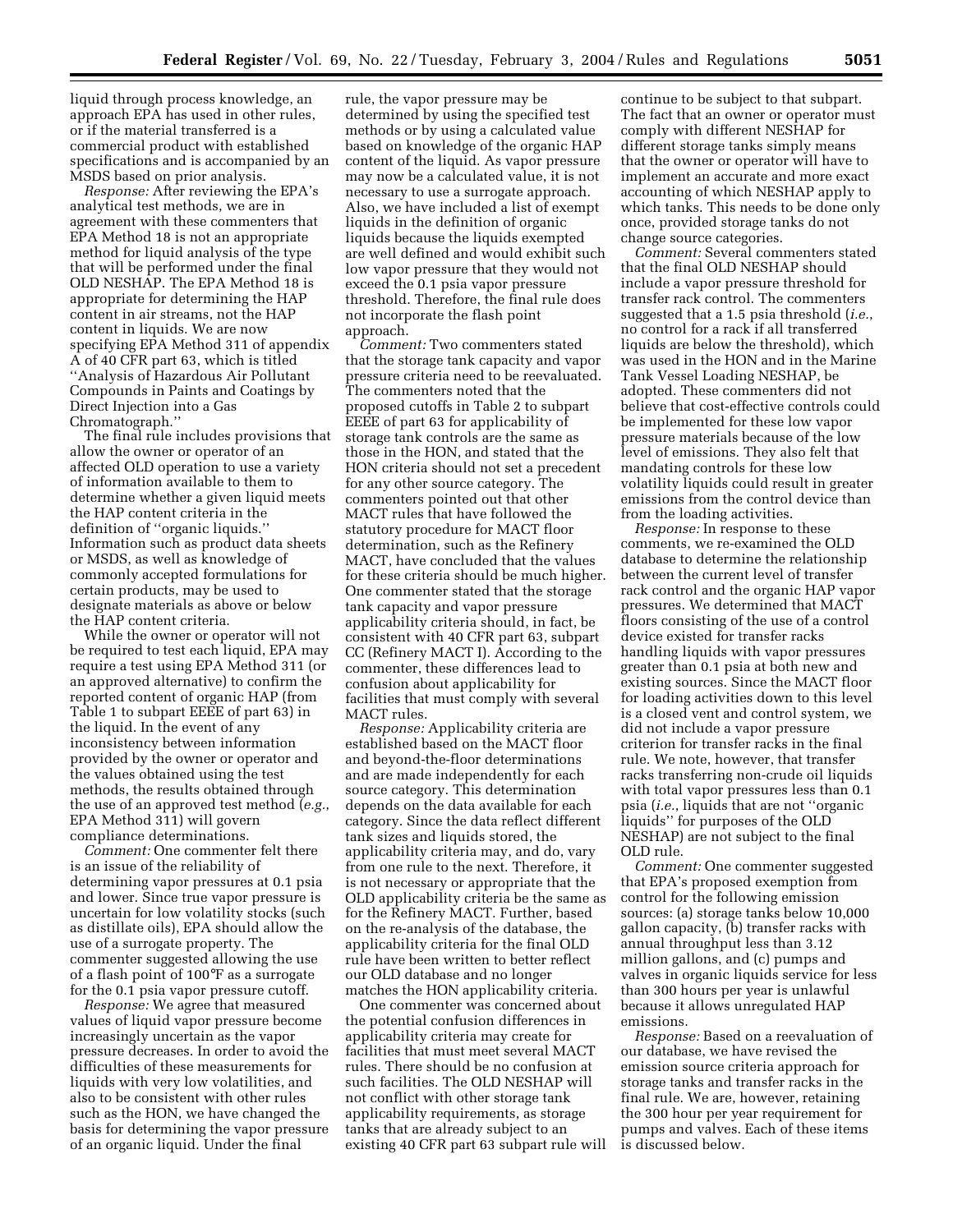liquid through process knowledge, an approach EPA has used in other rules, or if the material transferred is a commercial product with established specifications and is accompanied by an MSDS based on prior analysis.

*Response:* After reviewing the EPA's analytical test methods, we are in agreement with these commenters that EPA Method 18 is not an appropriate method for liquid analysis of the type that will be performed under the final OLD NESHAP. The EPA Method 18 is appropriate for determining the HAP content in air streams, not the HAP content in liquids. We are now specifying EPA Method 311 of appendix A of 40 CFR part 63, which is titled ''Analysis of Hazardous Air Pollutant Compounds in Paints and Coatings by Direct Injection into a Gas Chromatograph.''

The final rule includes provisions that allow the owner or operator of an affected OLD operation to use a variety of information available to them to determine whether a given liquid meets the HAP content criteria in the definition of ''organic liquids.'' Information such as product data sheets or MSDS, as well as knowledge of commonly accepted formulations for certain products, may be used to designate materials as above or below the HAP content criteria.

While the owner or operator will not be required to test each liquid, EPA may require a test using EPA Method 311 (or an approved alternative) to confirm the reported content of organic HAP (from Table 1 to subpart EEEE of part 63) in the liquid. In the event of any inconsistency between information provided by the owner or operator and the values obtained using the test methods, the results obtained through the use of an approved test method (*e.g.*, EPA Method 311) will govern compliance determinations.

*Comment:* One commenter felt there is an issue of the reliability of determining vapor pressures at 0.1 psia and lower. Since true vapor pressure is uncertain for low volatility stocks (such as distillate oils), EPA should allow the use of a surrogate property. The commenter suggested allowing the use of a flash point of 100°F as a surrogate for the 0.1 psia vapor pressure cutoff.

*Response:* We agree that measured values of liquid vapor pressure become increasingly uncertain as the vapor pressure decreases. In order to avoid the difficulties of these measurements for liquids with very low volatilities, and also to be consistent with other rules such as the HON, we have changed the basis for determining the vapor pressure of an organic liquid. Under the final

rule, the vapor pressure may be determined by using the specified test methods or by using a calculated value based on knowledge of the organic HAP content of the liquid. As vapor pressure may now be a calculated value, it is not necessary to use a surrogate approach. Also, we have included a list of exempt liquids in the definition of organic liquids because the liquids exempted are well defined and would exhibit such low vapor pressure that they would not exceed the 0.1 psia vapor pressure threshold. Therefore, the final rule does not incorporate the flash point approach.

*Comment:* Two commenters stated that the storage tank capacity and vapor pressure criteria need to be reevaluated. The commenters noted that the proposed cutoffs in Table 2 to subpart EEEE of part 63 for applicability of storage tank controls are the same as those in the HON, and stated that the HON criteria should not set a precedent for any other source category. The commenters pointed out that other MACT rules that have followed the statutory procedure for MACT floor determination, such as the Refinery MACT, have concluded that the values for these criteria should be much higher. One commenter stated that the storage tank capacity and vapor pressure applicability criteria should, in fact, be consistent with 40 CFR part 63, subpart CC (Refinery MACT I). According to the commenter, these differences lead to confusion about applicability for facilities that must comply with several MACT rules.

*Response:* Applicability criteria are established based on the MACT floor and beyond-the-floor determinations and are made independently for each source category. This determination depends on the data available for each category. Since the data reflect different tank sizes and liquids stored, the applicability criteria may, and do, vary from one rule to the next. Therefore, it is not necessary or appropriate that the OLD applicability criteria be the same as for the Refinery MACT. Further, based on the re-analysis of the database, the applicability criteria for the final OLD rule have been written to better reflect our OLD database and no longer matches the HON applicability criteria.

One commenter was concerned about the potential confusion differences in applicability criteria may create for facilities that must meet several MACT rules. There should be no confusion at such facilities. The OLD NESHAP will not conflict with other storage tank applicability requirements, as storage tanks that are already subject to an existing 40 CFR part 63 subpart rule will continue to be subject to that subpart. The fact that an owner or operator must comply with different NESHAP for different storage tanks simply means that the owner or operator will have to implement an accurate and more exact accounting of which NESHAP apply to which tanks. This needs to be done only once, provided storage tanks do not change source categories.

*Comment:* Several commenters stated that the final OLD NESHAP should include a vapor pressure threshold for transfer rack control. The commenters suggested that a 1.5 psia threshold (*i.e.*, no control for a rack if all transferred liquids are below the threshold), which was used in the HON and in the Marine Tank Vessel Loading NESHAP, be adopted. These commenters did not believe that cost-effective controls could be implemented for these low vapor pressure materials because of the low level of emissions. They also felt that mandating controls for these low volatility liquids could result in greater emissions from the control device than from the loading activities.

*Response:* In response to these comments, we re-examined the OLD database to determine the relationship between the current level of transfer rack control and the organic HAP vapor pressures. We determined that MACT floors consisting of the use of a control device existed for transfer racks handling liquids with vapor pressures greater than 0.1 psia at both new and existing sources. Since the MACT floor for loading activities down to this level is a closed vent and control system, we did not include a vapor pressure criterion for transfer racks in the final rule. We note, however, that transfer racks transferring non-crude oil liquids with total vapor pressures less than 0.1 psia (*i.e.*, liquids that are not ''organic liquids'' for purposes of the OLD NESHAP) are not subject to the final OLD rule.

*Comment:* One commenter suggested that EPA's proposed exemption from control for the following emission sources: (a) storage tanks below 10,000 gallon capacity, (b) transfer racks with annual throughput less than 3.12 million gallons, and (c) pumps and valves in organic liquids service for less than 300 hours per year is unlawful because it allows unregulated HAP emissions.

*Response:* Based on a reevaluation of our database, we have revised the emission source criteria approach for storage tanks and transfer racks in the final rule. We are, however, retaining the 300 hour per year requirement for pumps and valves. Each of these items is discussed below.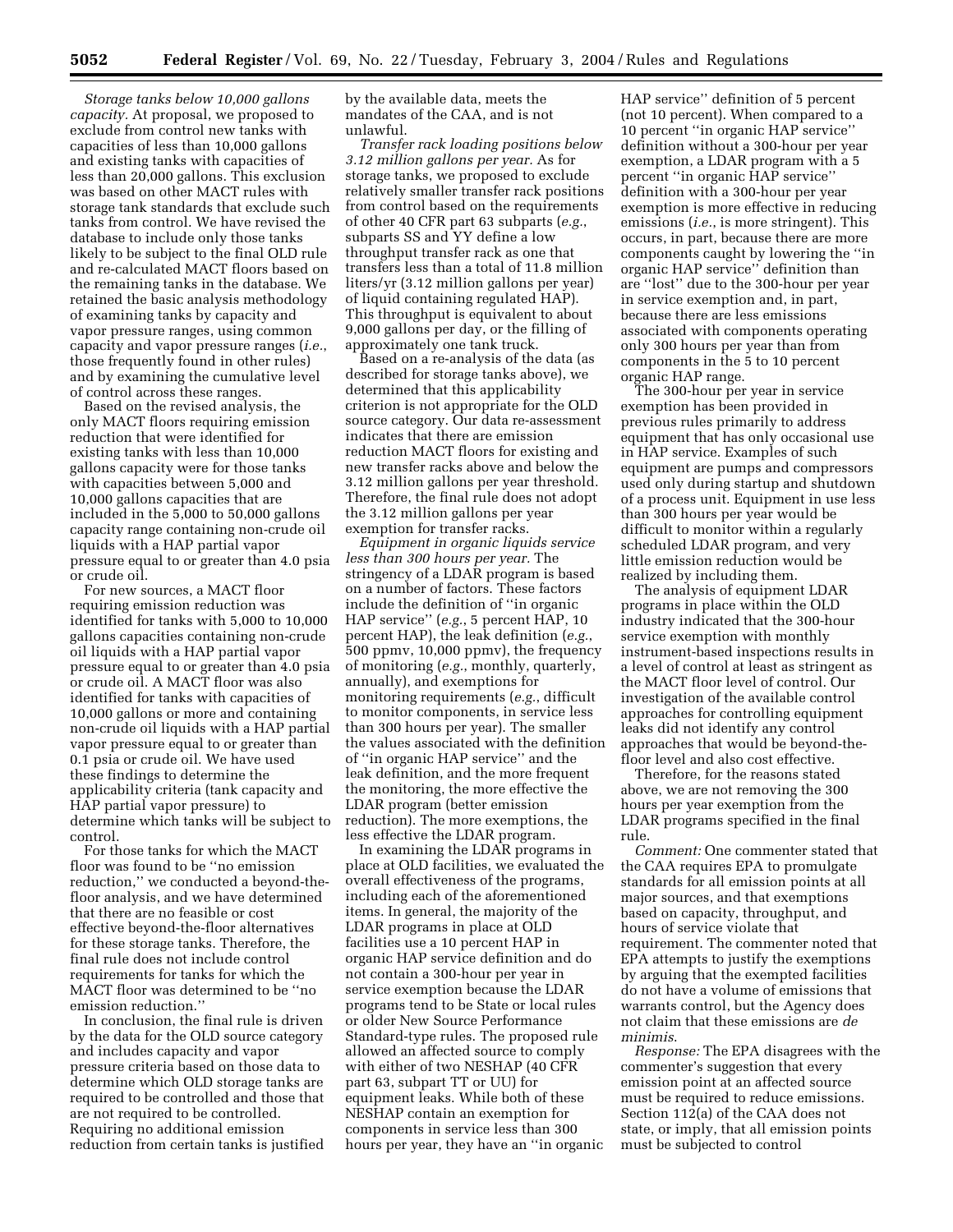*Storage tanks below 10,000 gallons capacity.* At proposal, we proposed to exclude from control new tanks with capacities of less than 10,000 gallons and existing tanks with capacities of less than 20,000 gallons. This exclusion was based on other MACT rules with storage tank standards that exclude such tanks from control. We have revised the database to include only those tanks likely to be subject to the final OLD rule and re-calculated MACT floors based on the remaining tanks in the database. We retained the basic analysis methodology of examining tanks by capacity and vapor pressure ranges, using common capacity and vapor pressure ranges (*i.e.*, those frequently found in other rules) and by examining the cumulative level of control across these ranges.

Based on the revised analysis, the only MACT floors requiring emission reduction that were identified for existing tanks with less than 10,000 gallons capacity were for those tanks with capacities between 5,000 and 10,000 gallons capacities that are included in the 5,000 to 50,000 gallons capacity range containing non-crude oil liquids with a HAP partial vapor pressure equal to or greater than 4.0 psia or crude oil.

For new sources, a MACT floor requiring emission reduction was identified for tanks with 5,000 to 10,000 gallons capacities containing non-crude oil liquids with a HAP partial vapor pressure equal to or greater than 4.0 psia or crude oil. A MACT floor was also identified for tanks with capacities of 10,000 gallons or more and containing non-crude oil liquids with a HAP partial vapor pressure equal to or greater than 0.1 psia or crude oil. We have used these findings to determine the applicability criteria (tank capacity and HAP partial vapor pressure) to determine which tanks will be subject to control.

For those tanks for which the MACT floor was found to be ''no emission reduction,'' we conducted a beyond-thefloor analysis, and we have determined that there are no feasible or cost effective beyond-the-floor alternatives for these storage tanks. Therefore, the final rule does not include control requirements for tanks for which the MACT floor was determined to be ''no emission reduction.''

In conclusion, the final rule is driven by the data for the OLD source category and includes capacity and vapor pressure criteria based on those data to determine which OLD storage tanks are required to be controlled and those that are not required to be controlled. Requiring no additional emission reduction from certain tanks is justified

by the available data, meets the mandates of the CAA, and is not unlawful.

*Transfer rack loading positions below 3.12 million gallons per year.* As for storage tanks, we proposed to exclude relatively smaller transfer rack positions from control based on the requirements of other 40 CFR part 63 subparts (*e.g.*, subparts SS and YY define a low throughput transfer rack as one that transfers less than a total of 11.8 million liters/yr (3.12 million gallons per year) of liquid containing regulated HAP). This throughput is equivalent to about 9,000 gallons per day, or the filling of approximately one tank truck.

Based on a re-analysis of the data (as described for storage tanks above), we determined that this applicability criterion is not appropriate for the OLD source category. Our data re-assessment indicates that there are emission reduction MACT floors for existing and new transfer racks above and below the 3.12 million gallons per year threshold. Therefore, the final rule does not adopt the 3.12 million gallons per year exemption for transfer racks.

*Equipment in organic liquids service less than 300 hours per year.* The stringency of a LDAR program is based on a number of factors. These factors include the definition of ''in organic HAP service'' (*e.g.*, 5 percent HAP, 10 percent HAP), the leak definition (*e.g.*, 500 ppmv, 10,000 ppmv), the frequency of monitoring (*e.g.*, monthly, quarterly, annually), and exemptions for monitoring requirements (*e.g.*, difficult to monitor components, in service less than 300 hours per year). The smaller the values associated with the definition of ''in organic HAP service'' and the leak definition, and the more frequent the monitoring, the more effective the LDAR program (better emission reduction). The more exemptions, the less effective the LDAR program.

In examining the LDAR programs in place at OLD facilities, we evaluated the overall effectiveness of the programs, including each of the aforementioned items. In general, the majority of the LDAR programs in place at OLD facilities use a 10 percent HAP in organic HAP service definition and do not contain a 300-hour per year in service exemption because the LDAR programs tend to be State or local rules or older New Source Performance Standard-type rules. The proposed rule allowed an affected source to comply with either of two NESHAP (40 CFR part 63, subpart TT or UU) for equipment leaks. While both of these NESHAP contain an exemption for components in service less than 300 hours per year, they have an ''in organic HAP service'' definition of 5 percent (not 10 percent). When compared to a 10 percent ''in organic HAP service'' definition without a 300-hour per year exemption, a LDAR program with a 5 percent ''in organic HAP service'' definition with a 300-hour per year exemption is more effective in reducing emissions (*i.e.*, is more stringent). This occurs, in part, because there are more components caught by lowering the ''in organic HAP service'' definition than are ''lost'' due to the 300-hour per year in service exemption and, in part, because there are less emissions associated with components operating only 300 hours per year than from components in the 5 to 10 percent organic HAP range.

The 300-hour per year in service exemption has been provided in previous rules primarily to address equipment that has only occasional use in HAP service. Examples of such equipment are pumps and compressors used only during startup and shutdown of a process unit. Equipment in use less than 300 hours per year would be difficult to monitor within a regularly scheduled LDAR program, and very little emission reduction would be realized by including them.

The analysis of equipment LDAR programs in place within the OLD industry indicated that the 300-hour service exemption with monthly instrument-based inspections results in a level of control at least as stringent as the MACT floor level of control. Our investigation of the available control approaches for controlling equipment leaks did not identify any control approaches that would be beyond-thefloor level and also cost effective.

Therefore, for the reasons stated above, we are not removing the 300 hours per year exemption from the LDAR programs specified in the final rule.

*Comment:* One commenter stated that the CAA requires EPA to promulgate standards for all emission points at all major sources, and that exemptions based on capacity, throughput, and hours of service violate that requirement. The commenter noted that EPA attempts to justify the exemptions by arguing that the exempted facilities do not have a volume of emissions that warrants control, but the Agency does not claim that these emissions are *de minimis*.

*Response:* The EPA disagrees with the commenter's suggestion that every emission point at an affected source must be required to reduce emissions. Section 112(a) of the CAA does not state, or imply, that all emission points must be subjected to control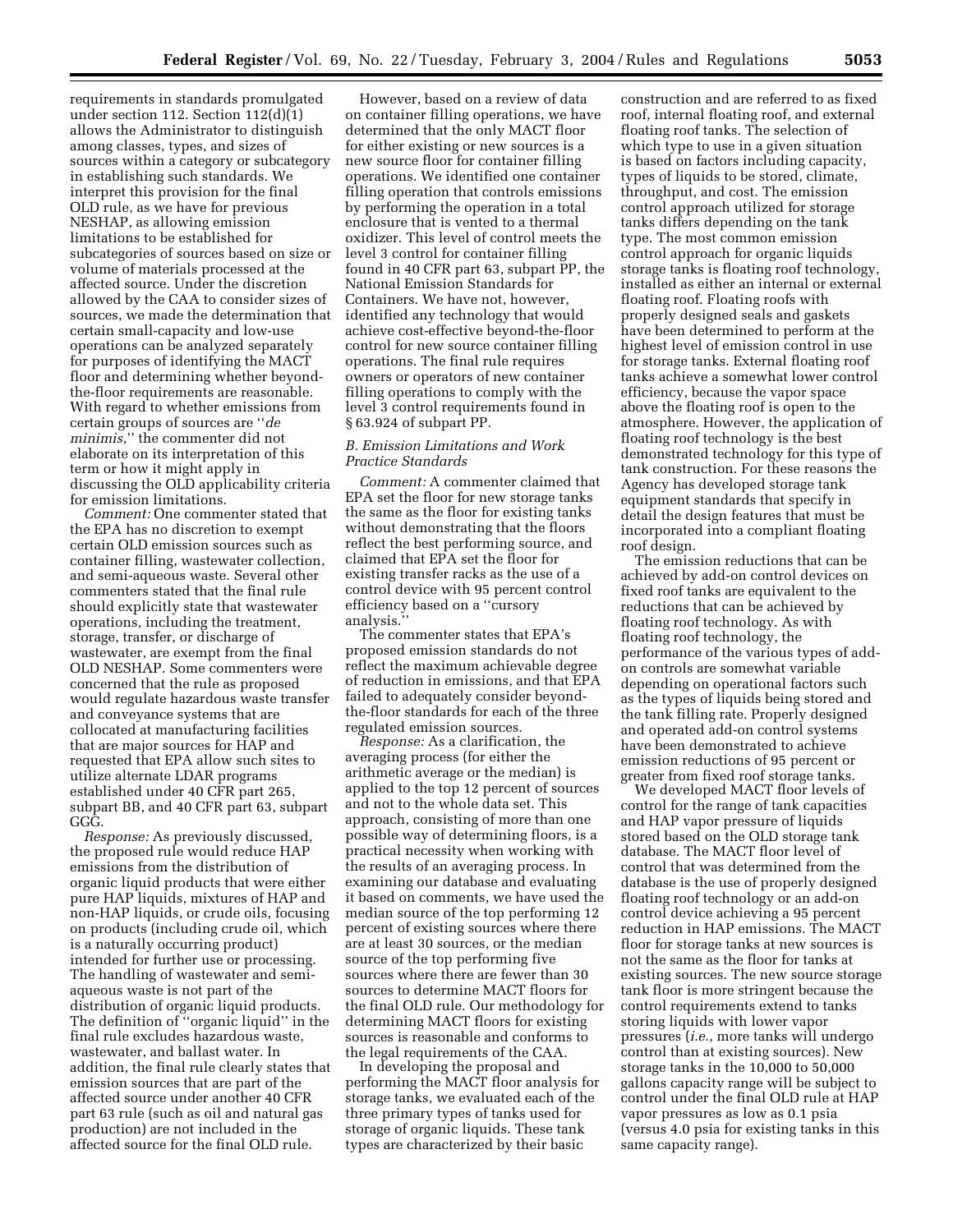requirements in standards promulgated under section 112. Section 112(d)(1) allows the Administrator to distinguish among classes, types, and sizes of sources within a category or subcategory in establishing such standards. We interpret this provision for the final OLD rule, as we have for previous NESHAP, as allowing emission limitations to be established for subcategories of sources based on size or volume of materials processed at the affected source. Under the discretion allowed by the CAA to consider sizes of sources, we made the determination that certain small-capacity and low-use operations can be analyzed separately for purposes of identifying the MACT floor and determining whether beyondthe-floor requirements are reasonable. With regard to whether emissions from certain groups of sources are ''*de minimis*,'' the commenter did not elaborate on its interpretation of this term or how it might apply in discussing the OLD applicability criteria for emission limitations.

*Comment:* One commenter stated that the EPA has no discretion to exempt certain OLD emission sources such as container filling, wastewater collection, and semi-aqueous waste. Several other commenters stated that the final rule should explicitly state that wastewater operations, including the treatment, storage, transfer, or discharge of wastewater, are exempt from the final OLD NESHAP. Some commenters were concerned that the rule as proposed would regulate hazardous waste transfer and conveyance systems that are collocated at manufacturing facilities that are major sources for HAP and requested that EPA allow such sites to utilize alternate LDAR programs established under 40 CFR part 265, subpart BB, and 40 CFR part 63, subpart GGG.

*Response:* As previously discussed, the proposed rule would reduce HAP emissions from the distribution of organic liquid products that were either pure HAP liquids, mixtures of HAP and non-HAP liquids, or crude oils, focusing on products (including crude oil, which is a naturally occurring product) intended for further use or processing. The handling of wastewater and semiaqueous waste is not part of the distribution of organic liquid products. The definition of ''organic liquid'' in the final rule excludes hazardous waste, wastewater, and ballast water. In addition, the final rule clearly states that emission sources that are part of the affected source under another 40 CFR part 63 rule (such as oil and natural gas production) are not included in the affected source for the final OLD rule.

However, based on a review of data on container filling operations, we have determined that the only MACT floor for either existing or new sources is a new source floor for container filling operations. We identified one container filling operation that controls emissions by performing the operation in a total enclosure that is vented to a thermal oxidizer. This level of control meets the level 3 control for container filling found in 40 CFR part 63, subpart PP, the National Emission Standards for Containers. We have not, however, identified any technology that would achieve cost-effective beyond-the-floor control for new source container filling operations. The final rule requires owners or operators of new container filling operations to comply with the level 3 control requirements found in § 63.924 of subpart PP.

## *B. Emission Limitations and Work Practice Standards*

*Comment:* A commenter claimed that EPA set the floor for new storage tanks the same as the floor for existing tanks without demonstrating that the floors reflect the best performing source, and claimed that EPA set the floor for existing transfer racks as the use of a control device with 95 percent control efficiency based on a ''cursory analysis.''

The commenter states that EPA's proposed emission standards do not reflect the maximum achievable degree of reduction in emissions, and that EPA failed to adequately consider beyondthe-floor standards for each of the three regulated emission sources.

*Response:* As a clarification, the averaging process (for either the arithmetic average or the median) is applied to the top 12 percent of sources and not to the whole data set. This approach, consisting of more than one possible way of determining floors, is a practical necessity when working with the results of an averaging process. In examining our database and evaluating it based on comments, we have used the median source of the top performing 12 percent of existing sources where there are at least 30 sources, or the median source of the top performing five sources where there are fewer than 30 sources to determine MACT floors for the final OLD rule. Our methodology for determining MACT floors for existing sources is reasonable and conforms to the legal requirements of the CAA.

In developing the proposal and performing the MACT floor analysis for storage tanks, we evaluated each of the three primary types of tanks used for storage of organic liquids. These tank types are characterized by their basic

construction and are referred to as fixed roof, internal floating roof, and external floating roof tanks. The selection of which type to use in a given situation is based on factors including capacity, types of liquids to be stored, climate, throughput, and cost. The emission control approach utilized for storage tanks differs depending on the tank type. The most common emission control approach for organic liquids storage tanks is floating roof technology, installed as either an internal or external floating roof. Floating roofs with properly designed seals and gaskets have been determined to perform at the highest level of emission control in use for storage tanks. External floating roof tanks achieve a somewhat lower control efficiency, because the vapor space above the floating roof is open to the atmosphere. However, the application of floating roof technology is the best demonstrated technology for this type of tank construction. For these reasons the Agency has developed storage tank equipment standards that specify in detail the design features that must be incorporated into a compliant floating roof design.

The emission reductions that can be achieved by add-on control devices on fixed roof tanks are equivalent to the reductions that can be achieved by floating roof technology. As with floating roof technology, the performance of the various types of addon controls are somewhat variable depending on operational factors such as the types of liquids being stored and the tank filling rate. Properly designed and operated add-on control systems have been demonstrated to achieve emission reductions of 95 percent or greater from fixed roof storage tanks.

We developed MACT floor levels of control for the range of tank capacities and HAP vapor pressure of liquids stored based on the OLD storage tank database. The MACT floor level of control that was determined from the database is the use of properly designed floating roof technology or an add-on control device achieving a 95 percent reduction in HAP emissions. The MACT floor for storage tanks at new sources is not the same as the floor for tanks at existing sources. The new source storage tank floor is more stringent because the control requirements extend to tanks storing liquids with lower vapor pressures (*i.e.*, more tanks will undergo control than at existing sources). New storage tanks in the 10,000 to 50,000 gallons capacity range will be subject to control under the final OLD rule at HAP vapor pressures as low as 0.1 psia (versus 4.0 psia for existing tanks in this same capacity range).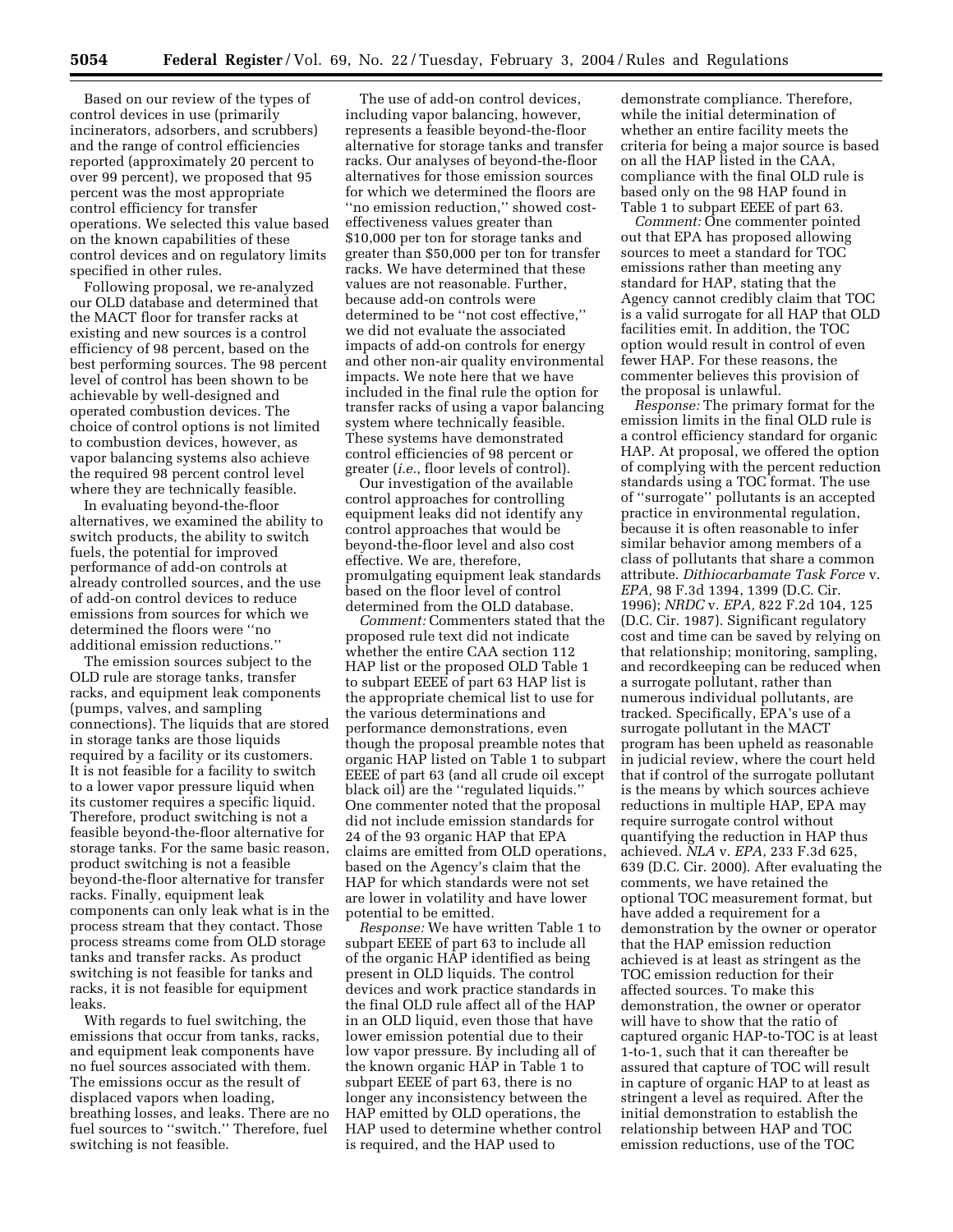Based on our review of the types of control devices in use (primarily incinerators, adsorbers, and scrubbers) and the range of control efficiencies reported (approximately 20 percent to over 99 percent), we proposed that 95 percent was the most appropriate control efficiency for transfer operations. We selected this value based on the known capabilities of these control devices and on regulatory limits specified in other rules.

Following proposal, we re-analyzed our OLD database and determined that the MACT floor for transfer racks at existing and new sources is a control efficiency of 98 percent, based on the best performing sources. The 98 percent level of control has been shown to be achievable by well-designed and operated combustion devices. The choice of control options is not limited to combustion devices, however, as vapor balancing systems also achieve the required 98 percent control level where they are technically feasible.

In evaluating beyond-the-floor alternatives, we examined the ability to switch products, the ability to switch fuels, the potential for improved performance of add-on controls at already controlled sources, and the use of add-on control devices to reduce emissions from sources for which we determined the floors were ''no additional emission reductions.''

The emission sources subject to the OLD rule are storage tanks, transfer racks, and equipment leak components (pumps, valves, and sampling connections). The liquids that are stored in storage tanks are those liquids required by a facility or its customers. It is not feasible for a facility to switch to a lower vapor pressure liquid when its customer requires a specific liquid. Therefore, product switching is not a feasible beyond-the-floor alternative for storage tanks. For the same basic reason, product switching is not a feasible beyond-the-floor alternative for transfer racks. Finally, equipment leak components can only leak what is in the process stream that they contact. Those process streams come from OLD storage tanks and transfer racks. As product switching is not feasible for tanks and racks, it is not feasible for equipment leaks.

With regards to fuel switching, the emissions that occur from tanks, racks, and equipment leak components have no fuel sources associated with them. The emissions occur as the result of displaced vapors when loading, breathing losses, and leaks. There are no fuel sources to ''switch.'' Therefore, fuel switching is not feasible.

The use of add-on control devices, including vapor balancing, however, represents a feasible beyond-the-floor alternative for storage tanks and transfer racks. Our analyses of beyond-the-floor alternatives for those emission sources for which we determined the floors are ''no emission reduction,'' showed costeffectiveness values greater than \$10,000 per ton for storage tanks and greater than \$50,000 per ton for transfer racks. We have determined that these values are not reasonable. Further, because add-on controls were determined to be ''not cost effective,'' we did not evaluate the associated impacts of add-on controls for energy and other non-air quality environmental impacts. We note here that we have included in the final rule the option for transfer racks of using a vapor balancing system where technically feasible. These systems have demonstrated control efficiencies of 98 percent or greater (*i.e.*, floor levels of control).

Our investigation of the available control approaches for controlling equipment leaks did not identify any control approaches that would be beyond-the-floor level and also cost effective. We are, therefore, promulgating equipment leak standards based on the floor level of control determined from the OLD database.

*Comment:* Commenters stated that the proposed rule text did not indicate whether the entire CAA section 112 HAP list or the proposed OLD Table 1 to subpart EEEE of part 63 HAP list is the appropriate chemical list to use for the various determinations and performance demonstrations, even though the proposal preamble notes that organic HAP listed on Table 1 to subpart EEEE of part 63 (and all crude oil except black oil) are the ''regulated liquids.'' One commenter noted that the proposal did not include emission standards for 24 of the 93 organic HAP that EPA claims are emitted from OLD operations, based on the Agency's claim that the HAP for which standards were not set are lower in volatility and have lower potential to be emitted.

*Response:* We have written Table 1 to subpart EEEE of part 63 to include all of the organic HAP identified as being present in OLD liquids. The control devices and work practice standards in the final OLD rule affect all of the HAP in an OLD liquid, even those that have lower emission potential due to their low vapor pressure. By including all of the known organic HAP in Table 1 to subpart EEEE of part 63, there is no longer any inconsistency between the HAP emitted by OLD operations, the HAP used to determine whether control is required, and the HAP used to

demonstrate compliance. Therefore, while the initial determination of whether an entire facility meets the criteria for being a major source is based on all the HAP listed in the CAA, compliance with the final OLD rule is based only on the 98 HAP found in Table 1 to subpart EEEE of part 63.

*Comment:* One commenter pointed out that EPA has proposed allowing sources to meet a standard for TOC emissions rather than meeting any standard for HAP, stating that the Agency cannot credibly claim that TOC is a valid surrogate for all HAP that OLD facilities emit. In addition, the TOC option would result in control of even fewer HAP. For these reasons, the commenter believes this provision of the proposal is unlawful.

*Response:* The primary format for the emission limits in the final OLD rule is a control efficiency standard for organic HAP. At proposal, we offered the option of complying with the percent reduction standards using a TOC format. The use of ''surrogate'' pollutants is an accepted practice in environmental regulation, because it is often reasonable to infer similar behavior among members of a class of pollutants that share a common attribute. *Dithiocarbamate Task Force* v. *EPA,* 98 F.3d 1394, 1399 (D.C. Cir. 1996); *NRDC* v. *EPA,* 822 F.2d 104, 125 (D.C. Cir. 1987). Significant regulatory cost and time can be saved by relying on that relationship; monitoring, sampling, and recordkeeping can be reduced when a surrogate pollutant, rather than numerous individual pollutants, are tracked. Specifically, EPA's use of a surrogate pollutant in the MACT program has been upheld as reasonable in judicial review, where the court held that if control of the surrogate pollutant is the means by which sources achieve reductions in multiple HAP, EPA may require surrogate control without quantifying the reduction in HAP thus achieved. *NLA* v. *EPA*, 233 F.3d 625, 639 (D.C. Cir. 2000). After evaluating the comments, we have retained the optional TOC measurement format, but have added a requirement for a demonstration by the owner or operator that the HAP emission reduction achieved is at least as stringent as the TOC emission reduction for their affected sources. To make this demonstration, the owner or operator will have to show that the ratio of captured organic HAP-to-TOC is at least 1-to-1, such that it can thereafter be assured that capture of TOC will result in capture of organic HAP to at least as stringent a level as required. After the initial demonstration to establish the relationship between HAP and TOC emission reductions, use of the TOC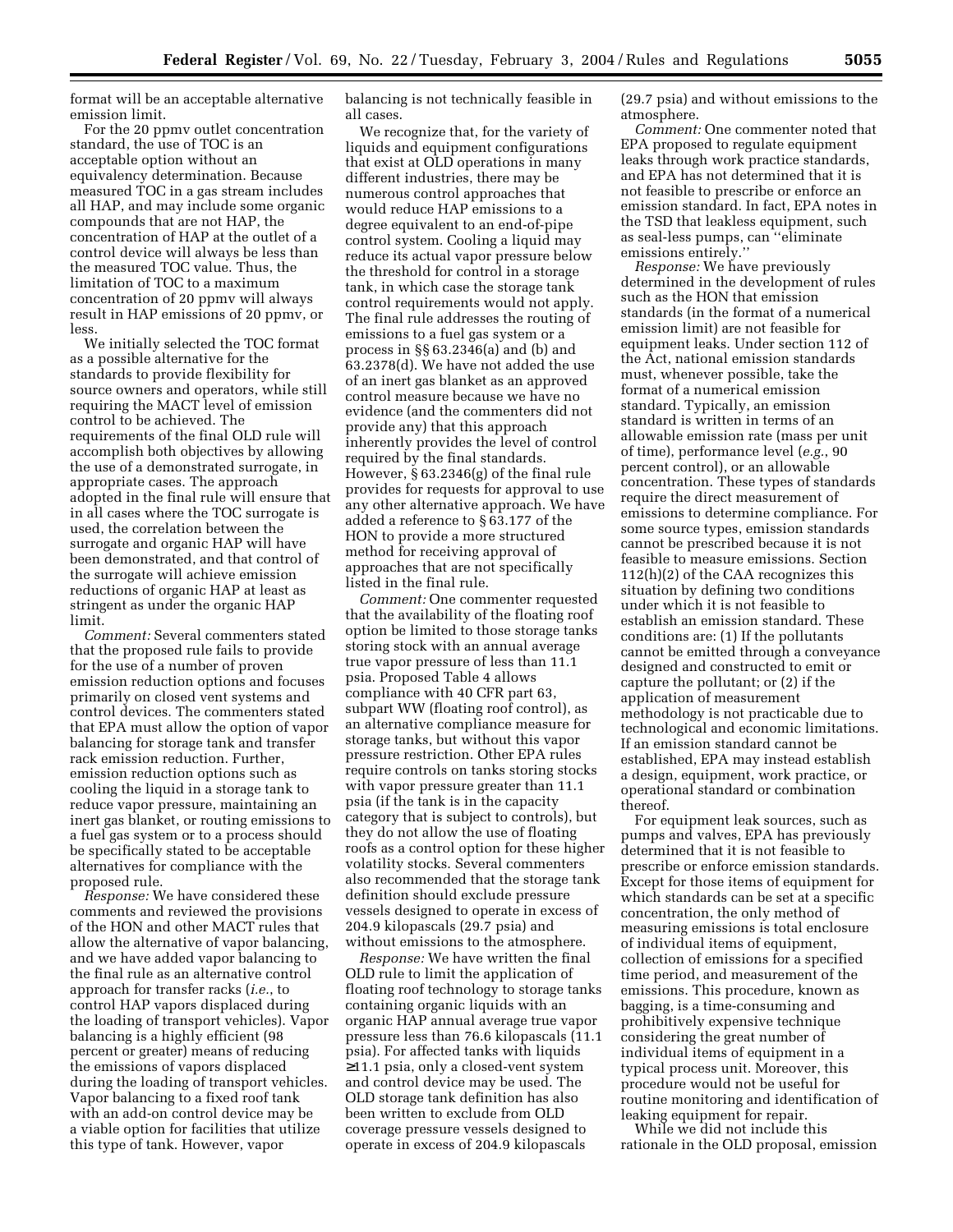format will be an acceptable alternative emission limit.

For the 20 ppmv outlet concentration standard, the use of TOC is an acceptable option without an equivalency determination. Because measured TOC in a gas stream includes all HAP, and may include some organic compounds that are not HAP, the concentration of HAP at the outlet of a control device will always be less than the measured TOC value. Thus, the limitation of TOC to a maximum concentration of 20 ppmv will always result in HAP emissions of 20 ppmv, or less.

We initially selected the TOC format as a possible alternative for the standards to provide flexibility for source owners and operators, while still requiring the MACT level of emission control to be achieved. The requirements of the final OLD rule will accomplish both objectives by allowing the use of a demonstrated surrogate, in appropriate cases. The approach adopted in the final rule will ensure that in all cases where the TOC surrogate is used, the correlation between the surrogate and organic HAP will have been demonstrated, and that control of the surrogate will achieve emission reductions of organic HAP at least as stringent as under the organic HAP limit.

*Comment:* Several commenters stated that the proposed rule fails to provide for the use of a number of proven emission reduction options and focuses primarily on closed vent systems and control devices. The commenters stated that EPA must allow the option of vapor balancing for storage tank and transfer rack emission reduction. Further, emission reduction options such as cooling the liquid in a storage tank to reduce vapor pressure, maintaining an inert gas blanket, or routing emissions to a fuel gas system or to a process should be specifically stated to be acceptable alternatives for compliance with the proposed rule.

*Response:* We have considered these comments and reviewed the provisions of the HON and other MACT rules that allow the alternative of vapor balancing, and we have added vapor balancing to the final rule as an alternative control approach for transfer racks (*i.e.*, to control HAP vapors displaced during the loading of transport vehicles). Vapor balancing is a highly efficient (98 percent or greater) means of reducing the emissions of vapors displaced during the loading of transport vehicles. Vapor balancing to a fixed roof tank with an add-on control device may be a viable option for facilities that utilize this type of tank. However, vapor

balancing is not technically feasible in all cases.

We recognize that, for the variety of liquids and equipment configurations that exist at OLD operations in many different industries, there may be numerous control approaches that would reduce HAP emissions to a degree equivalent to an end-of-pipe control system. Cooling a liquid may reduce its actual vapor pressure below the threshold for control in a storage tank, in which case the storage tank control requirements would not apply. The final rule addresses the routing of emissions to a fuel gas system or a process in §§ 63.2346(a) and (b) and 63.2378(d). We have not added the use of an inert gas blanket as an approved control measure because we have no evidence (and the commenters did not provide any) that this approach inherently provides the level of control required by the final standards. However, § 63.2346(g) of the final rule provides for requests for approval to use any other alternative approach. We have added a reference to § 63.177 of the HON to provide a more structured method for receiving approval of approaches that are not specifically listed in the final rule.

*Comment:* One commenter requested that the availability of the floating roof option be limited to those storage tanks storing stock with an annual average true vapor pressure of less than 11.1 psia. Proposed Table 4 allows compliance with 40 CFR part 63, subpart WW (floating roof control), as an alternative compliance measure for storage tanks, but without this vapor pressure restriction. Other EPA rules require controls on tanks storing stocks with vapor pressure greater than 11.1 psia (if the tank is in the capacity category that is subject to controls), but they do not allow the use of floating roofs as a control option for these higher volatility stocks. Several commenters also recommended that the storage tank definition should exclude pressure vessels designed to operate in excess of 204.9 kilopascals (29.7 psia) and without emissions to the atmosphere.

*Response:* We have written the final OLD rule to limit the application of floating roof technology to storage tanks containing organic liquids with an organic HAP annual average true vapor pressure less than 76.6 kilopascals (11.1 psia). For affected tanks with liquids ≥11.1 psia, only a closed-vent system and control device may be used. The OLD storage tank definition has also been written to exclude from OLD coverage pressure vessels designed to operate in excess of 204.9 kilopascals

(29.7 psia) and without emissions to the atmosphere.

*Comment:* One commenter noted that EPA proposed to regulate equipment leaks through work practice standards, and EPA has not determined that it is not feasible to prescribe or enforce an emission standard. In fact, EPA notes in the TSD that leakless equipment, such as seal-less pumps, can ''eliminate emissions entirely.''

*Response:* We have previously determined in the development of rules such as the HON that emission standards (in the format of a numerical emission limit) are not feasible for equipment leaks. Under section 112 of the Act, national emission standards must, whenever possible, take the format of a numerical emission standard. Typically, an emission standard is written in terms of an allowable emission rate (mass per unit of time), performance level (*e.g.*, 90 percent control), or an allowable concentration. These types of standards require the direct measurement of emissions to determine compliance. For some source types, emission standards cannot be prescribed because it is not feasible to measure emissions. Section 112(h)(2) of the CAA recognizes this situation by defining two conditions under which it is not feasible to establish an emission standard. These conditions are: (1) If the pollutants cannot be emitted through a conveyance designed and constructed to emit or capture the pollutant; or (2) if the application of measurement methodology is not practicable due to technological and economic limitations. If an emission standard cannot be established, EPA may instead establish a design, equipment, work practice, or operational standard or combination thereof.

For equipment leak sources, such as pumps and valves, EPA has previously determined that it is not feasible to prescribe or enforce emission standards. Except for those items of equipment for which standards can be set at a specific concentration, the only method of measuring emissions is total enclosure of individual items of equipment, collection of emissions for a specified time period, and measurement of the emissions. This procedure, known as bagging, is a time-consuming and prohibitively expensive technique considering the great number of individual items of equipment in a typical process unit. Moreover, this procedure would not be useful for routine monitoring and identification of leaking equipment for repair.

While we did not include this rationale in the OLD proposal, emission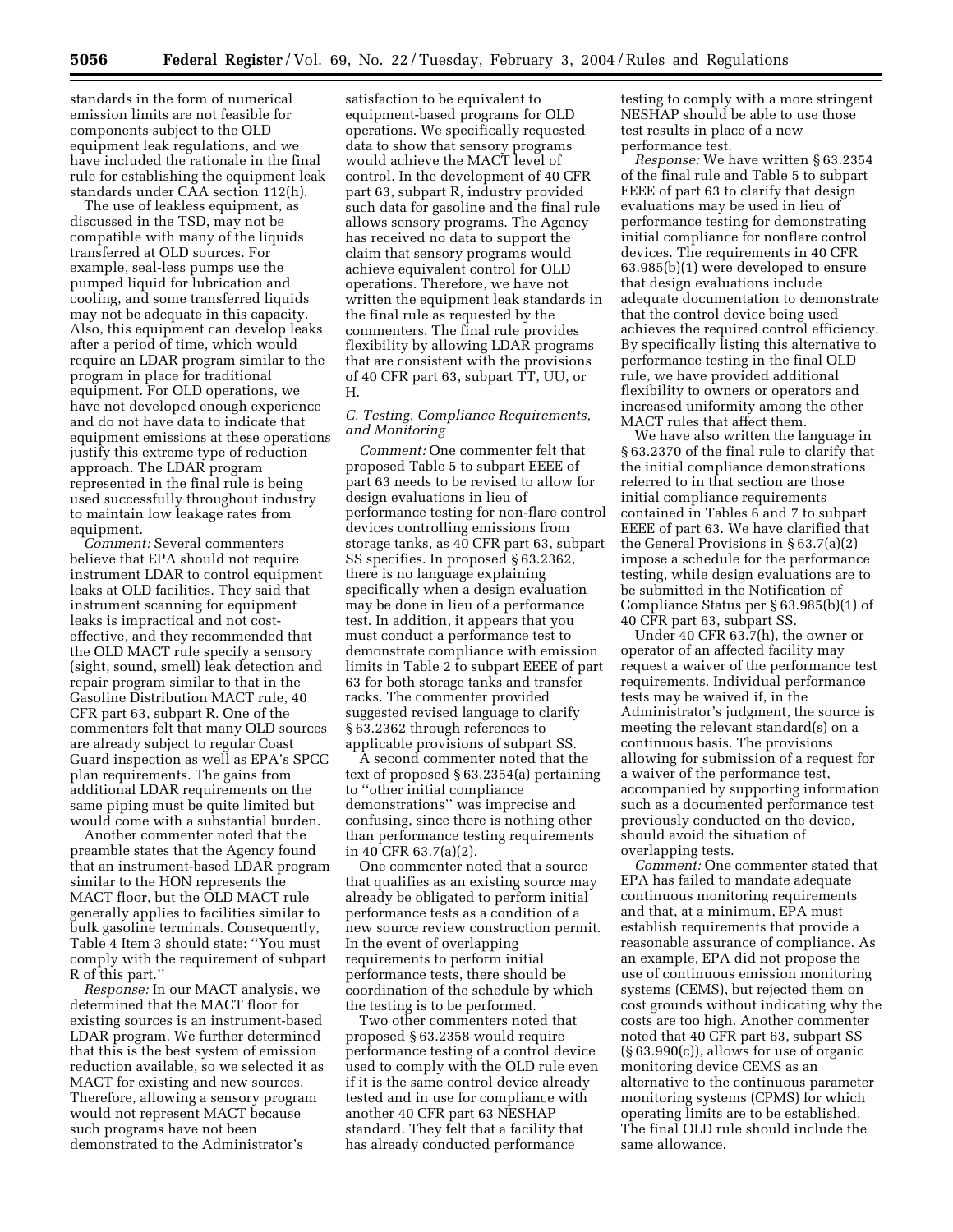standards in the form of numerical emission limits are not feasible for components subject to the OLD equipment leak regulations, and we have included the rationale in the final rule for establishing the equipment leak standards under CAA section 112(h).

The use of leakless equipment, as discussed in the TSD, may not be compatible with many of the liquids transferred at OLD sources. For example, seal-less pumps use the pumped liquid for lubrication and cooling, and some transferred liquids may not be adequate in this capacity. Also, this equipment can develop leaks after a period of time, which would require an LDAR program similar to the program in place for traditional equipment. For OLD operations, we have not developed enough experience and do not have data to indicate that equipment emissions at these operations justify this extreme type of reduction approach. The LDAR program represented in the final rule is being used successfully throughout industry to maintain low leakage rates from equipment.

*Comment:* Several commenters believe that EPA should not require instrument LDAR to control equipment leaks at OLD facilities. They said that instrument scanning for equipment leaks is impractical and not costeffective, and they recommended that the OLD MACT rule specify a sensory (sight, sound, smell) leak detection and repair program similar to that in the Gasoline Distribution MACT rule, 40 CFR part 63, subpart R. One of the commenters felt that many OLD sources are already subject to regular Coast Guard inspection as well as EPA's SPCC plan requirements. The gains from additional LDAR requirements on the same piping must be quite limited but would come with a substantial burden.

Another commenter noted that the preamble states that the Agency found that an instrument-based LDAR program similar to the HON represents the MACT floor, but the OLD MACT rule generally applies to facilities similar to bulk gasoline terminals. Consequently, Table 4 Item 3 should state: ''You must comply with the requirement of subpart R of this part.''

*Response:* In our MACT analysis, we determined that the MACT floor for existing sources is an instrument-based LDAR program. We further determined that this is the best system of emission reduction available, so we selected it as MACT for existing and new sources. Therefore, allowing a sensory program would not represent MACT because such programs have not been demonstrated to the Administrator's

satisfaction to be equivalent to equipment-based programs for OLD operations. We specifically requested data to show that sensory programs would achieve the MACT level of control. In the development of 40 CFR part 63, subpart R, industry provided such data for gasoline and the final rule allows sensory programs. The Agency has received no data to support the claim that sensory programs would achieve equivalent control for OLD operations. Therefore, we have not written the equipment leak standards in the final rule as requested by the commenters. The final rule provides flexibility by allowing LDAR programs that are consistent with the provisions of 40 CFR part 63, subpart TT, UU, or H.

## *C. Testing, Compliance Requirements, and Monitoring*

*Comment:* One commenter felt that proposed Table 5 to subpart EEEE of part 63 needs to be revised to allow for design evaluations in lieu of performance testing for non-flare control devices controlling emissions from storage tanks, as 40 CFR part 63, subpart SS specifies. In proposed § 63.2362, there is no language explaining specifically when a design evaluation may be done in lieu of a performance test. In addition, it appears that you must conduct a performance test to demonstrate compliance with emission limits in Table 2 to subpart EEEE of part 63 for both storage tanks and transfer racks. The commenter provided suggested revised language to clarify § 63.2362 through references to applicable provisions of subpart SS.

A second commenter noted that the text of proposed § 63.2354(a) pertaining to ''other initial compliance demonstrations'' was imprecise and confusing, since there is nothing other than performance testing requirements in 40 CFR 63.7(a)(2).

One commenter noted that a source that qualifies as an existing source may already be obligated to perform initial performance tests as a condition of a new source review construction permit. In the event of overlapping requirements to perform initial performance tests, there should be coordination of the schedule by which the testing is to be performed.

Two other commenters noted that proposed § 63.2358 would require performance testing of a control device used to comply with the OLD rule even if it is the same control device already tested and in use for compliance with another 40 CFR part 63 NESHAP standard. They felt that a facility that has already conducted performance

testing to comply with a more stringent NESHAP should be able to use those test results in place of a new performance test.

*Response:* We have written § 63.2354 of the final rule and Table 5 to subpart EEEE of part 63 to clarify that design evaluations may be used in lieu of performance testing for demonstrating initial compliance for nonflare control devices. The requirements in 40 CFR 63.985(b)(1) were developed to ensure that design evaluations include adequate documentation to demonstrate that the control device being used achieves the required control efficiency. By specifically listing this alternative to performance testing in the final OLD rule, we have provided additional flexibility to owners or operators and increased uniformity among the other MACT rules that affect them.

We have also written the language in § 63.2370 of the final rule to clarify that the initial compliance demonstrations referred to in that section are those initial compliance requirements contained in Tables 6 and 7 to subpart EEEE of part 63. We have clarified that the General Provisions in § 63.7(a)(2) impose a schedule for the performance testing, while design evaluations are to be submitted in the Notification of Compliance Status per § 63.985(b)(1) of 40 CFR part 63, subpart SS.

Under 40 CFR 63.7(h), the owner or operator of an affected facility may request a waiver of the performance test requirements. Individual performance tests may be waived if, in the Administrator's judgment, the source is meeting the relevant standard(s) on a continuous basis. The provisions allowing for submission of a request for a waiver of the performance test, accompanied by supporting information such as a documented performance test previously conducted on the device, should avoid the situation of overlapping tests.

*Comment:* One commenter stated that EPA has failed to mandate adequate continuous monitoring requirements and that, at a minimum, EPA must establish requirements that provide a reasonable assurance of compliance. As an example, EPA did not propose the use of continuous emission monitoring systems (CEMS), but rejected them on cost grounds without indicating why the costs are too high. Another commenter noted that 40 CFR part 63, subpart SS (§ 63.990(c)), allows for use of organic monitoring device CEMS as an alternative to the continuous parameter monitoring systems (CPMS) for which operating limits are to be established. The final OLD rule should include the same allowance.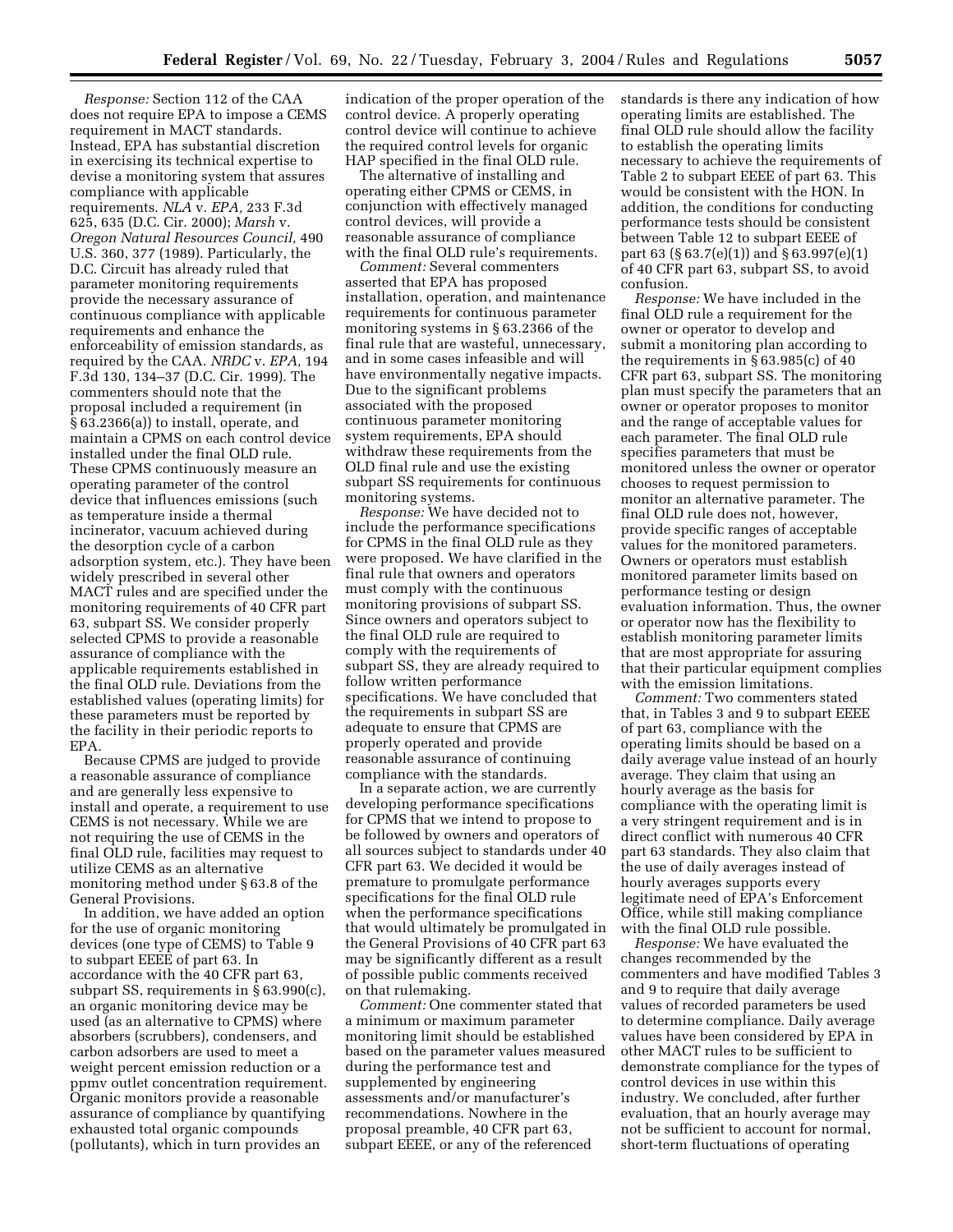*Response:* Section 112 of the CAA does not require EPA to impose a CEMS requirement in MACT standards. Instead, EPA has substantial discretion in exercising its technical expertise to devise a monitoring system that assures compliance with applicable requirements. *NLA* v. *EPA,* 233 F.3d 625, 635 (D.C. Cir. 2000); *Marsh* v. *Oregon Natural Resources Council,* 490 U.S. 360, 377 (1989). Particularly, the D.C. Circuit has already ruled that parameter monitoring requirements provide the necessary assurance of continuous compliance with applicable requirements and enhance the enforceability of emission standards, as required by the CAA. *NRDC* v. *EPA,* 194 F.3d 130, 134–37 (D.C. Cir. 1999). The commenters should note that the proposal included a requirement (in § 63.2366(a)) to install, operate, and maintain a CPMS on each control device installed under the final OLD rule. These CPMS continuously measure an operating parameter of the control device that influences emissions (such as temperature inside a thermal incinerator, vacuum achieved during the desorption cycle of a carbon adsorption system, etc.). They have been widely prescribed in several other MACT rules and are specified under the monitoring requirements of 40 CFR part 63, subpart SS. We consider properly selected CPMS to provide a reasonable assurance of compliance with the applicable requirements established in the final OLD rule. Deviations from the established values (operating limits) for these parameters must be reported by the facility in their periodic reports to EPA.

Because CPMS are judged to provide a reasonable assurance of compliance and are generally less expensive to install and operate, a requirement to use CEMS is not necessary. While we are not requiring the use of CEMS in the final OLD rule, facilities may request to utilize CEMS as an alternative monitoring method under § 63.8 of the General Provisions.

In addition, we have added an option for the use of organic monitoring devices (one type of CEMS) to Table 9 to subpart EEEE of part 63. In accordance with the 40 CFR part 63, subpart SS, requirements in § 63.990(c), an organic monitoring device may be used (as an alternative to CPMS) where absorbers (scrubbers), condensers, and carbon adsorbers are used to meet a weight percent emission reduction or a ppmv outlet concentration requirement. Organic monitors provide a reasonable assurance of compliance by quantifying exhausted total organic compounds (pollutants), which in turn provides an

indication of the proper operation of the control device. A properly operating control device will continue to achieve the required control levels for organic HAP specified in the final OLD rule.

The alternative of installing and operating either CPMS or CEMS, in conjunction with effectively managed control devices, will provide a reasonable assurance of compliance with the final OLD rule's requirements.

*Comment:* Several commenters asserted that EPA has proposed installation, operation, and maintenance requirements for continuous parameter monitoring systems in § 63.2366 of the final rule that are wasteful, unnecessary, and in some cases infeasible and will have environmentally negative impacts. Due to the significant problems associated with the proposed continuous parameter monitoring system requirements, EPA should withdraw these requirements from the OLD final rule and use the existing subpart SS requirements for continuous monitoring systems.

*Response:* We have decided not to include the performance specifications for CPMS in the final OLD rule as they were proposed. We have clarified in the final rule that owners and operators must comply with the continuous monitoring provisions of subpart SS. Since owners and operators subject to the final OLD rule are required to comply with the requirements of subpart SS, they are already required to follow written performance specifications. We have concluded that the requirements in subpart SS are adequate to ensure that CPMS are properly operated and provide reasonable assurance of continuing compliance with the standards.

In a separate action, we are currently developing performance specifications for CPMS that we intend to propose to be followed by owners and operators of all sources subject to standards under 40 CFR part 63. We decided it would be premature to promulgate performance specifications for the final OLD rule when the performance specifications that would ultimately be promulgated in the General Provisions of 40 CFR part 63 may be significantly different as a result of possible public comments received on that rulemaking.

*Comment:* One commenter stated that a minimum or maximum parameter monitoring limit should be established based on the parameter values measured during the performance test and supplemented by engineering assessments and/or manufacturer's recommendations. Nowhere in the proposal preamble, 40 CFR part 63, subpart EEEE, or any of the referenced

standards is there any indication of how operating limits are established. The final OLD rule should allow the facility to establish the operating limits necessary to achieve the requirements of Table 2 to subpart EEEE of part 63. This would be consistent with the HON. In addition, the conditions for conducting performance tests should be consistent between Table 12 to subpart EEEE of part 63 (§ 63.7(e)(1)) and § 63.997(e)(1) of 40 CFR part 63, subpart SS, to avoid confusion.

*Response:* We have included in the final OLD rule a requirement for the owner or operator to develop and submit a monitoring plan according to the requirements in § 63.985(c) of 40 CFR part 63, subpart SS. The monitoring plan must specify the parameters that an owner or operator proposes to monitor and the range of acceptable values for each parameter. The final OLD rule specifies parameters that must be monitored unless the owner or operator chooses to request permission to monitor an alternative parameter. The final OLD rule does not, however, provide specific ranges of acceptable values for the monitored parameters. Owners or operators must establish monitored parameter limits based on performance testing or design evaluation information. Thus, the owner or operator now has the flexibility to establish monitoring parameter limits that are most appropriate for assuring that their particular equipment complies with the emission limitations.

*Comment:* Two commenters stated that, in Tables 3 and 9 to subpart EEEE of part 63, compliance with the operating limits should be based on a daily average value instead of an hourly average. They claim that using an hourly average as the basis for compliance with the operating limit is a very stringent requirement and is in direct conflict with numerous 40 CFR part 63 standards. They also claim that the use of daily averages instead of hourly averages supports every legitimate need of EPA's Enforcement Office, while still making compliance with the final OLD rule possible.

*Response:* We have evaluated the changes recommended by the commenters and have modified Tables 3 and 9 to require that daily average values of recorded parameters be used to determine compliance. Daily average values have been considered by EPA in other MACT rules to be sufficient to demonstrate compliance for the types of control devices in use within this industry. We concluded, after further evaluation, that an hourly average may not be sufficient to account for normal, short-term fluctuations of operating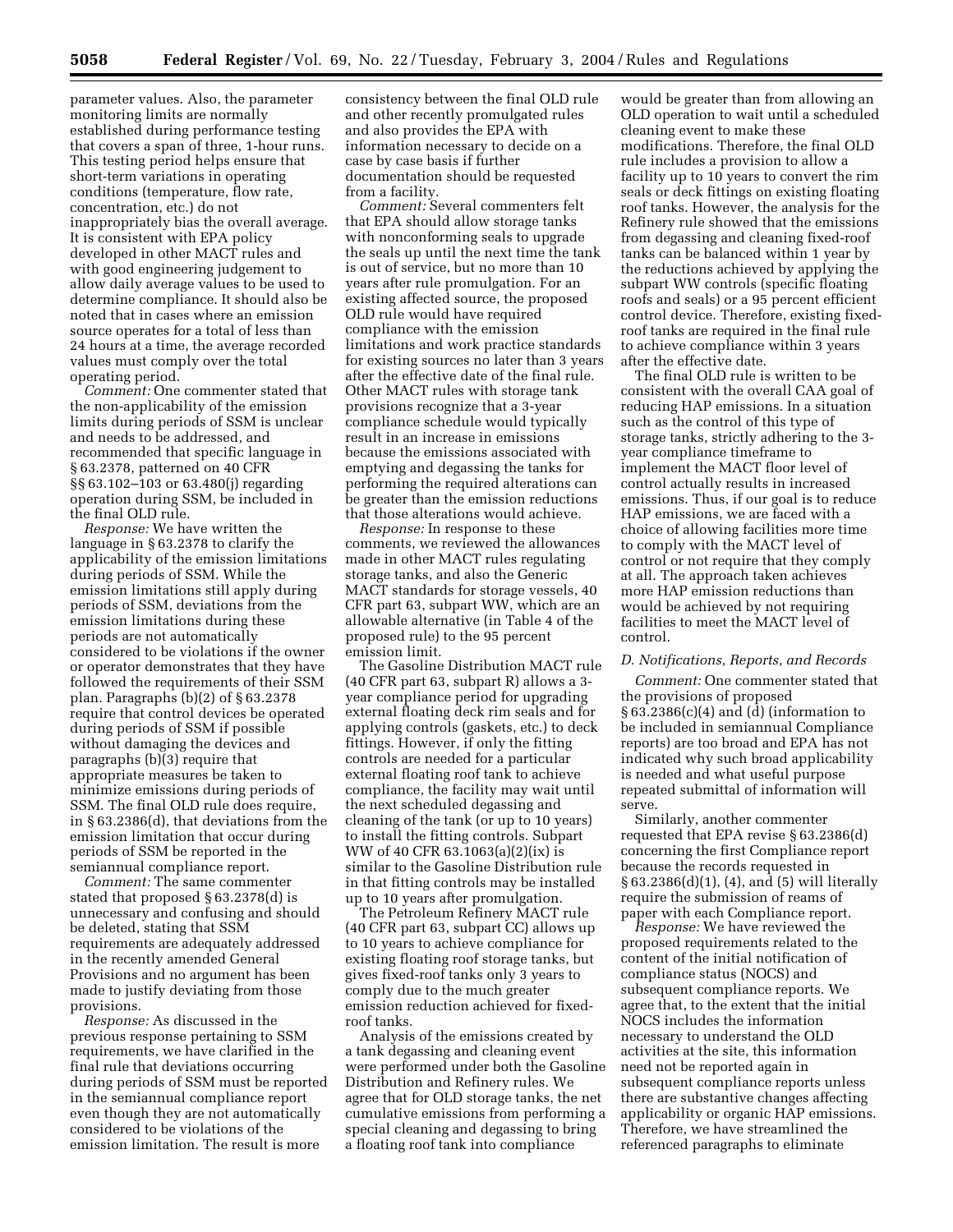parameter values. Also, the parameter monitoring limits are normally established during performance testing that covers a span of three, 1-hour runs. This testing period helps ensure that short-term variations in operating conditions (temperature, flow rate, concentration, etc.) do not inappropriately bias the overall average. It is consistent with EPA policy developed in other MACT rules and with good engineering judgement to allow daily average values to be used to determine compliance. It should also be noted that in cases where an emission source operates for a total of less than 24 hours at a time, the average recorded values must comply over the total operating period.

*Comment:* One commenter stated that the non-applicability of the emission limits during periods of SSM is unclear and needs to be addressed, and recommended that specific language in § 63.2378, patterned on 40 CFR §§ 63.102–103 or 63.480(j) regarding operation during SSM, be included in the final OLD rule.

*Response:* We have written the language in § 63.2378 to clarify the applicability of the emission limitations during periods of SSM. While the emission limitations still apply during periods of SSM, deviations from the emission limitations during these periods are not automatically considered to be violations if the owner or operator demonstrates that they have followed the requirements of their SSM plan. Paragraphs (b)(2) of § 63.2378 require that control devices be operated during periods of SSM if possible without damaging the devices and paragraphs (b)(3) require that appropriate measures be taken to minimize emissions during periods of SSM. The final OLD rule does require, in § 63.2386(d), that deviations from the emission limitation that occur during periods of SSM be reported in the semiannual compliance report.

*Comment:* The same commenter stated that proposed § 63.2378(d) is unnecessary and confusing and should be deleted, stating that SSM requirements are adequately addressed in the recently amended General Provisions and no argument has been made to justify deviating from those provisions.

*Response:* As discussed in the previous response pertaining to SSM requirements, we have clarified in the final rule that deviations occurring during periods of SSM must be reported in the semiannual compliance report even though they are not automatically considered to be violations of the emission limitation. The result is more

consistency between the final OLD rule and other recently promulgated rules and also provides the EPA with information necessary to decide on a case by case basis if further documentation should be requested from a facility.

*Comment:* Several commenters felt that EPA should allow storage tanks with nonconforming seals to upgrade the seals up until the next time the tank is out of service, but no more than 10 years after rule promulgation. For an existing affected source, the proposed OLD rule would have required compliance with the emission limitations and work practice standards for existing sources no later than 3 years after the effective date of the final rule. Other MACT rules with storage tank provisions recognize that a 3-year compliance schedule would typically result in an increase in emissions because the emissions associated with emptying and degassing the tanks for performing the required alterations can be greater than the emission reductions that those alterations would achieve.

*Response:* In response to these comments, we reviewed the allowances made in other MACT rules regulating storage tanks, and also the Generic MACT standards for storage vessels, 40 CFR part 63, subpart WW, which are an allowable alternative (in Table 4 of the proposed rule) to the 95 percent emission limit.

The Gasoline Distribution MACT rule (40 CFR part 63, subpart R) allows a 3 year compliance period for upgrading external floating deck rim seals and for applying controls (gaskets, etc.) to deck fittings. However, if only the fitting controls are needed for a particular external floating roof tank to achieve compliance, the facility may wait until the next scheduled degassing and cleaning of the tank (or up to 10 years) to install the fitting controls. Subpart WW of 40 CFR 63.1063(a)(2)(ix) is similar to the Gasoline Distribution rule in that fitting controls may be installed up to 10 years after promulgation.

The Petroleum Refinery MACT rule (40 CFR part 63, subpart CC) allows up to 10 years to achieve compliance for existing floating roof storage tanks, but gives fixed-roof tanks only 3 years to comply due to the much greater emission reduction achieved for fixedroof tanks.

Analysis of the emissions created by a tank degassing and cleaning event were performed under both the Gasoline Distribution and Refinery rules. We agree that for OLD storage tanks, the net cumulative emissions from performing a special cleaning and degassing to bring a floating roof tank into compliance

would be greater than from allowing an OLD operation to wait until a scheduled cleaning event to make these modifications. Therefore, the final OLD rule includes a provision to allow a facility up to 10 years to convert the rim seals or deck fittings on existing floating roof tanks. However, the analysis for the Refinery rule showed that the emissions from degassing and cleaning fixed-roof tanks can be balanced within 1 year by the reductions achieved by applying the subpart WW controls (specific floating roofs and seals) or a 95 percent efficient control device. Therefore, existing fixedroof tanks are required in the final rule to achieve compliance within 3 years after the effective date.

The final OLD rule is written to be consistent with the overall CAA goal of reducing HAP emissions. In a situation such as the control of this type of storage tanks, strictly adhering to the 3 year compliance timeframe to implement the MACT floor level of control actually results in increased emissions. Thus, if our goal is to reduce HAP emissions, we are faced with a choice of allowing facilities more time to comply with the MACT level of control or not require that they comply at all. The approach taken achieves more HAP emission reductions than would be achieved by not requiring facilities to meet the MACT level of control.

#### *D. Notifications, Reports, and Records*

*Comment:* One commenter stated that the provisions of proposed § 63.2386(c)(4) and (d) (information to be included in semiannual Compliance reports) are too broad and EPA has not indicated why such broad applicability is needed and what useful purpose repeated submittal of information will serve.

Similarly, another commenter requested that EPA revise § 63.2386(d) concerning the first Compliance report because the records requested in § 63.2386(d)(1), (4), and (5) will literally require the submission of reams of paper with each Compliance report.

*Response:* We have reviewed the proposed requirements related to the content of the initial notification of compliance status (NOCS) and subsequent compliance reports. We agree that, to the extent that the initial NOCS includes the information necessary to understand the OLD activities at the site, this information need not be reported again in subsequent compliance reports unless there are substantive changes affecting applicability or organic HAP emissions. Therefore, we have streamlined the referenced paragraphs to eliminate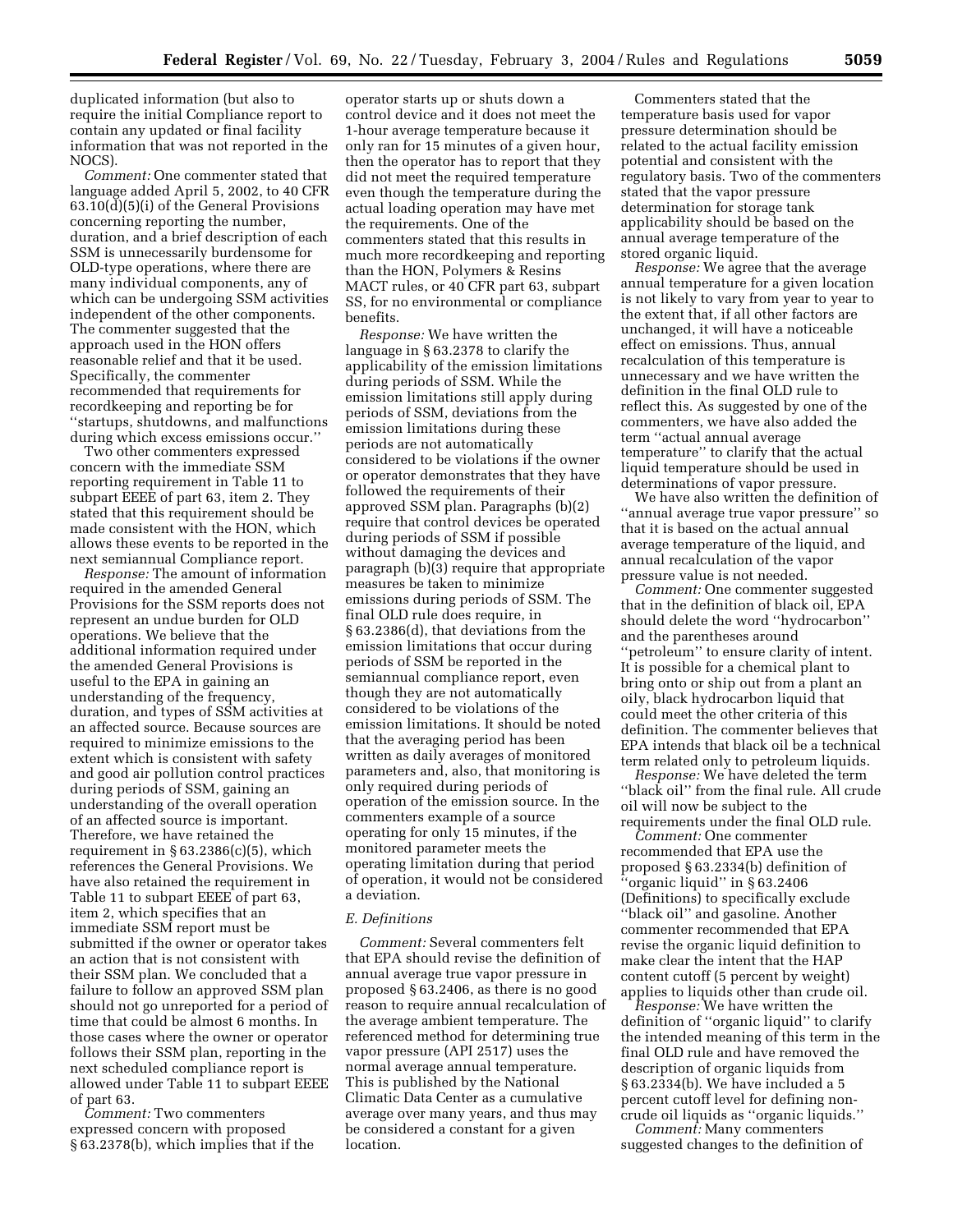duplicated information (but also to require the initial Compliance report to contain any updated or final facility information that was not reported in the NOCS).

*Comment:* One commenter stated that language added April 5, 2002, to 40 CFR 63.10(d)(5)(i) of the General Provisions concerning reporting the number, duration, and a brief description of each SSM is unnecessarily burdensome for OLD-type operations, where there are many individual components, any of which can be undergoing SSM activities independent of the other components. The commenter suggested that the approach used in the HON offers reasonable relief and that it be used. Specifically, the commenter recommended that requirements for recordkeeping and reporting be for ''startups, shutdowns, and malfunctions during which excess emissions occur.''

Two other commenters expressed concern with the immediate SSM reporting requirement in Table 11 to subpart EEEE of part 63, item 2. They stated that this requirement should be made consistent with the HON, which allows these events to be reported in the next semiannual Compliance report.

*Response:* The amount of information required in the amended General Provisions for the SSM reports does not represent an undue burden for OLD operations. We believe that the additional information required under the amended General Provisions is useful to the EPA in gaining an understanding of the frequency, duration, and types of SSM activities at an affected source. Because sources are required to minimize emissions to the extent which is consistent with safety and good air pollution control practices during periods of SSM, gaining an understanding of the overall operation of an affected source is important. Therefore, we have retained the requirement in  $\S 63.2386(c)(5)$ , which references the General Provisions. We have also retained the requirement in Table 11 to subpart EEEE of part 63, item 2, which specifies that an immediate SSM report must be submitted if the owner or operator takes an action that is not consistent with their SSM plan. We concluded that a failure to follow an approved SSM plan should not go unreported for a period of time that could be almost 6 months. In those cases where the owner or operator follows their SSM plan, reporting in the next scheduled compliance report is allowed under Table 11 to subpart EEEE of part 63.

*Comment:* Two commenters expressed concern with proposed § 63.2378(b), which implies that if the

operator starts up or shuts down a control device and it does not meet the 1-hour average temperature because it only ran for 15 minutes of a given hour, then the operator has to report that they did not meet the required temperature even though the temperature during the actual loading operation may have met the requirements. One of the commenters stated that this results in much more recordkeeping and reporting than the HON, Polymers & Resins MACT rules, or 40 CFR part 63, subpart SS, for no environmental or compliance benefits.

*Response:* We have written the language in § 63.2378 to clarify the applicability of the emission limitations during periods of SSM. While the emission limitations still apply during periods of SSM, deviations from the emission limitations during these periods are not automatically considered to be violations if the owner or operator demonstrates that they have followed the requirements of their approved SSM plan. Paragraphs (b)(2) require that control devices be operated during periods of SSM if possible without damaging the devices and paragraph (b)(3) require that appropriate measures be taken to minimize emissions during periods of SSM. The final OLD rule does require, in § 63.2386(d), that deviations from the emission limitations that occur during periods of SSM be reported in the semiannual compliance report, even though they are not automatically considered to be violations of the emission limitations. It should be noted that the averaging period has been written as daily averages of monitored parameters and, also, that monitoring is only required during periods of operation of the emission source. In the commenters example of a source operating for only 15 minutes, if the monitored parameter meets the operating limitation during that period of operation, it would not be considered a deviation.

#### *E. Definitions*

*Comment:* Several commenters felt that EPA should revise the definition of annual average true vapor pressure in proposed § 63.2406, as there is no good reason to require annual recalculation of the average ambient temperature. The referenced method for determining true vapor pressure (API 2517) uses the normal average annual temperature. This is published by the National Climatic Data Center as a cumulative average over many years, and thus may be considered a constant for a given location.

Commenters stated that the temperature basis used for vapor pressure determination should be related to the actual facility emission potential and consistent with the regulatory basis. Two of the commenters stated that the vapor pressure determination for storage tank applicability should be based on the annual average temperature of the stored organic liquid.

*Response:* We agree that the average annual temperature for a given location is not likely to vary from year to year to the extent that, if all other factors are unchanged, it will have a noticeable effect on emissions. Thus, annual recalculation of this temperature is unnecessary and we have written the definition in the final OLD rule to reflect this. As suggested by one of the commenters, we have also added the term ''actual annual average temperature'' to clarify that the actual liquid temperature should be used in determinations of vapor pressure.

We have also written the definition of ''annual average true vapor pressure'' so that it is based on the actual annual average temperature of the liquid, and annual recalculation of the vapor pressure value is not needed.

*Comment:* One commenter suggested that in the definition of black oil, EPA should delete the word ''hydrocarbon'' and the parentheses around ''petroleum'' to ensure clarity of intent. It is possible for a chemical plant to bring onto or ship out from a plant an oily, black hydrocarbon liquid that could meet the other criteria of this definition. The commenter believes that EPA intends that black oil be a technical term related only to petroleum liquids.

*Response:* We have deleted the term ''black oil'' from the final rule. All crude oil will now be subject to the requirements under the final OLD rule.

*Comment:* One commenter recommended that EPA use the proposed § 63.2334(b) definition of ''organic liquid'' in § 63.2406 (Definitions) to specifically exclude ''black oil'' and gasoline. Another commenter recommended that EPA revise the organic liquid definition to make clear the intent that the HAP content cutoff (5 percent by weight) applies to liquids other than crude oil.

*Response:* We have written the definition of ''organic liquid'' to clarify the intended meaning of this term in the final OLD rule and have removed the description of organic liquids from § 63.2334(b). We have included a 5 percent cutoff level for defining noncrude oil liquids as ''organic liquids.''

*Comment:* Many commenters suggested changes to the definition of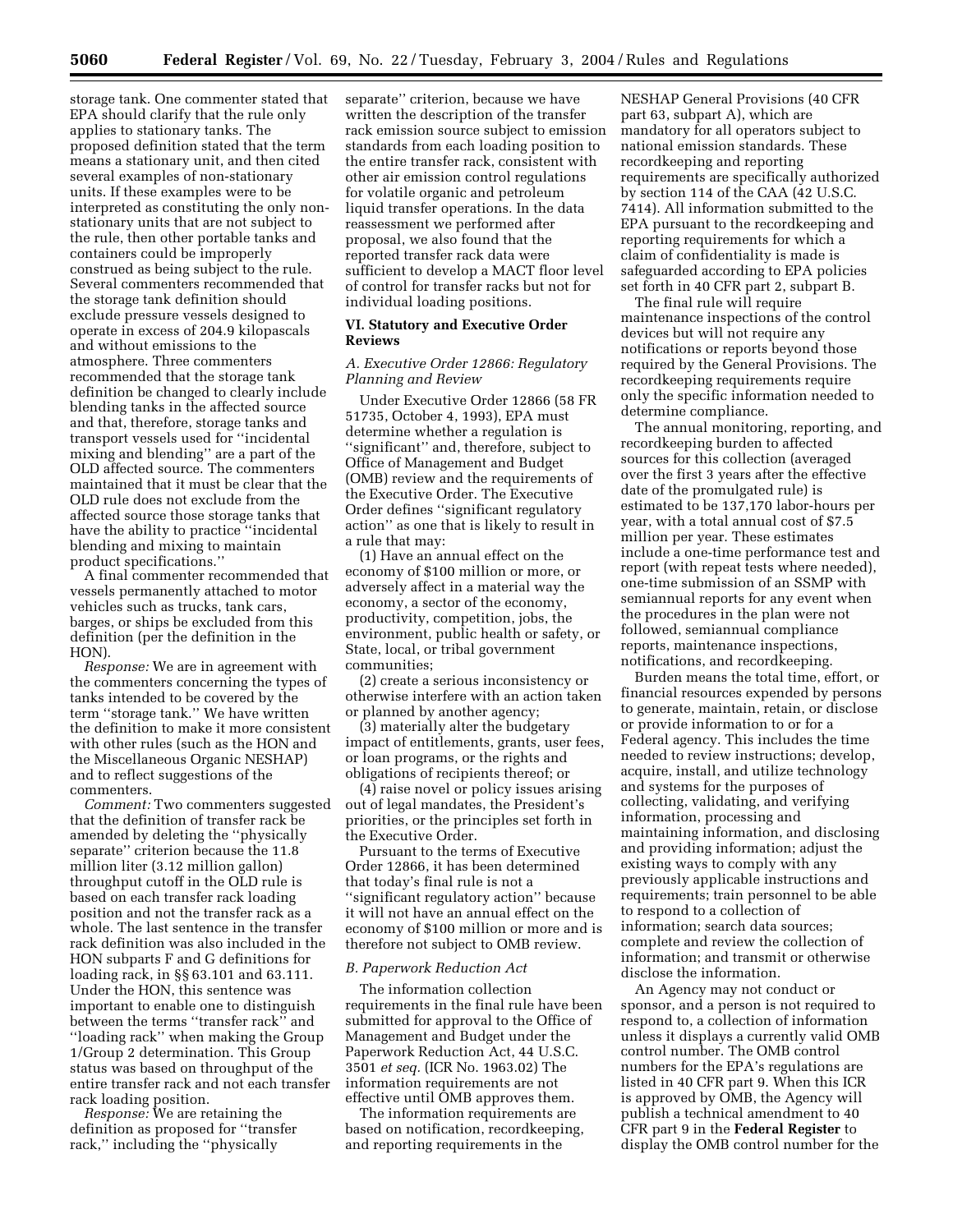storage tank. One commenter stated that EPA should clarify that the rule only applies to stationary tanks. The proposed definition stated that the term means a stationary unit, and then cited several examples of non-stationary units. If these examples were to be interpreted as constituting the only nonstationary units that are not subject to the rule, then other portable tanks and containers could be improperly construed as being subject to the rule. Several commenters recommended that the storage tank definition should exclude pressure vessels designed to operate in excess of 204.9 kilopascals and without emissions to the atmosphere. Three commenters recommended that the storage tank definition be changed to clearly include blending tanks in the affected source and that, therefore, storage tanks and transport vessels used for ''incidental mixing and blending'' are a part of the OLD affected source. The commenters maintained that it must be clear that the OLD rule does not exclude from the affected source those storage tanks that have the ability to practice ''incidental blending and mixing to maintain product specifications.''

A final commenter recommended that vessels permanently attached to motor vehicles such as trucks, tank cars, barges, or ships be excluded from this definition (per the definition in the HON).

*Response:* We are in agreement with the commenters concerning the types of tanks intended to be covered by the term ''storage tank.'' We have written the definition to make it more consistent with other rules (such as the HON and the Miscellaneous Organic NESHAP) and to reflect suggestions of the commenters.

*Comment:* Two commenters suggested that the definition of transfer rack be amended by deleting the ''physically separate'' criterion because the 11.8 million liter (3.12 million gallon) throughput cutoff in the OLD rule is based on each transfer rack loading position and not the transfer rack as a whole. The last sentence in the transfer rack definition was also included in the HON subparts F and G definitions for loading rack, in §§ 63.101 and 63.111. Under the HON, this sentence was important to enable one to distinguish between the terms ''transfer rack'' and ''loading rack'' when making the Group 1/Group 2 determination. This Group status was based on throughput of the entire transfer rack and not each transfer rack loading position.

*Response:* We are retaining the definition as proposed for ''transfer rack,'' including the ''physically

separate'' criterion, because we have written the description of the transfer rack emission source subject to emission standards from each loading position to the entire transfer rack, consistent with other air emission control regulations for volatile organic and petroleum liquid transfer operations. In the data reassessment we performed after proposal, we also found that the reported transfer rack data were sufficient to develop a MACT floor level of control for transfer racks but not for individual loading positions.

### **VI. Statutory and Executive Order Reviews**

### *A. Executive Order 12866: Regulatory Planning and Review*

Under Executive Order 12866 (58 FR 51735, October 4, 1993), EPA must determine whether a regulation is ''significant'' and, therefore, subject to Office of Management and Budget (OMB) review and the requirements of the Executive Order. The Executive Order defines ''significant regulatory action'' as one that is likely to result in a rule that may:

(1) Have an annual effect on the economy of \$100 million or more, or adversely affect in a material way the economy, a sector of the economy, productivity, competition, jobs, the environment, public health or safety, or State, local, or tribal government communities;

(2) create a serious inconsistency or otherwise interfere with an action taken or planned by another agency;

(3) materially alter the budgetary impact of entitlements, grants, user fees, or loan programs, or the rights and obligations of recipients thereof; or

(4) raise novel or policy issues arising out of legal mandates, the President's priorities, or the principles set forth in the Executive Order.

Pursuant to the terms of Executive Order 12866, it has been determined that today's final rule is not a ''significant regulatory action'' because it will not have an annual effect on the economy of \$100 million or more and is therefore not subject to OMB review.

#### *B. Paperwork Reduction Act*

The information collection requirements in the final rule have been submitted for approval to the Office of Management and Budget under the Paperwork Reduction Act, 44 U.S.C. 3501 *et seq.* (ICR No. 1963.02) The information requirements are not effective until OMB approves them.

The information requirements are based on notification, recordkeeping, and reporting requirements in the

NESHAP General Provisions (40 CFR part 63, subpart A), which are mandatory for all operators subject to national emission standards. These recordkeeping and reporting requirements are specifically authorized by section 114 of the CAA (42 U.S.C. 7414). All information submitted to the EPA pursuant to the recordkeeping and reporting requirements for which a claim of confidentiality is made is safeguarded according to EPA policies set forth in 40 CFR part 2, subpart B.

The final rule will require maintenance inspections of the control devices but will not require any notifications or reports beyond those required by the General Provisions. The recordkeeping requirements require only the specific information needed to determine compliance.

The annual monitoring, reporting, and recordkeeping burden to affected sources for this collection (averaged over the first 3 years after the effective date of the promulgated rule) is estimated to be 137,170 labor-hours per year, with a total annual cost of \$7.5 million per year. These estimates include a one-time performance test and report (with repeat tests where needed), one-time submission of an SSMP with semiannual reports for any event when the procedures in the plan were not followed, semiannual compliance reports, maintenance inspections, notifications, and recordkeeping.

Burden means the total time, effort, or financial resources expended by persons to generate, maintain, retain, or disclose or provide information to or for a Federal agency. This includes the time needed to review instructions; develop, acquire, install, and utilize technology and systems for the purposes of collecting, validating, and verifying information, processing and maintaining information, and disclosing and providing information; adjust the existing ways to comply with any previously applicable instructions and requirements; train personnel to be able to respond to a collection of information; search data sources; complete and review the collection of information; and transmit or otherwise disclose the information.

An Agency may not conduct or sponsor, and a person is not required to respond to, a collection of information unless it displays a currently valid OMB control number. The OMB control numbers for the EPA's regulations are listed in 40 CFR part 9. When this ICR is approved by OMB, the Agency will publish a technical amendment to 40 CFR part 9 in the **Federal Register** to display the OMB control number for the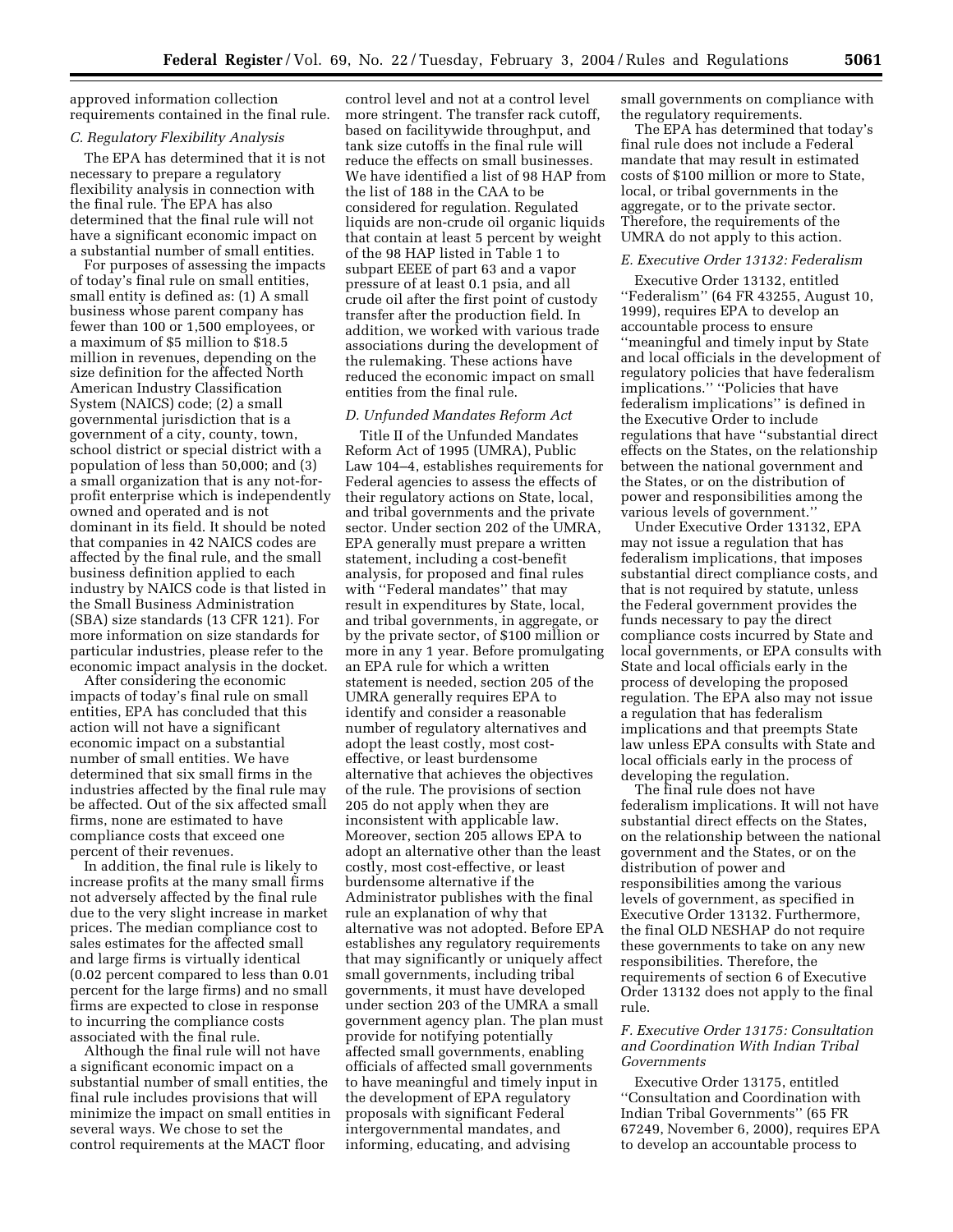approved information collection requirements contained in the final rule.

#### *C. Regulatory Flexibility Analysis*

The EPA has determined that it is not necessary to prepare a regulatory flexibility analysis in connection with the final rule. The EPA has also determined that the final rule will not have a significant economic impact on a substantial number of small entities.

For purposes of assessing the impacts of today's final rule on small entities, small entity is defined as: (1) A small business whose parent company has fewer than 100 or 1,500 employees, or a maximum of \$5 million to \$18.5 million in revenues, depending on the size definition for the affected North American Industry Classification System (NAICS) code; (2) a small governmental jurisdiction that is a government of a city, county, town, school district or special district with a population of less than 50,000; and (3) a small organization that is any not-forprofit enterprise which is independently owned and operated and is not dominant in its field. It should be noted that companies in 42 NAICS codes are affected by the final rule, and the small business definition applied to each industry by NAICS code is that listed in the Small Business Administration (SBA) size standards (13 CFR 121). For more information on size standards for particular industries, please refer to the economic impact analysis in the docket.

After considering the economic impacts of today's final rule on small entities, EPA has concluded that this action will not have a significant economic impact on a substantial number of small entities. We have determined that six small firms in the industries affected by the final rule may be affected. Out of the six affected small firms, none are estimated to have compliance costs that exceed one percent of their revenues.

In addition, the final rule is likely to increase profits at the many small firms not adversely affected by the final rule due to the very slight increase in market prices. The median compliance cost to sales estimates for the affected small and large firms is virtually identical (0.02 percent compared to less than 0.01 percent for the large firms) and no small firms are expected to close in response to incurring the compliance costs associated with the final rule.

Although the final rule will not have a significant economic impact on a substantial number of small entities, the final rule includes provisions that will minimize the impact on small entities in several ways. We chose to set the control requirements at the MACT floor

control level and not at a control level more stringent. The transfer rack cutoff, based on facilitywide throughput, and tank size cutoffs in the final rule will reduce the effects on small businesses. We have identified a list of 98 HAP from the list of 188 in the CAA to be considered for regulation. Regulated liquids are non-crude oil organic liquids that contain at least 5 percent by weight of the 98 HAP listed in Table 1 to subpart EEEE of part 63 and a vapor pressure of at least 0.1 psia, and all crude oil after the first point of custody transfer after the production field. In addition, we worked with various trade associations during the development of the rulemaking. These actions have reduced the economic impact on small entities from the final rule.

### *D. Unfunded Mandates Reform Act*

Title II of the Unfunded Mandates Reform Act of 1995 (UMRA), Public Law 104–4, establishes requirements for Federal agencies to assess the effects of their regulatory actions on State, local, and tribal governments and the private sector. Under section 202 of the UMRA, EPA generally must prepare a written statement, including a cost-benefit analysis, for proposed and final rules with ''Federal mandates'' that may result in expenditures by State, local, and tribal governments, in aggregate, or by the private sector, of \$100 million or more in any 1 year. Before promulgating an EPA rule for which a written statement is needed, section 205 of the UMRA generally requires EPA to identify and consider a reasonable number of regulatory alternatives and adopt the least costly, most costeffective, or least burdensome alternative that achieves the objectives of the rule. The provisions of section 205 do not apply when they are inconsistent with applicable law. Moreover, section 205 allows EPA to adopt an alternative other than the least costly, most cost-effective, or least burdensome alternative if the Administrator publishes with the final rule an explanation of why that alternative was not adopted. Before EPA establishes any regulatory requirements that may significantly or uniquely affect small governments, including tribal governments, it must have developed under section 203 of the UMRA a small government agency plan. The plan must provide for notifying potentially affected small governments, enabling officials of affected small governments to have meaningful and timely input in the development of EPA regulatory proposals with significant Federal intergovernmental mandates, and informing, educating, and advising

small governments on compliance with the regulatory requirements.

The EPA has determined that today's final rule does not include a Federal mandate that may result in estimated costs of \$100 million or more to State, local, or tribal governments in the aggregate, or to the private sector. Therefore, the requirements of the UMRA do not apply to this action.

## *E. Executive Order 13132: Federalism*

Executive Order 13132, entitled ''Federalism'' (64 FR 43255, August 10, 1999), requires EPA to develop an accountable process to ensure ''meaningful and timely input by State and local officials in the development of regulatory policies that have federalism implications.'' ''Policies that have federalism implications'' is defined in the Executive Order to include regulations that have ''substantial direct effects on the States, on the relationship between the national government and the States, or on the distribution of power and responsibilities among the various levels of government.''

Under Executive Order 13132, EPA may not issue a regulation that has federalism implications, that imposes substantial direct compliance costs, and that is not required by statute, unless the Federal government provides the funds necessary to pay the direct compliance costs incurred by State and local governments, or EPA consults with State and local officials early in the process of developing the proposed regulation. The EPA also may not issue a regulation that has federalism implications and that preempts State law unless EPA consults with State and local officials early in the process of developing the regulation.

The final rule does not have federalism implications. It will not have substantial direct effects on the States, on the relationship between the national government and the States, or on the distribution of power and responsibilities among the various levels of government, as specified in Executive Order 13132. Furthermore, the final OLD NESHAP do not require these governments to take on any new responsibilities. Therefore, the requirements of section 6 of Executive Order 13132 does not apply to the final rule.

### *F. Executive Order 13175: Consultation and Coordination With Indian Tribal Governments*

Executive Order 13175, entitled ''Consultation and Coordination with Indian Tribal Governments'' (65 FR 67249, November 6, 2000), requires EPA to develop an accountable process to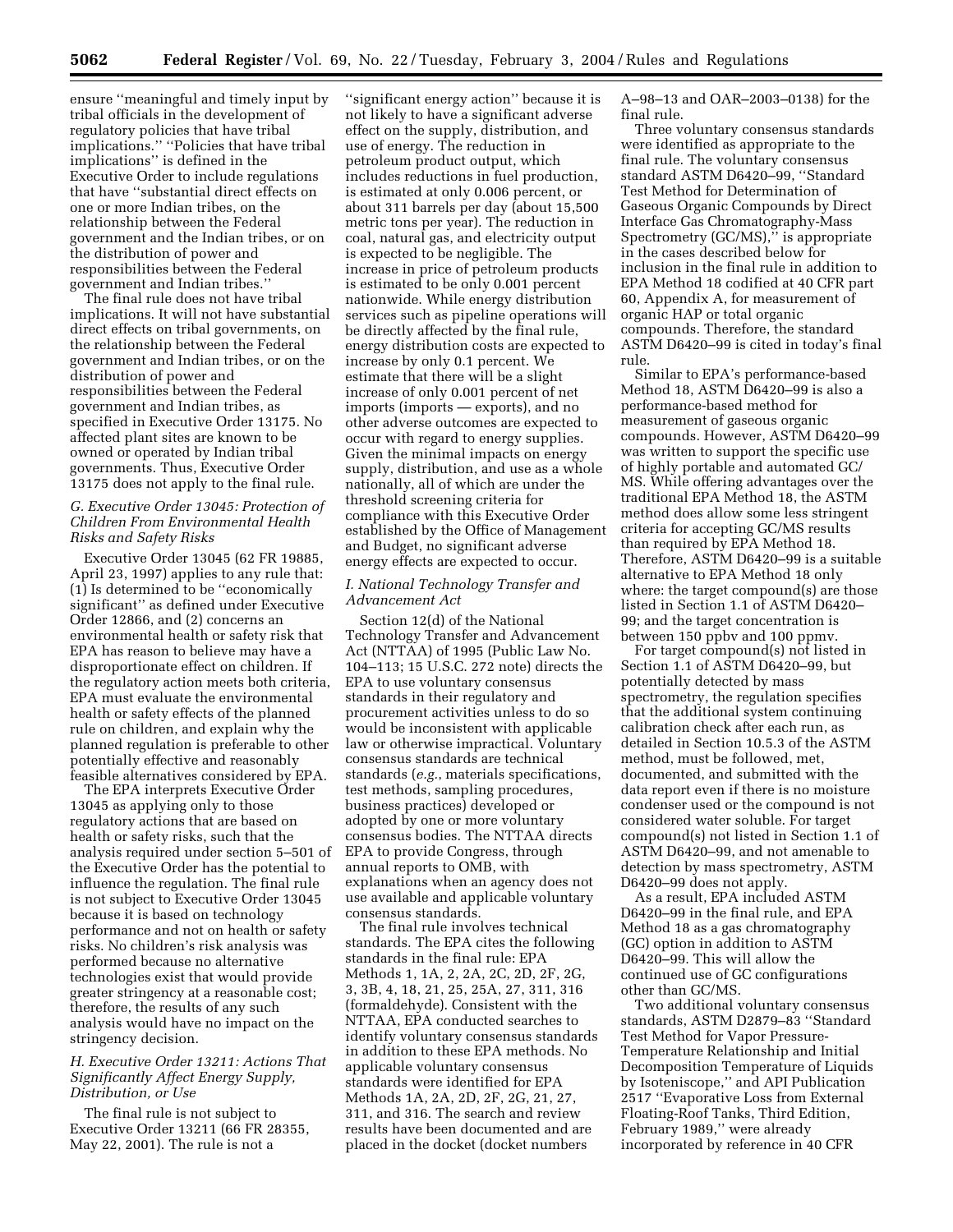ensure ''meaningful and timely input by tribal officials in the development of regulatory policies that have tribal implications.'' ''Policies that have tribal implications'' is defined in the Executive Order to include regulations that have ''substantial direct effects on one or more Indian tribes, on the relationship between the Federal government and the Indian tribes, or on the distribution of power and responsibilities between the Federal government and Indian tribes.''

The final rule does not have tribal implications. It will not have substantial direct effects on tribal governments, on the relationship between the Federal government and Indian tribes, or on the distribution of power and responsibilities between the Federal government and Indian tribes, as specified in Executive Order 13175. No affected plant sites are known to be owned or operated by Indian tribal governments. Thus, Executive Order 13175 does not apply to the final rule.

## *G. Executive Order 13045: Protection of Children From Environmental Health Risks and Safety Risks*

Executive Order 13045 (62 FR 19885, April 23, 1997) applies to any rule that: (1) Is determined to be ''economically significant'' as defined under Executive Order 12866, and (2) concerns an environmental health or safety risk that EPA has reason to believe may have a disproportionate effect on children. If the regulatory action meets both criteria, EPA must evaluate the environmental health or safety effects of the planned rule on children, and explain why the planned regulation is preferable to other potentially effective and reasonably feasible alternatives considered by EPA.

The EPA interprets Executive Order 13045 as applying only to those regulatory actions that are based on health or safety risks, such that the analysis required under section 5–501 of the Executive Order has the potential to influence the regulation. The final rule is not subject to Executive Order 13045 because it is based on technology performance and not on health or safety risks. No children's risk analysis was performed because no alternative technologies exist that would provide greater stringency at a reasonable cost; therefore, the results of any such analysis would have no impact on the stringency decision.

## *H. Executive Order 13211: Actions That Significantly Affect Energy Supply, Distribution, or Use*

The final rule is not subject to Executive Order 13211 (66 FR 28355, May 22, 2001). The rule is not a

''significant energy action'' because it is not likely to have a significant adverse effect on the supply, distribution, and use of energy. The reduction in petroleum product output, which includes reductions in fuel production, is estimated at only 0.006 percent, or about 311 barrels per day (about 15,500 metric tons per year). The reduction in coal, natural gas, and electricity output is expected to be negligible. The increase in price of petroleum products is estimated to be only 0.001 percent nationwide. While energy distribution services such as pipeline operations will be directly affected by the final rule, energy distribution costs are expected to increase by only 0.1 percent. We estimate that there will be a slight increase of only 0.001 percent of net imports (imports — exports), and no other adverse outcomes are expected to occur with regard to energy supplies. Given the minimal impacts on energy supply, distribution, and use as a whole nationally, all of which are under the threshold screening criteria for compliance with this Executive Order established by the Office of Management and Budget, no significant adverse energy effects are expected to occur.

## *I. National Technology Transfer and Advancement Act*

Section 12(d) of the National Technology Transfer and Advancement Act (NTTAA) of 1995 (Public Law No. 104–113; 15 U.S.C. 272 note) directs the EPA to use voluntary consensus standards in their regulatory and procurement activities unless to do so would be inconsistent with applicable law or otherwise impractical. Voluntary consensus standards are technical standards (*e.g.*, materials specifications, test methods, sampling procedures, business practices) developed or adopted by one or more voluntary consensus bodies. The NTTAA directs EPA to provide Congress, through annual reports to OMB, with explanations when an agency does not use available and applicable voluntary consensus standards.

The final rule involves technical standards. The EPA cites the following standards in the final rule: EPA Methods 1, 1A, 2, 2A, 2C, 2D, 2F, 2G, 3, 3B, 4, 18, 21, 25, 25A, 27, 311, 316 (formaldehyde). Consistent with the NTTAA, EPA conducted searches to identify voluntary consensus standards in addition to these EPA methods. No applicable voluntary consensus standards were identified for EPA Methods 1A, 2A, 2D, 2F, 2G, 21, 27, 311, and 316. The search and review results have been documented and are placed in the docket (docket numbers

A–98–13 and OAR–2003–0138) for the final rule.

Three voluntary consensus standards were identified as appropriate to the final rule. The voluntary consensus standard ASTM D6420–99, ''Standard Test Method for Determination of Gaseous Organic Compounds by Direct Interface Gas Chromatography-Mass Spectrometry (GC/MS)," is appropriate in the cases described below for inclusion in the final rule in addition to EPA Method 18 codified at 40 CFR part 60, Appendix A, for measurement of organic HAP or total organic compounds. Therefore, the standard ASTM D6420–99 is cited in today's final rule.

Similar to EPA's performance-based Method 18, ASTM D6420–99 is also a performance-based method for measurement of gaseous organic compounds. However, ASTM D6420–99 was written to support the specific use of highly portable and automated GC/ MS. While offering advantages over the traditional EPA Method 18, the ASTM method does allow some less stringent criteria for accepting GC/MS results than required by EPA Method 18. Therefore, ASTM D6420–99 is a suitable alternative to EPA Method 18 only where: the target compound(s) are those listed in Section 1.1 of ASTM D6420– 99; and the target concentration is between 150 ppbv and 100 ppmv.

For target compound(s) not listed in Section 1.1 of ASTM D6420–99, but potentially detected by mass spectrometry, the regulation specifies that the additional system continuing calibration check after each run, as detailed in Section 10.5.3 of the ASTM method, must be followed, met, documented, and submitted with the data report even if there is no moisture condenser used or the compound is not considered water soluble. For target compound(s) not listed in Section 1.1 of ASTM D6420–99, and not amenable to detection by mass spectrometry, ASTM D6420–99 does not apply.

As a result, EPA included ASTM D6420–99 in the final rule, and EPA Method 18 as a gas chromatography (GC) option in addition to ASTM D6420–99. This will allow the continued use of GC configurations other than GC/MS.

Two additional voluntary consensus standards, ASTM D2879–83 ''Standard Test Method for Vapor Pressure-Temperature Relationship and Initial Decomposition Temperature of Liquids by Isoteniscope,'' and API Publication 2517 ''Evaporative Loss from External Floating-Roof Tanks, Third Edition, February 1989,'' were already incorporated by reference in 40 CFR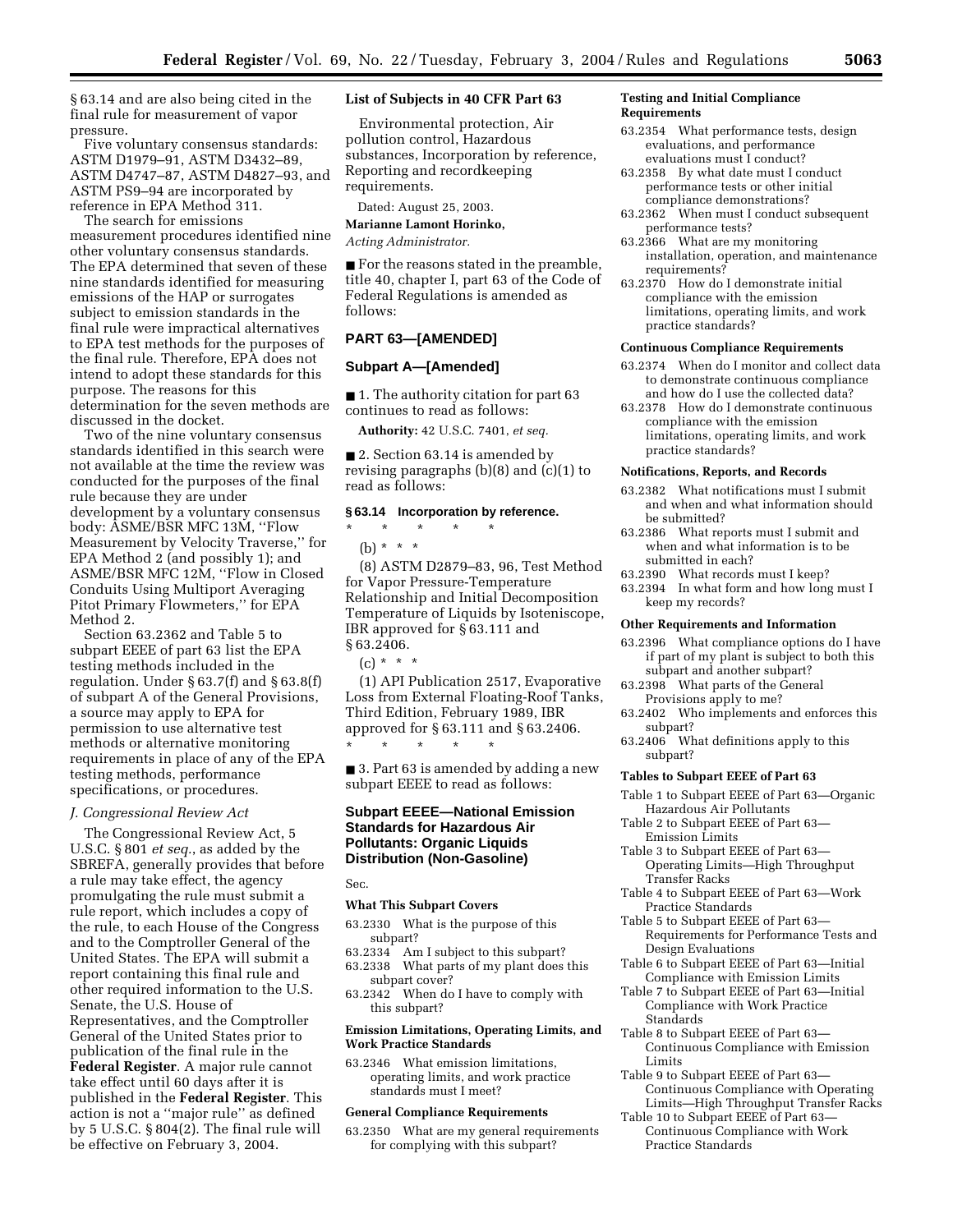§ 63.14 and are also being cited in the final rule for measurement of vapor pressure.

Five voluntary consensus standards: ASTM D1979–91, ASTM D3432–89, ASTM D4747–87, ASTM D4827–93, and ASTM PS9–94 are incorporated by reference in EPA Method 311.

The search for emissions measurement procedures identified nine other voluntary consensus standards. The EPA determined that seven of these nine standards identified for measuring emissions of the HAP or surrogates subject to emission standards in the final rule were impractical alternatives to EPA test methods for the purposes of the final rule. Therefore, EPA does not intend to adopt these standards for this purpose. The reasons for this determination for the seven methods are discussed in the docket.

Two of the nine voluntary consensus standards identified in this search were not available at the time the review was conducted for the purposes of the final rule because they are under development by a voluntary consensus body: ASME/BSR MFC 13M, ''Flow Measurement by Velocity Traverse,'' for EPA Method 2 (and possibly 1); and ASME/BSR MFC 12M, ''Flow in Closed Conduits Using Multiport Averaging Pitot Primary Flowmeters,'' for EPA Method 2.

Section 63.2362 and Table 5 to subpart EEEE of part 63 list the EPA testing methods included in the regulation. Under § 63.7(f) and § 63.8(f) of subpart A of the General Provisions, a source may apply to EPA for permission to use alternative test methods or alternative monitoring requirements in place of any of the EPA testing methods, performance specifications, or procedures.

#### *J. Congressional Review Act*

The Congressional Review Act, 5 U.S.C. § 801 *et seq.*, as added by the SBREFA, generally provides that before a rule may take effect, the agency promulgating the rule must submit a rule report, which includes a copy of the rule, to each House of the Congress and to the Comptroller General of the United States. The EPA will submit a report containing this final rule and other required information to the U.S. Senate, the U.S. House of Representatives, and the Comptroller General of the United States prior to publication of the final rule in the **Federal Register**. A major rule cannot take effect until 60 days after it is published in the **Federal Register**. This action is not a ''major rule'' as defined by 5 U.S.C. § 804(2). The final rule will be effective on February 3, 2004.

## **List of Subjects in 40 CFR Part 63**

Environmental protection, Air pollution control, Hazardous substances, Incorporation by reference, Reporting and recordkeeping requirements.

Dated: August 25, 2003.

#### **Marianne Lamont Horinko,**

*Acting Administrator.*

■ For the reasons stated in the preamble, title 40, chapter I, part 63 of the Code of Federal Regulations is amended as follows:

#### **PART 63—[AMENDED]**

#### **Subpart A—[Amended]**

■ 1. The authority citation for part 63 continues to read as follows:

**Authority:** 42 U.S.C. 7401, *et seq.*

■ 2. Section 63.14 is amended by revising paragraphs (b)(8) and (c)(1) to read as follows:

## **§ 63.14 Incorporation by reference.**

 $\star$   $\star$   $\star$   $\star$ (b) \* \* \*

(8) ASTM D2879–83, 96, Test Method for Vapor Pressure-Temperature Relationship and Initial Decomposition Temperature of Liquids by Isoteniscope, IBR approved for § 63.111 and § 63.2406.

 $(c) * * * *$ 

(1) API Publication 2517, Evaporative Loss from External Floating-Roof Tanks, Third Edition, February 1989, IBR approved for § 63.111 and § 63.2406. \* \* \* \* \*

■ 3. Part 63 is amended by adding a new subpart EEEE to read as follows:

## **Subpart EEEE—National Emission Standards for Hazardous Air Pollutants: Organic Liquids Distribution (Non-Gasoline)**

Sec.

#### **What This Subpart Covers**

- 63.2330 What is the purpose of this subpart?
- 63.2334 Am I subject to this subpart?
- 63.2338 What parts of my plant does this subpart cover?
- 63.2342 When do I have to comply with this subpart?

#### **Emission Limitations, Operating Limits, and Work Practice Standards**

63.2346 What emission limitations, operating limits, and work practice standards must I meet?

#### **General Compliance Requirements**

63.2350 What are my general requirements for complying with this subpart?

#### **Testing and Initial Compliance Requirements**

- 63.2354 What performance tests, design evaluations, and performance evaluations must I conduct?
- 63.2358 By what date must I conduct performance tests or other initial compliance demonstrations?
- 63.2362 When must I conduct subsequent performance tests?
- 63.2366 What are my monitoring installation, operation, and maintenance requirements?
- 63.2370 How do I demonstrate initial compliance with the emission limitations, operating limits, and work practice standards?

#### **Continuous Compliance Requirements**

- 63.2374 When do I monitor and collect data to demonstrate continuous compliance and how do I use the collected data?
- 63.2378 How do I demonstrate continuous compliance with the emission limitations, operating limits, and work practice standards?

#### **Notifications, Reports, and Records**

- 63.2382 What notifications must I submit and when and what information should be submitted?
- 63.2386 What reports must I submit and when and what information is to be submitted in each?
- 63.2390 What records must I keep?
- 63.2394 In what form and how long must I keep my records?

#### **Other Requirements and Information**

- 63.2396 What compliance options do I have if part of my plant is subject to both this subpart and another subpart?
- 63.2398 What parts of the General Provisions apply to me?
- 63.2402 Who implements and enforces this subpart?
- 63.2406 What definitions apply to this subpart?

#### **Tables to Subpart EEEE of Part 63**

- Table 1 to Subpart EEEE of Part 63—Organic Hazardous Air Pollutants
- Table 2 to Subpart EEEE of Part 63— Emission Limits
- Table 3 to Subpart EEEE of Part 63— Operating Limits—High Throughput Transfer Racks
- Table 4 to Subpart EEEE of Part 63—Work Practice Standards
- Table 5 to Subpart EEEE of Part 63— Requirements for Performance Tests and Design Evaluations
- Table 6 to Subpart EEEE of Part 63—Initial Compliance with Emission Limits
- Table 7 to Subpart EEEE of Part 63—Initial Compliance with Work Practice **Standards**
- Table 8 to Subpart EEEE of Part 63— Continuous Compliance with Emission Limits
- Table 9 to Subpart EEEE of Part 63— Continuous Compliance with Operating
- Limits—High Throughput Transfer Racks Table 10 to Subpart EEEE of Part 63—
	- Continuous Compliance with Work Practice Standards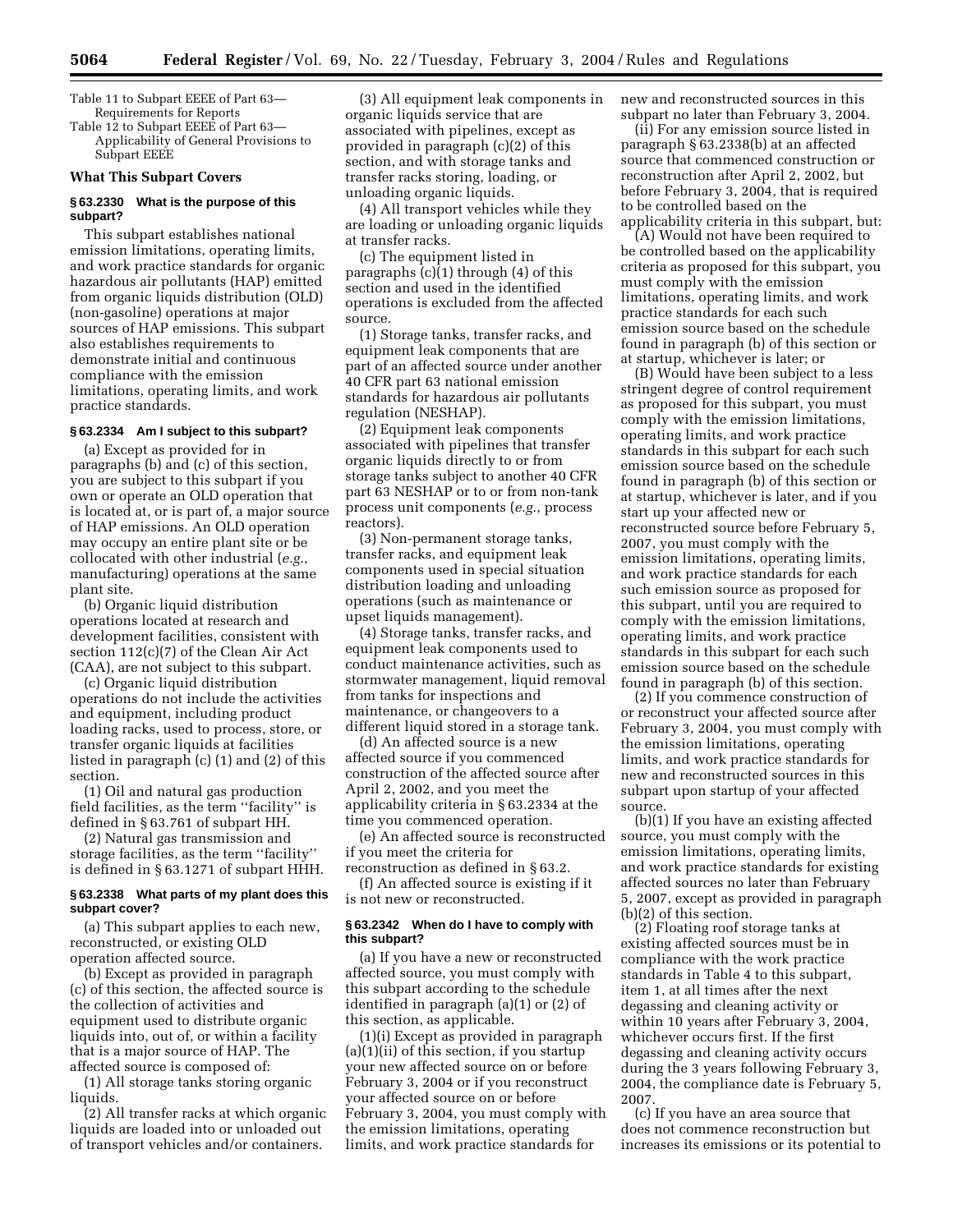Table 11 to Subpart EEEE of Part 63— Requirements for Reports

Table 12 to Subpart EEEE of Part 63— Applicability of General Provisions to Subpart EEEE

# **What This Subpart Covers**

### **§ 63.2330 What is the purpose of this subpart?**

This subpart establishes national emission limitations, operating limits, and work practice standards for organic hazardous air pollutants (HAP) emitted from organic liquids distribution (OLD) (non-gasoline) operations at major sources of HAP emissions. This subpart also establishes requirements to demonstrate initial and continuous compliance with the emission limitations, operating limits, and work practice standards.

#### **§ 63.2334 Am I subject to this subpart?**

(a) Except as provided for in paragraphs (b) and (c) of this section, you are subject to this subpart if you own or operate an OLD operation that is located at, or is part of, a major source of HAP emissions. An OLD operation may occupy an entire plant site or be collocated with other industrial (*e.g.*, manufacturing) operations at the same plant site.

(b) Organic liquid distribution operations located at research and development facilities, consistent with section 112(c)(7) of the Clean Air Act (CAA), are not subject to this subpart.

(c) Organic liquid distribution operations do not include the activities and equipment, including product loading racks, used to process, store, or transfer organic liquids at facilities listed in paragraph (c) (1) and (2) of this section.

(1) Oil and natural gas production field facilities, as the term ''facility'' is defined in § 63.761 of subpart HH.

(2) Natural gas transmission and storage facilities, as the term ''facility'' is defined in § 63.1271 of subpart HHH.

#### **§ 63.2338 What parts of my plant does this subpart cover?**

(a) This subpart applies to each new, reconstructed, or existing OLD operation affected source.

(b) Except as provided in paragraph (c) of this section, the affected source is the collection of activities and equipment used to distribute organic liquids into, out of, or within a facility that is a major source of HAP. The affected source is composed of:

(1) All storage tanks storing organic liquids.

(2) All transfer racks at which organic liquids are loaded into or unloaded out of transport vehicles and/or containers.

(3) All equipment leak components in organic liquids service that are associated with pipelines, except as provided in paragraph (c)(2) of this section, and with storage tanks and transfer racks storing, loading, or unloading organic liquids.

(4) All transport vehicles while they are loading or unloading organic liquids at transfer racks.

(c) The equipment listed in paragraphs (c)(1) through (4) of this section and used in the identified operations is excluded from the affected source.

(1) Storage tanks, transfer racks, and equipment leak components that are part of an affected source under another 40 CFR part 63 national emission standards for hazardous air pollutants regulation (NESHAP).

(2) Equipment leak components associated with pipelines that transfer organic liquids directly to or from storage tanks subject to another 40 CFR part 63 NESHAP or to or from non-tank process unit components (*e.g.*, process reactors).

(3) Non-permanent storage tanks, transfer racks, and equipment leak components used in special situation distribution loading and unloading operations (such as maintenance or upset liquids management).

(4) Storage tanks, transfer racks, and equipment leak components used to conduct maintenance activities, such as stormwater management, liquid removal from tanks for inspections and maintenance, or changeovers to a different liquid stored in a storage tank.

(d) An affected source is a new affected source if you commenced construction of the affected source after April 2, 2002, and you meet the applicability criteria in § 63.2334 at the time you commenced operation.

(e) An affected source is reconstructed if you meet the criteria for reconstruction as defined in § 63.2.

(f) An affected source is existing if it is not new or reconstructed.

#### **§ 63.2342 When do I have to comply with this subpart?**

(a) If you have a new or reconstructed affected source, you must comply with this subpart according to the schedule identified in paragraph (a)(1) or (2) of this section, as applicable.

(1)(i) Except as provided in paragraph (a)(1)(ii) of this section, if you startup your new affected source on or before February 3, 2004 or if you reconstruct your affected source on or before February 3, 2004, you must comply with the emission limitations, operating limits, and work practice standards for

new and reconstructed sources in this subpart no later than February 3, 2004.

(ii) For any emission source listed in paragraph § 63.2338(b) at an affected source that commenced construction or reconstruction after April 2, 2002, but before February 3, 2004, that is required to be controlled based on the applicability criteria in this subpart, but:

(A) Would not have been required to be controlled based on the applicability criteria as proposed for this subpart, you must comply with the emission limitations, operating limits, and work practice standards for each such emission source based on the schedule found in paragraph (b) of this section or at startup, whichever is later; or

(B) Would have been subject to a less stringent degree of control requirement as proposed for this subpart, you must comply with the emission limitations, operating limits, and work practice standards in this subpart for each such emission source based on the schedule found in paragraph (b) of this section or at startup, whichever is later, and if you start up your affected new or reconstructed source before February 5, 2007, you must comply with the emission limitations, operating limits, and work practice standards for each such emission source as proposed for this subpart, until you are required to comply with the emission limitations, operating limits, and work practice standards in this subpart for each such emission source based on the schedule found in paragraph (b) of this section.

(2) If you commence construction of or reconstruct your affected source after February 3, 2004, you must comply with the emission limitations, operating limits, and work practice standards for new and reconstructed sources in this subpart upon startup of your affected source.

(b)(1) If you have an existing affected source, you must comply with the emission limitations, operating limits, and work practice standards for existing affected sources no later than February 5, 2007, except as provided in paragraph (b)(2) of this section.

(2) Floating roof storage tanks at existing affected sources must be in compliance with the work practice standards in Table 4 to this subpart, item 1, at all times after the next degassing and cleaning activity or within 10 years after February 3, 2004, whichever occurs first. If the first degassing and cleaning activity occurs during the 3 years following February 3, 2004, the compliance date is February 5, 2007.

(c) If you have an area source that does not commence reconstruction but increases its emissions or its potential to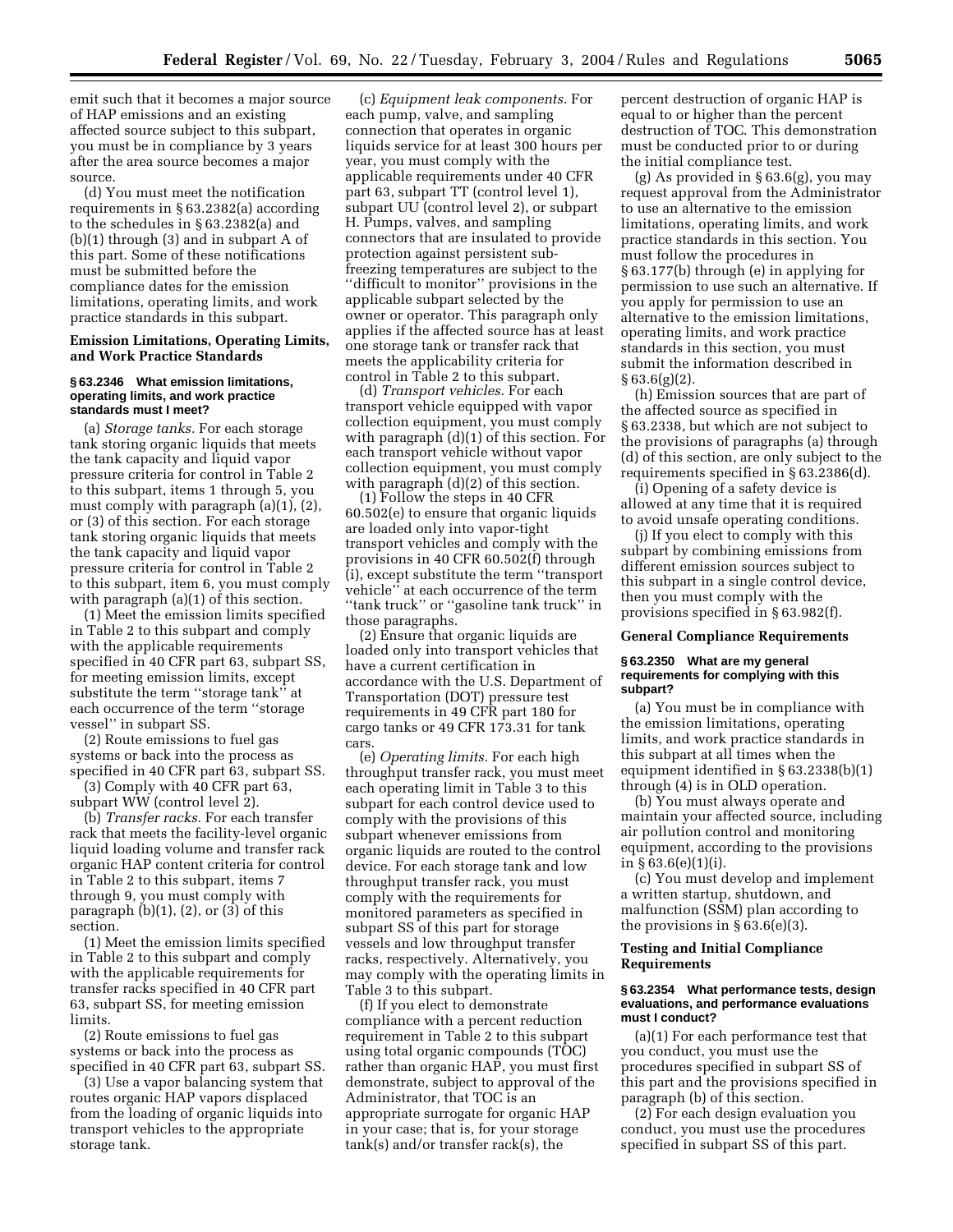emit such that it becomes a major source of HAP emissions and an existing affected source subject to this subpart, you must be in compliance by 3 years after the area source becomes a major source.

(d) You must meet the notification requirements in § 63.2382(a) according to the schedules in § 63.2382(a) and (b)(1) through (3) and in subpart A of this part. Some of these notifications must be submitted before the compliance dates for the emission limitations, operating limits, and work practice standards in this subpart.

## **Emission Limitations, Operating Limits, and Work Practice Standards**

#### **§ 63.2346 What emission limitations, operating limits, and work practice standards must I meet?**

(a) *Storage tanks.* For each storage tank storing organic liquids that meets the tank capacity and liquid vapor pressure criteria for control in Table 2 to this subpart, items 1 through 5, you must comply with paragraph (a)(1), (2), or (3) of this section. For each storage tank storing organic liquids that meets the tank capacity and liquid vapor pressure criteria for control in Table 2 to this subpart, item 6, you must comply with paragraph (a)(1) of this section.

(1) Meet the emission limits specified in Table 2 to this subpart and comply with the applicable requirements specified in 40 CFR part 63, subpart SS, for meeting emission limits, except substitute the term ''storage tank'' at each occurrence of the term ''storage vessel'' in subpart SS.

(2) Route emissions to fuel gas systems or back into the process as specified in 40 CFR part 63, subpart SS.

(3) Comply with 40 CFR part 63, subpart WW (control level 2).

(b) *Transfer racks.* For each transfer rack that meets the facility-level organic liquid loading volume and transfer rack organic HAP content criteria for control in Table 2 to this subpart, items 7 through 9, you must comply with paragraph  $(b)(1)$ ,  $(2)$ , or  $(3)$  of this section.

(1) Meet the emission limits specified in Table 2 to this subpart and comply with the applicable requirements for transfer racks specified in 40 CFR part 63, subpart SS, for meeting emission limits.

(2) Route emissions to fuel gas systems or back into the process as specified in 40 CFR part 63, subpart SS.

(3) Use a vapor balancing system that routes organic HAP vapors displaced from the loading of organic liquids into transport vehicles to the appropriate storage tank.

(c) *Equipment leak components.* For each pump, valve, and sampling connection that operates in organic liquids service for at least 300 hours per year, you must comply with the applicable requirements under 40 CFR part 63, subpart TT (control level 1), subpart UU (control level 2), or subpart H. Pumps, valves, and sampling connectors that are insulated to provide protection against persistent subfreezing temperatures are subject to the ''difficult to monitor'' provisions in the applicable subpart selected by the owner or operator. This paragraph only applies if the affected source has at least one storage tank or transfer rack that meets the applicability criteria for control in Table 2 to this subpart.

(d) *Transport vehicles.* For each transport vehicle equipped with vapor collection equipment, you must comply with paragraph (d)(1) of this section. For each transport vehicle without vapor collection equipment, you must comply with paragraph  $(d)(2)$  of this section.

(1) Follow the steps in 40 CFR 60.502(e) to ensure that organic liquids are loaded only into vapor-tight transport vehicles and comply with the provisions in 40 CFR 60.502(f) through (i), except substitute the term ''transport vehicle'' at each occurrence of the term ''tank truck'' or ''gasoline tank truck'' in those paragraphs.

(2) Ensure that organic liquids are loaded only into transport vehicles that have a current certification in accordance with the U.S. Department of Transportation (DOT) pressure test requirements in 49 CFR part 180 for cargo tanks or 49 CFR 173.31 for tank cars.

(e) *Operating limits.* For each high throughput transfer rack, you must meet each operating limit in Table 3 to this subpart for each control device used to comply with the provisions of this subpart whenever emissions from organic liquids are routed to the control device. For each storage tank and low throughput transfer rack, you must comply with the requirements for monitored parameters as specified in subpart SS of this part for storage vessels and low throughput transfer racks, respectively. Alternatively, you may comply with the operating limits in Table 3 to this subpart.

(f) If you elect to demonstrate compliance with a percent reduction requirement in Table 2 to this subpart using total organic compounds (TOC) rather than organic HAP, you must first demonstrate, subject to approval of the Administrator, that TOC is an appropriate surrogate for organic HAP in your case; that is, for your storage tank(s) and/or transfer rack(s), the

percent destruction of organic HAP is equal to or higher than the percent destruction of TOC. This demonstration must be conducted prior to or during the initial compliance test.

(g) As provided in § 63.6(g), you may request approval from the Administrator to use an alternative to the emission limitations, operating limits, and work practice standards in this section. You must follow the procedures in § 63.177(b) through (e) in applying for permission to use such an alternative. If you apply for permission to use an alternative to the emission limitations, operating limits, and work practice standards in this section, you must submit the information described in  $§ 63.6(g)(2).$ 

(h) Emission sources that are part of the affected source as specified in § 63.2338, but which are not subject to the provisions of paragraphs (a) through (d) of this section, are only subject to the requirements specified in § 63.2386(d).

(i) Opening of a safety device is allowed at any time that it is required to avoid unsafe operating conditions.

(j) If you elect to comply with this subpart by combining emissions from different emission sources subject to this subpart in a single control device, then you must comply with the provisions specified in § 63.982(f).

### **General Compliance Requirements**

#### **§ 63.2350 What are my general requirements for complying with this subpart?**

(a) You must be in compliance with the emission limitations, operating limits, and work practice standards in this subpart at all times when the equipment identified in § 63.2338(b)(1) through (4) is in OLD operation.

(b) You must always operate and maintain your affected source, including air pollution control and monitoring equipment, according to the provisions in § 63.6(e)(1)(i).

(c) You must develop and implement a written startup, shutdown, and malfunction (SSM) plan according to the provisions in  $\S$  63.6(e)(3).

## **Testing and Initial Compliance Requirements**

#### **§ 63.2354 What performance tests, design evaluations, and performance evaluations must I conduct?**

(a)(1) For each performance test that you conduct, you must use the procedures specified in subpart SS of this part and the provisions specified in paragraph (b) of this section.

(2) For each design evaluation you conduct, you must use the procedures specified in subpart SS of this part.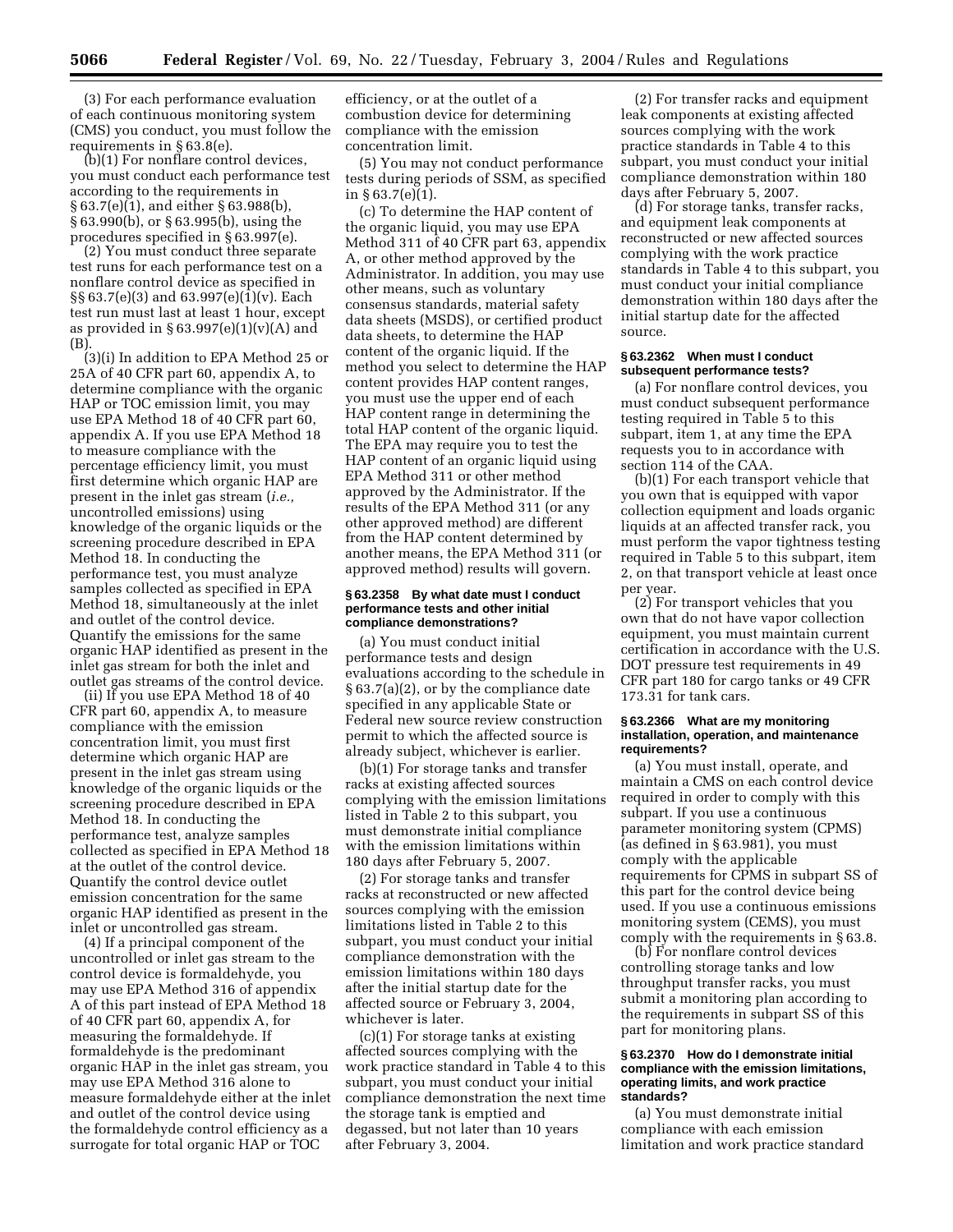(3) For each performance evaluation of each continuous monitoring system (CMS) you conduct, you must follow the requirements in § 63.8(e).

(b)(1) For nonflare control devices, you must conduct each performance test according to the requirements in § 63.7(e)(1), and either § 63.988(b), § 63.990(b), or § 63.995(b), using the procedures specified in § 63.997(e).

(2) You must conduct three separate test runs for each performance test on a nonflare control device as specified in §§ 63.7(e)(3) and 63.997(e)(1)(v). Each test run must last at least 1 hour, except as provided in  $\S 63.997(e)(1)(v)(A)$  and (B).

(3)(i) In addition to EPA Method 25 or 25A of 40 CFR part 60, appendix A, to determine compliance with the organic HAP or TOC emission limit, you may use EPA Method 18 of 40 CFR part 60, appendix A. If you use EPA Method 18 to measure compliance with the percentage efficiency limit, you must first determine which organic HAP are present in the inlet gas stream (*i.e.,* uncontrolled emissions) using knowledge of the organic liquids or the screening procedure described in EPA Method 18. In conducting the performance test, you must analyze samples collected as specified in EPA Method 18, simultaneously at the inlet and outlet of the control device. Quantify the emissions for the same organic HAP identified as present in the inlet gas stream for both the inlet and outlet gas streams of the control device.

(ii) If you use EPA Method 18 of 40 CFR part 60, appendix A, to measure compliance with the emission concentration limit, you must first determine which organic HAP are present in the inlet gas stream using knowledge of the organic liquids or the screening procedure described in EPA Method 18. In conducting the performance test, analyze samples collected as specified in EPA Method 18 at the outlet of the control device. Quantify the control device outlet emission concentration for the same organic HAP identified as present in the inlet or uncontrolled gas stream.

(4) If a principal component of the uncontrolled or inlet gas stream to the control device is formaldehyde, you may use EPA Method 316 of appendix A of this part instead of EPA Method 18 of 40 CFR part 60, appendix A, for measuring the formaldehyde. If formaldehyde is the predominant organic HAP in the inlet gas stream, you may use EPA Method 316 alone to measure formaldehyde either at the inlet and outlet of the control device using the formaldehyde control efficiency as a surrogate for total organic HAP or TOC

efficiency, or at the outlet of a combustion device for determining compliance with the emission concentration limit.

(5) You may not conduct performance tests during periods of SSM, as specified in § 63.7(e)(1).

(c) To determine the HAP content of the organic liquid, you may use EPA Method 311 of 40 CFR part 63, appendix A, or other method approved by the Administrator. In addition, you may use other means, such as voluntary consensus standards, material safety data sheets (MSDS), or certified product data sheets, to determine the HAP content of the organic liquid. If the method you select to determine the HAP content provides HAP content ranges, you must use the upper end of each HAP content range in determining the total HAP content of the organic liquid. The EPA may require you to test the HAP content of an organic liquid using EPA Method 311 or other method approved by the Administrator. If the results of the EPA Method 311 (or any other approved method) are different from the HAP content determined by another means, the EPA Method 311 (or approved method) results will govern.

#### **§ 63.2358 By what date must I conduct performance tests and other initial compliance demonstrations?**

(a) You must conduct initial performance tests and design evaluations according to the schedule in § 63.7(a)(2), or by the compliance date specified in any applicable State or Federal new source review construction permit to which the affected source is already subject, whichever is earlier.

(b)(1) For storage tanks and transfer racks at existing affected sources complying with the emission limitations listed in Table 2 to this subpart, you must demonstrate initial compliance with the emission limitations within 180 days after February 5, 2007.

(2) For storage tanks and transfer racks at reconstructed or new affected sources complying with the emission limitations listed in Table 2 to this subpart, you must conduct your initial compliance demonstration with the emission limitations within 180 days after the initial startup date for the affected source or February 3, 2004, whichever is later.

(c)(1) For storage tanks at existing affected sources complying with the work practice standard in Table 4 to this subpart, you must conduct your initial compliance demonstration the next time the storage tank is emptied and degassed, but not later than 10 years after February 3, 2004.

(2) For transfer racks and equipment leak components at existing affected sources complying with the work practice standards in Table 4 to this subpart, you must conduct your initial compliance demonstration within 180 days after February 5, 2007.

(d) For storage tanks, transfer racks, and equipment leak components at reconstructed or new affected sources complying with the work practice standards in Table 4 to this subpart, you must conduct your initial compliance demonstration within 180 days after the initial startup date for the affected source.

#### **§ 63.2362 When must I conduct subsequent performance tests?**

(a) For nonflare control devices, you must conduct subsequent performance testing required in Table 5 to this subpart, item 1, at any time the EPA requests you to in accordance with section 114 of the CAA.

(b)(1) For each transport vehicle that you own that is equipped with vapor collection equipment and loads organic liquids at an affected transfer rack, you must perform the vapor tightness testing required in Table 5 to this subpart, item 2, on that transport vehicle at least once per year.

(2) For transport vehicles that you own that do not have vapor collection equipment, you must maintain current certification in accordance with the U.S. DOT pressure test requirements in 49 CFR part 180 for cargo tanks or 49 CFR 173.31 for tank cars.

#### **§ 63.2366 What are my monitoring installation, operation, and maintenance requirements?**

(a) You must install, operate, and maintain a CMS on each control device required in order to comply with this subpart. If you use a continuous parameter monitoring system (CPMS) (as defined in § 63.981), you must comply with the applicable requirements for CPMS in subpart SS of this part for the control device being used. If you use a continuous emissions monitoring system (CEMS), you must comply with the requirements in § 63.8.

(b) For nonflare control devices controlling storage tanks and low throughput transfer racks, you must submit a monitoring plan according to the requirements in subpart SS of this part for monitoring plans.

#### **§ 63.2370 How do I demonstrate initial compliance with the emission limitations, operating limits, and work practice standards?**

(a) You must demonstrate initial compliance with each emission limitation and work practice standard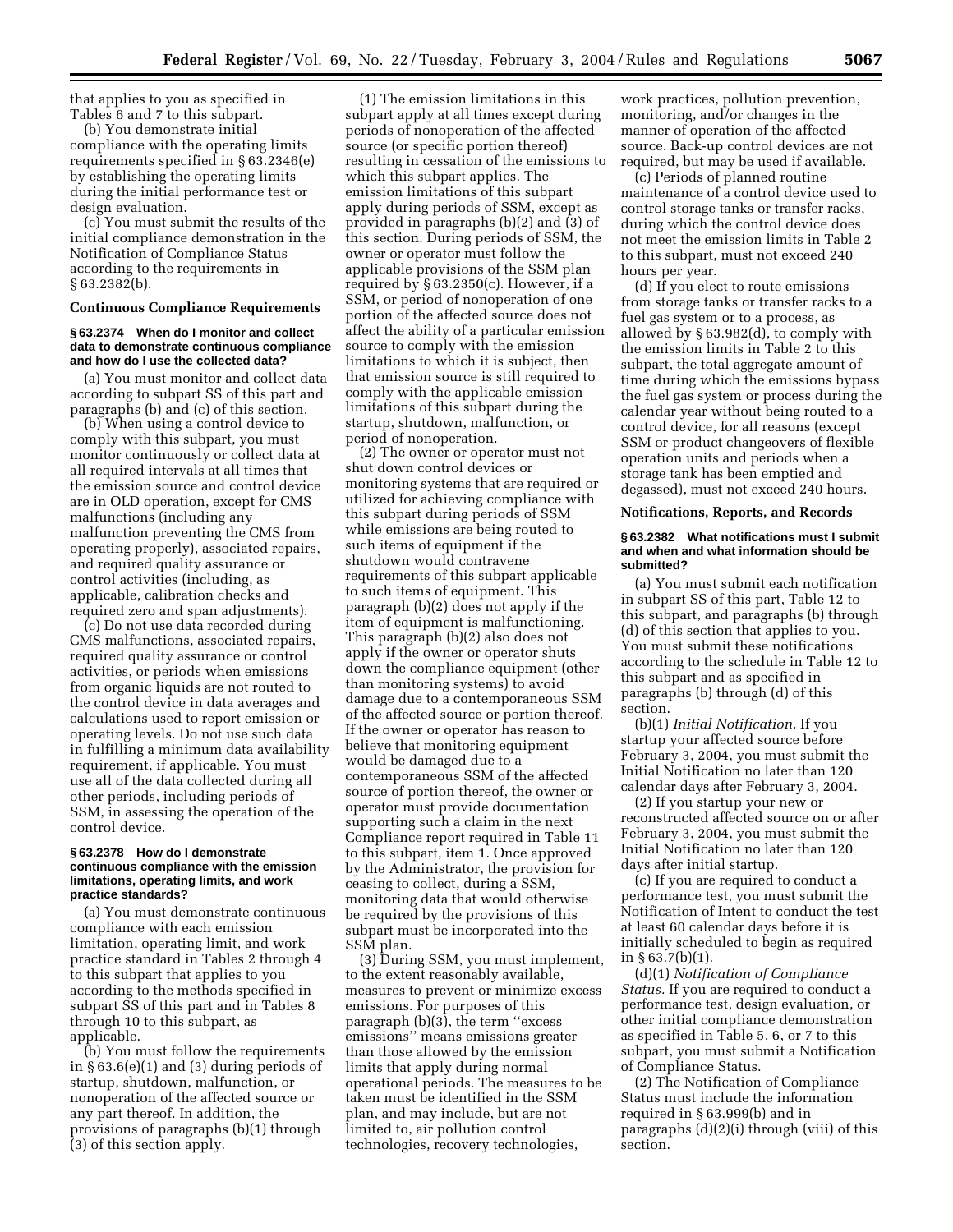that applies to you as specified in Tables 6 and 7 to this subpart.

(b) You demonstrate initial compliance with the operating limits requirements specified in § 63.2346(e) by establishing the operating limits during the initial performance test or design evaluation.

(c) You must submit the results of the initial compliance demonstration in the Notification of Compliance Status according to the requirements in § 63.2382(b).

### **Continuous Compliance Requirements**

### **§ 63.2374 When do I monitor and collect data to demonstrate continuous compliance and how do I use the collected data?**

(a) You must monitor and collect data according to subpart SS of this part and paragraphs (b) and (c) of this section.

(b) When using a control device to comply with this subpart, you must monitor continuously or collect data at all required intervals at all times that the emission source and control device are in OLD operation, except for CMS malfunctions (including any malfunction preventing the CMS from operating properly), associated repairs, and required quality assurance or control activities (including, as applicable, calibration checks and required zero and span adjustments).

(c) Do not use data recorded during CMS malfunctions, associated repairs, required quality assurance or control activities, or periods when emissions from organic liquids are not routed to the control device in data averages and calculations used to report emission or operating levels. Do not use such data in fulfilling a minimum data availability requirement, if applicable. You must use all of the data collected during all other periods, including periods of SSM, in assessing the operation of the control device.

#### **§ 63.2378 How do I demonstrate continuous compliance with the emission limitations, operating limits, and work practice standards?**

(a) You must demonstrate continuous compliance with each emission limitation, operating limit, and work practice standard in Tables 2 through 4 to this subpart that applies to you according to the methods specified in subpart SS of this part and in Tables 8 through 10 to this subpart, as applicable.

(b) You must follow the requirements in § 63.6(e)(1) and (3) during periods of startup, shutdown, malfunction, or nonoperation of the affected source or any part thereof. In addition, the provisions of paragraphs (b)(1) through (3) of this section apply.

(1) The emission limitations in this subpart apply at all times except during periods of nonoperation of the affected source (or specific portion thereof) resulting in cessation of the emissions to which this subpart applies. The emission limitations of this subpart apply during periods of SSM, except as provided in paragraphs (b)(2) and (3) of this section. During periods of SSM, the owner or operator must follow the applicable provisions of the SSM plan required by § 63.2350(c). However, if a SSM, or period of nonoperation of one portion of the affected source does not affect the ability of a particular emission source to comply with the emission limitations to which it is subject, then that emission source is still required to comply with the applicable emission limitations of this subpart during the startup, shutdown, malfunction, or period of nonoperation.

(2) The owner or operator must not shut down control devices or monitoring systems that are required or utilized for achieving compliance with this subpart during periods of SSM while emissions are being routed to such items of equipment if the shutdown would contravene requirements of this subpart applicable to such items of equipment. This paragraph (b)(2) does not apply if the item of equipment is malfunctioning. This paragraph (b)(2) also does not apply if the owner or operator shuts down the compliance equipment (other than monitoring systems) to avoid damage due to a contemporaneous SSM of the affected source or portion thereof. If the owner or operator has reason to believe that monitoring equipment would be damaged due to a contemporaneous SSM of the affected source of portion thereof, the owner or operator must provide documentation supporting such a claim in the next Compliance report required in Table 11 to this subpart, item 1. Once approved by the Administrator, the provision for ceasing to collect, during a SSM, monitoring data that would otherwise be required by the provisions of this subpart must be incorporated into the SSM plan.

(3) During SSM, you must implement, to the extent reasonably available, measures to prevent or minimize excess emissions. For purposes of this paragraph (b)(3), the term ''excess emissions'' means emissions greater than those allowed by the emission limits that apply during normal operational periods. The measures to be taken must be identified in the SSM plan, and may include, but are not limited to, air pollution control technologies, recovery technologies,

work practices, pollution prevention, monitoring, and/or changes in the manner of operation of the affected source. Back-up control devices are not required, but may be used if available.

(c) Periods of planned routine maintenance of a control device used to control storage tanks or transfer racks, during which the control device does not meet the emission limits in Table 2 to this subpart, must not exceed 240 hours per year.

(d) If you elect to route emissions from storage tanks or transfer racks to a fuel gas system or to a process, as allowed by § 63.982(d), to comply with the emission limits in Table 2 to this subpart, the total aggregate amount of time during which the emissions bypass the fuel gas system or process during the calendar year without being routed to a control device, for all reasons (except SSM or product changeovers of flexible operation units and periods when a storage tank has been emptied and degassed), must not exceed 240 hours.

#### **Notifications, Reports, and Records**

#### **§ 63.2382 What notifications must I submit and when and what information should be submitted?**

(a) You must submit each notification in subpart SS of this part, Table 12 to this subpart, and paragraphs (b) through (d) of this section that applies to you. You must submit these notifications according to the schedule in Table 12 to this subpart and as specified in paragraphs (b) through (d) of this section.

(b)(1) *Initial Notification.* If you startup your affected source before February 3, 2004, you must submit the Initial Notification no later than 120 calendar days after February 3, 2004.

(2) If you startup your new or reconstructed affected source on or after February 3, 2004, you must submit the Initial Notification no later than 120 days after initial startup.

(c) If you are required to conduct a performance test, you must submit the Notification of Intent to conduct the test at least 60 calendar days before it is initially scheduled to begin as required in  $§ 63.7(b)(1)$ .

(d)(1) *Notification of Compliance Status.* If you are required to conduct a performance test, design evaluation, or other initial compliance demonstration as specified in Table 5, 6, or 7 to this subpart, you must submit a Notification of Compliance Status.

(2) The Notification of Compliance Status must include the information required in § 63.999(b) and in paragraphs (d)(2)(i) through (viii) of this section.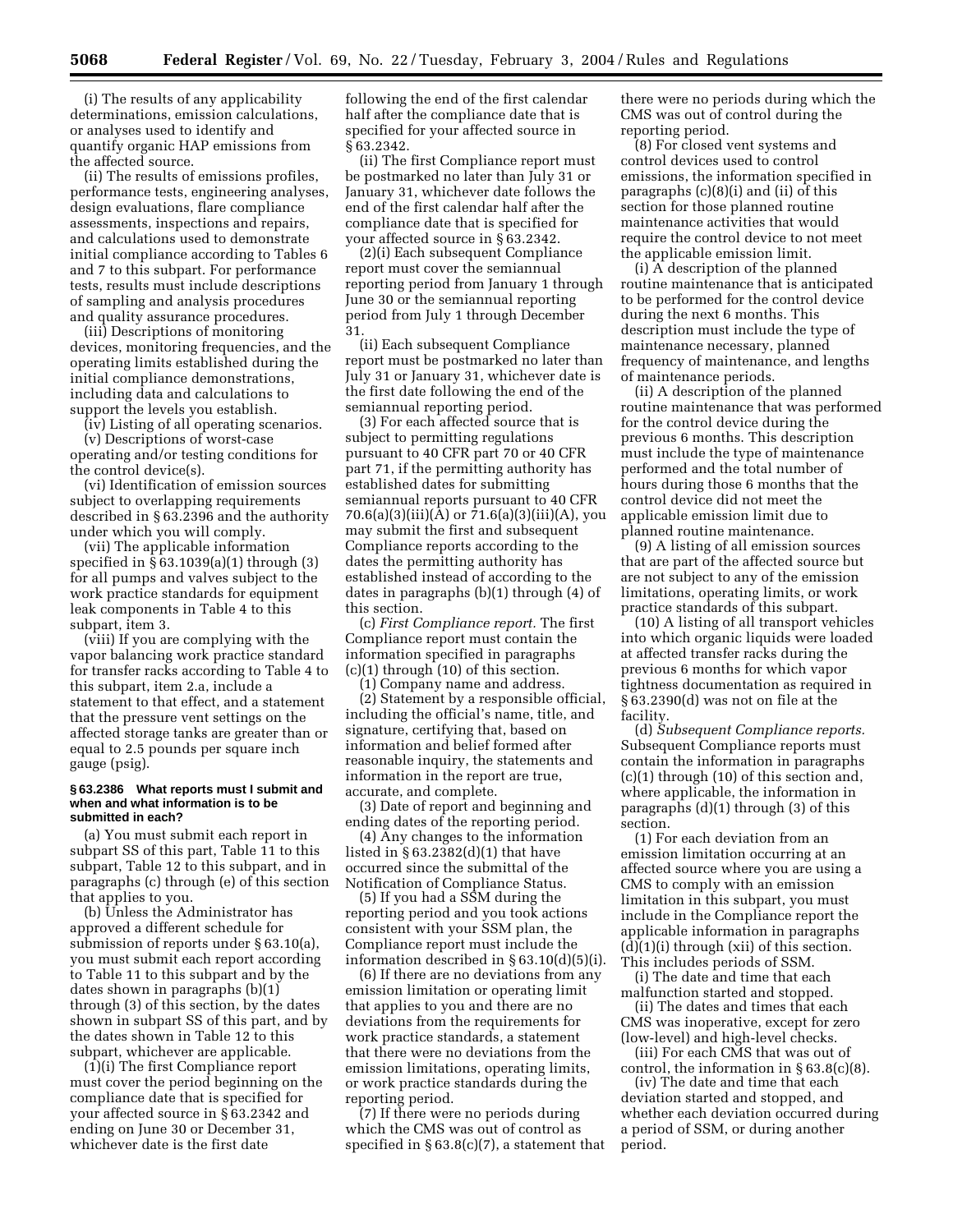(i) The results of any applicability determinations, emission calculations, or analyses used to identify and quantify organic HAP emissions from the affected source.

(ii) The results of emissions profiles, performance tests, engineering analyses, design evaluations, flare compliance assessments, inspections and repairs, and calculations used to demonstrate initial compliance according to Tables 6 and 7 to this subpart. For performance tests, results must include descriptions of sampling and analysis procedures and quality assurance procedures.

(iii) Descriptions of monitoring devices, monitoring frequencies, and the operating limits established during the initial compliance demonstrations, including data and calculations to support the levels you establish.

(iv) Listing of all operating scenarios. (v) Descriptions of worst-case operating and/or testing conditions for the control device(s).

(vi) Identification of emission sources subject to overlapping requirements described in § 63.2396 and the authority under which you will comply.

(vii) The applicable information specified in § 63.1039(a)(1) through (3) for all pumps and valves subject to the work practice standards for equipment leak components in Table 4 to this subpart, item 3.

(viii) If you are complying with the vapor balancing work practice standard for transfer racks according to Table 4 to this subpart, item 2.a, include a statement to that effect, and a statement that the pressure vent settings on the affected storage tanks are greater than or equal to 2.5 pounds per square inch gauge (psig).

#### **§ 63.2386 What reports must I submit and when and what information is to be submitted in each?**

(a) You must submit each report in subpart SS of this part, Table 11 to this subpart, Table 12 to this subpart, and in paragraphs (c) through (e) of this section that applies to you.

(b) Unless the Administrator has approved a different schedule for submission of reports under § 63.10(a), you must submit each report according to Table 11 to this subpart and by the dates shown in paragraphs (b)(1) through (3) of this section, by the dates shown in subpart SS of this part, and by the dates shown in Table 12 to this subpart, whichever are applicable.

(1)(i) The first Compliance report must cover the period beginning on the compliance date that is specified for your affected source in § 63.2342 and ending on June 30 or December 31, whichever date is the first date

following the end of the first calendar half after the compliance date that is specified for your affected source in § 63.2342.

(ii) The first Compliance report must be postmarked no later than July 31 or January 31, whichever date follows the end of the first calendar half after the compliance date that is specified for your affected source in § 63.2342.

(2)(i) Each subsequent Compliance report must cover the semiannual reporting period from January 1 through June 30 or the semiannual reporting period from July 1 through December 31.

(ii) Each subsequent Compliance report must be postmarked no later than July 31 or January 31, whichever date is the first date following the end of the semiannual reporting period.

(3) For each affected source that is subject to permitting regulations pursuant to 40 CFR part 70 or 40 CFR part 71, if the permitting authority has established dates for submitting semiannual reports pursuant to 40 CFR 70.6(a)(3)(iii)(A) or 71.6(a)(3)(iii)(A), you may submit the first and subsequent Compliance reports according to the dates the permitting authority has established instead of according to the dates in paragraphs (b)(1) through (4) of this section.

(c) *First Compliance report.* The first Compliance report must contain the information specified in paragraphs  $(c)(1)$  through  $(10)$  of this section.

(1) Company name and address. (2) Statement by a responsible official, including the official's name, title, and signature, certifying that, based on information and belief formed after reasonable inquiry, the statements and information in the report are true, accurate, and complete.

(3) Date of report and beginning and ending dates of the reporting period.

(4) Any changes to the information listed in § 63.2382(d)(1) that have occurred since the submittal of the Notification of Compliance Status.

(5) If you had a SSM during the reporting period and you took actions consistent with your SSM plan, the Compliance report must include the information described in § 63.10(d)(5)(i).

(6) If there are no deviations from any emission limitation or operating limit that applies to you and there are no deviations from the requirements for work practice standards, a statement that there were no deviations from the emission limitations, operating limits, or work practice standards during the reporting period.

(7) If there were no periods during which the CMS was out of control as specified in § 63.8(c)(7), a statement that there were no periods during which the CMS was out of control during the reporting period.

(8) For closed vent systems and control devices used to control emissions, the information specified in paragraphs (c)(8)(i) and (ii) of this section for those planned routine maintenance activities that would require the control device to not meet the applicable emission limit.

(i) A description of the planned routine maintenance that is anticipated to be performed for the control device during the next 6 months. This description must include the type of maintenance necessary, planned frequency of maintenance, and lengths of maintenance periods.

(ii) A description of the planned routine maintenance that was performed for the control device during the previous 6 months. This description must include the type of maintenance performed and the total number of hours during those 6 months that the control device did not meet the applicable emission limit due to planned routine maintenance.

(9) A listing of all emission sources that are part of the affected source but are not subject to any of the emission limitations, operating limits, or work practice standards of this subpart.

(10) A listing of all transport vehicles into which organic liquids were loaded at affected transfer racks during the previous 6 months for which vapor tightness documentation as required in § 63.2390(d) was not on file at the facility.

(d) *Subsequent Compliance reports.* Subsequent Compliance reports must contain the information in paragraphs (c)(1) through (10) of this section and, where applicable, the information in paragraphs (d)(1) through (3) of this section.

(1) For each deviation from an emission limitation occurring at an affected source where you are using a CMS to comply with an emission limitation in this subpart, you must include in the Compliance report the applicable information in paragraphs  $(d)(1)(i)$  through  $(xii)$  of this section. This includes periods of SSM.

(i) The date and time that each malfunction started and stopped.

(ii) The dates and times that each CMS was inoperative, except for zero (low-level) and high-level checks.

(iii) For each CMS that was out of control, the information in § 63.8(c)(8).

(iv) The date and time that each deviation started and stopped, and whether each deviation occurred during a period of SSM, or during another period.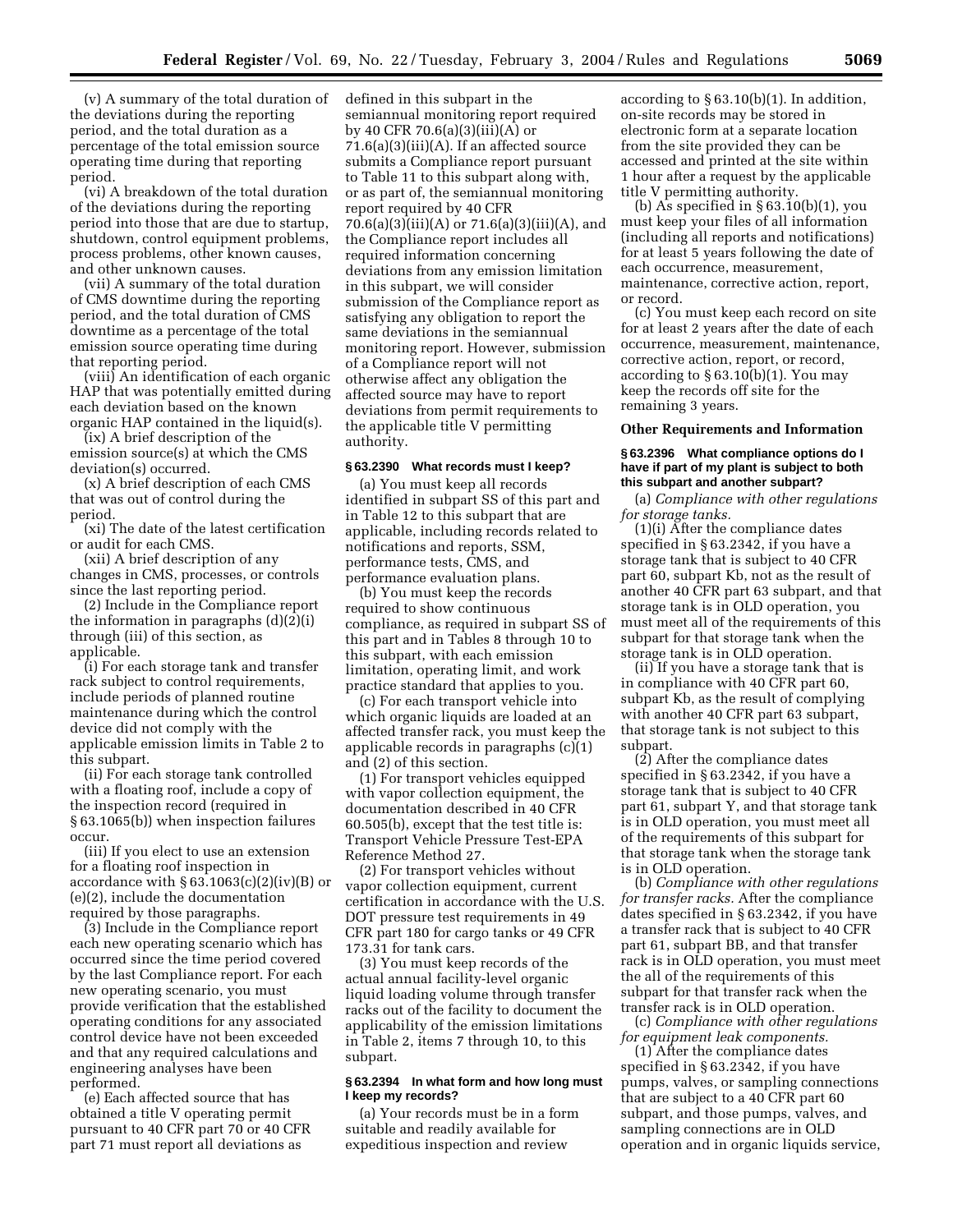(v) A summary of the total duration of the deviations during the reporting period, and the total duration as a percentage of the total emission source operating time during that reporting period.

(vi) A breakdown of the total duration of the deviations during the reporting period into those that are due to startup, shutdown, control equipment problems, process problems, other known causes, and other unknown causes.

(vii) A summary of the total duration of CMS downtime during the reporting period, and the total duration of CMS downtime as a percentage of the total emission source operating time during that reporting period.

(viii) An identification of each organic HAP that was potentially emitted during each deviation based on the known organic HAP contained in the liquid(s).

(ix) A brief description of the emission source(s) at which the CMS deviation(s) occurred.

(x) A brief description of each CMS that was out of control during the period.

(xi) The date of the latest certification or audit for each CMS.

(xii) A brief description of any changes in CMS, processes, or controls since the last reporting period.

(2) Include in the Compliance report the information in paragraphs (d)(2)(i) through (iii) of this section, as applicable.

(i) For each storage tank and transfer rack subject to control requirements, include periods of planned routine maintenance during which the control device did not comply with the applicable emission limits in Table 2 to this subpart.

(ii) For each storage tank controlled with a floating roof, include a copy of the inspection record (required in § 63.1065(b)) when inspection failures occur.

(iii) If you elect to use an extension for a floating roof inspection in accordance with  $\S 63.1063(c)(2)(iv)(B)$  or (e)(2), include the documentation required by those paragraphs.

(3) Include in the Compliance report each new operating scenario which has occurred since the time period covered by the last Compliance report. For each new operating scenario, you must provide verification that the established operating conditions for any associated control device have not been exceeded and that any required calculations and engineering analyses have been performed.

(e) Each affected source that has obtained a title V operating permit pursuant to 40 CFR part 70 or 40 CFR part 71 must report all deviations as

defined in this subpart in the semiannual monitoring report required by 40 CFR 70.6(a)(3)(iii)(A) or  $71.6(a)(3)(iii)(A)$ . If an affected source submits a Compliance report pursuant to Table 11 to this subpart along with, or as part of, the semiannual monitoring report required by 40 CFR 70.6(a)(3)(iii)(A) or 71.6(a)(3)(iii)(A), and the Compliance report includes all required information concerning deviations from any emission limitation in this subpart, we will consider submission of the Compliance report as satisfying any obligation to report the same deviations in the semiannual monitoring report. However, submission of a Compliance report will not otherwise affect any obligation the affected source may have to report deviations from permit requirements to the applicable title V permitting authority.

#### **§ 63.2390 What records must I keep?**

(a) You must keep all records identified in subpart SS of this part and in Table 12 to this subpart that are applicable, including records related to notifications and reports, SSM, performance tests, CMS, and performance evaluation plans.

(b) You must keep the records required to show continuous compliance, as required in subpart SS of this part and in Tables 8 through 10 to this subpart, with each emission limitation, operating limit, and work practice standard that applies to you.

(c) For each transport vehicle into which organic liquids are loaded at an affected transfer rack, you must keep the applicable records in paragraphs (c)(1) and (2) of this section.

(1) For transport vehicles equipped with vapor collection equipment, the documentation described in 40 CFR 60.505(b), except that the test title is: Transport Vehicle Pressure Test-EPA Reference Method 27.

(2) For transport vehicles without vapor collection equipment, current certification in accordance with the U.S. DOT pressure test requirements in 49 CFR part 180 for cargo tanks or 49 CFR 173.31 for tank cars.

(3) You must keep records of the actual annual facility-level organic liquid loading volume through transfer racks out of the facility to document the applicability of the emission limitations in Table 2, items 7 through 10, to this subpart.

#### **§ 63.2394 In what form and how long must I keep my records?**

(a) Your records must be in a form suitable and readily available for expeditious inspection and review

according to  $\S 63.10(b)(1)$ . In addition, on-site records may be stored in electronic form at a separate location from the site provided they can be accessed and printed at the site within 1 hour after a request by the applicable title V permitting authority.

(b) As specified in § 63.10(b)(1), you must keep your files of all information (including all reports and notifications) for at least 5 years following the date of each occurrence, measurement, maintenance, corrective action, report, or record.

(c) You must keep each record on site for at least 2 years after the date of each occurrence, measurement, maintenance, corrective action, report, or record, according to § 63.10(b)(1). You may keep the records off site for the remaining 3 years.

#### **Other Requirements and Information**

#### **§ 63.2396 What compliance options do I have if part of my plant is subject to both this subpart and another subpart?**

(a) *Compliance with other regulations for storage tanks.*

(1)(i) After the compliance dates specified in § 63.2342, if you have a storage tank that is subject to 40 CFR part 60, subpart Kb, not as the result of another 40 CFR part 63 subpart, and that storage tank is in OLD operation, you must meet all of the requirements of this subpart for that storage tank when the storage tank is in OLD operation.

(ii) If you have a storage tank that is in compliance with 40 CFR part 60, subpart Kb, as the result of complying with another 40 CFR part 63 subpart, that storage tank is not subject to this subpart.

(2) After the compliance dates specified in § 63.2342, if you have a storage tank that is subject to 40 CFR part 61, subpart Y, and that storage tank is in OLD operation, you must meet all of the requirements of this subpart for that storage tank when the storage tank is in OLD operation.

(b) *Compliance with other regulations for transfer racks.* After the compliance dates specified in § 63.2342, if you have a transfer rack that is subject to 40 CFR part 61, subpart BB, and that transfer rack is in OLD operation, you must meet the all of the requirements of this subpart for that transfer rack when the transfer rack is in OLD operation.

(c) *Compliance with other regulations for equipment leak components.*

(1) After the compliance dates specified in § 63.2342, if you have pumps, valves, or sampling connections that are subject to a 40 CFR part 60 subpart, and those pumps, valves, and sampling connections are in OLD operation and in organic liquids service,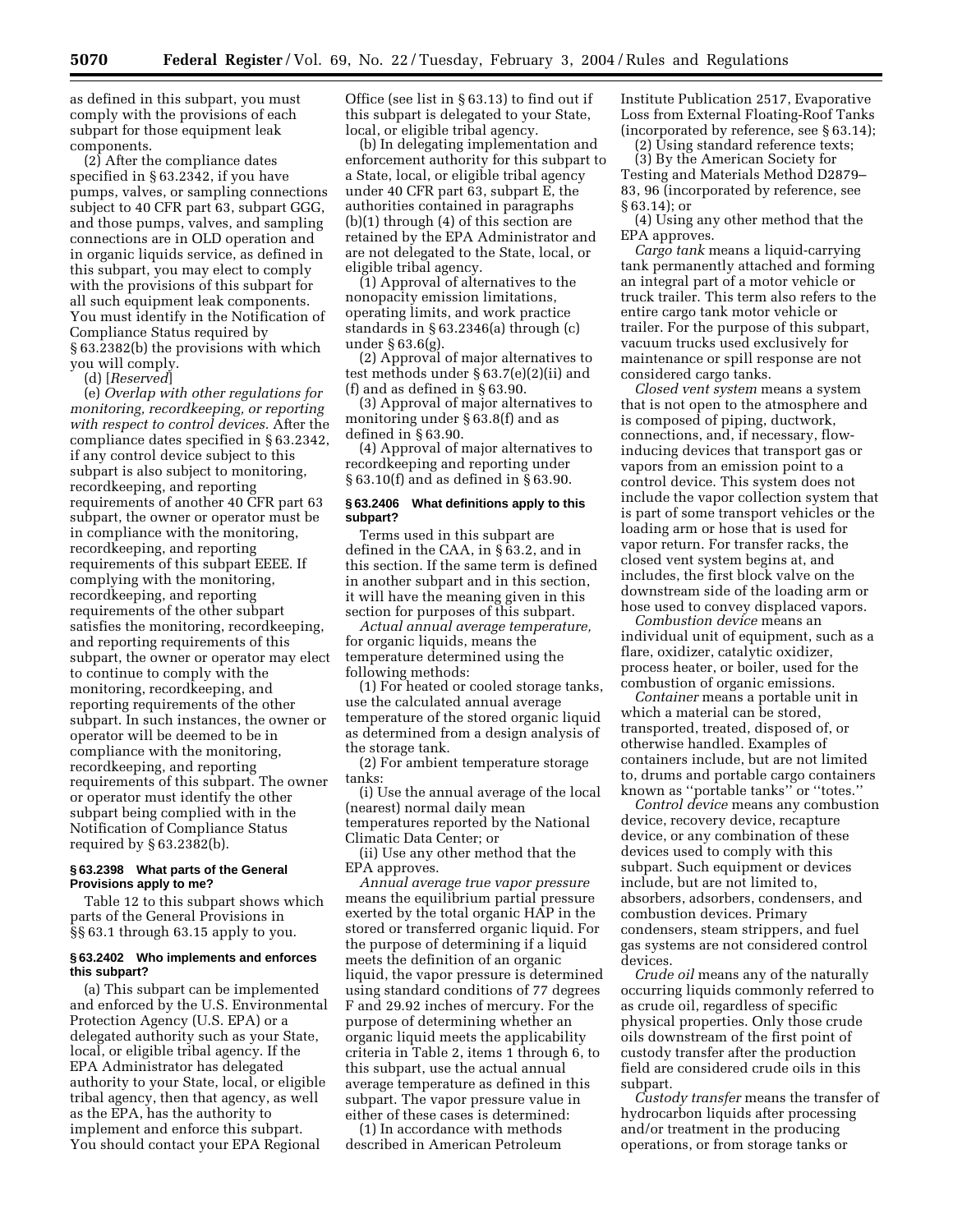as defined in this subpart, you must comply with the provisions of each subpart for those equipment leak components.

(2) After the compliance dates specified in § 63.2342, if you have pumps, valves, or sampling connections subject to 40 CFR part 63, subpart GGG, and those pumps, valves, and sampling connections are in OLD operation and in organic liquids service, as defined in this subpart, you may elect to comply with the provisions of this subpart for all such equipment leak components. You must identify in the Notification of Compliance Status required by § 63.2382(b) the provisions with which you will comply.

(d) [*Reserved*]

(e) *Overlap with other regulations for monitoring, recordkeeping, or reporting with respect to control devices.* After the compliance dates specified in § 63.2342, if any control device subject to this subpart is also subject to monitoring, recordkeeping, and reporting requirements of another 40 CFR part 63 subpart, the owner or operator must be in compliance with the monitoring, recordkeeping, and reporting requirements of this subpart EEEE. If complying with the monitoring, recordkeeping, and reporting requirements of the other subpart satisfies the monitoring, recordkeeping, and reporting requirements of this subpart, the owner or operator may elect to continue to comply with the monitoring, recordkeeping, and reporting requirements of the other subpart. In such instances, the owner or operator will be deemed to be in compliance with the monitoring, recordkeeping, and reporting requirements of this subpart. The owner or operator must identify the other subpart being complied with in the Notification of Compliance Status required by § 63.2382(b).

### **§ 63.2398 What parts of the General Provisions apply to me?**

Table 12 to this subpart shows which parts of the General Provisions in §§ 63.1 through 63.15 apply to you.

### **§ 63.2402 Who implements and enforces this subpart?**

(a) This subpart can be implemented and enforced by the U.S. Environmental Protection Agency (U.S. EPA) or a delegated authority such as your State, local, or eligible tribal agency. If the EPA Administrator has delegated authority to your State, local, or eligible tribal agency, then that agency, as well as the EPA, has the authority to implement and enforce this subpart. You should contact your EPA Regional

Office (see list in § 63.13) to find out if this subpart is delegated to your State, local, or eligible tribal agency.

(b) In delegating implementation and enforcement authority for this subpart to a State, local, or eligible tribal agency under 40 CFR part 63, subpart E, the authorities contained in paragraphs (b)(1) through (4) of this section are retained by the EPA Administrator and are not delegated to the State, local, or eligible tribal agency.

(1) Approval of alternatives to the nonopacity emission limitations, operating limits, and work practice standards in § 63.2346(a) through (c) under § 63.6(g).

(2) Approval of major alternatives to test methods under § 63.7(e)(2)(ii) and (f) and as defined in § 63.90.

(3) Approval of major alternatives to monitoring under § 63.8(f) and as defined in § 63.90.

(4) Approval of major alternatives to recordkeeping and reporting under § 63.10(f) and as defined in § 63.90.

### **§ 63.2406 What definitions apply to this subpart?**

Terms used in this subpart are defined in the CAA, in § 63.2, and in this section. If the same term is defined in another subpart and in this section, it will have the meaning given in this section for purposes of this subpart.

*Actual annual average temperature,* for organic liquids, means the temperature determined using the following methods:

(1) For heated or cooled storage tanks, use the calculated annual average temperature of the stored organic liquid as determined from a design analysis of the storage tank.

(2) For ambient temperature storage tanks:

(i) Use the annual average of the local (nearest) normal daily mean temperatures reported by the National Climatic Data Center; or

(ii) Use any other method that the EPA approves.

*Annual average true vapor pressure* means the equilibrium partial pressure exerted by the total organic HAP in the stored or transferred organic liquid. For the purpose of determining if a liquid meets the definition of an organic liquid, the vapor pressure is determined using standard conditions of 77 degrees F and 29.92 inches of mercury. For the purpose of determining whether an organic liquid meets the applicability criteria in Table 2, items 1 through 6, to this subpart, use the actual annual average temperature as defined in this subpart. The vapor pressure value in either of these cases is determined:

(1) In accordance with methods described in American Petroleum Institute Publication 2517, Evaporative Loss from External Floating-Roof Tanks (incorporated by reference, see § 63.14);

(2) Using standard reference texts;

(3) By the American Society for Testing and Materials Method D2879– 83, 96 (incorporated by reference, see § 63.14); or

(4) Using any other method that the EPA approves.

*Cargo tank* means a liquid-carrying tank permanently attached and forming an integral part of a motor vehicle or truck trailer. This term also refers to the entire cargo tank motor vehicle or trailer. For the purpose of this subpart, vacuum trucks used exclusively for maintenance or spill response are not considered cargo tanks.

*Closed vent system* means a system that is not open to the atmosphere and is composed of piping, ductwork, connections, and, if necessary, flowinducing devices that transport gas or vapors from an emission point to a control device. This system does not include the vapor collection system that is part of some transport vehicles or the loading arm or hose that is used for vapor return. For transfer racks, the closed vent system begins at, and includes, the first block valve on the downstream side of the loading arm or hose used to convey displaced vapors.

*Combustion device* means an individual unit of equipment, such as a flare, oxidizer, catalytic oxidizer, process heater, or boiler, used for the combustion of organic emissions.

*Container* means a portable unit in which a material can be stored, transported, treated, disposed of, or otherwise handled. Examples of containers include, but are not limited to, drums and portable cargo containers known as ''portable tanks'' or ''totes.''

*Control device* means any combustion device, recovery device, recapture device, or any combination of these devices used to comply with this subpart. Such equipment or devices include, but are not limited to, absorbers, adsorbers, condensers, and combustion devices. Primary condensers, steam strippers, and fuel gas systems are not considered control devices.

*Crude oil* means any of the naturally occurring liquids commonly referred to as crude oil, regardless of specific physical properties. Only those crude oils downstream of the first point of custody transfer after the production field are considered crude oils in this subpart.

*Custody transfer* means the transfer of hydrocarbon liquids after processing and/or treatment in the producing operations, or from storage tanks or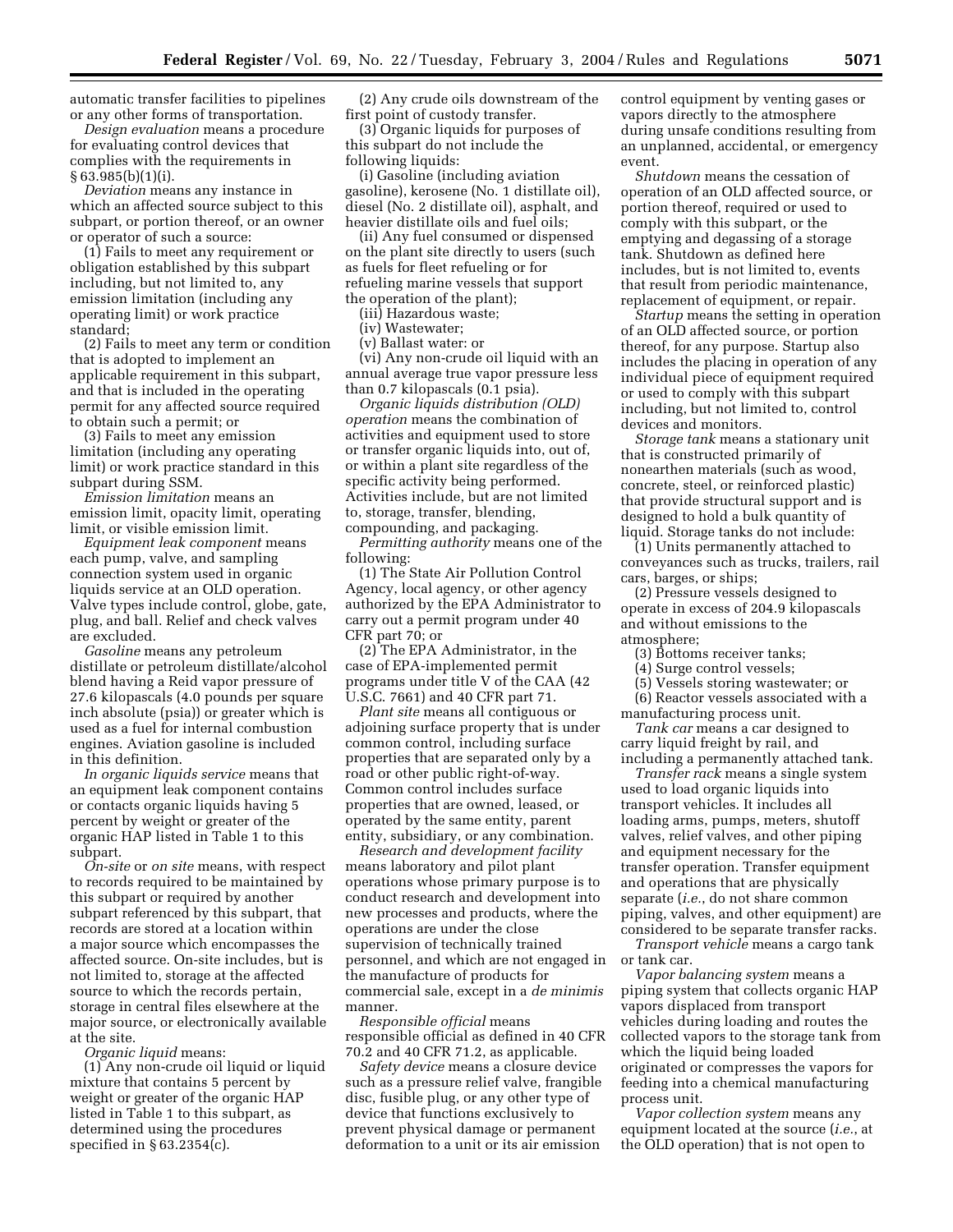automatic transfer facilities to pipelines or any other forms of transportation.

*Design evaluation* means a procedure for evaluating control devices that complies with the requirements in § 63.985(b)(1)(i).

*Deviation* means any instance in which an affected source subject to this subpart, or portion thereof, or an owner or operator of such a source:

(1) Fails to meet any requirement or obligation established by this subpart including, but not limited to, any emission limitation (including any operating limit) or work practice standard;

(2) Fails to meet any term or condition that is adopted to implement an applicable requirement in this subpart, and that is included in the operating permit for any affected source required to obtain such a permit; or

(3) Fails to meet any emission limitation (including any operating limit) or work practice standard in this subpart during SSM.

*Emission limitation* means an emission limit, opacity limit, operating limit, or visible emission limit.

*Equipment leak component* means each pump, valve, and sampling connection system used in organic liquids service at an OLD operation. Valve types include control, globe, gate, plug, and ball. Relief and check valves are excluded.

*Gasoline* means any petroleum distillate or petroleum distillate/alcohol blend having a Reid vapor pressure of 27.6 kilopascals (4.0 pounds per square inch absolute (psia)) or greater which is used as a fuel for internal combustion engines. Aviation gasoline is included in this definition.

*In organic liquids service* means that an equipment leak component contains or contacts organic liquids having 5 percent by weight or greater of the organic HAP listed in Table 1 to this subpart.

*On-site* or *on site* means, with respect to records required to be maintained by this subpart or required by another subpart referenced by this subpart, that records are stored at a location within a major source which encompasses the affected source. On-site includes, but is not limited to, storage at the affected source to which the records pertain, storage in central files elsewhere at the major source, or electronically available at the site.

*Organic liquid* means:

(1) Any non-crude oil liquid or liquid mixture that contains 5 percent by weight or greater of the organic HAP listed in Table 1 to this subpart, as determined using the procedures specified in § 63.2354(c).

(2) Any crude oils downstream of the first point of custody transfer.

(3) Organic liquids for purposes of this subpart do not include the following liquids:

(i) Gasoline (including aviation gasoline), kerosene (No. 1 distillate oil), diesel (No. 2 distillate oil), asphalt, and heavier distillate oils and fuel oils;

(ii) Any fuel consumed or dispensed on the plant site directly to users (such as fuels for fleet refueling or for refueling marine vessels that support the operation of the plant);

(iii) Hazardous waste;

(iv) Wastewater;

(v) Ballast water: or

(vi) Any non-crude oil liquid with an annual average true vapor pressure less than 0.7 kilopascals (0.1 psia).

*Organic liquids distribution (OLD) operation* means the combination of activities and equipment used to store or transfer organic liquids into, out of, or within a plant site regardless of the specific activity being performed. Activities include, but are not limited to, storage, transfer, blending, compounding, and packaging.

*Permitting authority* means one of the following:

(1) The State Air Pollution Control Agency, local agency, or other agency authorized by the EPA Administrator to carry out a permit program under 40 CFR part 70; or

(2) The EPA Administrator, in the case of EPA-implemented permit programs under title V of the CAA (42 U.S.C. 7661) and 40 CFR part 71.

*Plant site* means all contiguous or adjoining surface property that is under common control, including surface properties that are separated only by a road or other public right-of-way. Common control includes surface properties that are owned, leased, or operated by the same entity, parent entity, subsidiary, or any combination.

*Research and development facility* means laboratory and pilot plant operations whose primary purpose is to conduct research and development into new processes and products, where the operations are under the close supervision of technically trained personnel, and which are not engaged in the manufacture of products for commercial sale, except in a *de minimis* manner.

*Responsible official* means responsible official as defined in 40 CFR 70.2 and 40 CFR 71.2, as applicable.

*Safety device* means a closure device such as a pressure relief valve, frangible disc, fusible plug, or any other type of device that functions exclusively to prevent physical damage or permanent deformation to a unit or its air emission

control equipment by venting gases or vapors directly to the atmosphere during unsafe conditions resulting from an unplanned, accidental, or emergency event.

*Shutdown* means the cessation of operation of an OLD affected source, or portion thereof, required or used to comply with this subpart, or the emptying and degassing of a storage tank. Shutdown as defined here includes, but is not limited to, events that result from periodic maintenance, replacement of equipment, or repair.

*Startup* means the setting in operation of an OLD affected source, or portion thereof, for any purpose. Startup also includes the placing in operation of any individual piece of equipment required or used to comply with this subpart including, but not limited to, control devices and monitors.

*Storage tank* means a stationary unit that is constructed primarily of nonearthen materials (such as wood, concrete, steel, or reinforced plastic) that provide structural support and is designed to hold a bulk quantity of liquid. Storage tanks do not include:

(1) Units permanently attached to conveyances such as trucks, trailers, rail cars, barges, or ships;

(2) Pressure vessels designed to operate in excess of 204.9 kilopascals and without emissions to the atmosphere;

(3) Bottoms receiver tanks;

(4) Surge control vessels;

(5) Vessels storing wastewater; or

(6) Reactor vessels associated with a manufacturing process unit.

*Tank car* means a car designed to carry liquid freight by rail, and including a permanently attached tank.

*Transfer rack* means a single system used to load organic liquids into transport vehicles. It includes all loading arms, pumps, meters, shutoff valves, relief valves, and other piping and equipment necessary for the transfer operation. Transfer equipment and operations that are physically separate (*i.e.*, do not share common piping, valves, and other equipment) are considered to be separate transfer racks.

*Transport vehicle* means a cargo tank or tank car.

*Vapor balancing system* means a piping system that collects organic HAP vapors displaced from transport vehicles during loading and routes the collected vapors to the storage tank from which the liquid being loaded originated or compresses the vapors for feeding into a chemical manufacturing process unit.

*Vapor collection system* means any equipment located at the source (*i.e.*, at the OLD operation) that is not open to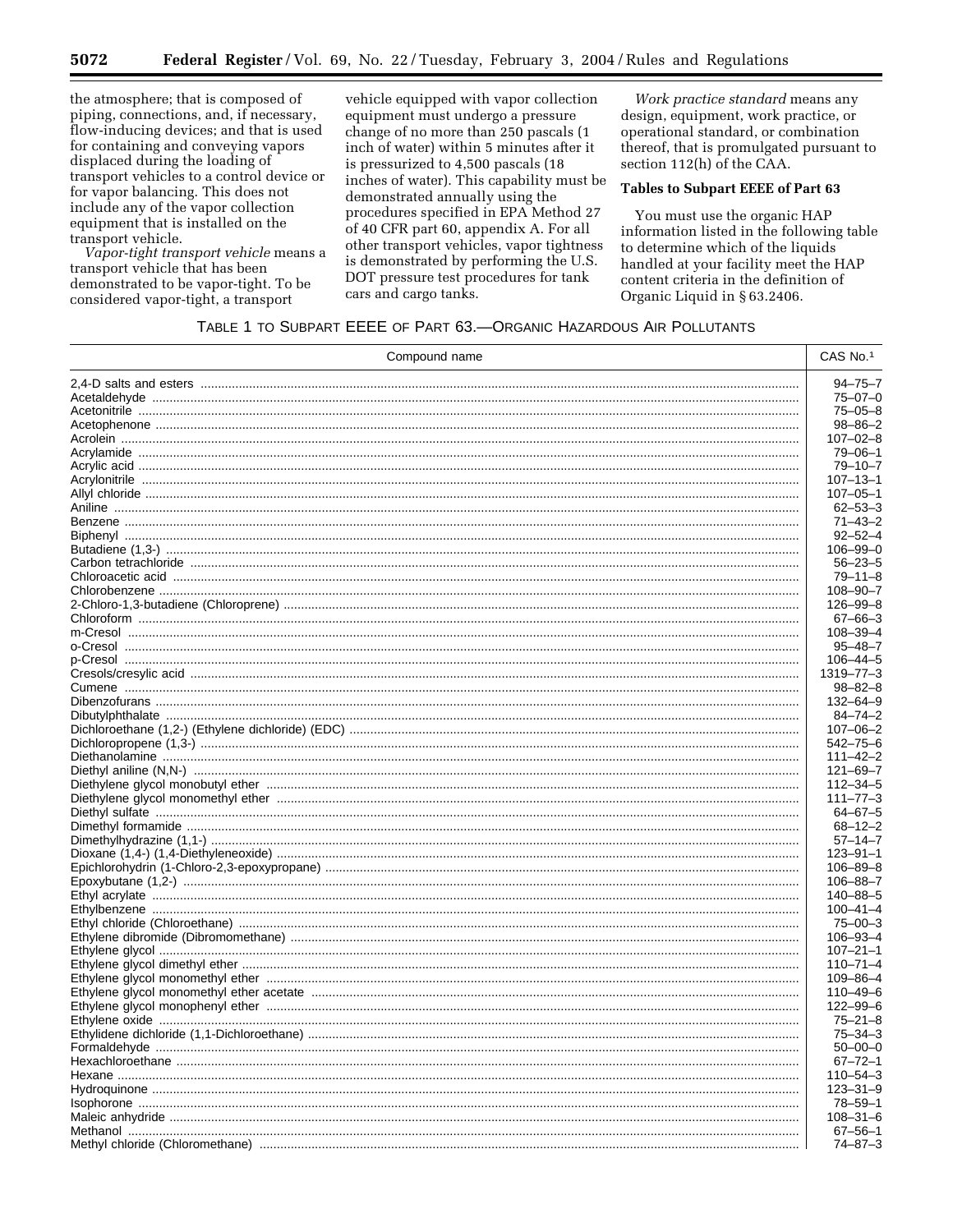the atmosphere; that is composed of piping, connections, and, if necessary, flow-inducing devices; and that is used for containing and conveying vapors displaced during the loading of transport vehicles to a control device or for vapor balancing. This does not include any of the vapor collection equipment that is installed on the transport vehicle.

Vapor-tight transport vehicle means a transport vehicle that has been demonstrated to be vapor-tight. To be considered vapor-tight, a transport

vehicle equipped with vapor collection equipment must undergo a pressure change of no more than 250 pascals (1 inch of water) within 5 minutes after it is pressurized to 4,500 pascals (18 inches of water). This capability must be demonstrated annually using the procedures specified in EPA Method 27 of 40 CFR part 60, appendix A. For all other transport vehicles, vapor tightness is demonstrated by performing the U.S. DOT pressure test procedures for tank cars and cargo tanks.

Work practice standard means any design, equipment, work practice, or operational standard, or combination thereof, that is promulgated pursuant to section 112(h) of the CAA.

# **Tables to Subpart EEEE of Part 63**

You must use the organic HAP information listed in the following table to determine which of the liquids handled at your facility meet the HAP content criteria in the definition of Organic Liquid in § 63.2406.

## TABLE 1 TO SUBPART EEEE OF PART 63.- ORGANIC HAZARDOUS AIR POLLUTANTS

| Compound name | CAS No.1                         |
|---------------|----------------------------------|
|               | $94 - 75 - 7$                    |
|               | $75 - 07 - 0$                    |
|               | $75 - 05 - 8$                    |
|               | 98–86–2                          |
|               | $107 - 02 - 8$                   |
|               | $79 - 06 - 1$                    |
|               | $79 - 10 - 7$                    |
|               | $107 - 13 - 1$                   |
|               | $107 - 05 - 1$                   |
|               | $62 - 53 - 3$                    |
|               | $71 - 43 - 2$                    |
|               | $92 - 52 - 4$                    |
|               | $106 - 99 - 0$                   |
|               | $56 - 23 - 5$                    |
|               | $79 - 11 - 8$                    |
|               | $108 - 90 - 7$                   |
|               | $126 - 99 - 8$                   |
|               | $67 - 66 - 3$                    |
|               | $108 - 39 - 4$                   |
|               | $95 - 48 - 7$                    |
|               | $106 - 44 - 5$                   |
|               | 1319–77–3                        |
|               | $98 - 82 - 8$                    |
|               | 132–64–9                         |
|               | 84-74-2                          |
|               | $107 - 06 - 2$                   |
|               | $542 - 75 - 6$                   |
|               | $111 - 42 - 2$                   |
|               | $121 - 69 - 7$                   |
|               | $112 - 34 - 5$                   |
|               | $111 - 77 - 3$                   |
|               | $64 - 67 - 5$                    |
|               | $68 - 12 - 2$                    |
|               | $57 - 14 - 7$                    |
|               | $123 - 91 - 1$                   |
|               | $106 - 89 - 8$                   |
|               | 106-88-7                         |
|               | 140-88-5                         |
|               | $100 - 41 - 4$                   |
|               | $75 - 00 - 3$                    |
|               | $106 - 93 - 4$                   |
|               | $107 - 21 - 1$                   |
|               | $110 - 71 - 4$                   |
|               |                                  |
|               | $109 - 86 - 4$                   |
|               | $110 - 49 - 6$<br>$122 - 99 - 6$ |
|               |                                  |
|               | $75 - 21 - 8$                    |
|               | $75 - 34 - 3$                    |
|               | $50 - 00 - 0$                    |
|               | $67 - 72 - 1$                    |
|               | $110 - 54 - 3$                   |
|               | $123 - 31 - 9$                   |
|               | $78 - 59 - 1$                    |
|               | $108 - 31 - 6$                   |
|               | $67 - 56 - 1$                    |
|               | $74 - 87 - 3$                    |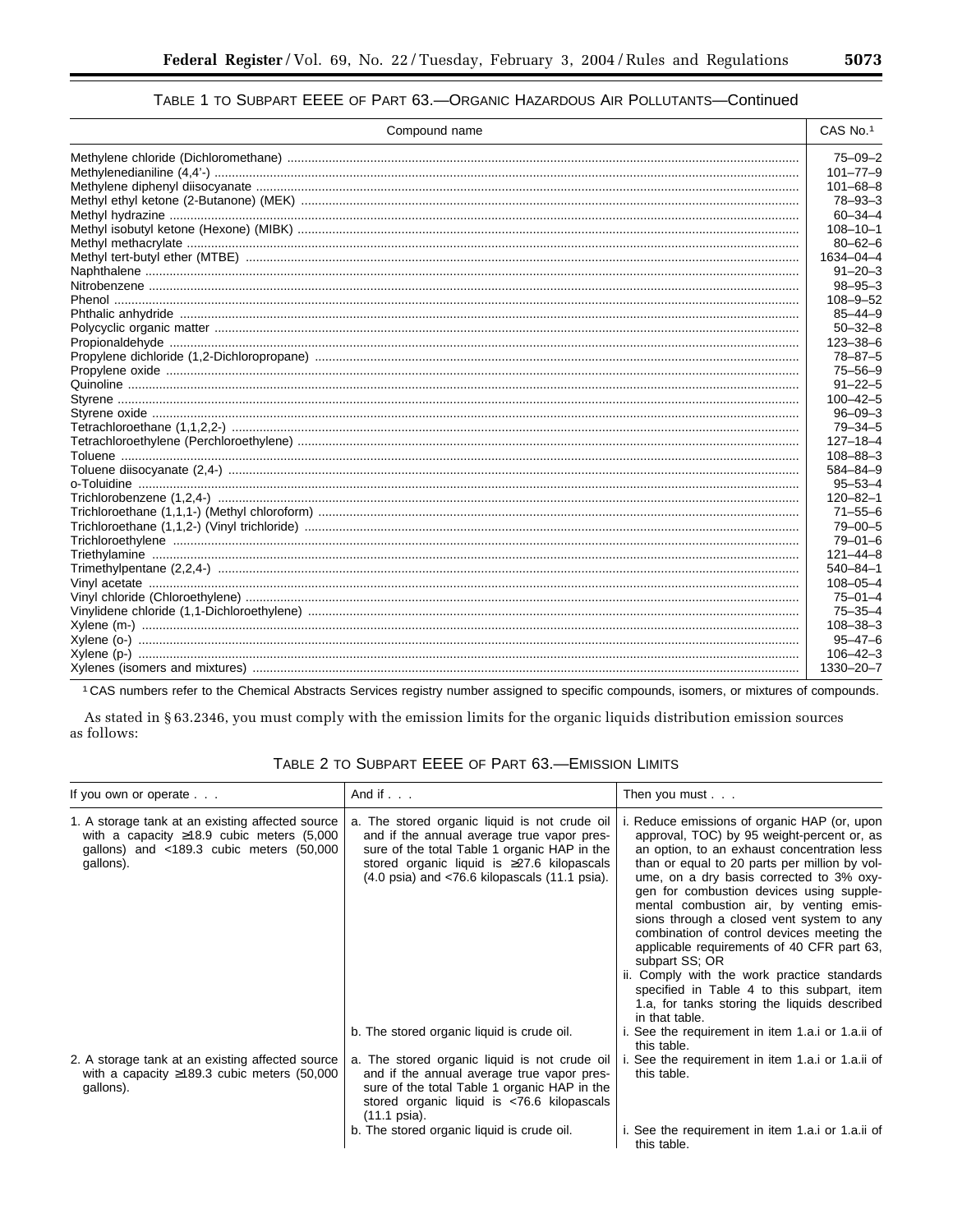# TABLE 1 TO SUBPART EEEE OF PART 63.- ORGANIC HAZARDOUS AIR POLLUTANTS-Continued

| Compound name | CAS No.1       |
|---------------|----------------|
|               | $75 - 09 - 2$  |
|               | $101 - 77 - 9$ |
|               | $101 - 68 - 8$ |
|               | $78 - 93 - 3$  |
|               | $60 - 34 - 4$  |
|               | $108 - 10 - 1$ |
|               | $80 - 62 - 6$  |
|               | 1634-04-4      |
|               | $91 - 20 - 3$  |
|               | $98 - 95 - 3$  |
|               | $108 - 9 - 52$ |
|               | $85 - 44 - 9$  |
|               | $50 - 32 - 8$  |
|               | $123 - 38 - 6$ |
|               | $78 - 87 - 5$  |
|               | $75 - 56 - 9$  |
|               | $91 - 22 - 5$  |
|               | $100 - 42 - 5$ |
|               | $96 - 09 - 3$  |
|               | $79 - 34 - 5$  |
|               | $127 - 18 - 4$ |
|               | $108 - 88 - 3$ |
|               | $584 - 84 - 9$ |
|               | $95 - 53 - 4$  |
|               | $120 - 82 - 1$ |
|               | $71 - 55 - 6$  |
|               | $79 - 00 - 5$  |
|               | $79 - 01 - 6$  |
|               | $121 - 44 - 8$ |
|               | $540 - 84 - 1$ |
|               | $108 - 05 - 4$ |
|               | $75 - 01 - 4$  |
|               | $75 - 35 - 4$  |
|               | $108 - 38 - 3$ |
|               | $95 - 47 - 6$  |
|               | $106 - 42 - 3$ |
|               | 1330-20-7      |

1 CAS numbers refer to the Chemical Abstracts Services registry number assigned to specific compounds, isomers, or mixtures of compounds.

As stated in §63.2346, you must comply with the emission limits for the organic liquids distribution emission sources as follows:

| If you own or operate $\ldots$                                                                                                                                    | And if $\ldots$                                                                                                                                                                                                                                                      | Then you must $\ldots$                                                                                                                                                                                                                                                                                                                                                                                                                                                                                                                                                                                                                                  |  |
|-------------------------------------------------------------------------------------------------------------------------------------------------------------------|----------------------------------------------------------------------------------------------------------------------------------------------------------------------------------------------------------------------------------------------------------------------|---------------------------------------------------------------------------------------------------------------------------------------------------------------------------------------------------------------------------------------------------------------------------------------------------------------------------------------------------------------------------------------------------------------------------------------------------------------------------------------------------------------------------------------------------------------------------------------------------------------------------------------------------------|--|
| 1. A storage tank at an existing affected source<br>with a capacity $\geq 18.9$ cubic meters (5,000<br>gallons) and $\lt$ 189.3 cubic meters (50,000<br>gallons). | a. The stored organic liquid is not crude oil<br>and if the annual average true vapor pres-<br>sure of the total Table 1 organic HAP in the<br>stored organic liquid is ≥27.6 kilopascals<br>$(4.0 \text{ psia})$ and $\lt$ 76.6 kilopascals $(11.1 \text{ psia})$ . | i. Reduce emissions of organic HAP (or, upon<br>approval, TOC) by 95 weight-percent or, as<br>an option, to an exhaust concentration less<br>than or equal to 20 parts per million by vol-<br>ume, on a dry basis corrected to 3% oxy-<br>gen for combustion devices using supple-<br>mental combustion air, by venting emis-<br>sions through a closed vent system to any<br>combination of control devices meeting the<br>applicable requirements of 40 CFR part 63,<br>subpart SS; OR<br>ii. Comply with the work practice standards<br>specified in Table 4 to this subpart, item<br>1.a, for tanks storing the liquids described<br>in that table. |  |
|                                                                                                                                                                   | b. The stored organic liquid is crude oil.                                                                                                                                                                                                                           | i. See the requirement in item 1.a.i or 1.a.ii of<br>this table.                                                                                                                                                                                                                                                                                                                                                                                                                                                                                                                                                                                        |  |
| 2. A storage tank at an existing affected source<br>with a capacity $\geq$ 189.3 cubic meters (50,000<br>gallons).                                                | a. The stored organic liquid is not crude oil<br>and if the annual average true vapor pres-<br>sure of the total Table 1 organic HAP in the<br>stored organic liquid is <76.6 kilopascals<br>$(11.1 \text{ psia}).$                                                  | See the requirement in item 1.a.i or 1.a.ii of<br>this table.                                                                                                                                                                                                                                                                                                                                                                                                                                                                                                                                                                                           |  |
|                                                                                                                                                                   | b. The stored organic liquid is crude oil.                                                                                                                                                                                                                           | i. See the requirement in item 1.a.i or 1.a.ii of<br>this table.                                                                                                                                                                                                                                                                                                                                                                                                                                                                                                                                                                                        |  |

TABLE 2 TO SUBPART EEEE OF PART 63.-EMISSION LIMITS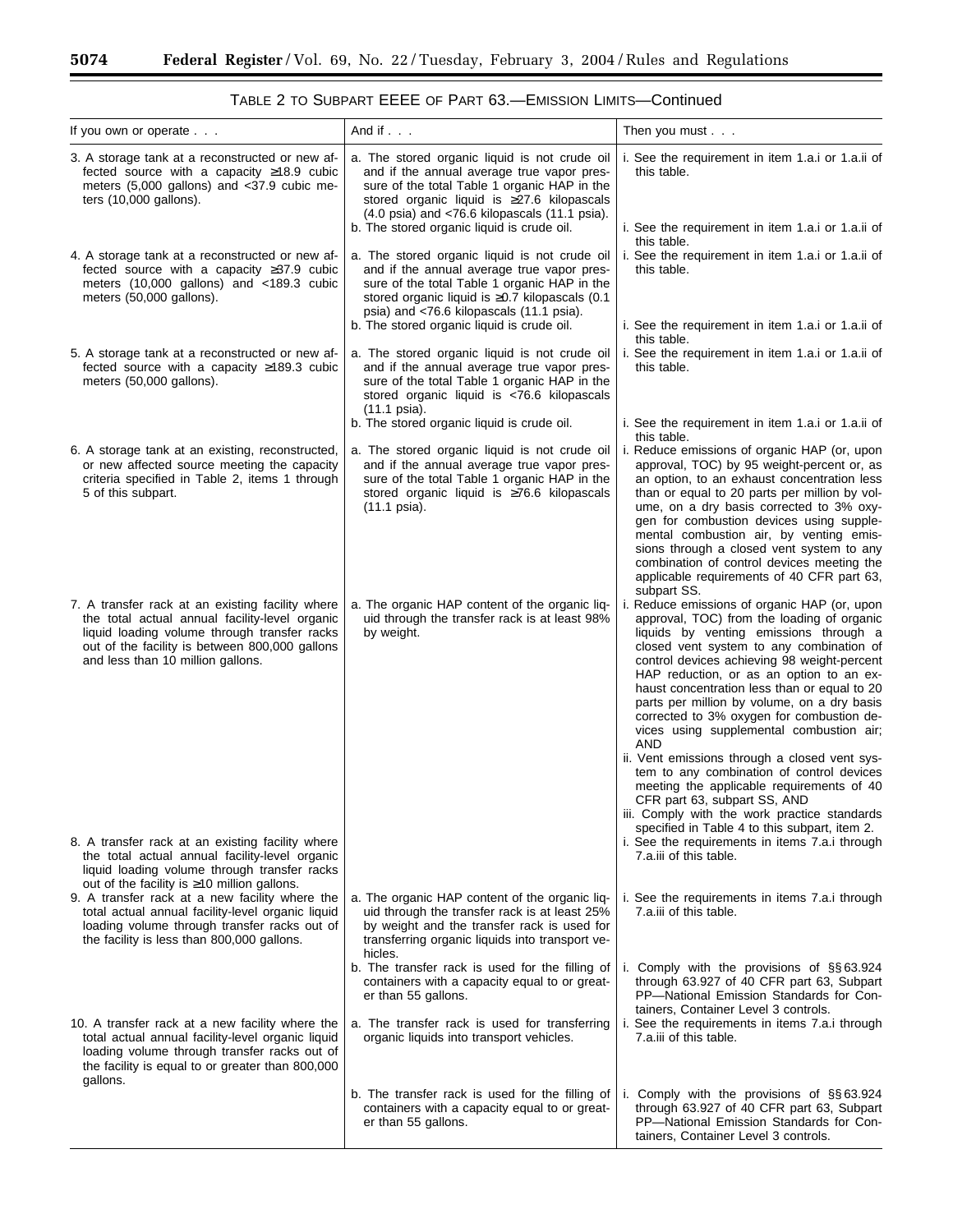| If you own or operate $\ldots$                                                                                                                                                                                                                         | And if                                                                                                                                                                                                                                                                                                              | Then you must                                                                                                                                                                                                                                                                                                                                                                                                                                                                                    |
|--------------------------------------------------------------------------------------------------------------------------------------------------------------------------------------------------------------------------------------------------------|---------------------------------------------------------------------------------------------------------------------------------------------------------------------------------------------------------------------------------------------------------------------------------------------------------------------|--------------------------------------------------------------------------------------------------------------------------------------------------------------------------------------------------------------------------------------------------------------------------------------------------------------------------------------------------------------------------------------------------------------------------------------------------------------------------------------------------|
| 3. A storage tank at a reconstructed or new af-<br>fected source with a capacity $\geq$ 18.9 cubic<br>meters (5,000 gallons) and <37.9 cubic me-<br>ters $(10,000$ gallons).                                                                           | a. The stored organic liquid is not crude oil<br>and if the annual average true vapor pres-<br>sure of the total Table 1 organic HAP in the<br>stored organic liquid is ≥27.6 kilopascals<br>$(4.0 \text{ psia})$ and $\langle 76.6 \text{ kilopascals}$ (11.1 psia).<br>b. The stored organic liquid is crude oil. | i. See the requirement in item 1.a.i or 1.a.ii of<br>this table.<br>i. See the requirement in item 1.a.i or 1.a.ii of                                                                                                                                                                                                                                                                                                                                                                            |
| 4. A storage tank at a reconstructed or new af-<br>fected source with a capacity $\geq 37.9$ cubic<br>meters (10,000 gallons) and <189.3 cubic<br>meters (50,000 gallons).                                                                             | a. The stored organic liquid is not crude oil<br>and if the annual average true vapor pres-<br>sure of the total Table 1 organic HAP in the<br>stored organic liquid is $\geq 0.7$ kilopascals (0.1)<br>psia) and <76.6 kilopascals (11.1 psia).                                                                    | this table.<br>i. See the requirement in item 1.a.i or 1.a.ii of<br>this table.                                                                                                                                                                                                                                                                                                                                                                                                                  |
| 5. A storage tank at a reconstructed or new af-<br>fected source with a capacity $\geq$ 189.3 cubic<br>meters (50,000 gallons).                                                                                                                        | b. The stored organic liquid is crude oil.<br>a. The stored organic liquid is not crude oil<br>and if the annual average true vapor pres-<br>sure of the total Table 1 organic HAP in the<br>stored organic liquid is <76.6 kilopascals<br>$(11.1 \text{ psia}).$                                                   | i. See the requirement in item 1.a.i or 1.a.ii of<br>this table.<br>i. See the requirement in item 1.a.i or 1.a.ii of<br>this table.                                                                                                                                                                                                                                                                                                                                                             |
|                                                                                                                                                                                                                                                        | b. The stored organic liquid is crude oil.                                                                                                                                                                                                                                                                          | i. See the requirement in item 1.a.i or 1.a.ii of                                                                                                                                                                                                                                                                                                                                                                                                                                                |
| 6. A storage tank at an existing, reconstructed,<br>or new affected source meeting the capacity<br>criteria specified in Table 2, items 1 through<br>5 of this subpart.                                                                                | a. The stored organic liquid is not crude oil<br>and if the annual average true vapor pres-<br>sure of the total Table 1 organic HAP in the<br>stored organic liquid is ≥76.6 kilopascals<br>(11.1 psia).                                                                                                           | this table.<br>i. Reduce emissions of organic HAP (or, upon<br>approval, TOC) by 95 weight-percent or, as<br>an option, to an exhaust concentration less<br>than or equal to 20 parts per million by vol-<br>ume, on a dry basis corrected to 3% oxy-<br>gen for combustion devices using supple-<br>mental combustion air, by venting emis-<br>sions through a closed vent system to any<br>combination of control devices meeting the<br>applicable requirements of 40 CFR part 63,            |
| 7. A transfer rack at an existing facility where<br>the total actual annual facility-level organic<br>liquid loading volume through transfer racks<br>out of the facility is between 800,000 gallons<br>and less than 10 million gallons.              | a. The organic HAP content of the organic liq-<br>uid through the transfer rack is at least 98%<br>by weight.                                                                                                                                                                                                       | subpart SS.<br>i. Reduce emissions of organic HAP (or, upon<br>approval, TOC) from the loading of organic<br>liquids by venting emissions through a<br>closed vent system to any combination of<br>control devices achieving 98 weight-percent<br>HAP reduction, or as an option to an ex-<br>haust concentration less than or equal to 20<br>parts per million by volume, on a dry basis<br>corrected to 3% oxygen for combustion de-<br>vices using supplemental combustion air;<br><b>AND</b> |
| 8. A transfer rack at an existing facility where<br>the total actual annual facility-level organic<br>liquid loading volume through transfer racks                                                                                                     |                                                                                                                                                                                                                                                                                                                     | ii. Vent emissions through a closed vent sys-<br>tem to any combination of control devices<br>meeting the applicable requirements of 40<br>CFR part 63, subpart SS, AND<br>iii. Comply with the work practice standards<br>specified in Table 4 to this subpart, item 2.<br>i. See the requirements in items 7.a.i through<br>7.a.iii of this table.                                                                                                                                             |
| out of the facility is $\geq$ 10 million gallons.<br>9. A transfer rack at a new facility where the<br>total actual annual facility-level organic liquid<br>loading volume through transfer racks out of<br>the facility is less than 800,000 gallons. | a. The organic HAP content of the organic liq-<br>uid through the transfer rack is at least 25%<br>by weight and the transfer rack is used for<br>transferring organic liquids into transport ve-<br>hicles.                                                                                                        | i. See the requirements in items 7.a.i through<br>7.a.iii of this table.                                                                                                                                                                                                                                                                                                                                                                                                                         |
|                                                                                                                                                                                                                                                        | b. The transfer rack is used for the filling of<br>containers with a capacity equal to or great-<br>er than 55 gallons.                                                                                                                                                                                             | i. Comply with the provisions of $\S$ § 63.924<br>through 63.927 of 40 CFR part 63, Subpart<br>PP-National Emission Standards for Con-<br>tainers, Container Level 3 controls.                                                                                                                                                                                                                                                                                                                   |
| 10. A transfer rack at a new facility where the<br>total actual annual facility-level organic liquid<br>loading volume through transfer racks out of<br>the facility is equal to or greater than 800,000<br>gallons.                                   | a. The transfer rack is used for transferring<br>organic liquids into transport vehicles.                                                                                                                                                                                                                           | i. See the requirements in items 7.a.i through<br>7.a.iii of this table.                                                                                                                                                                                                                                                                                                                                                                                                                         |
|                                                                                                                                                                                                                                                        | b. The transfer rack is used for the filling of<br>containers with a capacity equal to or great-<br>er than 55 gallons.                                                                                                                                                                                             | i. Comply with the provisions of $\S$ § 63.924<br>through 63.927 of 40 CFR part 63, Subpart<br>PP-National Emission Standards for Con-<br>tainers, Container Level 3 controls.                                                                                                                                                                                                                                                                                                                   |

| TABLE 2 TO SUBPART EEEE OF PART 63.-EMISSION LIMITS-Continued |
|---------------------------------------------------------------|
|---------------------------------------------------------------|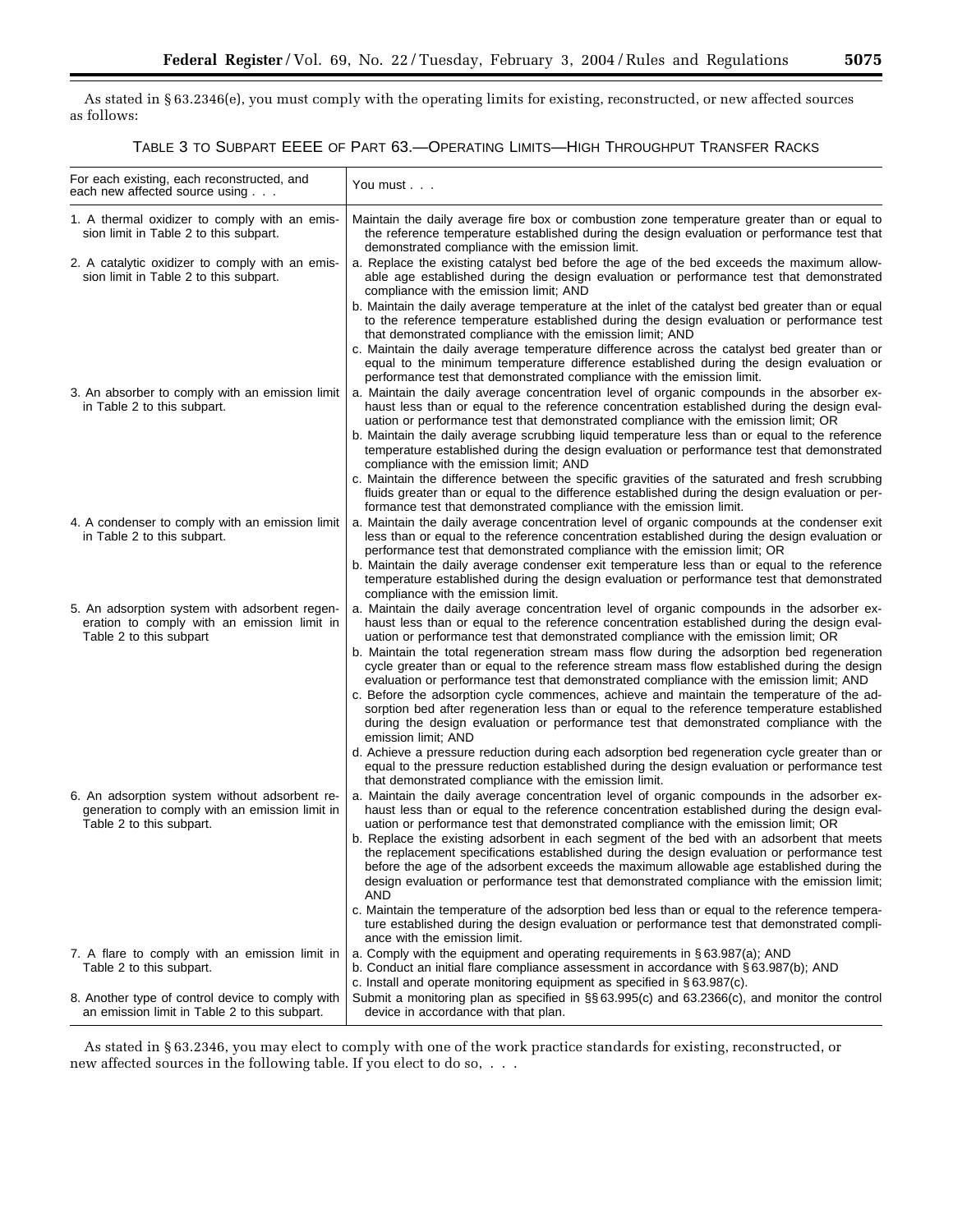As stated in § 63.2346(e), you must comply with the operating limits for existing, reconstructed, or new affected sources as follows:

TABLE 3 TO SUBPART EEEE OF PART 63.—OPERATING LIMITS—HIGH THROUGHPUT TRANSFER RACKS

| For each existing, each reconstructed, and<br>each new affected source using                                                | You must                                                                                                                                                                                                                                                                                                                                                                                          |
|-----------------------------------------------------------------------------------------------------------------------------|---------------------------------------------------------------------------------------------------------------------------------------------------------------------------------------------------------------------------------------------------------------------------------------------------------------------------------------------------------------------------------------------------|
| 1. A thermal oxidizer to comply with an emis-<br>sion limit in Table 2 to this subpart.                                     | Maintain the daily average fire box or combustion zone temperature greater than or equal to<br>the reference temperature established during the design evaluation or performance test that<br>demonstrated compliance with the emission limit.                                                                                                                                                    |
| 2. A catalytic oxidizer to comply with an emis-<br>sion limit in Table 2 to this subpart.                                   | a. Replace the existing catalyst bed before the age of the bed exceeds the maximum allow-<br>able age established during the design evaluation or performance test that demonstrated<br>compliance with the emission limit; AND                                                                                                                                                                   |
|                                                                                                                             | b. Maintain the daily average temperature at the inlet of the catalyst bed greater than or equal<br>to the reference temperature established during the design evaluation or performance test<br>that demonstrated compliance with the emission limit; AND                                                                                                                                        |
|                                                                                                                             | c. Maintain the daily average temperature difference across the catalyst bed greater than or<br>equal to the minimum temperature difference established during the design evaluation or<br>performance test that demonstrated compliance with the emission limit.                                                                                                                                 |
| 3. An absorber to comply with an emission limit<br>in Table 2 to this subpart.                                              | a. Maintain the daily average concentration level of organic compounds in the absorber ex-<br>haust less than or equal to the reference concentration established during the design eval-<br>uation or performance test that demonstrated compliance with the emission limit; OR                                                                                                                  |
|                                                                                                                             | b. Maintain the daily average scrubbing liquid temperature less than or equal to the reference<br>temperature established during the design evaluation or performance test that demonstrated<br>compliance with the emission limit; AND                                                                                                                                                           |
|                                                                                                                             | c. Maintain the difference between the specific gravities of the saturated and fresh scrubbing<br>fluids greater than or equal to the difference established during the design evaluation or per-<br>formance test that demonstrated compliance with the emission limit.                                                                                                                          |
| 4. A condenser to comply with an emission limit<br>in Table 2 to this subpart.                                              | a. Maintain the daily average concentration level of organic compounds at the condenser exit<br>less than or equal to the reference concentration established during the design evaluation or<br>performance test that demonstrated compliance with the emission limit; OR                                                                                                                        |
|                                                                                                                             | b. Maintain the daily average condenser exit temperature less than or equal to the reference<br>temperature established during the design evaluation or performance test that demonstrated<br>compliance with the emission limit.                                                                                                                                                                 |
| 5. An adsorption system with adsorbent regen-<br>eration to comply with an emission limit in<br>Table 2 to this subpart     | a. Maintain the daily average concentration level of organic compounds in the adsorber ex-<br>haust less than or equal to the reference concentration established during the design eval-<br>uation or performance test that demonstrated compliance with the emission limit; OR                                                                                                                  |
|                                                                                                                             | b. Maintain the total regeneration stream mass flow during the adsorption bed regeneration<br>cycle greater than or equal to the reference stream mass flow established during the design<br>evaluation or performance test that demonstrated compliance with the emission limit; AND                                                                                                             |
|                                                                                                                             | c. Before the adsorption cycle commences, achieve and maintain the temperature of the ad-<br>sorption bed after regeneration less than or equal to the reference temperature established<br>during the design evaluation or performance test that demonstrated compliance with the<br>emission limit; AND                                                                                         |
|                                                                                                                             | d. Achieve a pressure reduction during each adsorption bed regeneration cycle greater than or<br>equal to the pressure reduction established during the design evaluation or performance test<br>that demonstrated compliance with the emission limit.                                                                                                                                            |
| 6. An adsorption system without adsorbent re-<br>generation to comply with an emission limit in<br>Table 2 to this subpart. | a. Maintain the daily average concentration level of organic compounds in the adsorber ex-<br>haust less than or equal to the reference concentration established during the design eval-<br>uation or performance test that demonstrated compliance with the emission limit; OR                                                                                                                  |
|                                                                                                                             | b. Replace the existing adsorbent in each segment of the bed with an adsorbent that meets<br>the replacement specifications established during the design evaluation or performance test<br>before the age of the adsorbent exceeds the maximum allowable age established during the<br>design evaluation or performance test that demonstrated compliance with the emission limit;<br><b>AND</b> |
|                                                                                                                             | c. Maintain the temperature of the adsorption bed less than or equal to the reference tempera-<br>ture established during the design evaluation or performance test that demonstrated compli-<br>ance with the emission limit.                                                                                                                                                                    |
| 7. A flare to comply with an emission limit in<br>Table 2 to this subpart.                                                  | a. Comply with the equipment and operating requirements in §63.987(a); AND<br>b. Conduct an initial flare compliance assessment in accordance with § 63.987(b); AND<br>c. Install and operate monitoring equipment as specified in §63.987(c).                                                                                                                                                    |
| 8. Another type of control device to comply with<br>an emission limit in Table 2 to this subpart.                           | Submit a monitoring plan as specified in §§ 63.995(c) and 63.2366(c), and monitor the control<br>device in accordance with that plan.                                                                                                                                                                                                                                                             |

As stated in § 63.2346, you may elect to comply with one of the work practice standards for existing, reconstructed, or new affected sources in the following table. If you elect to do so, . . .

÷.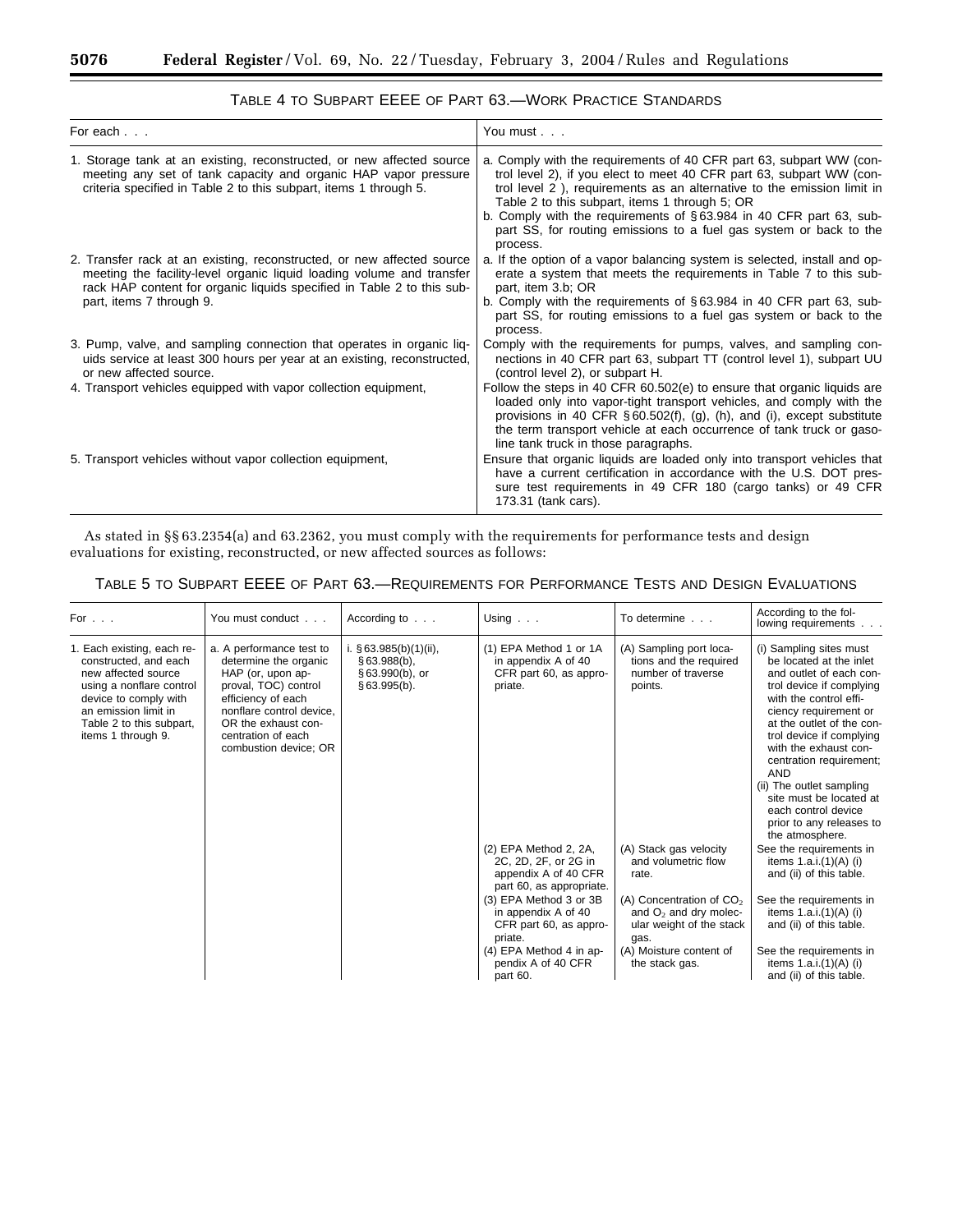| For each                                                                                                                                                                                                                                              | You must                                                                                                                                                                                                                                                                                                                                                                                                                            |
|-------------------------------------------------------------------------------------------------------------------------------------------------------------------------------------------------------------------------------------------------------|-------------------------------------------------------------------------------------------------------------------------------------------------------------------------------------------------------------------------------------------------------------------------------------------------------------------------------------------------------------------------------------------------------------------------------------|
| 1. Storage tank at an existing, reconstructed, or new affected source<br>meeting any set of tank capacity and organic HAP vapor pressure<br>criteria specified in Table 2 to this subpart, items 1 through 5.                                         | a. Comply with the requirements of 40 CFR part 63, subpart WW (con-<br>trol level 2), if you elect to meet 40 CFR part 63, subpart WW (con-<br>trol level 2), requirements as an alternative to the emission limit in<br>Table 2 to this subpart, items 1 through 5; OR<br>b. Comply with the requirements of $\S 63.984$ in 40 CFR part 63, sub-<br>part SS, for routing emissions to a fuel gas system or back to the<br>process. |
| 2. Transfer rack at an existing, reconstructed, or new affected source<br>meeting the facility-level organic liquid loading volume and transfer<br>rack HAP content for organic liquids specified in Table 2 to this sub-<br>part, items 7 through 9. | a. If the option of a vapor balancing system is selected, install and op-<br>erate a system that meets the requirements in Table 7 to this sub-<br>part, item 3.b; OR<br>b. Comply with the requirements of $\S 63.984$ in 40 CFR part 63, sub-<br>part SS, for routing emissions to a fuel gas system or back to the<br>process.                                                                                                   |
| 3. Pump, valve, and sampling connection that operates in organic liq-<br>uids service at least 300 hours per year at an existing, reconstructed,<br>or new affected source.                                                                           | Comply with the requirements for pumps, valves, and sampling con-<br>nections in 40 CFR part 63, subpart TT (control level 1), subpart UU<br>(control level 2), or subpart H.                                                                                                                                                                                                                                                       |
| 4. Transport vehicles equipped with vapor collection equipment,                                                                                                                                                                                       | Follow the steps in 40 CFR 60.502(e) to ensure that organic liquids are<br>loaded only into vapor-tight transport vehicles, and comply with the<br>provisions in 40 CFR $\S 60.502(f)$ , (g), (h), and (i), except substitute<br>the term transport vehicle at each occurrence of tank truck or gaso-<br>line tank truck in those paragraphs.                                                                                       |
| 5. Transport vehicles without vapor collection equipment,                                                                                                                                                                                             | Ensure that organic liquids are loaded only into transport vehicles that<br>have a current certification in accordance with the U.S. DOT pres-<br>sure test requirements in 49 CFR 180 (cargo tanks) or 49 CFR<br>173.31 (tank cars).                                                                                                                                                                                               |

# TABLE 4 TO SUBPART EEEE OF PART 63.—WORK PRACTICE STANDARDS

As stated in §§ 63.2354(a) and 63.2362, you must comply with the requirements for performance tests and design evaluations for existing, reconstructed, or new affected sources as follows:

# TABLE 5 TO SUBPART EEEE OF PART 63.—REQUIREMENTS FOR PERFORMANCE TESTS AND DESIGN EVALUATIONS

| For                                                                                                                                                                                                       | You must conduct                                                                                                                                                                                                       | According to $\ldots$                                                            | Using $\ldots$                                                                                    | To determine                                                                               | According to the fol-<br>lowing requirements                                                                                                                                                                                                                                                                                                                                                                         |
|-----------------------------------------------------------------------------------------------------------------------------------------------------------------------------------------------------------|------------------------------------------------------------------------------------------------------------------------------------------------------------------------------------------------------------------------|----------------------------------------------------------------------------------|---------------------------------------------------------------------------------------------------|--------------------------------------------------------------------------------------------|----------------------------------------------------------------------------------------------------------------------------------------------------------------------------------------------------------------------------------------------------------------------------------------------------------------------------------------------------------------------------------------------------------------------|
| 1. Each existing, each re-<br>constructed, and each<br>new affected source<br>using a nonflare control<br>device to comply with<br>an emission limit in<br>Table 2 to this subpart,<br>items 1 through 9. | a. A performance test to<br>determine the organic<br>HAP (or, upon ap-<br>proval, TOC) control<br>efficiency of each<br>nonflare control device.<br>OR the exhaust con-<br>centration of each<br>combustion device; OR | i. $§ 63.985(b)(1)(ii)$ ,<br>$$63.988(b)$ ,<br>$§ 63.990(b)$ , or<br>§63.995(b). | (1) EPA Method 1 or 1A<br>in appendix A of 40<br>CFR part 60, as appro-<br>priate.                | (A) Sampling port loca-<br>tions and the required<br>number of traverse<br>points.         | (i) Sampling sites must<br>be located at the inlet<br>and outlet of each con-<br>trol device if complying<br>with the control effi-<br>ciency requirement or<br>at the outlet of the con-<br>trol device if complying<br>with the exhaust con-<br>centration requirement;<br><b>AND</b><br>(ii) The outlet sampling<br>site must be located at<br>each control device<br>prior to any releases to<br>the atmosphere. |
|                                                                                                                                                                                                           |                                                                                                                                                                                                                        |                                                                                  | (2) EPA Method 2, 2A,<br>2C, 2D, 2F, or 2G in<br>appendix A of 40 CFR<br>part 60, as appropriate. | (A) Stack gas velocity<br>and volumetric flow<br>rate.                                     | See the requirements in<br>items $1.a.i.(1)(A)$ (i)<br>and (ii) of this table.                                                                                                                                                                                                                                                                                                                                       |
|                                                                                                                                                                                                           |                                                                                                                                                                                                                        |                                                                                  | (3) EPA Method 3 or 3B<br>in appendix A of 40<br>CFR part 60, as appro-<br>priate.                | (A) Concentration of $CO2$<br>and $O_2$ and dry molec-<br>ular weight of the stack<br>gas. | See the requirements in<br>items $1.a.i.(1)(A)$ (i)<br>and (ii) of this table.                                                                                                                                                                                                                                                                                                                                       |
|                                                                                                                                                                                                           |                                                                                                                                                                                                                        |                                                                                  | (4) EPA Method 4 in ap-<br>pendix A of 40 CFR<br>part 60.                                         | (A) Moisture content of<br>the stack gas.                                                  | See the requirements in<br>items $1.a.i.(1)(A)$ (i)<br>and (ii) of this table.                                                                                                                                                                                                                                                                                                                                       |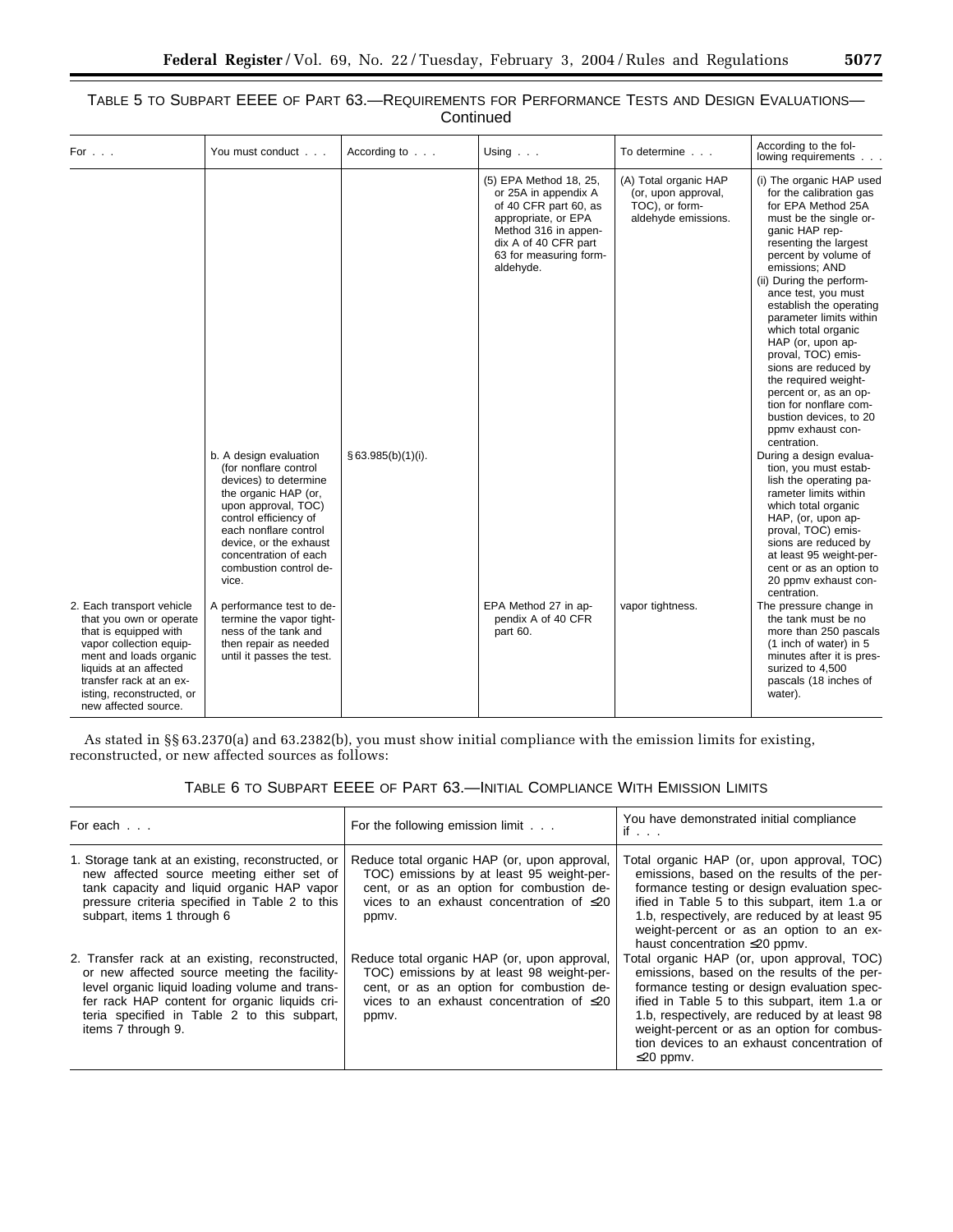| For $\ldots$                                                                                                                                                                                                                                 | You must conduct                                                                                                                                                                                                                                                | According to       | Using                                                                                                                                                                                 | To determine                                                                          | According to the fol-<br>lowing requirements                                                                                                                                                                                                                                                                                                                                                                                                                                                                                                                                                                                                                                                                                                                                                                                        |
|----------------------------------------------------------------------------------------------------------------------------------------------------------------------------------------------------------------------------------------------|-----------------------------------------------------------------------------------------------------------------------------------------------------------------------------------------------------------------------------------------------------------------|--------------------|---------------------------------------------------------------------------------------------------------------------------------------------------------------------------------------|---------------------------------------------------------------------------------------|-------------------------------------------------------------------------------------------------------------------------------------------------------------------------------------------------------------------------------------------------------------------------------------------------------------------------------------------------------------------------------------------------------------------------------------------------------------------------------------------------------------------------------------------------------------------------------------------------------------------------------------------------------------------------------------------------------------------------------------------------------------------------------------------------------------------------------------|
|                                                                                                                                                                                                                                              | b. A design evaluation<br>(for nonflare control<br>devices) to determine<br>the organic HAP (or,<br>upon approval, TOC)<br>control efficiency of<br>each nonflare control<br>device, or the exhaust<br>concentration of each<br>combustion control de-<br>vice. | § 63.985(b)(1)(i). | (5) EPA Method 18, 25,<br>or 25A in appendix A<br>of 40 CFR part 60, as<br>appropriate, or EPA<br>Method 316 in appen-<br>dix A of 40 CFR part<br>63 for measuring form-<br>aldehyde. | (A) Total organic HAP<br>(or, upon approval,<br>TOC), or form-<br>aldehyde emissions. | (i) The organic HAP used<br>for the calibration gas<br>for EPA Method 25A<br>must be the single or-<br>ganic HAP rep-<br>resenting the largest<br>percent by volume of<br>emissions; AND<br>(ii) During the perform-<br>ance test, you must<br>establish the operating<br>parameter limits within<br>which total organic<br>HAP (or, upon ap-<br>proval, TOC) emis-<br>sions are reduced by<br>the required weight-<br>percent or, as an op-<br>tion for nonflare com-<br>bustion devices, to 20<br>ppmv exhaust con-<br>centration.<br>During a design evalua-<br>tion, you must estab-<br>lish the operating pa-<br>rameter limits within<br>which total organic<br>HAP, (or, upon ap-<br>proval, TOC) emis-<br>sions are reduced by<br>at least 95 weight-per-<br>cent or as an option to<br>20 ppmv exhaust con-<br>centration. |
| 2. Each transport vehicle<br>that you own or operate<br>that is equipped with<br>vapor collection equip-<br>ment and loads organic<br>liquids at an affected<br>transfer rack at an ex-<br>isting, reconstructed, or<br>new affected source. | A performance test to de-<br>termine the vapor tight-<br>ness of the tank and<br>then repair as needed<br>until it passes the test.                                                                                                                             |                    | EPA Method 27 in ap-<br>pendix A of 40 CFR<br>part 60.                                                                                                                                | vapor tightness.                                                                      | The pressure change in<br>the tank must be no<br>more than 250 pascals<br>(1 inch of water) in 5<br>minutes after it is pres-<br>surized to 4,500<br>pascals (18 inches of<br>water).                                                                                                                                                                                                                                                                                                                                                                                                                                                                                                                                                                                                                                               |

# TABLE 5 TO SUBPART EEEE OF PART 63.—REQUIREMENTS FOR PERFORMANCE TESTS AND DESIGN EVALUATIONS— **Continued**

As stated in §§ 63.2370(a) and 63.2382(b), you must show initial compliance with the emission limits for existing, reconstructed, or new affected sources as follows:

# TABLE 6 TO SUBPART EEEE OF PART 63.—INITIAL COMPLIANCE WITH EMISSION LIMITS

| For each                                                                                                                                                                                                                                                                | For the following emission limit                                                                                                                                                                 | You have demonstrated initial compliance<br>if                                                                                                                                                                                                                                                                                                             |
|-------------------------------------------------------------------------------------------------------------------------------------------------------------------------------------------------------------------------------------------------------------------------|--------------------------------------------------------------------------------------------------------------------------------------------------------------------------------------------------|------------------------------------------------------------------------------------------------------------------------------------------------------------------------------------------------------------------------------------------------------------------------------------------------------------------------------------------------------------|
| 1. Storage tank at an existing, reconstructed, or<br>new affected source meeting either set of<br>tank capacity and liquid organic HAP vapor<br>pressure criteria specified in Table 2 to this<br>subpart, items 1 through 6                                            | Reduce total organic HAP (or, upon approval,<br>TOC) emissions by at least 95 weight-per-<br>cent, or as an option for combustion de-<br>vices to an exhaust concentration of $\leq 20$<br>ppmv. | Total organic HAP (or, upon approval, TOC)<br>emissions, based on the results of the per-<br>formance testing or design evaluation spec-<br>ified in Table 5 to this subpart, item 1.a or<br>1.b, respectively, are reduced by at least 95<br>weight-percent or as an option to an ex-<br>haust concentration $\leq$ 20 ppmv.                              |
| 2. Transfer rack at an existing, reconstructed,<br>or new affected source meeting the facility-<br>level organic liquid loading volume and trans-<br>fer rack HAP content for organic liquids cri-<br>teria specified in Table 2 to this subpart,<br>items 7 through 9. | Reduce total organic HAP (or, upon approval,<br>TOC) emissions by at least 98 weight-per-<br>cent, or as an option for combustion de-<br>vices to an exhaust concentration of $\leq 20$<br>ppmv. | Total organic HAP (or, upon approval, TOC)<br>emissions, based on the results of the per-<br>formance testing or design evaluation spec-<br>ified in Table 5 to this subpart, item 1.a or<br>1.b, respectively, are reduced by at least 98<br>weight-percent or as an option for combus-<br>tion devices to an exhaust concentration of<br>$\leq$ 20 ppmv. |

e.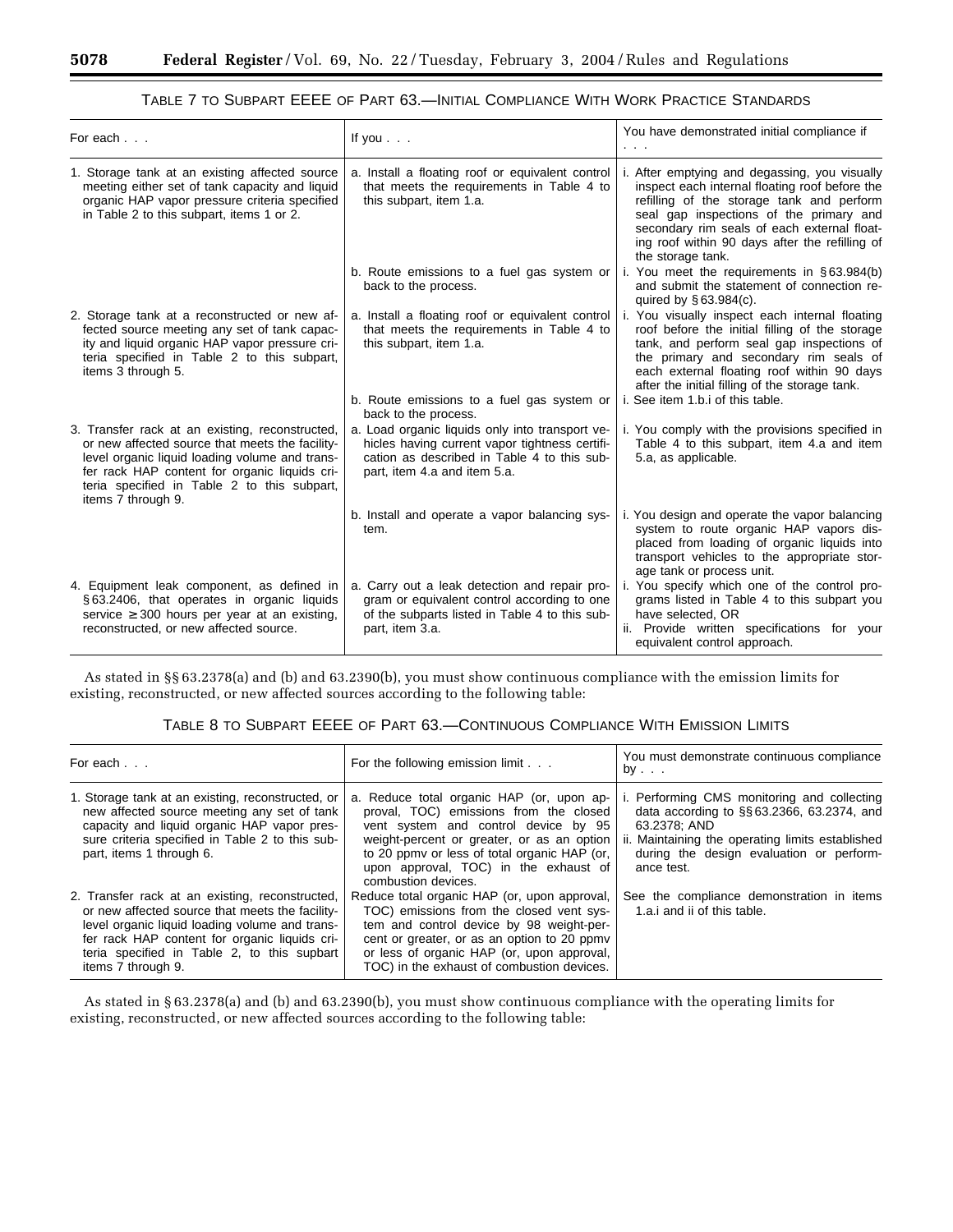| For each                                                                                                                                                                                                                                                                   | If you $\ldots$                                                                                                                                                                  | You have demonstrated initial compliance if                                                                                                                                                                                                                                                                   |
|----------------------------------------------------------------------------------------------------------------------------------------------------------------------------------------------------------------------------------------------------------------------------|----------------------------------------------------------------------------------------------------------------------------------------------------------------------------------|---------------------------------------------------------------------------------------------------------------------------------------------------------------------------------------------------------------------------------------------------------------------------------------------------------------|
| 1. Storage tank at an existing affected source<br>meeting either set of tank capacity and liquid<br>organic HAP vapor pressure criteria specified<br>in Table 2 to this subpart, items 1 or 2.                                                                             | a. Install a floating roof or equivalent control<br>that meets the requirements in Table 4 to<br>this subpart, item 1.a.                                                         | i. After emptying and degassing, you visually<br>inspect each internal floating roof before the<br>refilling of the storage tank and perform<br>seal gap inspections of the primary and<br>secondary rim seals of each external float-<br>ing roof within 90 days after the refilling of<br>the storage tank. |
|                                                                                                                                                                                                                                                                            | b. Route emissions to a fuel gas system or<br>back to the process.                                                                                                               | i. You meet the requirements in $\S 63.984(b)$<br>and submit the statement of connection re-<br>quired by $§ 63.984(c)$ .                                                                                                                                                                                     |
| 2. Storage tank at a reconstructed or new af-<br>fected source meeting any set of tank capac-<br>ity and liquid organic HAP vapor pressure cri-<br>teria specified in Table 2 to this subpart,<br>items 3 through 5.                                                       | a. Install a floating roof or equivalent control<br>that meets the requirements in Table 4 to<br>this subpart, item 1.a.                                                         | i. You visually inspect each internal floating<br>roof before the initial filling of the storage<br>tank, and perform seal gap inspections of<br>the primary and secondary rim seals of<br>each external floating roof within 90 days<br>after the initial filling of the storage tank.                       |
|                                                                                                                                                                                                                                                                            | b. Route emissions to a fuel gas system or<br>back to the process.                                                                                                               | i. See item 1.b.i of this table.                                                                                                                                                                                                                                                                              |
| 3. Transfer rack at an existing, reconstructed,<br>or new affected source that meets the facility-<br>level organic liquid loading volume and trans-<br>fer rack HAP content for organic liquids cri-<br>teria specified in Table 2 to this subpart,<br>items 7 through 9. | a. Load organic liquids only into transport ve-<br>hicles having current vapor tightness certifi-<br>cation as described in Table 4 to this sub-<br>part, item 4.a and item 5.a. | i. You comply with the provisions specified in<br>Table 4 to this subpart, item 4.a and item<br>5.a, as applicable.                                                                                                                                                                                           |
|                                                                                                                                                                                                                                                                            | b. Install and operate a vapor balancing sys-<br>tem.                                                                                                                            | i. You design and operate the vapor balancing<br>system to route organic HAP vapors dis-<br>placed from loading of organic liquids into<br>transport vehicles to the appropriate stor-<br>age tank or process unit.                                                                                           |
| 4. Equipment leak component, as defined in<br>§63.2406, that operates in organic liquids<br>service $\geq$ 300 hours per year at an existing.<br>reconstructed, or new affected source.                                                                                    | a. Carry out a leak detection and repair pro-<br>gram or equivalent control according to one<br>of the subparts listed in Table 4 to this sub-<br>part, item 3.a.                | i. You specify which one of the control pro-<br>grams listed in Table 4 to this subpart you<br>have selected, OR<br>ii. Provide written specifications for your<br>equivalent control approach.                                                                                                               |

# TABLE 7 TO SUBPART EEEE OF PART 63.—INITIAL COMPLIANCE WITH WORK PRACTICE STANDARDS

As stated in §§ 63.2378(a) and (b) and 63.2390(b), you must show continuous compliance with the emission limits for existing, reconstructed, or new affected sources according to the following table:

# TABLE 8 TO SUBPART EEEE OF PART 63.—CONTINUOUS COMPLIANCE WITH EMISSION LIMITS

| For each                                                                                                                                                                                                                                                                   | For the following emission limit                                                                                                                                                                                                                                                          | You must demonstrate continuous compliance<br>by                                                                                                                                                                       |
|----------------------------------------------------------------------------------------------------------------------------------------------------------------------------------------------------------------------------------------------------------------------------|-------------------------------------------------------------------------------------------------------------------------------------------------------------------------------------------------------------------------------------------------------------------------------------------|------------------------------------------------------------------------------------------------------------------------------------------------------------------------------------------------------------------------|
| 1. Storage tank at an existing, reconstructed, or<br>new affected source meeting any set of tank<br>capacity and liquid organic HAP vapor pres-<br>sure criteria specified in Table 2 to this sub-<br>part, items 1 through 6.                                             | a. Reduce total organic HAP (or, upon ap-<br>proval, TOC) emissions from the closed<br>vent system and control device by 95<br>weight-percent or greater, or as an option<br>to 20 ppmy or less of total organic HAP (or,<br>upon approval, TOC) in the exhaust of<br>combustion devices. | i. Performing CMS monitoring and collecting<br>data according to §§63.2366, 63.2374, and<br>63.2378: AND<br>ii. Maintaining the operating limits established<br>during the design evaluation or perform-<br>ance test. |
| 2. Transfer rack at an existing, reconstructed,<br>or new affected source that meets the facility-<br>level organic liquid loading volume and trans-<br>fer rack HAP content for organic liquids cri-<br>teria specified in Table 2, to this supbart<br>items 7 through 9. | Reduce total organic HAP (or, upon approval,<br>TOC) emissions from the closed vent sys-<br>tem and control device by 98 weight-per-<br>cent or greater, or as an option to 20 ppmy<br>or less of organic HAP (or, upon approval,<br>TOC) in the exhaust of combustion devices.           | See the compliance demonstration in items<br>1.a. and ii of this table.                                                                                                                                                |

As stated in § 63.2378(a) and (b) and 63.2390(b), you must show continuous compliance with the operating limits for existing, reconstructed, or new affected sources according to the following table: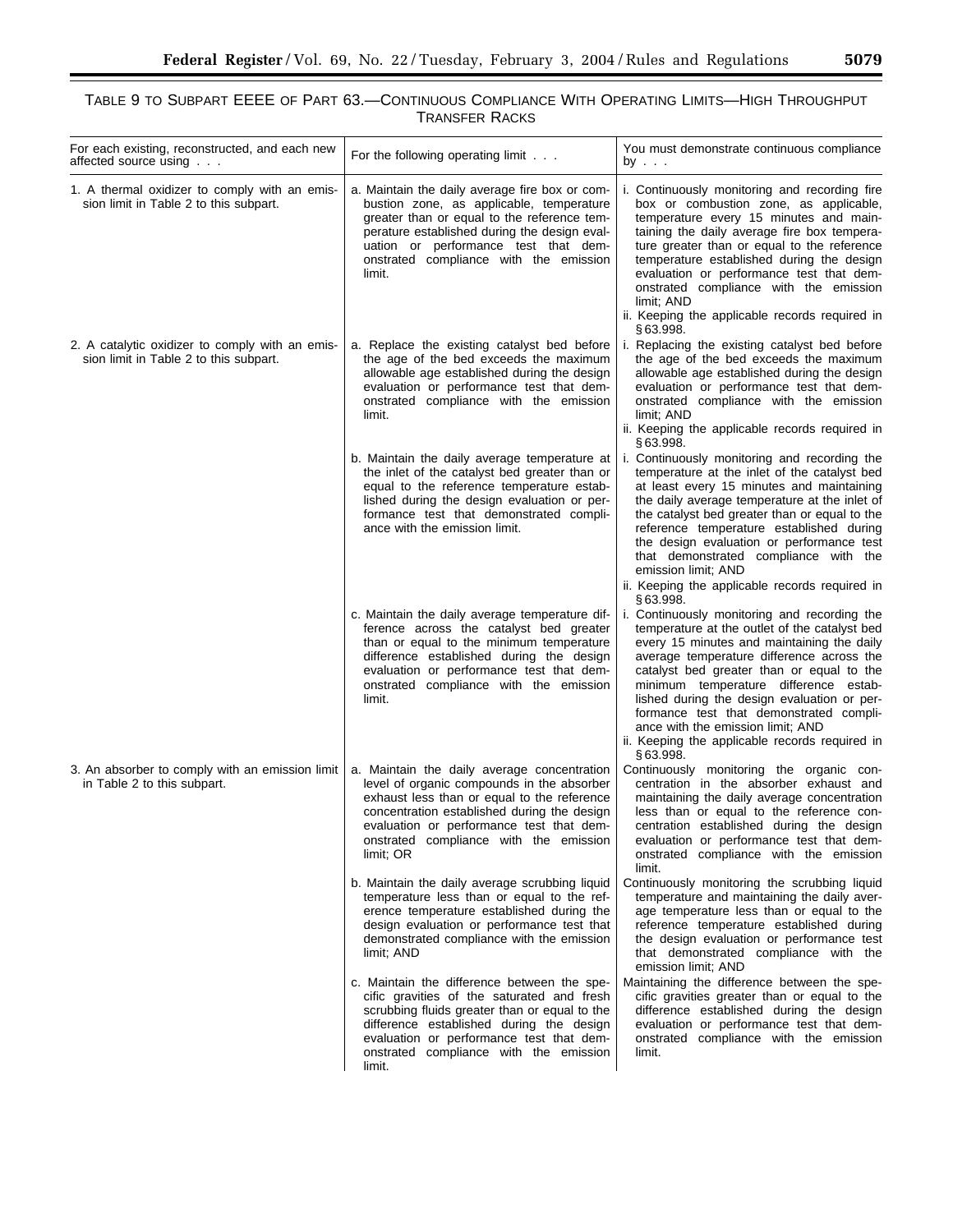# TABLE 9 TO SUBPART EEEE OF PART 63.—CONTINUOUS COMPLIANCE WITH OPERATING LIMITS—HIGH THROUGHPUT TRANSFER RACKS

| For each existing, reconstructed, and each new<br>affected source using                   | For the following operating limit                                                                                                                                                                                                                                                          | You must demonstrate continuous compliance<br>by                                                                                                                                                                                                                                                                                                                                                                                                                            |
|-------------------------------------------------------------------------------------------|--------------------------------------------------------------------------------------------------------------------------------------------------------------------------------------------------------------------------------------------------------------------------------------------|-----------------------------------------------------------------------------------------------------------------------------------------------------------------------------------------------------------------------------------------------------------------------------------------------------------------------------------------------------------------------------------------------------------------------------------------------------------------------------|
| 1. A thermal oxidizer to comply with an emis-<br>sion limit in Table 2 to this subpart.   | a. Maintain the daily average fire box or com-<br>bustion zone, as applicable, temperature<br>greater than or equal to the reference tem-<br>perature established during the design eval-<br>uation or performance test that dem-<br>onstrated compliance with the emission<br>limit.      | i. Continuously monitoring and recording fire<br>box or combustion zone, as applicable,<br>temperature every 15 minutes and main-<br>taining the daily average fire box tempera-<br>ture greater than or equal to the reference<br>temperature established during the design<br>evaluation or performance test that dem-<br>onstrated compliance with the emission<br>limit; AND<br>ii. Keeping the applicable records required in<br>§63.998.                              |
| 2. A catalytic oxidizer to comply with an emis-<br>sion limit in Table 2 to this subpart. | a. Replace the existing catalyst bed before<br>the age of the bed exceeds the maximum<br>allowable age established during the design<br>evaluation or performance test that dem-<br>onstrated compliance with the emission<br>limit.                                                       | i. Replacing the existing catalyst bed before<br>the age of the bed exceeds the maximum<br>allowable age established during the design<br>evaluation or performance test that dem-<br>onstrated compliance with the emission<br>limit; AND<br>ii. Keeping the applicable records required in<br>§63.998.                                                                                                                                                                    |
|                                                                                           | b. Maintain the daily average temperature at<br>the inlet of the catalyst bed greater than or<br>equal to the reference temperature estab-<br>lished during the design evaluation or per-<br>formance test that demonstrated compli-<br>ance with the emission limit.                      | i. Continuously monitoring and recording the<br>temperature at the inlet of the catalyst bed<br>at least every 15 minutes and maintaining<br>the daily average temperature at the inlet of<br>the catalyst bed greater than or equal to the<br>reference temperature established during<br>the design evaluation or performance test<br>that demonstrated compliance with the<br>emission limit; AND<br>ii. Keeping the applicable records required in<br>§63.998.          |
|                                                                                           | c. Maintain the daily average temperature dif-<br>ference across the catalyst bed greater<br>than or equal to the minimum temperature<br>difference established during the design<br>evaluation or performance test that dem-<br>onstrated compliance with the emission<br>limit.          | i. Continuously monitoring and recording the<br>temperature at the outlet of the catalyst bed<br>every 15 minutes and maintaining the daily<br>average temperature difference across the<br>catalyst bed greater than or equal to the<br>minimum temperature difference estab-<br>lished during the design evaluation or per-<br>formance test that demonstrated compli-<br>ance with the emission limit; AND<br>ii. Keeping the applicable records required in<br>§63.998. |
| 3. An absorber to comply with an emission limit<br>in Table 2 to this subpart.            | a. Maintain the daily average concentration<br>level of organic compounds in the absorber<br>exhaust less than or equal to the reference<br>concentration established during the design<br>evaluation or performance test that dem-<br>onstrated compliance with the emission<br>limit; OR | Continuously monitoring the organic con-<br>centration in the absorber exhaust and<br>maintaining the daily average concentration<br>less than or equal to the reference con-<br>centration established during the design<br>evaluation or performance test that dem-<br>onstrated compliance with the emission<br>limit.                                                                                                                                                   |
|                                                                                           | b. Maintain the daily average scrubbing liquid<br>temperature less than or equal to the ref-<br>erence temperature established during the<br>design evaluation or performance test that<br>demonstrated compliance with the emission<br>limit; AND                                         | Continuously monitoring the scrubbing liquid<br>temperature and maintaining the daily aver-<br>age temperature less than or equal to the<br>reference temperature established during<br>the design evaluation or performance test<br>that demonstrated compliance with the<br>emission limit; AND                                                                                                                                                                           |
|                                                                                           | c. Maintain the difference between the spe-<br>cific gravities of the saturated and fresh<br>scrubbing fluids greater than or equal to the<br>difference established during the design<br>evaluation or performance test that dem-<br>onstrated compliance with the emission<br>limit.     | Maintaining the difference between the spe-<br>cific gravities greater than or equal to the<br>difference established during the design<br>evaluation or performance test that dem-<br>onstrated compliance with the emission<br>limit.                                                                                                                                                                                                                                     |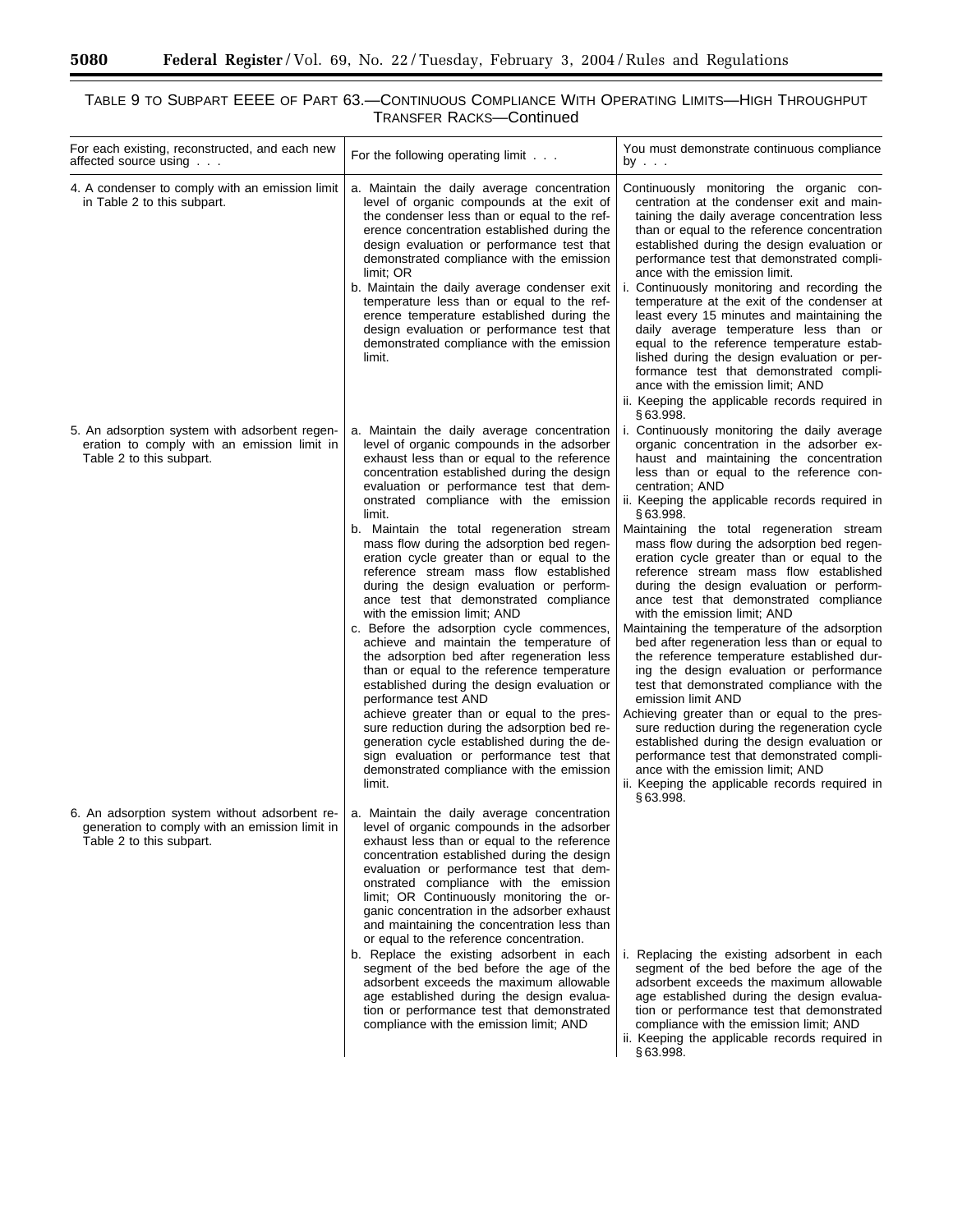$\equiv$ 

۰

# TABLE 9 TO SUBPART EEEE OF PART 63.—CONTINUOUS COMPLIANCE WITH OPERATING LIMITS—HIGH THROUGHPUT TRANSFER RACKS—Continued

| For each existing, reconstructed, and each new<br>affected source using                                                     | For the following operating limit                                                                                                                                                                                                                                                                                                                                                                                                                                                                                                                                                                                                                                                                                                                                                                                | You must demonstrate continuous compliance<br>by                                                                                                                                                                                                                                                                                                                                                                                                                                                                                                                                                                                                                                                                                                                                                                                                                     |
|-----------------------------------------------------------------------------------------------------------------------------|------------------------------------------------------------------------------------------------------------------------------------------------------------------------------------------------------------------------------------------------------------------------------------------------------------------------------------------------------------------------------------------------------------------------------------------------------------------------------------------------------------------------------------------------------------------------------------------------------------------------------------------------------------------------------------------------------------------------------------------------------------------------------------------------------------------|----------------------------------------------------------------------------------------------------------------------------------------------------------------------------------------------------------------------------------------------------------------------------------------------------------------------------------------------------------------------------------------------------------------------------------------------------------------------------------------------------------------------------------------------------------------------------------------------------------------------------------------------------------------------------------------------------------------------------------------------------------------------------------------------------------------------------------------------------------------------|
| 4. A condenser to comply with an emission limit<br>in Table 2 to this subpart.                                              | a. Maintain the daily average concentration<br>level of organic compounds at the exit of<br>the condenser less than or equal to the ref-<br>erence concentration established during the<br>design evaluation or performance test that<br>demonstrated compliance with the emission<br>limit; OR<br>b. Maintain the daily average condenser exit<br>temperature less than or equal to the ref-<br>erence temperature established during the<br>design evaluation or performance test that<br>demonstrated compliance with the emission<br>limit.                                                                                                                                                                                                                                                                  | Continuously monitoring the organic con-<br>centration at the condenser exit and main-<br>taining the daily average concentration less<br>than or equal to the reference concentration<br>established during the design evaluation or<br>performance test that demonstrated compli-<br>ance with the emission limit.<br>i. Continuously monitoring and recording the<br>temperature at the exit of the condenser at<br>least every 15 minutes and maintaining the<br>daily average temperature less than or<br>equal to the reference temperature estab-<br>lished during the design evaluation or per-<br>formance test that demonstrated compli-<br>ance with the emission limit; AND<br>ii. Keeping the applicable records required in<br>§63.998.                                                                                                                |
| 5. An adsorption system with adsorbent regen-<br>eration to comply with an emission limit in<br>Table 2 to this subpart.    | a. Maintain the daily average concentration<br>level of organic compounds in the adsorber<br>exhaust less than or equal to the reference<br>concentration established during the design<br>evaluation or performance test that dem-<br>onstrated compliance with the emission<br>limit.                                                                                                                                                                                                                                                                                                                                                                                                                                                                                                                          | i. Continuously monitoring the daily average<br>organic concentration in the adsorber ex-<br>haust and maintaining the concentration<br>less than or equal to the reference con-<br>centration; AND<br>ii. Keeping the applicable records required in<br>§63.998.                                                                                                                                                                                                                                                                                                                                                                                                                                                                                                                                                                                                    |
|                                                                                                                             | b. Maintain the total regeneration stream<br>mass flow during the adsorption bed regen-<br>eration cycle greater than or equal to the<br>reference stream mass flow established<br>during the design evaluation or perform-<br>ance test that demonstrated compliance<br>with the emission limit; AND<br>c. Before the adsorption cycle commences,<br>achieve and maintain the temperature of<br>the adsorption bed after regeneration less<br>than or equal to the reference temperature<br>established during the design evaluation or<br>performance test AND<br>achieve greater than or equal to the pres-<br>sure reduction during the adsorption bed re-<br>generation cycle established during the de-<br>sign evaluation or performance test that<br>demonstrated compliance with the emission<br>limit. | Maintaining the total regeneration stream<br>mass flow during the adsorption bed regen-<br>eration cycle greater than or equal to the<br>reference stream mass flow established<br>during the design evaluation or perform-<br>ance test that demonstrated compliance<br>with the emission limit; AND<br>Maintaining the temperature of the adsorption<br>bed after regeneration less than or equal to<br>the reference temperature established dur-<br>ing the design evaluation or performance<br>test that demonstrated compliance with the<br>emission limit AND<br>Achieving greater than or equal to the pres-<br>sure reduction during the regeneration cycle<br>established during the design evaluation or<br>performance test that demonstrated compli-<br>ance with the emission limit; AND<br>ii. Keeping the applicable records required in<br>§63.998. |
| 6. An adsorption system without adsorbent re-<br>generation to comply with an emission limit in<br>Table 2 to this subpart. | a. Maintain the daily average concentration<br>level of organic compounds in the adsorber<br>exhaust less than or equal to the reference<br>concentration established during the design<br>evaluation or performance test that dem-<br>onstrated compliance with the emission<br>limit; OR Continuously monitoring the or-<br>ganic concentration in the adsorber exhaust<br>and maintaining the concentration less than<br>or equal to the reference concentration.                                                                                                                                                                                                                                                                                                                                             |                                                                                                                                                                                                                                                                                                                                                                                                                                                                                                                                                                                                                                                                                                                                                                                                                                                                      |
|                                                                                                                             | b. Replace the existing adsorbent in each<br>segment of the bed before the age of the<br>adsorbent exceeds the maximum allowable<br>age established during the design evalua-<br>tion or performance test that demonstrated<br>compliance with the emission limit; AND                                                                                                                                                                                                                                                                                                                                                                                                                                                                                                                                           | i. Replacing the existing adsorbent in each<br>segment of the bed before the age of the<br>adsorbent exceeds the maximum allowable<br>age established during the design evalua-<br>tion or performance test that demonstrated<br>compliance with the emission limit; AND<br>ii. Keeping the applicable records required in<br>§63.998.                                                                                                                                                                                                                                                                                                                                                                                                                                                                                                                               |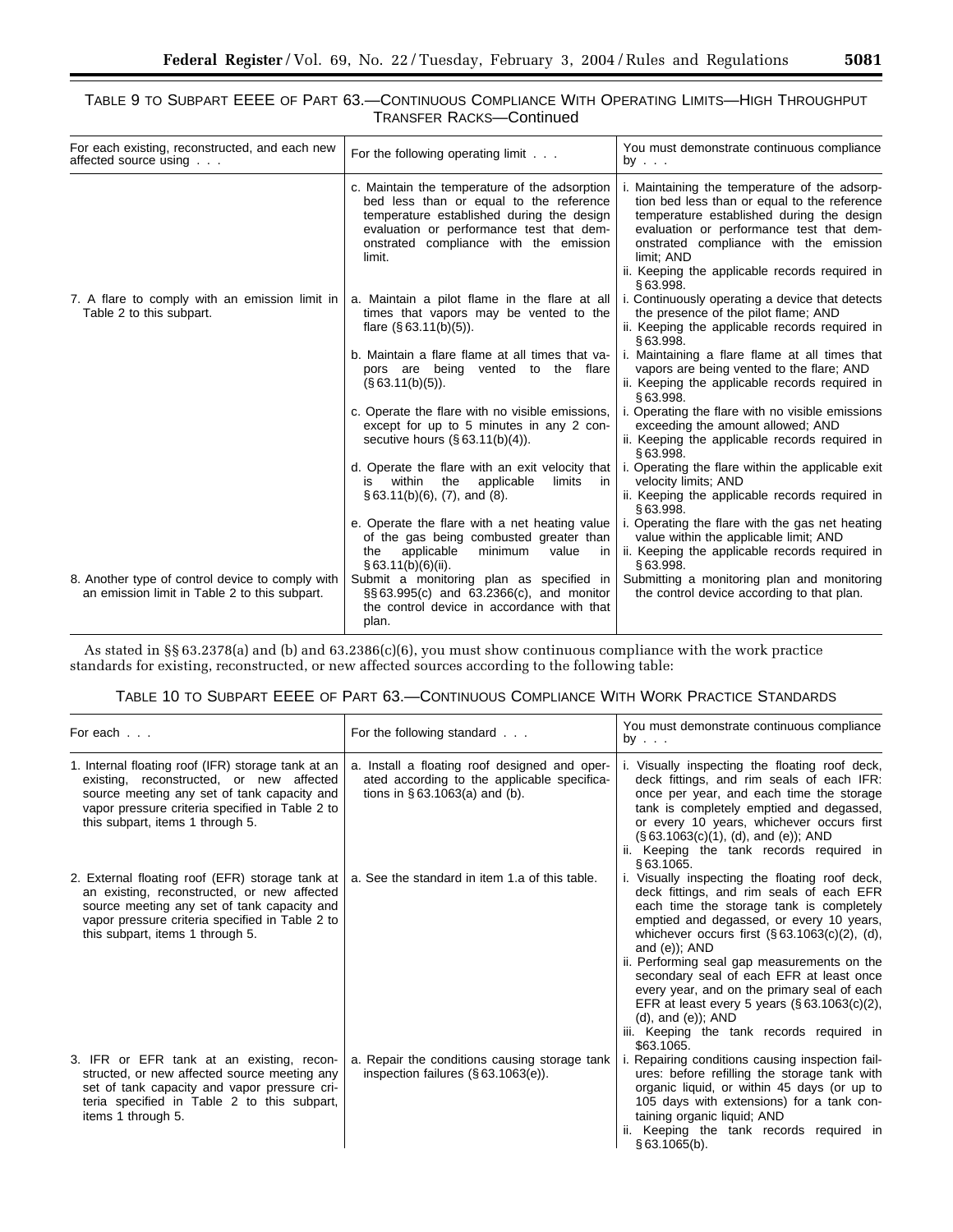# TABLE 9 TO SUBPART EEEE OF PART 63.—CONTINUOUS COMPLIANCE WITH OPERATING LIMITS—HIGH THROUGHPUT TRANSFER RACKS—Continued

| For each existing, reconstructed, and each new<br>affected source using                           | For the following operating limit                                                                                                                                                                                                     | You must demonstrate continuous compliance<br>by $\ldots$                                                                                                                                                                                                                                                    |  |
|---------------------------------------------------------------------------------------------------|---------------------------------------------------------------------------------------------------------------------------------------------------------------------------------------------------------------------------------------|--------------------------------------------------------------------------------------------------------------------------------------------------------------------------------------------------------------------------------------------------------------------------------------------------------------|--|
|                                                                                                   | c. Maintain the temperature of the adsorption<br>bed less than or equal to the reference<br>temperature established during the design<br>evaluation or performance test that dem-<br>onstrated compliance with the emission<br>limit. | i. Maintaining the temperature of the adsorp-<br>tion bed less than or equal to the reference<br>temperature established during the design<br>evaluation or performance test that dem-<br>onstrated compliance with the emission<br>limit; AND<br>ii. Keeping the applicable records required in<br>§63.998. |  |
| 7. A flare to comply with an emission limit in<br>Table 2 to this subpart.                        | a. Maintain a pilot flame in the flare at all<br>times that vapors may be vented to the<br>flare $(\S 63.11(b)(5))$ .                                                                                                                 | i. Continuously operating a device that detects<br>the presence of the pilot flame; AND<br>ii. Keeping the applicable records required in<br>§63.998.                                                                                                                                                        |  |
|                                                                                                   | b. Maintain a flare flame at all times that va-<br>pors are being vented to the flare<br>$(S$ 63.11(b)(5)).                                                                                                                           | i. Maintaining a flare flame at all times that<br>vapors are being vented to the flare; AND<br>ii. Keeping the applicable records required in<br>S63.998.                                                                                                                                                    |  |
|                                                                                                   | c. Operate the flare with no visible emissions,<br>except for up to 5 minutes in any 2 con-<br>secutive hours $(\S 63.11(b)(4))$ .                                                                                                    | i. Operating the flare with no visible emissions<br>exceeding the amount allowed; AND<br>ii. Keeping the applicable records required in<br>§63.998.                                                                                                                                                          |  |
|                                                                                                   | d. Operate the flare with an exit velocity that<br>the<br>limits<br>within<br>applicable<br>in<br>is<br>$\S 63.11(b)(6)$ , (7), and (8).                                                                                              | i. Operating the flare within the applicable exit<br>velocity limits; AND<br>ii. Keeping the applicable records required in<br>§63.998.                                                                                                                                                                      |  |
|                                                                                                   | e. Operate the flare with a net heating value<br>of the gas being combusted greater than<br>applicable<br>minimum<br>the<br>value<br>in.<br>§ 63.11(b)(6)(ii).                                                                        | i. Operating the flare with the gas net heating<br>value within the applicable limit; AND<br>ii. Keeping the applicable records required in<br>S 63.998.                                                                                                                                                     |  |
| 8. Another type of control device to comply with<br>an emission limit in Table 2 to this subpart. | Submit a monitoring plan as specified in<br>§§63.995(c) and 63.2366(c), and monitor<br>the control device in accordance with that<br>plan.                                                                                            | Submitting a monitoring plan and monitoring<br>the control device according to that plan.                                                                                                                                                                                                                    |  |

As stated in §§ 63.2378(a) and (b) and 63.2386(c)(6), you must show continuous compliance with the work practice standards for existing, reconstructed, or new affected sources according to the following table:

# TABLE 10 TO SUBPART EEEE OF PART 63.—CONTINUOUS COMPLIANCE WITH WORK PRACTICE STANDARDS

| For each                                                                                                                                                                                                                             | For the following standard                                                                                                       | You must demonstrate continuous compliance<br>by $\ldots$                                                                                                                                                                                                                                                                                                                                                                                                                                                                                      |  |
|--------------------------------------------------------------------------------------------------------------------------------------------------------------------------------------------------------------------------------------|----------------------------------------------------------------------------------------------------------------------------------|------------------------------------------------------------------------------------------------------------------------------------------------------------------------------------------------------------------------------------------------------------------------------------------------------------------------------------------------------------------------------------------------------------------------------------------------------------------------------------------------------------------------------------------------|--|
| 1. Internal floating roof (IFR) storage tank at an<br>existing, reconstructed, or new affected<br>source meeting any set of tank capacity and<br>vapor pressure criteria specified in Table 2 to<br>this subpart, items 1 through 5. | a. Install a floating roof designed and oper-<br>ated according to the applicable specifica-<br>tions in $§ 63.1063(a)$ and (b). | i. Visually inspecting the floating roof deck,<br>deck fittings, and rim seals of each IFR:<br>once per year, and each time the storage<br>tank is completely emptied and degassed,<br>or every 10 years, whichever occurs first<br>$(\S 63.1063(c)(1), (d), and (e))$ ; AND<br>ii. Keeping the tank records required in<br>\$63.1065.                                                                                                                                                                                                         |  |
| 2. External floating roof (EFR) storage tank at<br>an existing, reconstructed, or new affected<br>source meeting any set of tank capacity and<br>vapor pressure criteria specified in Table 2 to<br>this subpart, items 1 through 5. | a. See the standard in item 1.a of this table.                                                                                   | i. Visually inspecting the floating roof deck,<br>deck fittings, and rim seals of each EFR<br>each time the storage tank is completely<br>emptied and degassed, or every 10 years,<br>whichever occurs first $(\S 63.1063(c)(2), (d))$<br>and $(e)$ ; AND<br>ii. Performing seal gap measurements on the<br>secondary seal of each EFR at least once<br>every year, and on the primary seal of each<br>EFR at least every 5 years $(\S 63.1063(c)(2))$ ,<br>$(d)$ , and $(e)$ ; AND<br>iii. Keeping the tank records required in<br>\$63.1065. |  |
| 3. IFR or EFR tank at an existing, recon-<br>structed, or new affected source meeting any<br>set of tank capacity and vapor pressure cri-<br>teria specified in Table 2 to this subpart,<br>items 1 through 5.                       | a. Repair the conditions causing storage tank<br>inspection failures $(\S 63.1063(e))$ .                                         | i. Repairing conditions causing inspection fail-<br>ures: before refilling the storage tank with<br>organic liquid, or within 45 days (or up to<br>105 days with extensions) for a tank con-<br>taining organic liquid; AND<br>ii. Keeping the tank records required in<br>§63.1065(b).                                                                                                                                                                                                                                                        |  |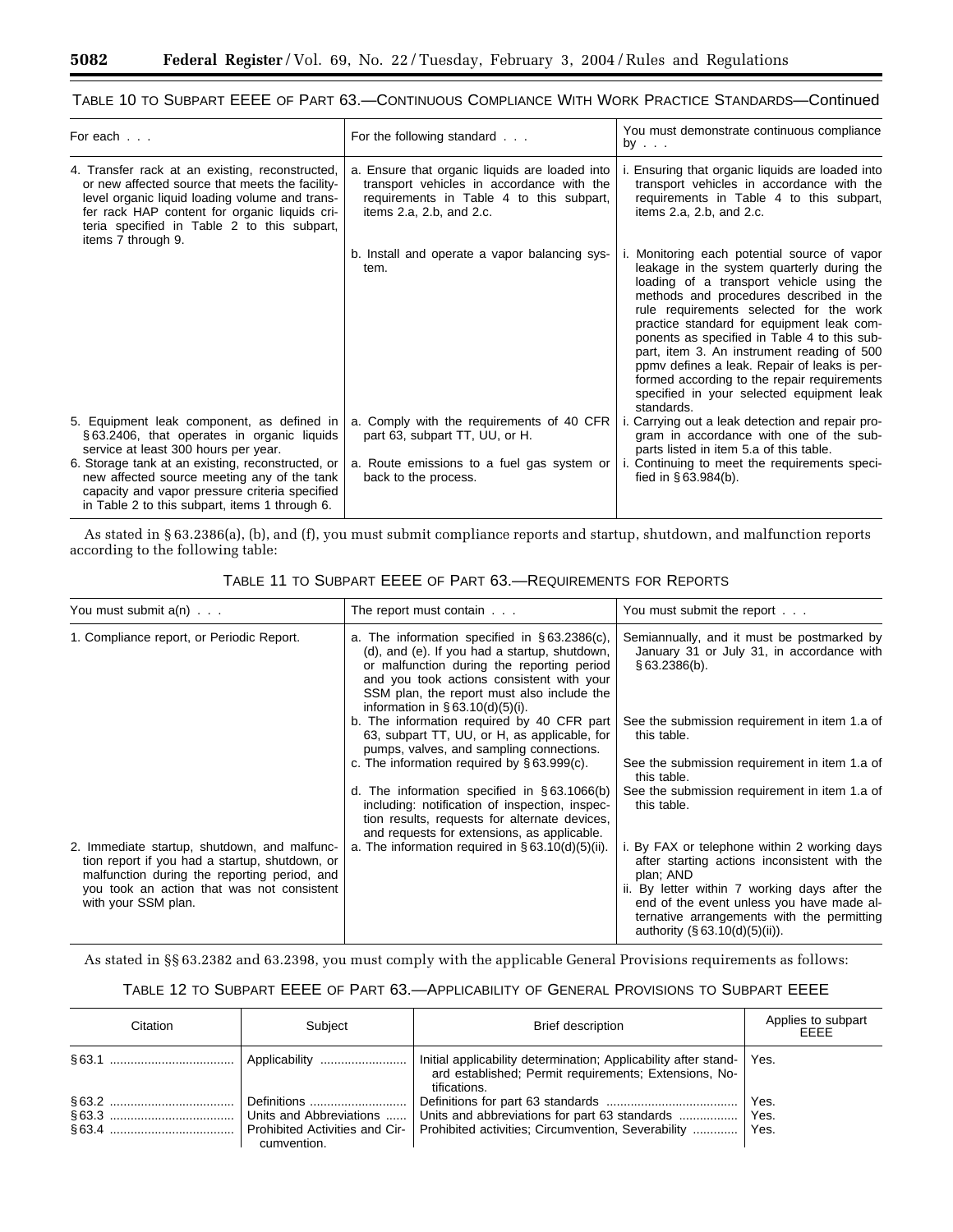# TABLE 10 TO SUBPART EEEE OF PART 63.—CONTINUOUS COMPLIANCE WITH WORK PRACTICE STANDARDS—Continued

| For each                                                                                                                                                                                                                                                                   | For the following standard                                                                                                                                                   | You must demonstrate continuous compliance<br>by                                                                                                                                                                                                                                                                                                                                                                                                                                                                                  |  |
|----------------------------------------------------------------------------------------------------------------------------------------------------------------------------------------------------------------------------------------------------------------------------|------------------------------------------------------------------------------------------------------------------------------------------------------------------------------|-----------------------------------------------------------------------------------------------------------------------------------------------------------------------------------------------------------------------------------------------------------------------------------------------------------------------------------------------------------------------------------------------------------------------------------------------------------------------------------------------------------------------------------|--|
| 4. Transfer rack at an existing, reconstructed,<br>or new affected source that meets the facility-<br>level organic liquid loading volume and trans-<br>fer rack HAP content for organic liquids cri-<br>teria specified in Table 2 to this subpart,<br>items 7 through 9. | a. Ensure that organic liquids are loaded into<br>transport vehicles in accordance with the<br>requirements in Table 4 to this subpart,<br>items $2.a$ , $2.b$ , and $2.c$ . | i. Ensuring that organic liquids are loaded into<br>transport vehicles in accordance with the<br>requirements in Table 4 to this subpart,<br>items $2.a$ , $2.b$ , and $2.c$ .                                                                                                                                                                                                                                                                                                                                                    |  |
|                                                                                                                                                                                                                                                                            | b. Install and operate a vapor balancing sys-<br>tem.                                                                                                                        | i. Monitoring each potential source of vapor<br>leakage in the system quarterly during the<br>loading of a transport vehicle using the<br>methods and procedures described in the<br>rule requirements selected for the work<br>practice standard for equipment leak com-<br>ponents as specified in Table 4 to this sub-<br>part, item 3. An instrument reading of 500<br>ppmy defines a leak. Repair of leaks is per-<br>formed according to the repair requirements<br>specified in your selected equipment leak<br>standards. |  |
| 5. Equipment leak component, as defined in<br>§63.2406, that operates in organic liquids<br>service at least 300 hours per year.                                                                                                                                           | a. Comply with the requirements of 40 CFR<br>part 63, subpart TT, UU, or H.                                                                                                  | i. Carrying out a leak detection and repair pro-<br>gram in accordance with one of the sub-<br>parts listed in item 5.a of this table.                                                                                                                                                                                                                                                                                                                                                                                            |  |
| 6. Storage tank at an existing, reconstructed, or<br>new affected source meeting any of the tank<br>capacity and vapor pressure criteria specified<br>in Table 2 to this subpart, items 1 through 6.                                                                       | a. Route emissions to a fuel gas system or<br>back to the process.                                                                                                           | i. Continuing to meet the requirements speci-<br>fied in $§ 63.984(b)$ .                                                                                                                                                                                                                                                                                                                                                                                                                                                          |  |

As stated in § 63.2386(a), (b), and (f), you must submit compliance reports and startup, shutdown, and malfunction reports according to the following table:

| You must submit $a(n)$                                                                                                                         | The report must contain $\ldots$                                                                                                                                                                                                                                                    | You must submit the report                                                                                                                                                     |  |
|------------------------------------------------------------------------------------------------------------------------------------------------|-------------------------------------------------------------------------------------------------------------------------------------------------------------------------------------------------------------------------------------------------------------------------------------|--------------------------------------------------------------------------------------------------------------------------------------------------------------------------------|--|
| 1. Compliance report, or Periodic Report.                                                                                                      | a. The information specified in $\S 63.2386(c)$ ,<br>(d), and (e). If you had a startup, shutdown,<br>or malfunction during the reporting period<br>and you took actions consistent with your<br>SSM plan, the report must also include the<br>information in $\S 63.10(d)(5)(i)$ . | Semiannually, and it must be postmarked by<br>January 31 or July 31, in accordance with<br>§63.2386(b).                                                                        |  |
|                                                                                                                                                | b. The information required by 40 CFR part<br>63, subpart TT, UU, or H, as applicable, for<br>pumps, valves, and sampling connections.                                                                                                                                              | See the submission requirement in item 1.a of<br>this table.                                                                                                                   |  |
|                                                                                                                                                | c. The information required by $\S 63.999(c)$ .                                                                                                                                                                                                                                     | See the submission requirement in item 1.a of<br>this table.                                                                                                                   |  |
|                                                                                                                                                | d. The information specified in $\S 63.1066(b)$<br>including: notification of inspection, inspec-<br>tion results, requests for alternate devices,<br>and requests for extensions, as applicable.                                                                                   | See the submission requirement in item 1.a of<br>this table.                                                                                                                   |  |
| 2. Immediate startup, shutdown, and malfunc-<br>tion report if you had a startup, shutdown, or<br>malfunction during the reporting period, and | a. The information required in $\S 63.10(d)(5)(ii)$ .                                                                                                                                                                                                                               | i. By FAX or telephone within 2 working days<br>after starting actions inconsistent with the<br>plan; AND                                                                      |  |
| you took an action that was not consistent<br>with your SSM plan.                                                                              |                                                                                                                                                                                                                                                                                     | ii. By letter within 7 working days after the<br>end of the event unless you have made al-<br>ternative arrangements with the permitting<br>authority $(\S 63.10(d)(5)(ii))$ . |  |

# TABLE 11 TO SUBPART EEEE OF PART 63.—REQUIREMENTS FOR REPORTS

As stated in §§ 63.2382 and 63.2398, you must comply with the applicable General Provisions requirements as follows:

| Citation | Subiect     | <b>Brief description</b>                                                                                                                 | Applies to subpart<br><b>FFFF</b> |
|----------|-------------|------------------------------------------------------------------------------------------------------------------------------------------|-----------------------------------|
|          |             | Initial applicability determination; Applicability after stand-<br>ard established; Permit requirements; Extensions, No-<br>tifications. | Yes.                              |
|          |             |                                                                                                                                          | Yes.                              |
|          | cumvention. | Prohibited activities; Circumvention, Severability    Yes.                                                                               |                                   |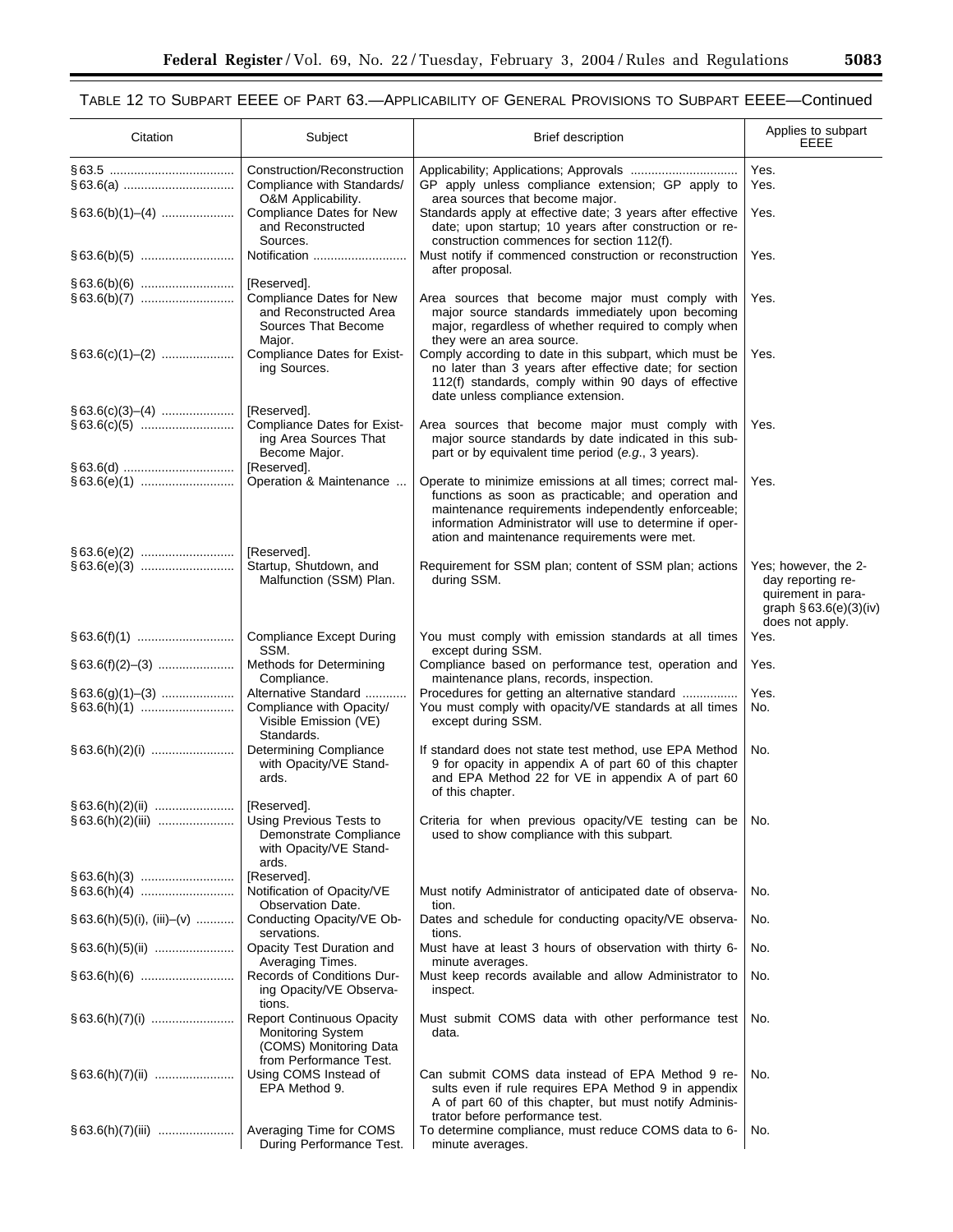| Citation                     | Subject                                                                                                          | <b>Brief description</b>                                                                                                                                                                                                                                                           | Applies to subpart<br>EEEE                                                                                      |
|------------------------------|------------------------------------------------------------------------------------------------------------------|------------------------------------------------------------------------------------------------------------------------------------------------------------------------------------------------------------------------------------------------------------------------------------|-----------------------------------------------------------------------------------------------------------------|
|                              | Construction/Reconstruction<br>Compliance with Standards/<br>O&M Applicability.                                  | GP apply unless compliance extension; GP apply to<br>area sources that become major.                                                                                                                                                                                               | Yes.<br>Yes.                                                                                                    |
|                              | Compliance Dates for New<br>and Reconstructed<br>Sources.                                                        | Standards apply at effective date; 3 years after effective<br>date; upon startup; 10 years after construction or re-<br>construction commences for section 112(f).                                                                                                                 | Yes.                                                                                                            |
|                              |                                                                                                                  | Must notify if commenced construction or reconstruction<br>after proposal.                                                                                                                                                                                                         | Yes.                                                                                                            |
|                              | [Reserved].<br>Compliance Dates for New<br>and Reconstructed Area<br>Sources That Become<br>Major.               | Area sources that become major must comply with<br>major source standards immediately upon becoming<br>major, regardless of whether required to comply when<br>they were an area source.                                                                                           | Yes.                                                                                                            |
|                              | Compliance Dates for Exist-<br>ing Sources.                                                                      | Comply according to date in this subpart, which must be<br>no later than 3 years after effective date; for section<br>112(f) standards, comply within 90 days of effective<br>date unless compliance extension.                                                                    | Yes.                                                                                                            |
|                              | [Reserved].<br><b>Compliance Dates for Exist-</b><br>ing Area Sources That<br>Become Major.<br>[Reserved].       | Area sources that become major must comply with<br>major source standards by date indicated in this sub-<br>part or by equivalent time period (e.g., 3 years).                                                                                                                     | Yes.                                                                                                            |
|                              | Operation & Maintenance                                                                                          | Operate to minimize emissions at all times; correct mal-<br>functions as soon as practicable; and operation and<br>maintenance requirements independently enforceable;<br>information Administrator will use to determine if oper-<br>ation and maintenance requirements were met. | Yes.                                                                                                            |
|                              | [Reserved].<br>Startup, Shutdown, and<br>Malfunction (SSM) Plan.                                                 | Requirement for SSM plan; content of SSM plan; actions<br>during SSM.                                                                                                                                                                                                              | Yes; however, the 2-<br>day reporting re-<br>quirement in para-<br>graph $\S 63.6(e)(3)(iv)$<br>does not apply. |
|                              | <b>Compliance Except During</b><br>SSM.                                                                          | You must comply with emission standards at all times<br>except during SSM.                                                                                                                                                                                                         | Yes.                                                                                                            |
|                              | Methods for Determining<br>Compliance.                                                                           | Compliance based on performance test, operation and<br>maintenance plans, records, inspection.                                                                                                                                                                                     | Yes.                                                                                                            |
|                              | Alternative Standard<br>Compliance with Opacity/<br>Visible Emission (VE)<br>Standards.                          | Procedures for getting an alternative standard<br>You must comply with opacity/VE standards at all times<br>except during SSM.                                                                                                                                                     | Yes.<br>No.                                                                                                     |
|                              | <b>Determining Compliance</b><br>with Opacity/VE Stand-<br>ards.                                                 | If standard does not state test method, use EPA Method<br>9 for opacity in appendix A of part 60 of this chapter<br>and EPA Method 22 for VE in appendix A of part 60<br>of this chapter.                                                                                          | No.                                                                                                             |
| §63.6(h)(2)(ii)  [Reserved]. | Using Previous Tests to<br>Demonstrate Compliance<br>with Opacity/VE Stand-<br>ards.                             | Criteria for when previous opacity/VE testing can be<br>used to show compliance with this subpart.                                                                                                                                                                                 | No.                                                                                                             |
|                              | [Reserved].<br>Notification of Opacity/VE<br><b>Observation Date.</b>                                            | Must notify Administrator of anticipated date of observa-                                                                                                                                                                                                                          | No.                                                                                                             |
| $§ 63.6(h)(5)(i), (iii)–(v)$ | Conducting Opacity/VE Ob-<br>servations.                                                                         | tion.<br>Dates and schedule for conducting opacity/VE observa-<br>tions.                                                                                                                                                                                                           | No.                                                                                                             |
|                              | Opacity Test Duration and<br>Averaging Times.                                                                    | Must have at least 3 hours of observation with thirty 6-<br>minute averages.                                                                                                                                                                                                       | No.                                                                                                             |
|                              | Records of Conditions Dur-<br>ing Opacity/VE Observa-<br>tions.                                                  | Must keep records available and allow Administrator to<br>inspect.                                                                                                                                                                                                                 | No.                                                                                                             |
|                              | <b>Report Continuous Opacity</b><br><b>Monitoring System</b><br>(COMS) Monitoring Data<br>from Performance Test. | Must submit COMS data with other performance test<br>data.                                                                                                                                                                                                                         | No.                                                                                                             |
| §63.6(h)(7)(ii)              | Using COMS Instead of<br>EPA Method 9.                                                                           | Can submit COMS data instead of EPA Method 9 re-<br>sults even if rule requires EPA Method 9 in appendix<br>A of part 60 of this chapter, but must notify Adminis-<br>trator before performance test.                                                                              | No.                                                                                                             |
|                              | Averaging Time for COMS<br>During Performance Test.                                                              | To determine compliance, must reduce COMS data to 6-<br>minute averages.                                                                                                                                                                                                           | No.                                                                                                             |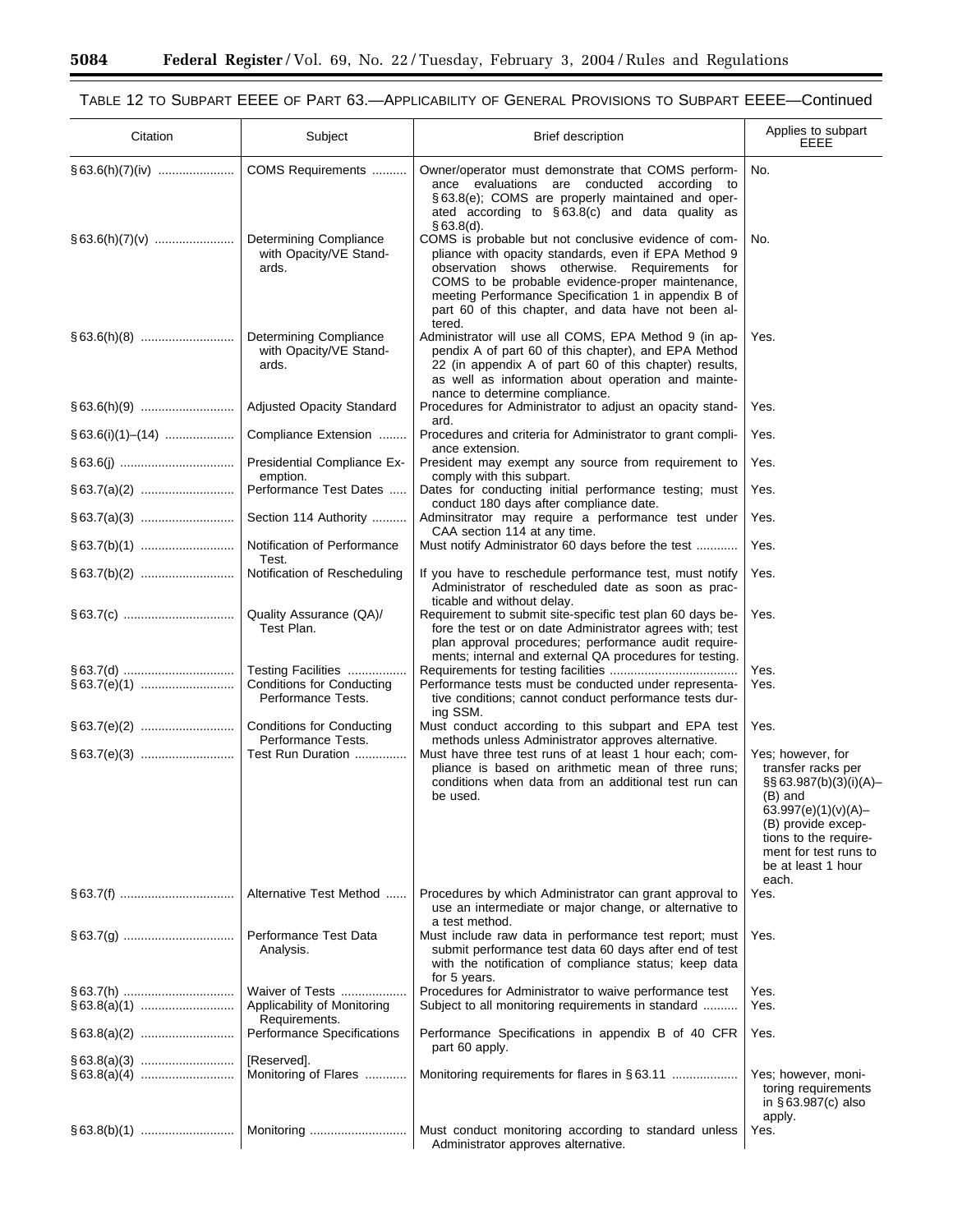$\equiv$ 

۰

| Citation            | Subject                                                                      | <b>Brief description</b>                                                                                                                                                                                                                                                                                                                                | Applies to subpart<br>EEEE                                                                                                                                                                                 |
|---------------------|------------------------------------------------------------------------------|---------------------------------------------------------------------------------------------------------------------------------------------------------------------------------------------------------------------------------------------------------------------------------------------------------------------------------------------------------|------------------------------------------------------------------------------------------------------------------------------------------------------------------------------------------------------------|
|                     | COMS Requirements                                                            | Owner/operator must demonstrate that COMS perform-<br>ance evaluations are conducted according to<br>§63.8(e); COMS are properly maintained and oper-<br>ated according to $\S 63.8(c)$ and data quality as                                                                                                                                             | No.                                                                                                                                                                                                        |
|                     | Determining Compliance<br>with Opacity/VE Stand-<br>ards.                    | §63.8(d).<br>COMS is probable but not conclusive evidence of com-<br>pliance with opacity standards, even if EPA Method 9<br>observation shows otherwise. Requirements for<br>COMS to be probable evidence-proper maintenance,<br>meeting Performance Specification 1 in appendix B of<br>part 60 of this chapter, and data have not been al-<br>tered. | No.                                                                                                                                                                                                        |
|                     | Determining Compliance<br>with Opacity/VE Stand-<br>ards.                    | Administrator will use all COMS, EPA Method 9 (in ap-<br>pendix A of part 60 of this chapter), and EPA Method<br>22 (in appendix A of part 60 of this chapter) results,<br>as well as information about operation and mainte-<br>nance to determine compliance.                                                                                         | Yes.                                                                                                                                                                                                       |
|                     | Adjusted Opacity Standard                                                    | Procedures for Administrator to adjust an opacity stand-<br>ard.                                                                                                                                                                                                                                                                                        | Yes.                                                                                                                                                                                                       |
| $§ 63.6(i)(1)–(14)$ | Compliance Extension                                                         | Procedures and criteria for Administrator to grant compli-<br>ance extension.                                                                                                                                                                                                                                                                           | Yes.                                                                                                                                                                                                       |
|                     | Presidential Compliance Ex-<br>emption.                                      | President may exempt any source from requirement to<br>comply with this subpart.                                                                                                                                                                                                                                                                        | Yes.                                                                                                                                                                                                       |
|                     | Performance Test Dates                                                       | Dates for conducting initial performance testing; must<br>conduct 180 days after compliance date.                                                                                                                                                                                                                                                       | Yes.                                                                                                                                                                                                       |
|                     | Section 114 Authority                                                        | Adminsitrator may require a performance test under<br>CAA section 114 at any time.                                                                                                                                                                                                                                                                      | Yes.                                                                                                                                                                                                       |
|                     | Notification of Performance<br>Test.                                         | Must notify Administrator 60 days before the test                                                                                                                                                                                                                                                                                                       | Yes.                                                                                                                                                                                                       |
|                     | Notification of Rescheduling                                                 | If you have to reschedule performance test, must notify<br>Administrator of rescheduled date as soon as prac-<br>ticable and without delay.                                                                                                                                                                                                             | Yes.                                                                                                                                                                                                       |
|                     | Quality Assurance (QA)/<br>Test Plan.                                        | Requirement to submit site-specific test plan 60 days be-<br>fore the test or on date Administrator agrees with; test<br>plan approval procedures; performance audit require-<br>ments; internal and external QA procedures for testing.                                                                                                                | Yes.                                                                                                                                                                                                       |
|                     | Testing Facilities<br><b>Conditions for Conducting</b><br>Performance Tests. | Performance tests must be conducted under representa-<br>tive conditions; cannot conduct performance tests dur-<br>ing SSM.                                                                                                                                                                                                                             | Yes.<br>Yes.                                                                                                                                                                                               |
|                     | <b>Conditions for Conducting</b><br>Performance Tests.                       | Must conduct according to this subpart and EPA test<br>methods unless Administrator approves alternative.                                                                                                                                                                                                                                               | Yes.                                                                                                                                                                                                       |
|                     | Test Run Duration                                                            | Must have three test runs of at least 1 hour each; com-<br>pliance is based on arithmetic mean of three runs;<br>conditions when data from an additional test run can<br>be used.                                                                                                                                                                       | Yes; however, for<br>transfer racks per<br>§§ 63.987(b)(3)(i)(A)-<br>(B) and<br>63.997(e)(1)(v)(A)-<br>(B) provide excep-<br>tions to the require-<br>ment for test runs to<br>be at least 1 hour<br>each. |
|                     | Alternative Test Method                                                      | Procedures by which Administrator can grant approval to<br>use an intermediate or major change, or alternative to<br>a test method.                                                                                                                                                                                                                     | Yes.                                                                                                                                                                                                       |
|                     | Performance Test Data<br>Analysis.                                           | Must include raw data in performance test report; must<br>submit performance test data 60 days after end of test<br>with the notification of compliance status; keep data<br>for 5 years.                                                                                                                                                               | Yes.                                                                                                                                                                                                       |
|                     | Waiver of Tests<br>Applicability of Monitoring<br>Requirements.              | Procedures for Administrator to waive performance test<br>Subject to all monitoring requirements in standard                                                                                                                                                                                                                                            | Yes.<br>Yes.                                                                                                                                                                                               |
|                     | Performance Specifications                                                   | Performance Specifications in appendix B of 40 CFR<br>part 60 apply.                                                                                                                                                                                                                                                                                    | Yes.                                                                                                                                                                                                       |
|                     | [Reserved].<br>Monitoring of Flares                                          |                                                                                                                                                                                                                                                                                                                                                         | Yes; however, moni-<br>toring requirements<br>in $\S$ 63.987(c) also                                                                                                                                       |
|                     | Monitoring                                                                   | Must conduct monitoring according to standard unless<br>Administrator approves alternative.                                                                                                                                                                                                                                                             | apply.<br>Yes.                                                                                                                                                                                             |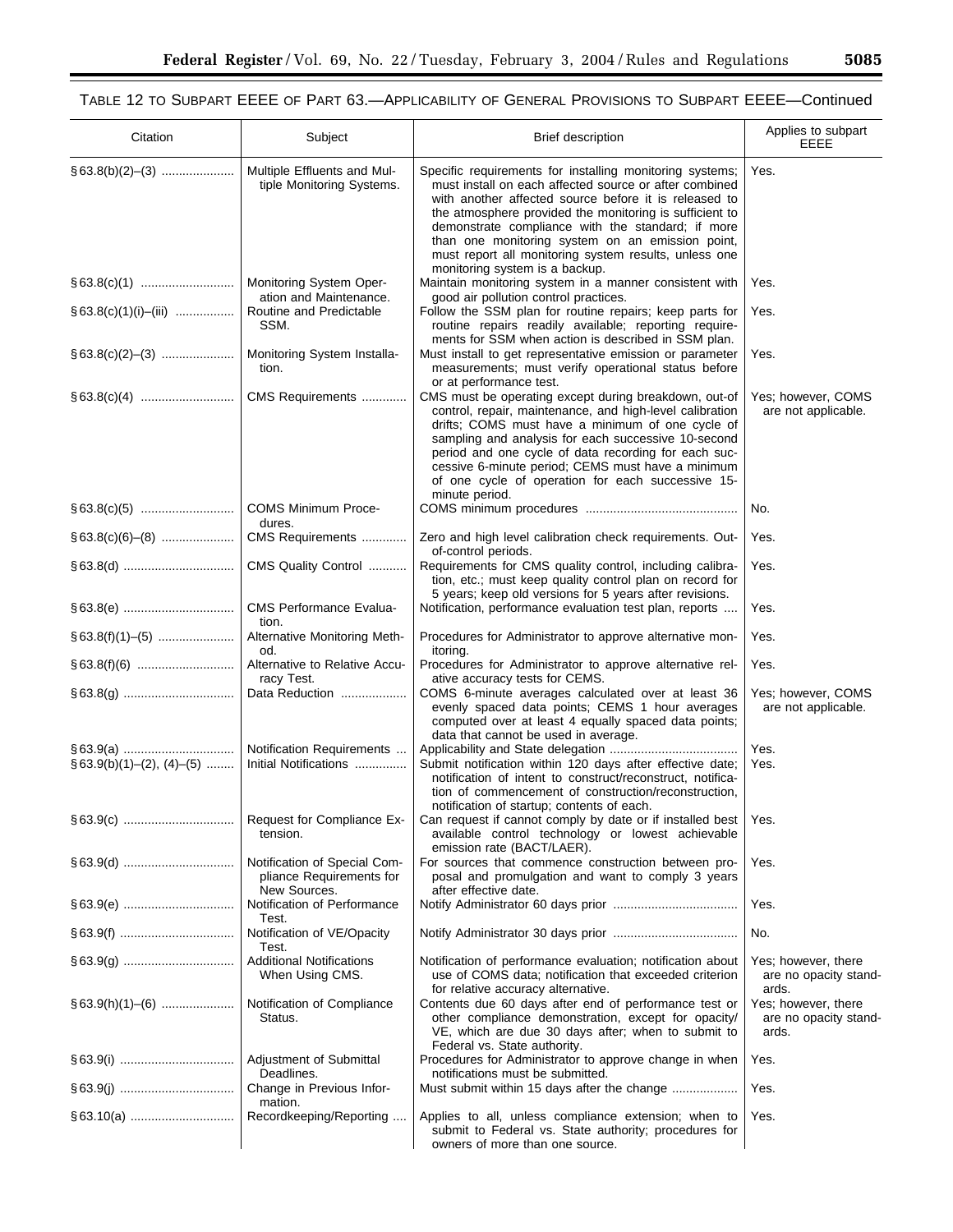| Citation                    | Subject                                                                  | Brief description                                                                                                                                                                                                                                                                                                                                                                                                                          | Applies to subpart<br>EEEE                            |
|-----------------------------|--------------------------------------------------------------------------|--------------------------------------------------------------------------------------------------------------------------------------------------------------------------------------------------------------------------------------------------------------------------------------------------------------------------------------------------------------------------------------------------------------------------------------------|-------------------------------------------------------|
|                             | Multiple Effluents and Mul-<br>tiple Monitoring Systems.                 | Specific requirements for installing monitoring systems;<br>must install on each affected source or after combined<br>with another affected source before it is released to<br>the atmosphere provided the monitoring is sufficient to<br>demonstrate compliance with the standard; if more<br>than one monitoring system on an emission point,<br>must report all monitoring system results, unless one<br>monitoring system is a backup. | Yes.                                                  |
|                             | Monitoring System Oper-<br>ation and Maintenance.                        | Maintain monitoring system in a manner consistent with<br>good air pollution control practices.                                                                                                                                                                                                                                                                                                                                            | Yes.                                                  |
| $§ 63.8(c)(1)(i) - (iii)$   | Routine and Predictable<br>SSM.                                          | Follow the SSM plan for routine repairs; keep parts for<br>routine repairs readily available; reporting require-                                                                                                                                                                                                                                                                                                                           | Yes.                                                  |
|                             | Monitoring System Installa-<br>tion.                                     | ments for SSM when action is described in SSM plan.<br>Must install to get representative emission or parameter<br>measurements; must verify operational status before<br>or at performance test.                                                                                                                                                                                                                                          | Yes.                                                  |
|                             | CMS Requirements                                                         | CMS must be operating except during breakdown, out-of<br>control, repair, maintenance, and high-level calibration<br>drifts; COMS must have a minimum of one cycle of<br>sampling and analysis for each successive 10-second<br>period and one cycle of data recording for each suc-<br>cessive 6-minute period; CEMS must have a minimum<br>of one cycle of operation for each successive 15-<br>minute period.                           | Yes; however, COMS<br>are not applicable.             |
|                             | COMS Minimum Proce-<br>dures.                                            |                                                                                                                                                                                                                                                                                                                                                                                                                                            | No.                                                   |
|                             | CMS Requirements                                                         | Zero and high level calibration check requirements. Out-<br>of-control periods.                                                                                                                                                                                                                                                                                                                                                            | Yes.                                                  |
|                             | CMS Quality Control                                                      | Requirements for CMS quality control, including calibra-<br>tion, etc.; must keep quality control plan on record for<br>5 years; keep old versions for 5 years after revisions.                                                                                                                                                                                                                                                            | Yes.                                                  |
|                             | <b>CMS Performance Evalua-</b><br>tion.                                  | Notification, performance evaluation test plan, reports                                                                                                                                                                                                                                                                                                                                                                                    | Yes.                                                  |
|                             | Alternative Monitoring Meth-<br>od.                                      | Procedures for Administrator to approve alternative mon-<br>itoring.                                                                                                                                                                                                                                                                                                                                                                       | Yes.                                                  |
|                             | Alternative to Relative Accu-<br>racy Test.                              | Procedures for Administrator to approve alternative rel-<br>ative accuracy tests for CEMS.                                                                                                                                                                                                                                                                                                                                                 | Yes.                                                  |
|                             | Data Reduction                                                           | COMS 6-minute averages calculated over at least 36<br>evenly spaced data points; CEMS 1 hour averages<br>computed over at least 4 equally spaced data points;<br>data that cannot be used in average.                                                                                                                                                                                                                                      | Yes; however, COMS<br>are not applicable.             |
| $§ 63.9(b)(1)–(2), (4)–(5)$ | Notification Requirements<br>Initial Notifications                       | Submit notification within 120 days after effective date;<br>notification of intent to construct/reconstruct, notifica-<br>tion of commencement of construction/reconstruction,<br>notification of startup; contents of each.                                                                                                                                                                                                              | Yes.<br>Yes.                                          |
|                             | Request for Compliance Ex-<br>tension.                                   | Can request if cannot comply by date or if installed best<br>available control technology or lowest achievable<br>emission rate (BACT/LAER).                                                                                                                                                                                                                                                                                               | Yes.                                                  |
|                             | Notification of Special Com-<br>pliance Requirements for<br>New Sources. | For sources that commence construction between pro-<br>posal and promulgation and want to comply 3 years<br>after effective date.                                                                                                                                                                                                                                                                                                          | Yes.                                                  |
|                             | Notification of Performance<br>Test.                                     |                                                                                                                                                                                                                                                                                                                                                                                                                                            | Yes.                                                  |
|                             | Notification of VE/Opacity<br>Test.                                      |                                                                                                                                                                                                                                                                                                                                                                                                                                            | No.                                                   |
|                             | <b>Additional Notifications</b><br>When Using CMS.                       | Notification of performance evaluation; notification about<br>use of COMS data; notification that exceeded criterion<br>for relative accuracy alternative.                                                                                                                                                                                                                                                                                 | Yes; however, there<br>are no opacity stand-<br>ards. |
| $§ 63.9(h)(1)–(6)$          | Notification of Compliance<br>Status.                                    | Contents due 60 days after end of performance test or<br>other compliance demonstration, except for opacity/<br>VE, which are due 30 days after; when to submit to<br>Federal vs. State authority.                                                                                                                                                                                                                                         | Yes; however, there<br>are no opacity stand-<br>ards. |
|                             | Adjustment of Submittal<br>Deadlines.                                    | Procedures for Administrator to approve change in when<br>notifications must be submitted.                                                                                                                                                                                                                                                                                                                                                 | Yes.                                                  |
|                             | Change in Previous Infor-<br>mation.                                     | Must submit within 15 days after the change                                                                                                                                                                                                                                                                                                                                                                                                | Yes.                                                  |
|                             | Recordkeeping/Reporting                                                  | Applies to all, unless compliance extension; when to<br>submit to Federal vs. State authority; procedures for<br>owners of more than one source.                                                                                                                                                                                                                                                                                           | Yes.                                                  |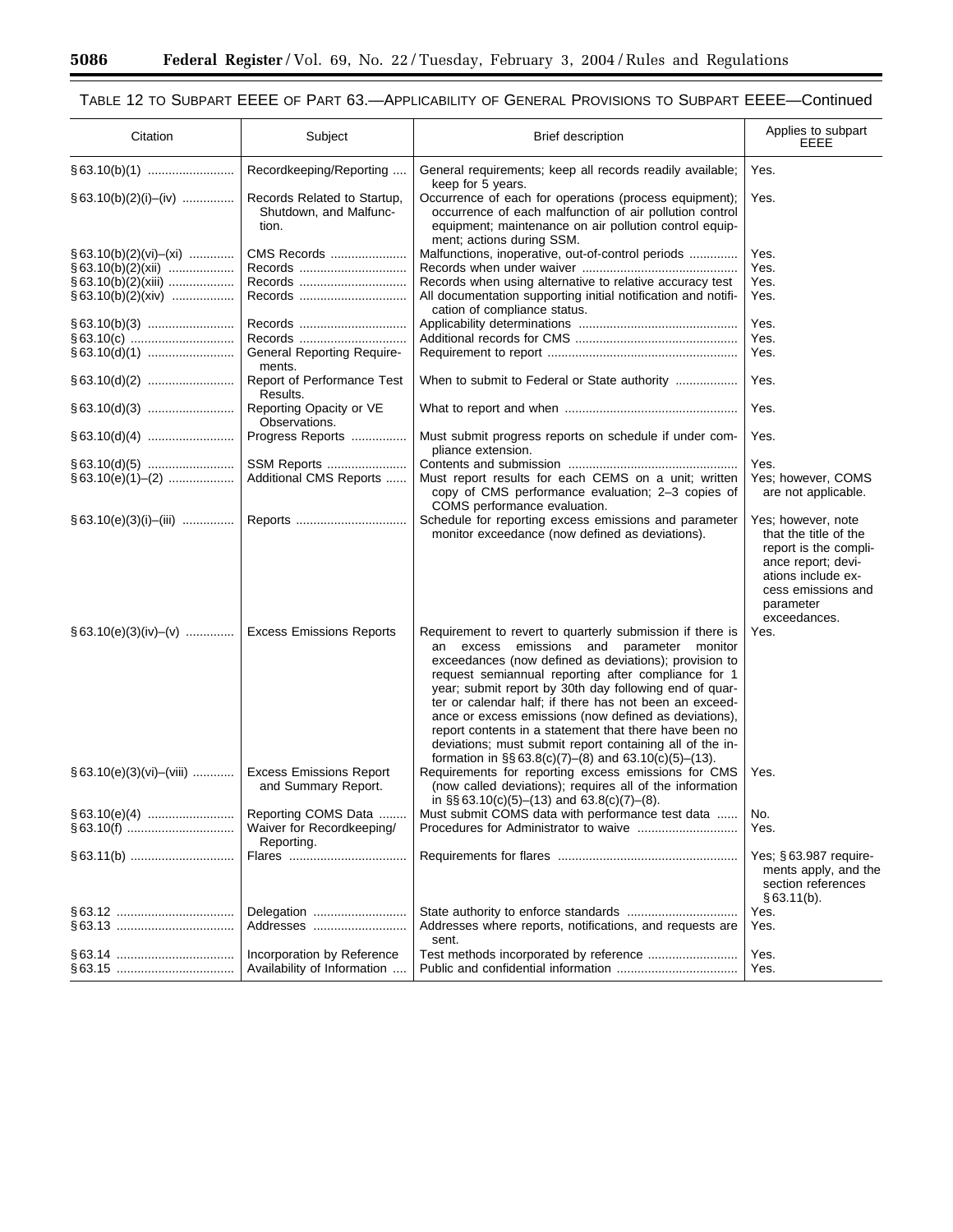٠

| Citation                     | Subject                                                        | Brief description                                                                                                                                                                                                                                                                                                                                                                                                                                                                                                                                                                        | Applies to subpart<br>EEEE                                                                                                                                          |
|------------------------------|----------------------------------------------------------------|------------------------------------------------------------------------------------------------------------------------------------------------------------------------------------------------------------------------------------------------------------------------------------------------------------------------------------------------------------------------------------------------------------------------------------------------------------------------------------------------------------------------------------------------------------------------------------------|---------------------------------------------------------------------------------------------------------------------------------------------------------------------|
|                              | Recordkeeping/Reporting                                        | General requirements; keep all records readily available;<br>keep for 5 years.                                                                                                                                                                                                                                                                                                                                                                                                                                                                                                           | Yes.                                                                                                                                                                |
| $§ 63.10(b)(2)(i)–(iv)$      | Records Related to Startup,<br>Shutdown, and Malfunc-<br>tion. | Occurrence of each for operations (process equipment);<br>occurrence of each malfunction of air pollution control<br>equipment; maintenance on air pollution control equip-<br>ment; actions during SSM.                                                                                                                                                                                                                                                                                                                                                                                 | Yes.                                                                                                                                                                |
| $§ 63.10(b)(2)(vi)–(xi)$     | CMS Records                                                    | Malfunctions, inoperative, out-of-control periods                                                                                                                                                                                                                                                                                                                                                                                                                                                                                                                                        | Yes.                                                                                                                                                                |
| $§ 63.10(b)(2)(xii)$         | Records                                                        |                                                                                                                                                                                                                                                                                                                                                                                                                                                                                                                                                                                          | Yes.                                                                                                                                                                |
| $§ 63.10(b)(2)(xiii)$        | Records                                                        | Records when using alternative to relative accuracy test                                                                                                                                                                                                                                                                                                                                                                                                                                                                                                                                 | Yes.                                                                                                                                                                |
| $§ 63.10(b)(2)(xiv)$         | Records                                                        | All documentation supporting initial notification and notifi-<br>cation of compliance status.                                                                                                                                                                                                                                                                                                                                                                                                                                                                                            | Yes.                                                                                                                                                                |
|                              | Records                                                        |                                                                                                                                                                                                                                                                                                                                                                                                                                                                                                                                                                                          | Yes.                                                                                                                                                                |
|                              | Records                                                        |                                                                                                                                                                                                                                                                                                                                                                                                                                                                                                                                                                                          | Yes.                                                                                                                                                                |
|                              | <b>General Reporting Require-</b><br>ments.                    |                                                                                                                                                                                                                                                                                                                                                                                                                                                                                                                                                                                          | Yes.                                                                                                                                                                |
|                              | Report of Performance Test<br>Results.                         | When to submit to Federal or State authority                                                                                                                                                                                                                                                                                                                                                                                                                                                                                                                                             | Yes.                                                                                                                                                                |
|                              | Reporting Opacity or VE<br>Observations.                       |                                                                                                                                                                                                                                                                                                                                                                                                                                                                                                                                                                                          | Yes.                                                                                                                                                                |
|                              | Progress Reports                                               | Must submit progress reports on schedule if under com-<br>pliance extension.                                                                                                                                                                                                                                                                                                                                                                                                                                                                                                             | Yes.                                                                                                                                                                |
|                              | SSM Reports                                                    |                                                                                                                                                                                                                                                                                                                                                                                                                                                                                                                                                                                          | Yes.                                                                                                                                                                |
| $§ 63.10(e)(1)–(2)$          | Additional CMS Reports                                         | Must report results for each CEMS on a unit; written<br>copy of CMS performance evaluation; 2-3 copies of<br>COMS performance evaluation.                                                                                                                                                                                                                                                                                                                                                                                                                                                | Yes; however, COMS<br>are not applicable.                                                                                                                           |
| $§ 63.10(e)(3)(i)–(iii)$     |                                                                | Schedule for reporting excess emissions and parameter<br>monitor exceedance (now defined as deviations).                                                                                                                                                                                                                                                                                                                                                                                                                                                                                 | Yes; however, note<br>that the title of the<br>report is the compli-<br>ance report; devi-<br>ations include ex-<br>cess emissions and<br>parameter<br>exceedances. |
| $\S$ 63.10(e)(3)(iv)–(v)     | <b>Excess Emissions Reports</b>                                | Requirement to revert to quarterly submission if there is<br>emissions and parameter monitor<br>an excess<br>exceedances (now defined as deviations); provision to<br>request semiannual reporting after compliance for 1<br>year; submit report by 30th day following end of quar-<br>ter or calendar half; if there has not been an exceed-<br>ance or excess emissions (now defined as deviations),<br>report contents in a statement that there have been no<br>deviations; must submit report containing all of the in-<br>formation in $\S$ § 63.8(c)(7)–(8) and 63.10(c)(5)–(13). | Yes.                                                                                                                                                                |
| $§ 63.10(e)(3)(vi)$ – (viii) | <b>Excess Emissions Report</b><br>and Summary Report.          | Requirements for reporting excess emissions for CMS<br>(now called deviations); requires all of the information<br>in $\S$ § 63.10(c)(5)–(13) and 63.8(c)(7)–(8).                                                                                                                                                                                                                                                                                                                                                                                                                        | Yes.                                                                                                                                                                |
|                              | Reporting COMS Data                                            | Must submit COMS data with performance test data                                                                                                                                                                                                                                                                                                                                                                                                                                                                                                                                         | No.                                                                                                                                                                 |
|                              | Waiver for Recordkeeping/<br>Reporting.                        |                                                                                                                                                                                                                                                                                                                                                                                                                                                                                                                                                                                          | Yes.                                                                                                                                                                |
|                              |                                                                |                                                                                                                                                                                                                                                                                                                                                                                                                                                                                                                                                                                          | Yes; §63.987 require-<br>ments apply, and the<br>section references<br>§ 63.11(b).                                                                                  |
|                              | Delegation                                                     |                                                                                                                                                                                                                                                                                                                                                                                                                                                                                                                                                                                          | Yes.                                                                                                                                                                |
|                              | Addresses                                                      | Addresses where reports, notifications, and requests are<br>sent.                                                                                                                                                                                                                                                                                                                                                                                                                                                                                                                        | Yes.                                                                                                                                                                |
|                              | Incorporation by Reference                                     |                                                                                                                                                                                                                                                                                                                                                                                                                                                                                                                                                                                          | Yes.                                                                                                                                                                |
|                              | Availability of Information                                    |                                                                                                                                                                                                                                                                                                                                                                                                                                                                                                                                                                                          | Yes.                                                                                                                                                                |